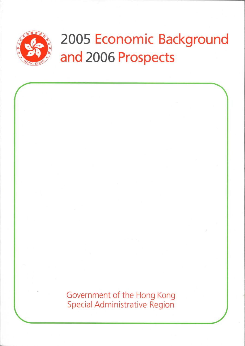

# 2005 Economic Background and 2006 Prospects

Government of the Hong Kong Special Administrative Region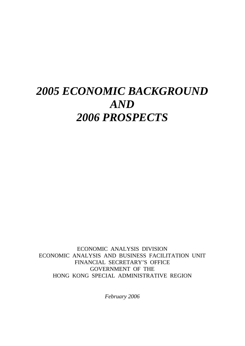## *2005 ECONOMIC BACKGROUND AND 2006 PROSPECTS*

ECONOMIC ANALYSIS DIVISION ECONOMIC ANALYSIS AND BUSINESS FACILITATION UNIT FINANCIAL SECRETARY'S OFFICE GOVERNMENT OF THE HONG KONG SPECIAL ADMINISTRATIVE REGION

*February 2006*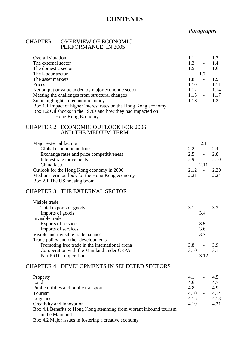## **CONTENTS**

## *Paragraphs*

#### CHAPTER 1: OVERVIEW OF ECONOMIC PERFORMANCE IN 2005

| Overall situation<br>The external sector                            | 1.1<br>1.3 | $\overline{\phantom{a}}$<br>$\overline{\phantom{a}}$ | 1.2<br>1.4 |
|---------------------------------------------------------------------|------------|------------------------------------------------------|------------|
| The domestic sector                                                 | 1.5        | $\sim$                                               | 1.6        |
| The labour sector                                                   |            | 1.7                                                  |            |
| The asset markets                                                   | 1.8        | $\overline{\phantom{a}}$                             | 1.9        |
| Prices                                                              | 1.10       | $\overline{\phantom{a}}$                             | 1.11       |
| Net output or value added by major economic sector                  | 1.12       | $\overline{\phantom{a}}$                             | 1.14       |
| Meeting the challenges from structural changes                      | 1.15       | $\overline{\phantom{a}}$                             | 1.17       |
| Some highlights of economic policy                                  | 1.18       | $\sim$                                               | 1.24       |
| Box 1.1 Impact of higher interest rates on the Hong Kong economy    |            |                                                      |            |
| Box 1.2 Oil shocks in the 1970s and how they had impacted on        |            |                                                      |            |
| Hong Kong Economy                                                   |            |                                                      |            |
| <b>CHAPTER 2: ECONOMIC OUTLOOK FOR 2006</b><br>AND THE MEDIUM TERM  |            |                                                      |            |
| Major external factors                                              |            | 2.1                                                  |            |
| Global economic outlook                                             | 2.2        | $\sim$                                               | 2.4        |
| Exchange rates and price competitiveness                            | 2.5        | $\overline{\phantom{a}}$                             | 2.8        |
| Interest rate movements                                             | 2.9        | $\sim 10^{-10}$                                      | 2.10       |
| China factor                                                        |            | 2.11                                                 |            |
| Outlook for the Hong Kong economy in 2006                           | 2.12       | $\blacksquare$                                       | 2.20       |
| Medium-term outlook for the Hong Kong economy                       | 2.21       | $\mathbb{L}$                                         | 2.24       |
| Box 2.1 The US housing boom                                         |            |                                                      |            |
| <b>CHAPTER 3: THE EXTERNAL SECTOR</b>                               |            |                                                      |            |
| Visible trade                                                       |            |                                                      |            |
| Total exports of goods                                              | 3.1        |                                                      | 3.3        |
| Imports of goods                                                    |            | 3.4                                                  |            |
| Invisible trade                                                     |            |                                                      |            |
| Exports of services                                                 |            | 3.5                                                  |            |
| Imports of services                                                 |            | 3.6                                                  |            |
| Visible and invisible trade balance                                 |            | 3.7                                                  |            |
| Trade policy and other developments                                 |            |                                                      |            |
| Promoting free trade in the international arena                     | 3.8        |                                                      | 3.9        |
| Co-operation with the Mainland under CEPA                           | 3.10       | $\sim 100$                                           | 3.11       |
| Pan-PRD co-operation                                                |            | 3.12                                                 |            |
| <b>CHAPTER 4: DEVELOPMENTS IN SELECTED SECTORS</b>                  |            |                                                      |            |
| Property                                                            | 4.1        | $\overline{\phantom{a}}$                             | 4.5        |
| Land                                                                | 4.6        |                                                      | 4.7        |
| Public utilities and public transport                               | 4.8        | $\omega_{\rm{max}}$                                  | 4.9        |
| Tourism                                                             | 4.10       | $\omega_{\rm{max}}$                                  | 4.14       |
| Logistics                                                           | 4.15       | $\omega_{\rm{max}}$                                  | 4.18       |
| Creativity and innovation                                           | 4.19       | $\overline{\phantom{0}}$                             | 4.21       |
| Box 4.1 Benefits to Hong Kong stemming from vibrant inbound tourism |            |                                                      |            |
| in the Mainland                                                     |            |                                                      |            |
| Box 4.2 Major issues in fostering a creative economy                |            |                                                      |            |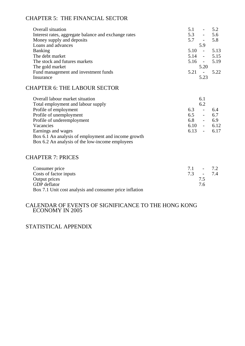## CHAPTER 5: THE FINANCIAL SECTOR

| 5.2<br>5.1<br>$\overline{\phantom{a}}$ |
|----------------------------------------|
| 5.6<br>5.3<br>$\sim 100$               |
| 5.8<br>5.7<br>$\sim 100$               |
| 5.9                                    |
| 5.13<br>5.10<br>$\sim 100$             |
| $5.14 - 5.15$                          |
| $5.16 - 5.19$                          |
| 5.20                                   |
| 5.22<br>$5.21 - -$                     |
| 5.23                                   |
|                                        |

## CHAPTER 6: THE LABOUR SECTOR

| Overall labour market situation                     |      | 6.1                      |      |
|-----------------------------------------------------|------|--------------------------|------|
| Total employment and labour supply                  |      | 6.2                      |      |
| Profile of employment                               | 6.3  | $\overline{\phantom{0}}$ | 6.4  |
| Profile of unemployment                             | 6.5  | $\overline{\phantom{a}}$ | 6.7  |
| Profile of underemployment                          | 6.8  | $\overline{\phantom{a}}$ | 6.9  |
| Vacancies                                           | 6.10 | $\overline{\phantom{a}}$ | 6.12 |
| Earnings and wages                                  | 6.13 | $\sim$                   | 6.17 |
| Box 6.1 An analysis of employment and income growth |      |                          |      |

Box 6.2 An analysis of the low-income employees

## CHAPTER 7: PRICES

| Consumer price                                          | 71 |     | $-7.2$ |
|---------------------------------------------------------|----|-----|--------|
| Costs of factor inputs                                  | 73 |     | $-7.4$ |
| Output prices                                           |    | 75  |        |
| <b>GDP</b> deflator                                     |    | 7.6 |        |
| Box 7.1 Unit cost analysis and consumer price inflation |    |     |        |

## CALENDAR OF EVENTS OF SIGNIFICANCE TO THE HONG KONG ECONOMY IN 2005

#### STATISTICAL APPENDIX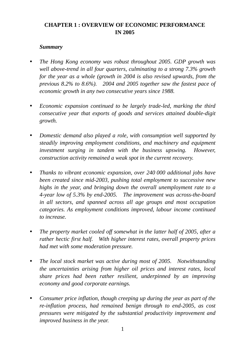## **CHAPTER 1 : OVERVIEW OF ECONOMIC PERFORMANCE IN 2005**

## *Summary*

- *The Hong Kong economy was robust throughout 2005. GDP growth was well above-trend in all four quarters, culminating to a strong 7.3% growth for the year as a whole (growth in 2004 is also revised upwards, from the previous 8.2% to 8.6%). 2004 and 2005 together saw the fastest pace of economic growth in any two consecutive years since 1988.*
- y *Economic expansion continued to be largely trade-led, marking the third consecutive year that exports of goods and services attained double-digit growth.*
- Domestic demand also played a role, with consumption well supported by *steadily improving employment conditions, and machinery and equipment investment surging in tandem with the business upswing. However, construction activity remained a weak spot in the current recovery.*
- *Thanks to vibrant economic expansion, over 240 000 additional jobs have been created since mid-2003, pushing total employment to successive new highs in the year, and bringing down the overall unemployment rate to a 4-year low of 5.3% by end-2005. The improvement was across-the-board in all sectors, and spanned across all age groups and most occupation categories. As employment conditions improved, labour income continued to increase.*
- The property market cooled off somewhat in the latter half of 2005, after a *rather hectic first half. With higher interest rates, overall property prices had met with some moderation pressure.*
- *The local stock market was active during most of 2005. Notwithstanding the uncertainties arising from higher oil prices and interest rates, local share prices had been rather resilient, underpinned by an improving economy and good corporate earnings.*
- Consumer price inflation, though creeping up during the year as part of the *re-inflation process, had remained benign through to end-2005, as cost pressures were mitigated by the substantial productivity improvement and improved business in the year.*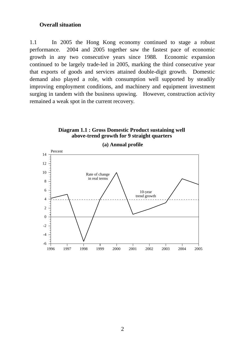#### **Overall situation**

1.1 In 2005 the Hong Kong economy continued to stage a robust performance. 2004 and 2005 together saw the fastest pace of economic growth in any two consecutive years since 1988. Economic expansion continued to be largely trade-led in 2005, marking the third consecutive year that exports of goods and services attained double-digit growth. Domestic demand also played a role, with consumption well supported by steadily improving employment conditions, and machinery and equipment investment surging in tandem with the business upswing. However, construction activity remained a weak spot in the current recovery.

**Diagram 1.1 : Gross Domestic Product sustaining well** 

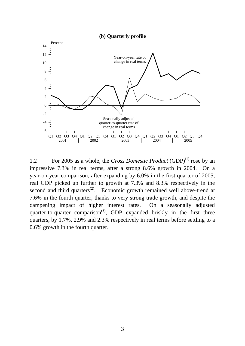



1.2 For 2005 as a whole, the *Gross Domestic Product* (GDP)(1) rose by an impressive 7.3% in real terms, after a strong 8.6% growth in 2004. On a year-on-year comparison, after expanding by 6.0% in the first quarter of 2005, real GDP picked up further to growth at 7.3% and 8.3% respectively in the second and third quarters<sup> $(2)$ </sup>. Economic growth remained well above-trend at 7.6% in the fourth quarter, thanks to very strong trade growth, and despite the dampening impact of higher interest rates. On a seasonally adjusted quarter-to-quarter comparison<sup>(3)</sup>, GDP expanded briskly in the first three quarters, by 1.7%, 2.9% and 2.3% respectively in real terms before settling to a 0.6% growth in the fourth quarter.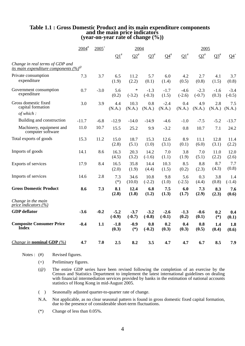# Table 1.1 : Gross Domestic Product and its main expenditure components<br>and the main price indicators<br>(year-on-year rate of change  $(\%)$ )

|                                                                                     | $2004$ <sup>#</sup> | $2005^{+}$ | 2004               |                    |                    |                    | 2005               |                    |                 |                    |
|-------------------------------------------------------------------------------------|---------------------|------------|--------------------|--------------------|--------------------|--------------------|--------------------|--------------------|-----------------|--------------------|
|                                                                                     |                     |            | $\Omega^*$         | $Q2^*$             | $Q3^{\#}$          | $Q4^{\#}$          | $\Omega^{\sharp}$  | $Q2^*$             | $Q3^{\#}$       | $Q4$ <sup>+</sup>  |
| Change in real terms of GDP and<br>its main expenditure components (%) <sup>®</sup> |                     |            |                    |                    |                    |                    |                    |                    |                 |                    |
| Private consumption<br>expenditure                                                  | 7.3                 | 3.7        | 6.5<br>(1.9)       | 11.2<br>(2.2)      | 5.7<br>(0.1)       | 6.0<br>(1.4)       | 4.2<br>(0.5)       | 2.7<br>(0.8)       | 4.1<br>(1.5)    | 3.7<br>(0.8)       |
| Government consumption<br>expenditure                                               | 0.7                 | $-3.0$     | 5.6<br>(0.2)       | $\ast$<br>$(-3.2)$ | $-1.3$<br>$(-0.3)$ | $-1.7$<br>(1.5)    | $-4.6$<br>$(-2.6)$ | $-2.3$<br>$(-0.7)$ | $-1.6$<br>(0.3) | $-3.4$<br>$(-0.5)$ |
| Gross domestic fixed<br>capital formation                                           | 3.0                 | 3.9        | 4.4<br>(N.A.)      | 10.3<br>(N.A.)     | 0.8<br>(N.A.)      | $-2.4$<br>(N.A.)   | 0.4<br>(N.A.)      | 4.9<br>(N.A.)      | 2.8<br>(N.A.)   | 7.5<br>(N.A.)      |
| of which:                                                                           |                     |            |                    |                    |                    |                    |                    |                    |                 |                    |
| Building and construction                                                           | $-11.7$             | $-6.8$     | $-12.9$            | $-14.0$            | $-14.9$            | $-4.6$             | $-1.0$             | $-7.5$             | $-5.2$          | $-13.7$            |
| Machinery, equipment and<br>computer software                                       | 11.0                | 10.7       | 15.5               | 25.2               | 9.9                | $-3.2$             | 0.8                | 10.7               | 7.1             | 24.2               |
| Total exports of goods                                                              | 15.3                | 11.2       | 15.0<br>(2.8)      | 18.7<br>(5.1)      | 15.3<br>(1.0)      | 12.6<br>(3.1)      | 8.9<br>(0.1)       | 11.1<br>(6.0)      | 12.8<br>(3.1)   | 11.4<br>(2.2)      |
| Imports of goods                                                                    | 14.1                | 8.6        | 16.3<br>(4.5)      | 20.3<br>(3.2)      | 14.2<br>$(-1.6)$   | 7.0<br>(1.1)       | 3.8<br>(1.9)       | 7.0<br>(5.1)       | 11.0<br>(2.2)   | 12.0<br>(2.6)      |
| Exports of services                                                                 | 17.9                | 8.4        | 16.5<br>(2.0)      | 35.8<br>(1.9)      | 14.4<br>(4.4)      | 10.3<br>(1.5)      | 8.5<br>(0.2)       | 8.8<br>(2.3)       | 8.7<br>(4.3)    | 7.7<br>(0.8)       |
| Imports of services                                                                 | 14.6                | 2.8        | 7.3<br>$(*)$       | 34.6<br>(10.0)     | 10.8<br>$(-2.2)$   | 9.8<br>(1.0)       | 5.6<br>$(-2.5)$    | 0.3<br>(4.4)       | 3.8<br>(0.8)    | 1.4<br>$(-1.4)$    |
| <b>Gross Domestic Product</b>                                                       | 8.6                 | 7.3        | 8.1<br>(2.8)       | 12.4<br>(1.8)      | 6.8<br>(1.2)       | 7.5<br>(1.3)       | 6.0<br>(1.7)       | 7.3<br>(2.9)       | 8.3<br>(2.3)    | 7.6<br>(0.6)       |
| Change in the main<br>price indicators $(\%)$                                       |                     |            |                    |                    |                    |                    |                    |                    |                 |                    |
| <b>GDP</b> deflator                                                                 | $-3.6$              | $-0.2$     | $-5.2$<br>$(-0.9)$ | $-3.7$<br>$(-0.7)$ | $-3.2$<br>$(-0.8)$ | $-2.6$<br>$(-0.1)$ | $-1.3$<br>(0.2)    | $-0.6$<br>(0.1)    | 0.2<br>$(*)$    | 0.4<br>(0.1)       |
| <b>Composite Consumer Price</b><br><b>Index</b>                                     | $-0.4$              | 1.1        | $-1.8$<br>(0.3)    | $-0.9$<br>$(*)$    | 0.8<br>$(-0.2)$    | 0.2<br>(0.3)       | 0.4<br>(0.3)       | 0.8<br>(0.5)       | 1.4<br>(0.4)    | 1.8<br>(0.6)       |
| <i>Change in nominal GDP</i> $(\%)$                                                 | 4.7                 | 7.0        | 2.5                | 8.2                | 3.5                | 4.7                | 4.7                | 6.7                | 8.5             | 7.9                |

Notes : (#) Revised figures.

- (+) Preliminary figures.
- (@) The entire GDP series have been revised following the completion of an exercise by the Census and Statistics Department to implement the latest international guidelines on dealing with financial intermediation services provided by banks in the estimation of national accounts statistics of Hong Kong in mid-August 2005.
- ( ) Seasonally adjusted quarter-to-quarter rate of change.
- N.A. Not applicable, as no clear seasonal pattern is found in gross domestic fixed capital formation, due to the presence of considerable short-term fluctuations.
- (\*) Change of less than 0.05%.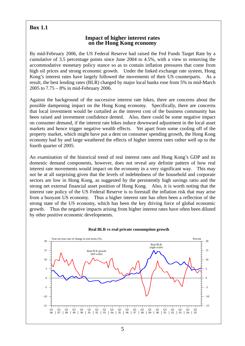## **Box 1.1**

#### **Impact of higher interest rates on the Hong Kong economy**

By mid-February 2006, the US Federal Reserve had raised the Fed Funds Target Rate by a cumulative of 3.5 percentage points since June 2004 to 4.5%, with a view to removing the accommodative monetary policy stance so as to contain inflation pressures that come from high oil prices and strong economic growth. Under the linked exchange rate system, Hong Kong's interest rates have largely followed the movements of their US counterparts. As a result, the best lending rates (BLR) charged by major local banks rose from 5% in mid-March 2005 to 7.75 – 8% in mid-February 2006.

Against the background of the successive interest rate hikes, there are concerns about the possible dampening impact on the Hong Kong economy. Specifically, there are concerns that local investment would be curtailed as the interest cost of the business community has been raised and investment confidence dented. Also, there could be some negative impact on consumer demand, if the interest rate hikes induce downward adjustment in the local asset markets and hence trigger negative wealth effects. Yet apart from some cooling off of the property market, which might have put a dent on consumer spending growth, the Hong Kong economy had by and large weathered the effects of higher interest rates rather well up to the fourth quarter of 2005.

An examination of the historical trend of real interest rates and Hong Kong's GDP and its domestic demand components, however, does not reveal any definite pattern of how real interest rate movements would impact on the economy in a very significant way. This may not be at all surprising given that the levels of indebtedness of the household and corporate sectors are low in Hong Kong, as suggested by the persistently high savings ratio and the strong net external financial asset position of Hong Kong. Also, it is worth noting that the interest rate policy of the US Federal Reserve is to forestall the inflation risk that may arise from a buoyant US economy. Thus a higher interest rate has often been a reflection of the strong state of the US economy, which has been the key driving force of global economic growth. Thus the negative impacts arising from higher interest rates have often been diluted by other positive economic developments.



#### **Real BLR vs real private consumption growth**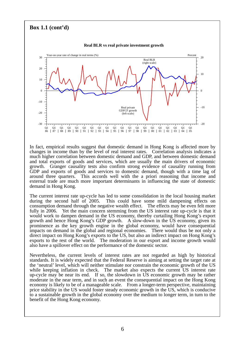#### **Box 1.1 (cont'd)**  Q1 Q1 Q1 Q1 Q1 Q1 Q1 Q1 Q1 Q1 Q1 Q1 Q1 Q1 Q1 Q1 Q1 Q1 Q1 Q1 86 87 88 89 90 91 92 93 94 95 96 97 98 99 00 01 02 03 04 05  $\Omega$ 10 20 30 -10 -20 -30 -on-year rate of change in real terms (%) 0 10 20 -10 -20 Percent **Real BLR vs real private investment growth** Real BLR (right scale) Real private GDFCF growth (left scale)

In fact, empirical results suggest that domestic demand in Hong Kong is affected more by changes in income than by the level of real interest rates. Correlation analysis indicates a much higher correlation between domestic demand and GDP, and between domestic demand and total exports of goods and services, which are usually the main drivers of economic growth. Granger causality tests also confirm strong evidence of causality running from GDP and exports of goods and services to domestic demand, though with a time lag of around three quarters. This accords well with the a priori reasoning that income and external trade are much more important determinants in influencing the state of domestic demand in Hong Kong.

The current interest rate up-cycle has led to some consolidation in the local housing market during the second half of 2005. This could have some mild dampening effects on consumption demand through the negative wealth effect. The effects may be even felt more fully in 2006. Yet the main concern stemming from the US interest rate up-cycle is that it would work to dampen demand in the US economy, thereby curtailing Hong Kong's export growth and hence Hong Kong's GDP growth. A slow-down in the US economy, given its prominence as the key growth engine in the global economy, would have consequential impacts on demand in the global and regional economies. There would thus be not only a direct impact on Hong Kong's exports to the US, but also an indirect impact on Hong Kong's exports to the rest of the world. The moderation in our export and income growth would also have a spillover effect on the performance of the domestic sector.

Nevertheless, the current levels of interest rates are not regarded as high by historical standards. It is widely expected that the Federal Reserve is aiming at setting the target rate at the 'neutral' level, which will neither stimulate nor constrain the economic growth of the US while keeping inflation in check. The market also expects the current US interest rate up-cycle may be near its end. If so, the slowdown in US economic growth may be rather moderate in the near term, and in such an event the consequential impact on the Hong Kong economy is likely to be of a manageable scale. From a longer-term perspective, maintaining price stability in the US would foster steady economic growth in the US, which is conducive to a sustainable growth in the global economy over the medium to longer term, in turn to the benefit of the Hong Kong economy.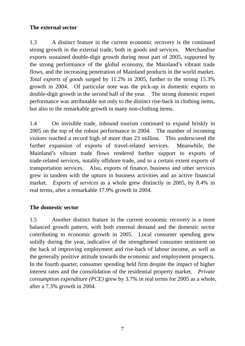## **The external sector**

1.3 A distinct feature in the current economic recovery is the continued strong growth in the external trade, both in goods and services. Merchandise exports sustained double-digit growth during most part of 2005, supported by the strong performance of the global economy, the Mainland's vibrant trade flows, and the increasing penetration of Mainland products in the world market. *Total exports of goods* surged by 11.2% in 2005, further to the strong 15.3% growth in 2004. Of particular note was the pick-up in domestic exports to double-digit growth in the second half of the year. The strong domestic export performance was attributable not only to the distinct rise-back in clothing items, but also to the remarkable growth in many non-clothing items.

1.4 On invisible trade, inbound tourism continued to expand briskly in 2005 on the top of the robust performance in 2004. The number of incoming visitors reached a record high of more than 23 million. This underscored the further expansion of exports of travel-related services. Meanwhile, the Mainland's vibrant trade flows rendered further support to exports of trade-related services, notably offshore trade, and to a certain extent exports of transportation services. Also, exports of finance, business and other services grew in tandem with the upturn in business activities and an active financial market. *Exports of services* as a whole grew distinctly in 2005, by 8.4% in real terms, after a remarkable 17.9% growth in 2004.

## **The domestic sector**

1.5 Another distinct feature in the current economic recovery is a more balanced growth pattern, with both external demand and the domestic sector contributing to economic growth in 2005. Local consumer spending grew solidly during the year, indicative of the strengthened consumer sentiment on the back of improving employment and rise-back of labour income, as well as the generally positive attitude towards the economic and employment prospects. In the fourth quarter, consumer spending held firm despite the impact of higher interest rates and the consolidation of the residential property market. *Private consumption expenditure (PCE)* grew by 3.7% in real terms for 2005 as a whole, after a 7.3% growth in 2004.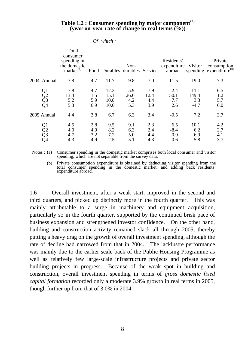#### **Table 1.2 : Consumer spending by major component(a) (year-on-year rate of change in real terms (%))**

| Оf | which: |  |
|----|--------|--|
|    |        |  |

|                                  | Total<br>consumer<br>spending in<br>the domestic<br>$market^{(a)}$ |                          | Food Durables durables Services | Non-                      |                           | Residents'<br>expenditure<br>abroad | Visitor                        | Private<br>consumption<br>spending expenditure <sup>(b)</sup> |
|----------------------------------|--------------------------------------------------------------------|--------------------------|---------------------------------|---------------------------|---------------------------|-------------------------------------|--------------------------------|---------------------------------------------------------------|
| 2004 Annual                      | 7.8                                                                | 4.7                      | 11.7                            | 9.8                       | 7.0                       | 11.5                                | 19.0                           | 7.3                                                           |
| Q1<br>Q2<br>Q3<br>Q4             | 7.8<br>13.4<br>5.2<br>5.3                                          | 4.7<br>1.5<br>5.9<br>6.9 | 12.2<br>15.1<br>10.0<br>10.0    | 5.9<br>26.6<br>4.2<br>5.3 | 7.9<br>12.4<br>4.4<br>3.9 | $-2.4$<br>50.1<br>7.7<br>2.6        | 11.1<br>149.4<br>3.3<br>$-4.7$ | 6.5<br>11.2<br>5.7<br>6.0                                     |
| 2005 Annual                      | 4.4                                                                | 3.8                      | 6.7                             | 6.3                       | 3.4                       | $-0.5$                              | 7.2                            | 3.7                                                           |
| Q1<br>Q2<br>Q <sub>3</sub><br>Q4 | 4.5<br>4.0<br>4.7<br>4.3                                           | 2.8<br>4.0<br>3.2<br>4.9 | 9.5<br>8.2<br>7.2<br>2.5        | 9.1<br>6.3<br>5.0<br>5.1  | 2.3<br>2.4<br>4.4<br>4.3  | 6.5<br>$-8.4$<br>0.9<br>$-0.6$      | 10.1<br>6.2<br>6.9<br>5.8      | 4.2<br>2.7<br>4.1<br>3.7                                      |

Notes : (a) Consumer spending in the domestic market comprises both local consumer and visitor spending, which are not separable from the survey data.

 (b) Private consumption expenditure is obtained by deducting visitor spending from the total consumer spending in the domestic market, and adding back residents' expenditure abroad.

1.6 Overall investment, after a weak start, improved in the second and third quarters, and picked up distinctly more in the fourth quarter. This was mainly attributable to a surge in machinery and equipment acquisition, particularly so in the fourth quarter, supported by the continued brisk pace of business expansion and strengthened investor confidence. On the other hand, building and construction activity remained slack all through 2005, thereby putting a heavy drag on the growth of overall investment spending, although the rate of decline had narrowed from that in 2004. The lacklustre performance was mainly due to the earlier scale-back of the Public Housing Programme as well as relatively few large-scale infrastructure projects and private sector building projects in progress. Because of the weak spot in building and construction, overall investment spending in terms of *gross domestic fixed capital formation* recorded only a moderate 3.9% growth in real terms in 2005, though further up from that of 3.0% in 2004.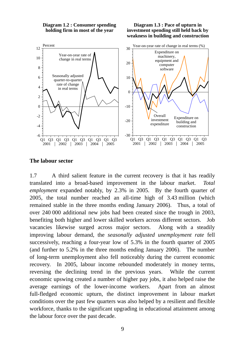**Diagram 1.2 : Consumer spending holding firm in most of the year**

**Diagram 1.3 : Pace of upturn in investment spending still held back by weakness in building and construction**



#### **The labour sector**

1.7 A third salient feature in the current recovery is that it has readily translated into a broad-based improvement in the labour market. *Total employment* expanded notably, by 2.3% in 2005. By the fourth quarter of 2005, the total number reached an all-time high of 3.43 million (which remained stable in the three months ending January 2006). Thus, a total of over 240 000 additional new jobs had been created since the trough in 2003, benefiting both higher and lower skilled workers across different sectors. Job vacancies likewise surged across major sectors. Along with a steadily improving labour demand, the *seasonally adjusted unemployment rate* fell successively, reaching a four-year low of 5.3% in the fourth quarter of 2005 (and further to 5.2% in the three months ending January 2006). The number of long-term unemployment also fell noticeably during the current economic recovery. In 2005, labour income rebounded moderately in money terms, reversing the declining trend in the previous years. While the current economic upswing created a number of higher pay jobs, it also helped raise the average earnings of the lower-income workers. Apart from an almost full-fledged economic upturn, the distinct improvement in labour market conditions over the past few quarters was also helped by a resilient and flexible workforce, thanks to the significant upgrading in educational attainment among the labour force over the past decade.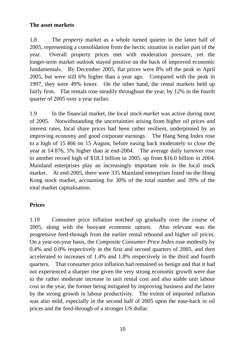## **The asset markets**

1.8 The *property* market as a whole turned quieter in the latter half of 2005, representing a consolidation from the hectic situation in earlier part of the year. Overall property prices met with moderation pressure, yet the longer-term market outlook stayed positive on the back of improved economic fundamentals. By December 2005, flat prices were 8% off the peak in April 2005, but were still 6% higher than a year ago. Compared with the peak in 1997, they were 49% lower. On the other hand, the rental markets held up fairly firm. Flat rentals rose steadily throughout the year, by 12% in the fourth quarter of 2005 over a year earlier.

1.9 In the financial market, the *local stock market* was active during most of 2005. Notwithstanding the uncertainties arising from higher oil prices and interest rates, local share prices had been rather resilient, underpinned by an improving economy and good corporate earnings. The Hang Seng Index rose to a high of 15 466 on 15 August, before easing back moderately to close the year at 14 876, 5% higher than at end-2004. The average daily turnover rose to another record high of \$18.3 billion in 2005, up from \$16.0 billion in 2004. Mainland enterprises play an increasingly important role in the local stock market. At end-2005, there were 335 Mainland enterprises listed on the Hong Kong stock market, accounting for 30% of the total number and 39% of the total market capitalisation.

## **Prices**

1.10 Consumer price inflation notched up gradually over the course of 2005, along with the buoyant economic upturn. Also relevant was the progressive feed-through from the earlier rental rebound and higher oil prices. On a year-on-year basis, the *Composite Consumer Price Index* rose modestly by 0.4% and 0.8% respectively in the first and second quarters of 2005, and then accelerated to increases of 1.4% and 1.8% respectively in the third and fourth quarters. That consumer price inflation had remained so benign and that it had not experienced a sharper rise given the very strong economic growth were due to the rather moderate increase in unit rental cost and also stable unit labour cost in the year, the former being mitigated by improving business and the latter by the strong growth in labour productivity. The extent of imported inflation was also mild, especially in the second half of 2005 upon the ease-back in oil prices and the feed-through of a stronger US dollar.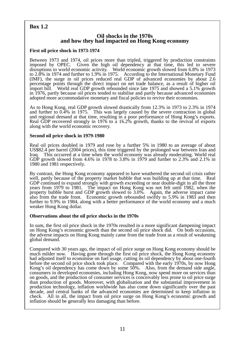## **Box 1.2**

#### **Oil shocks in the 1970s and how they had impacted on Hong Kong economy**

#### **First oil price shock in 1973-1974**

Between 1973 and 1974, oil prices more than tripled, triggered by production constraints imposed by OPEC. Given the high oil dependency at that time, this led to severe Given the high oil dependency at that time, this led to severe disruptions to world economic activity. World economic growth slowed from 6.8% in 1973 to 2.8% in 1974 and further to 1.9% in 1975. According to the International Monetary Fund (IMF), the surge in oil prices reduced real GDP of advanced economies by about 2.6 percentage points through the direct impact on net trade balance, as a result of higher oil import bill. World real GDP growth rebounded since late 1975 and showed a 5.1% growth in 1976, partly because oil prices tended to stabilise and partly because advanced economies adopted more accommodative monetary and fiscal policies to revive their economies.

As to Hong Kong, real GDP growth slowed drastically from 12.3% in 1973 to 2.3% in 1974 and further to 0.4% in 1975. This was largely caused by the severe contraction in global and regional demand at that time, resulting in a poor performance of Hong Kong's exports. Real GDP recovered strongly in 1976 to a 16.2% growth, thanks to the revival of exports along with the world economic recovery.

#### **Second oil price shock in 1979-1980**

Real oil prices doubled in 1979 and rose by a further 5% in 1980 to an average of about US\$82.4 per barrel (2004 prices), this time triggered by the prolonged war between Iran and Iraq. This occurred at a time when the world economy was already moderating. World real GDP growth slowed from 4.6% in 1978 to 3.8% in 1979 and further to 2.3% and 2.1% in 1980 and 1981 respectively.

By contrast, the Hong Kong economy appeared to have weathered the second oil crisis rather well, partly because of the property market bubble that was building up at that time. Real GDP continued to expand strongly with growth exceeding or near double-digit in all the three years from 1979 to 1981. The impact on Hong Kong was not felt until 1982, when the property bubble burst and GDP growth slowed to 3.0%. Again, the adverse impact came also from the trade front. Economic growth rebounded swiftly to 5.9% in 1983 and then further to 9.9% in 1984, along with a better performance of the world economy and a much weaker Hong Kong dollar.

#### **Observations about the oil price shocks in the 1970s**

In sum, the first oil price shock in the 1970s resulted in a more significant dampening impact on Hong Kong's economic growth than the second oil price shock did. On both occasions, the adverse impacts on Hong Kong mainly came from the trade front as a result of weakening global demand.

Compared with 30 years ago, the impact of oil price surge on Hong Kong economy should be much milder now. Having gone through the first oil price shock, the Hong Kong economy had adjusted itself to economise on fuel usage, cutting its oil dependency by about one-fourth before the second oil price shock took place. Compared with the early 1970s, by now Hong Kong's oil dependency has come down by some 50%. Also, from the demand side angle, consumers in developed economies, including Hong Kong, now spend more on services than on goods, and the production of consumer services is conceivably less prone to oil price surge than production of goods. Moreover, with globalisation and the substantial improvement in production technology, inflation worldwide has also come down significantly over the past decade, and central banks of the advanced economies are determined to keep inflation in check. All in all, the impact from oil price surge on Hong Kong's economic growth and inflation should be generally less damaging than before.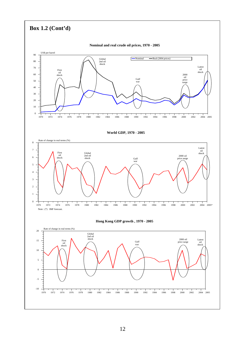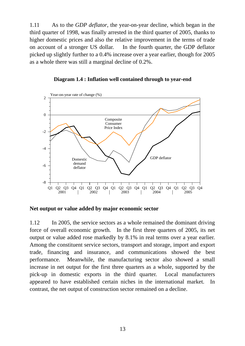1.11 As to the *GDP deflator*, the year-on-year decline, which began in the third quarter of 1998, was finally arrested in the third quarter of 2005, thanks to higher domestic prices and also the relative improvement in the terms of trade on account of a stronger US dollar. In the fourth quarter, the GDP deflator picked up slightly further to a 0.4% increase over a year earlier, though for 2005 as a whole there was still a marginal decline of 0.2%.

**Diagram 1.4 : Inflation well contained through to year-end**



**Net output or value added by major economic sector** 

1.12 In 2005, the service sectors as a whole remained the dominant driving force of overall economic growth. In the first three quarters of 2005, its net output or value added rose markedly by 8.1% in real terms over a year earlier. Among the constituent service sectors, transport and storage, import and export trade, financing and insurance, and communications showed the best performance. Meanwhile, the manufacturing sector also showed a small increase in net output for the first three quarters as a whole, supported by the pick-up in domestic exports in the third quarter. Local manufacturers appeared to have established certain niches in the international market. In contrast, the net output of construction sector remained on a decline.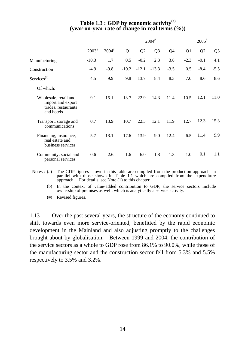## **Table 1.3 : GDP by economic activity(a) (year-on-year rate of change in real terms (%))**

|                                                                                 |             |                     |         |         | $2004$ <sup>#</sup> |        |          | $2005^*$ |                |
|---------------------------------------------------------------------------------|-------------|---------------------|---------|---------|---------------------|--------|----------|----------|----------------|
|                                                                                 | $2003^{\#}$ | $2004$ <sup>#</sup> | Q1      | Q2      | $Q_3$               | $Q_4$  | $\Omega$ | Q2       | Q <sub>3</sub> |
| Manufacturing                                                                   | $-10.3$     | 1.7                 | 0.5     | $-0.2$  | 2.3                 | 3.8    | $-2.3$   | $-0.1$   | 4.1            |
| Construction                                                                    | $-4.9$      | $-9.8$              | $-10.2$ | $-12.1$ | $-13.3$             | $-3.5$ | 0.5      | $-8.4$   | $-5.5$         |
| Services <sup>(b)</sup>                                                         | 4.5         | 9.9                 | 9.8     | 13.7    | 8.4                 | 8.3    | 7.0      | 8.6      | 8.6            |
| Of which:                                                                       |             |                     |         |         |                     |        |          |          |                |
| Wholesale, retail and<br>import and export<br>trades, restaurants<br>and hotels | 9.1         | 15.1                | 13.7    | 22.9    | 14.3                | 11.4   | 10.5     | 12.1     | 11.0           |
| Transport, storage and<br>communications                                        | 0.7         | 13.9                | 10.7    | 22.3    | 12.1                | 11.9   | 12.7     | 12.3     | 15.3           |
| Financing, insurance,<br>real estate and<br>business services                   | 5.7         | 13.1                | 17.6    | 13.9    | 9.0                 | 12.4   | 6.5      | 11.4     | 9.9            |
| Community, social and<br>personal services                                      | 0.6         | 2.6                 | 1.6     | 6.0     | 1.8                 | 1.3    | 1.0      | 0.1      | 1.1            |

Notes : (a) The GDP figures shown in this table are compiled from the production approach, in parallel with those shown in Table 1.1 which are compiled from the expenditure approach. For details, see Note (1) to this chapter.

 (b) In the context of value-added contribution to GDP, the service sectors include ownership of premises as well, which is analytically a service activity.

(#) Revised figures.

1.13 Over the past several years, the structure of the economy continued to shift towards even more service-oriented, benefitted by the rapid economic development in the Mainland and also adjusting promptly to the challenges brought about by globalisation. Between 1999 and 2004, the contribution of the service sectors as a whole to GDP rose from 86.1% to 90.0%, while those of the manufacturing sector and the construction sector fell from 5.3% and 5.5% respectively to 3.5% and 3.2%.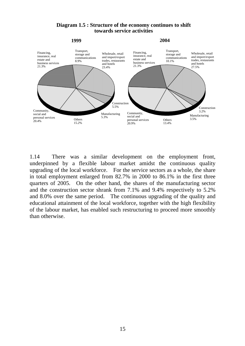

## **Diagram 1.5 : Structure of the economy continues to shift towards service activities**

1.14 There was a similar development on the employment front, underpinned by a flexible labour market amidst the continuous quality upgrading of the local workforce. For the service sectors as a whole, the share in total employment enlarged from 82.7% in 2000 to 86.1% in the first three quarters of 2005. On the other hand, the shares of the manufacturing sector and the construction sector shrank from 7.1% and 9.4% respectively to 5.2% and 8.0% over the same period. The continuous upgrading of the quality and educational attainment of the local workforce, together with the high flexibility of the labour market, has enabled such restructuring to proceed more smoothly than otherwise.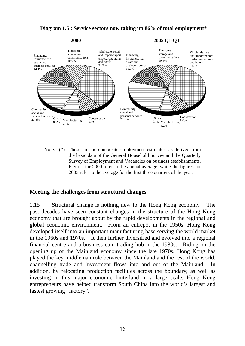#### **Diagram 1.6 : Service sectors now taking up 86% of total employment\***



Note: (\*) These are the composite employment estimates, as derived from the basic data of the General Household Survey and the Quarterly Survey of Employment and Vacancies on business establishments. Figures for 2000 refer to the annual average, while the figures for 2005 refer to the average for the first three quarters of the year.

#### **Meeting the challenges from structural changes**

1.15 Structural change is nothing new to the Hong Kong economy. The past decades have seen constant changes in the structure of the Hong Kong economy that are brought about by the rapid developments in the regional and global economic environment. From an entrepôt in the 1950s, Hong Kong developed itself into an important manufacturing base serving the world market in the 1960s and 1970s. It then further diversified and evolved into a regional financial centre and a business cum trading hub in the 1980s. Riding on the opening up of the Mainland economy since the late 1970s, Hong Kong has played the key middleman role between the Mainland and the rest of the world, channelling trade and investment flows into and out of the Mainland. In addition, by relocating production facilities across the boundary, as well as investing in this major economic hinterland in a large scale, Hong Kong entrepreneurs have helped transform South China into the world's largest and fastest growing "factory".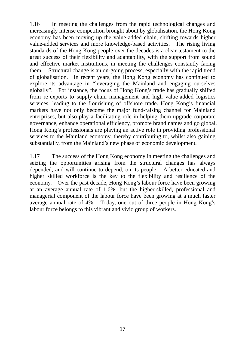1.16 In meeting the challenges from the rapid technological changes and increasingly intense competition brought about by globalisation, the Hong Kong economy has been moving up the value-added chain, shifting towards higher value-added services and more knowledge-based activities. The rising living standards of the Hong Kong people over the decades is a clear testament to the great success of their flexibility and adaptability, with the support from sound and effective market institutions, in meeting the challenges constantly facing them. Structural change is an on-going process, especially with the rapid trend of globalisation. In recent years, the Hong Kong economy has continued to explore its advantage in "leveraging the Mainland and engaging ourselves globally". For instance, the focus of Hong Kong's trade has gradually shifted from re-exports to supply-chain management and high value-added logistics services, leading to the flourishing of offshore trade. Hong Kong's financial markets have not only become the major fund-raising channel for Mainland enterprises, but also play a facilitating role in helping them upgrade corporate governance, enhance operational efficiency, promote brand names and go global. Hong Kong's professionals are playing an active role in providing professional services to the Mainland economy, thereby contributing to, whilst also gaining substantially, from the Mainland's new phase of economic development.

1.17 The success of the Hong Kong economy in meeting the challenges and seizing the opportunities arising from the structural changes has always depended, and will continue to depend, on its people. A better educated and higher skilled workforce is the key to the flexibility and resilience of the economy. Over the past decade, Hong Kong's labour force have been growing at an average annual rate of 1.6%, but the higher-skilled, professional and managerial component of the labour force have been growing at a much faster average annual rate of 4%. Today, one out of three people in Hong Kong's labour force belongs to this vibrant and vivid group of workers.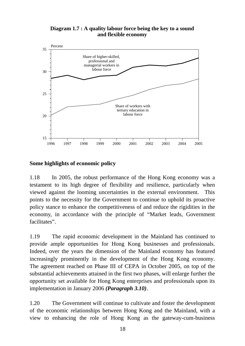#### **Diagram 1.7 : A quality labour force being the key to a sound and flexible economy**



## **Some highlights of economic policy**

1.18 In 2005, the robust performance of the Hong Kong economy was a testament to its high degree of flexibility and resilience, particularly when viewed against the looming uncertainties in the external environment. This points to the necessity for the Government to continue to uphold its proactive policy stance to enhance the competitiveness of and reduce the rigidities in the economy, in accordance with the principle of "Market leads, Government facilitates".

1.19 The rapid economic development in the Mainland has continued to provide ample opportunities for Hong Kong businesses and professionals. Indeed, over the years the dimension of the Mainland economy has featured increasingly prominently in the development of the Hong Kong economy. The agreement reached on Phase III of CEPA in October 2005, on top of the substantial achievements attained in the first two phases, will enlarge further the opportunity set available for Hong Kong enterprises and professionals upon its implementation in January 2006 *(Paragraph 3.10)*.

1.20 The Government will continue to cultivate and foster the development of the economic relationships between Hong Kong and the Mainland, with a view to enhancing the role of Hong Kong as the gateway-cum-business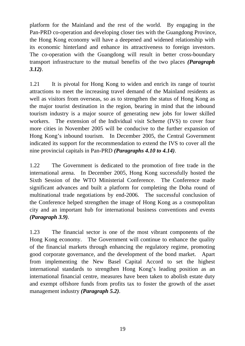platform for the Mainland and the rest of the world. By engaging in the Pan-PRD co-operation and developing closer ties with the Guangdong Province, the Hong Kong economy will have a deepened and widened relationship with its economic hinterland and enhance its attractiveness to foreign investors. The co-operation with the Guangdong will result in better cross-boundary transport infrastructure to the mutual benefits of the two places *(Paragraph 3.12)*.

1.21 It is pivotal for Hong Kong to widen and enrich its range of tourist attractions to meet the increasing travel demand of the Mainland residents as well as visitors from overseas, so as to strengthen the status of Hong Kong as the major tourist destination in the region, bearing in mind that the inbound tourism industry is a major source of generating new jobs for lower skilled workers. The extension of the Individual visit Scheme (IVS) to cover four more cities in November 2005 will be conducive to the further expansion of Hong Kong's inbound tourism. In December 2005, the Central Government indicated its support for the recommendation to extend the IVS to cover all the nine provincial capitals in Pan-PRD *(Paragraphs 4.10 to 4.14)*.

1.22 The Government is dedicated to the promotion of free trade in the international arena. In December 2005, Hong Kong successfully hosted the Sixth Session of the WTO Ministerial Conference. The Conference made significant advances and built a platform for completing the Doha round of multinational trade negotiations by end-2006. The successful conclusion of the Conference helped strengthen the image of Hong Kong as a cosmopolitan city and an important hub for international business conventions and events *(Paragraph 3.9)*.

1.23 The financial sector is one of the most vibrant components of the Hong Kong economy. The Government will continue to enhance the quality of the financial markets through enhancing the regulatory regime, promoting good corporate governance, and the development of the bond market. Apart from implementing the New Basel Capital Accord to set the highest international standards to strengthen Hong Kong's leading position as an international financial centre, measures have been taken to abolish estate duty and exempt offshore funds from profits tax to foster the growth of the asset management industry *(Paragraph 5.2)*.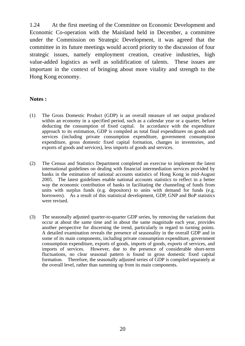1.24 At the first meeting of the Committee on Economic Development and Economic Co-operation with the Mainland held in December, a committee under the Commission on Strategic Development, it was agreed that the committee in its future meetings would accord priority to the discussion of four strategic issues, namely employment creation, creative industries, high value-added logistics as well as solidification of talents. These issues are important in the context of bringing about more vitality and strength to the Hong Kong economy.

#### **Notes :**

- (1) The Gross Domestic Product (GDP) is an overall measure of net output produced within an economy in a specified period, such as a calendar year or a quarter, before deducting the consumption of fixed capital. In accordance with the expenditure approach to its estimation, GDP is compiled as total final expenditures on goods and services (including private consumption expenditure, government consumption expenditure, gross domestic fixed capital formation, changes in inventories, and exports of goods and services), less imports of goods and services.
- (2) The Census and Statistics Department completed an exercise to implement the latest international guidelines on dealing with financial intermediation services provided by banks in the estimation of national accounts statistics of Hong Kong in mid-August 2005. The latest guidelines enable national accounts statistics to reflect in a better way the economic contribution of banks in facilitating the channeling of funds from units with surplus funds (e.g. depositors) to units with demand for funds (e.g. borrowers). As a result of this statistical development, GDP, GNP and BoP statistics were revised.
- (3) The seasonally adjusted quarter-to-quarter GDP series, by removing the variations that occur at about the same time and in about the same magnitude each year, provides another perspective for discerning the trend, particularly in regard to turning points. A detailed examination reveals the presence of seasonality in the overall GDP and in some of its main components, including private consumption expenditure, government consumption expenditure, exports of goods, imports of goods, exports of services, and imports of services. However, due to the presence of considerable short-term fluctuations, no clear seasonal pattern is found in gross domestic fixed capital formation. Therefore, the seasonally adjusted series of GDP is compiled separately at the overall level, rather than summing up from its main components.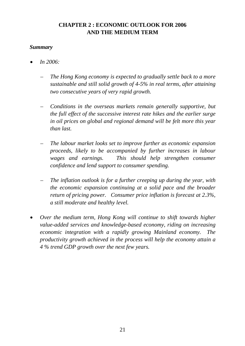## **CHAPTER 2 : ECONOMIC OUTLOOK FOR 2006 AND THE MEDIUM TERM**

## *Summary*

- *In 2006:* 
	- *The Hong Kong economy is expected to gradually settle back to a more sustainable and still solid growth of 4-5% in real terms, after attaining two consecutive years of very rapid growth.*
	- *Conditions in the overseas markets remain generally supportive, but the full effect of the successive interest rate hikes and the earlier surge in oil prices on global and regional demand will be felt more this year than last.*
	- *The labour market looks set to improve further as economic expansion proceeds, likely to be accompanied by further increases in labour wages and earnings. This should help strengthen consumer confidence and lend support to consumer spending.*
	- *The inflation outlook is for a further creeping up during the year, with the economic expansion continuing at a solid pace and the broader return of pricing power. Consumer price inflation is forecast at 2.3%, a still moderate and healthy level.*
- *Over the medium term, Hong Kong will continue to shift towards higher value-added services and knowledge-based economy, riding on increasing economic integration with a rapidly growing Mainland economy. The productivity growth achieved in the process will help the economy attain a 4 % trend GDP growth over the next few years.*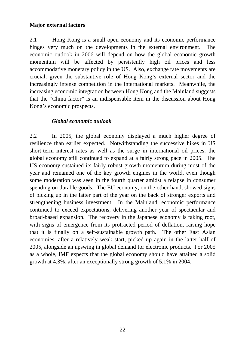## **Major external factors**

2.1 Hong Kong is a small open economy and its economic performance hinges very much on the developments in the external environment. The economic outlook in 2006 will depend on how the global economic growth momentum will be affected by persistently high oil prices and less accommodative monetary policy in the US. Also, exchange rate movements are crucial, given the substantive role of Hong Kong's external sector and the increasingly intense competition in the international markets. Meanwhile, the increasing economic integration between Hong Kong and the Mainland suggests that the "China factor" is an indispensable item in the discussion about Hong Kong's economic prospects.

## *Global economic outlook*

2.2 In 2005, the global economy displayed a much higher degree of resilience than earlier expected. Notwithstanding the successive hikes in US short-term interest rates as well as the surge in international oil prices, the global economy still continued to expand at a fairly strong pace in 2005. The US economy sustained its fairly robust growth momentum during most of the year and remained one of the key growth engines in the world, even though some moderation was seen in the fourth quarter amidst a relapse in consumer spending on durable goods. The EU economy, on the other hand, showed signs of picking up in the latter part of the year on the back of stronger exports and strengthening business investment. In the Mainland, economic performance continued to exceed expectations, delivering another year of spectacular and broad-based expansion. The recovery in the Japanese economy is taking root, with signs of emergence from its protracted period of deflation, raising hope that it is finally on a self-sustainable growth path. The other East Asian economies, after a relatively weak start, picked up again in the latter half of 2005, alongside an upswing in global demand for electronic products. For 2005 as a whole, IMF expects that the global economy should have attained a solid growth at 4.3%, after an exceptionally strong growth of 5.1% in 2004.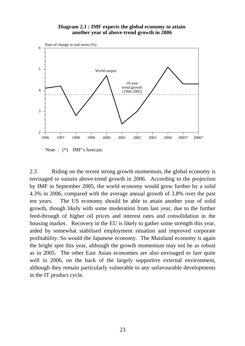#### **Diagram 2.1 : IMF expects the global economy to attain another year of above-trend growth in 2006**



Note :  $(*)$  IMF's forecast.

2.3 Riding on the recent strong growth momentum, the global economy is envisaged to sustain above-trend growth in 2006. According to the projection by IMF in September 2005, the world economy would grow further by a solid 4.3% in 2006, compared with the average annual growth of 3.8% over the past ten years. The US economy should be able to attain another year of solid growth, though likely with some moderation from last year, due to the further feed-through of higher oil prices and interest rates and consolidation in the housing market. Recovery in the EU is likely to gather some strength this year, aided by somewhat stabilised employment situation and improved corporate profitability. So would the Japanese economy. The Mainland economy is again the bright spot this year, although the growth momentum may not be as robust as in 2005. The other East Asian economies are also envisaged to fare quite well in 2006, on the back of the largely supportive external environment, although they remain particularly vulnerable to any unfavourable developments in the IT product cycle.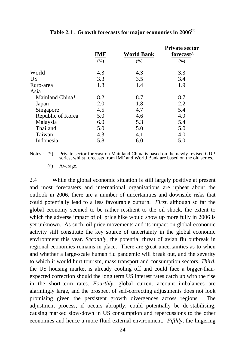|                   | <b>IMF</b> | <b>World Bank</b> | <b>Private sector</b><br>forecast <sup>^</sup> |
|-------------------|------------|-------------------|------------------------------------------------|
|                   | (%)        | (%)               | (%)                                            |
| World             | 4.3        | 4.3               | 3.3                                            |
| <b>US</b>         | 3.3        | 3.5               | 3.4                                            |
| Euro-area         | 1.8        | 1.4               | 1.9                                            |
| Asia:             |            |                   |                                                |
| Mainland China*   | 8.2        | 8.7               | 8.7                                            |
| Japan             | 2.0        | 1.8               | 2.2                                            |
| Singapore         | 4.5        | 4.7               | 5.4                                            |
| Republic of Korea | 5.0        | 4.6               | 4.9                                            |
| Malaysia          | 6.0        | 5.3               | 5.4                                            |
| Thailand          | 5.0        | 5.0               | 5.0                                            |
| Taiwan            | 4.3        | 4.1               | 4.0                                            |
| Indonesia         | 5.8        | 6.0               | 5.0                                            |

## **Table 2.1 : Growth forecasts for major economies in 2006**(1)

Notes : (\*) Private sector forecast on Mainland China is based on the newly revised GDP series, whilst forecasts from IMF and World Bank are based on the old series.

(^) Average.

2.4 While the global economic situation is still largely positive at present and most forecasters and international organisations are upbeat about the outlook in 2006, there are a number of uncertainties and downside risks that could potentially lead to a less favourable outturn. *First*, although so far the global economy seemed to be rather resilient to the oil shock, the extent to which the adverse impact of oil price hike would show up more fully in 2006 is yet unknown. As such, oil price movements and its impact on global economic activity still constitute the key source of uncertainty in the global economic environment this year. *Secondly*, the potential threat of avian flu outbreak in regional economies remains in place. There are great uncertainties as to when and whether a large-scale human flu pandemic will break out, and the severity to which it would hurt tourism, mass transport and consumption sectors. *Third*, the US housing market is already cooling off and could face a bigger-thanexpected correction should the long term US interest rates catch up with the rise in the short-term rates. *Fourthly*, global current account imbalances are alarmingly large, and the prospect of self-correcting adjustments does not look promising given the persistent growth divergences across regions. The adjustment process, if occurs abruptly, could potentially be de-stabilising, causing marked slow-down in US consumption and repercussions to the other economies and hence a more fluid external environment. *Fifthly*, the lingering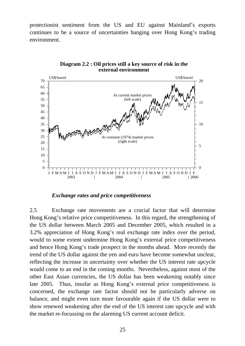protectionist sentiment from the US and EU against Mainland's exports continues to be a source of uncertainties hanging over Hong Kong's trading environment.



**Diagram 2.2 : Oil prices still a key source of risk in the external environment**

#### *Exchange rates and price competitiveness*

2.5 Exchange rate movements are a crucial factor that will determine Hong Kong's relative price competitiveness. In this regard, the strengthening of the US dollar between March 2005 and December 2005, which resulted in a 3.2% appreciation of Hong Kong's real exchange rate index over the period, would to some extent undermine Hong Kong's external price competitiveness and hence Hong Kong's trade prospect in the months ahead. More recently the trend of the US dollar against the yen and euro have become somewhat unclear, reflecting the increase in uncertainty over whether the US interest rate upcycle would come to an end in the coming months. Nevertheless, against most of the other East Asian currencies, the US dollar has been weakening notably since late 2005. Thus, insofar as Hong Kong's external price competitiveness is concerned, the exchange rate factor should not be particularly adverse on balance, and might even turn more favourable again if the US dollar were to show renewed weakening after the end of the US interest rate upcycle and with the market re-focussing on the alarming US current account deficit.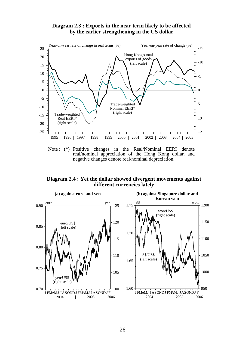#### **Diagram 2.3 : Exports in the near term likely to be affected by the earlier strengthening in the US dollar**



real/nominal appreciation of the Hong Kong dollar, and negative changes denote real/nominal depreciation.

#### **Diagram 2.4 : Yet the dollar showed divergent movements against different currencies lately**

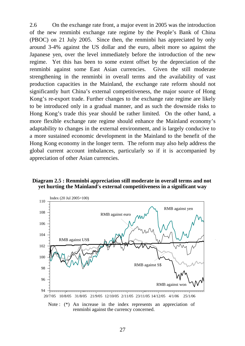2.6 On the exchange rate front, a major event in 2005 was the introduction of the new renminbi exchange rate regime by the People's Bank of China (PBOC) on 21 July 2005. Since then, the renminbi has appreciated by only around 3-4% against the US dollar and the euro, albeit more so against the Japanese yen, over the level immediately before the introduction of the new regime. Yet this has been to some extent offset by the depreciation of the renminbi against some East Asian currencies. Given the still moderate strengthening in the renminbi in overall terms and the availability of vast production capacities in the Mainland, the exchange rate reform should not significantly hurt China's external competitiveness, the major source of Hong Kong's re-export trade. Further changes to the exchange rate regime are likely to be introduced only in a gradual manner, and as such the downside risks to Hong Kong's trade this year should be rather limited. On the other hand, a more flexible exchange rate regime should enhance the Mainland economy's adaptability to changes in the external environment, and is largely conducive to a more sustained economic development in the Mainland to the benefit of the Hong Kong economy in the longer term. The reform may also help address the global current account imbalances, particularly so if it is accompanied by appreciation of other Asian currencies.

#### **Diagram 2.5 : Renminbi appreciation still moderate in overall terms and not yet hurting the Mainland's external competitiveness in a significant way**



renminbi against the currency concerned.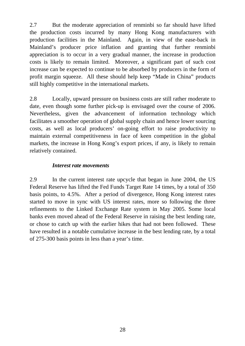2.7 But the moderate appreciation of renminbi so far should have lifted the production costs incurred by many Hong Kong manufacturers with production facilities in the Mainland. Again, in view of the ease-back in Mainland's producer price inflation and granting that further renminbi appreciation is to occur in a very gradual manner, the increase in production costs is likely to remain limited. Moreover, a significant part of such cost increase can be expected to continue to be absorbed by producers in the form of profit margin squeeze. All these should help keep "Made in China" products still highly competitive in the international markets.

2.8 Locally, upward pressure on business costs are still rather moderate to date, even though some further pick-up is envisaged over the course of 2006. Nevertheless, given the advancement of information technology which facilitates a smoother operation of global supply chain and hence lower sourcing costs, as well as local producers' on-going effort to raise productivity to maintain external competitiveness in face of keen competition in the global markets, the increase in Hong Kong's export prices, if any, is likely to remain relatively contained.

## *Interest rate movements*

2.9 In the current interest rate upcycle that began in June 2004, the US Federal Reserve has lifted the Fed Funds Target Rate 14 times, by a total of 350 basis points, to 4.5%. After a period of divergence, Hong Kong interest rates started to move in sync with US interest rates, more so following the three refinements to the Linked Exchange Rate system in May 2005. Some local banks even moved ahead of the Federal Reserve in raising the best lending rate, or chose to catch up with the earlier hikes that had not been followed. These have resulted in a notable cumulative increase in the best lending rate, by a total of 275-300 basis points in less than a year's time.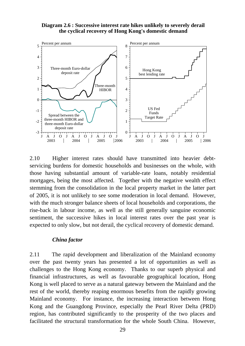#### **Diagram 2.6 : Successive interest rate hikes unlikely to severely derail the cyclical recovery of Hong Kong's domestic demand**



2.10 Higher interest rates should have transmitted into heavier debtservicing burdens for domestic households and businesses on the whole, with those having substantial amount of variable-rate loans, notably residential mortgages, being the most affected. Together with the negative wealth effect stemming from the consolidation in the local property market in the latter part of 2005, it is not unlikely to see some moderation in local demand. However, with the much stronger balance sheets of local households and corporations, the rise-back in labour income, as well as the still generally sanguine economic sentiment, the successive hikes in local interest rates over the past year is expected to only slow, but not derail, the cyclical recovery of domestic demand.

#### *China factor*

2.11 The rapid development and liberalization of the Mainland economy over the past twenty years has presented a lot of opportunities as well as challenges to the Hong Kong economy. Thanks to our superb physical and financial infrastructures, as well as favourable geographical location, Hong Kong is well placed to serve as a natural gateway between the Mainland and the rest of the world, thereby reaping enormous benefits from the rapidly growing Mainland economy. For instance, the increasing interaction between Hong Kong and the Guangdong Province, especially the Pearl River Delta (PRD) region, has contributed significantly to the prosperity of the two places and facilitated the structural transformation for the whole South China. However,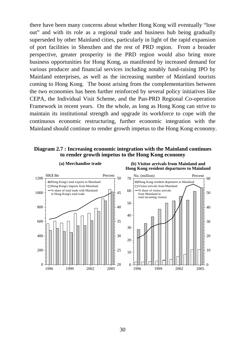there have been many concerns about whether Hong Kong will eventually "lose out" and with its role as a regional trade and business hub being gradually superseded by other Mainland cities, particularly in light of the rapid expansion of port facilities in Shenzhen and the rest of PRD region. From a broader perspective, greater prosperity in the PRD region would also bring more business opportunities for Hong Kong, as manifested by increased demand for various producer and financial services including notably fund-raising IPO by Mainland enterprises, as well as the increasing number of Mainland tourists coming to Hong Kong. The boost arising from the complementarities between the two economies has been further reinforced by several policy initiatives like CEPA, the Individual Visit Scheme, and the Pan-PRD Regional Co-operation Framework in recent years. On the whole, as long as Hong Kong can strive to maintain its institutional strength and upgrade its workforce to cope with the continuous economic restructuring, further economic integration with the Mainland should continue to render growth impetus to the Hong Kong economy.

**Diagram 2.7 : Increasing economic integration with the Mainland continues to render growth impetus to the Hong Kong economy**



**(a) Merchandise trade (b) Visitor arrivals from Mainland and Hong Kong resident departures to Mainland**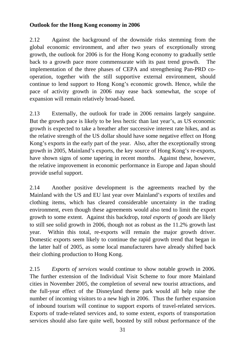## **Outlook for the Hong Kong economy in 2006**

2.12 Against the background of the downside risks stemming from the global economic environment, and after two years of exceptionally strong growth, the outlook for 2006 is for the Hong Kong economy to gradually settle back to a growth pace more commensurate with its past trend growth. The implementation of the three phases of CEPA and strengthening Pan-PRD cooperation, together with the still supportive external environment, should continue to lend support to Hong Kong's economic growth. Hence, while the pace of activity growth in 2006 may ease back somewhat, the scope of expansion will remain relatively broad-based.

2.13 Externally, the outlook for trade in 2006 remains largely sanguine. But the growth pace is likely to be less hectic than last year's, as US economic growth is expected to take a breather after successive interest rate hikes, and as the relative strength of the US dollar should have some negative effect on Hong Kong's exports in the early part of the year. Also, after the exceptionally strong growth in 2005, Mainland's exports, the key source of Hong Kong's re-exports, have shown signs of some tapering in recent months. Against these, however, the relative improvement in economic performance in Europe and Japan should provide useful support.

2.14 Another positive development is the agreements reached by the Mainland with the US and EU last year over Mainland's exports of textiles and clothing items, which has cleared considerable uncertainty in the trading environment, even though these agreements would also tend to limit the export growth to some extent. Against this backdrop, *total exports of goods* are likely to still see solid growth in 2006, though not as robust as the 11.2% growth last year. Within this total, re-exports will remain the major growth driver. Domestic exports seem likely to continue the rapid growth trend that began in the latter half of 2005, as some local manufacturers have already shifted back their clothing production to Hong Kong.

2.15 *Exports of services* would continue to show notable growth in 2006. The further extension of the Individual Visit Scheme to four more Mainland cities in November 2005, the completion of several new tourist attractions, and the full-year effect of the Disneyland theme park would all help raise the number of incoming visitors to a new high in 2006. Thus the further expansion of inbound tourism will continue to support exports of travel-related services. Exports of trade-related services and, to some extent, exports of transportation services should also fare quite well, boosted by still robust performance of the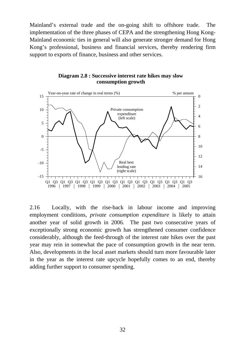Mainland's external trade and the on-going shift to offshore trade. The implementation of the three phases of CEPA and the strengthening Hong Kong-Mainland economic ties in general will also generate stronger demand for Hong Kong's professional, business and financial services, thereby rendering firm support to exports of finance, business and other services.



**Diagram 2.8 : Successive interest rate hikes may slow consumption growth**

2.16 Locally, with the rise-back in labour income and improving employment conditions, *private consumption expenditure* is likely to attain another year of solid growth in 2006. The past two consecutive years of exceptionally strong economic growth has strengthened consumer confidence considerably, although the feed-through of the interest rate hikes over the past year may rein in somewhat the pace of consumption growth in the near term. Also, developments in the local asset markets should turn more favourable later in the year as the interest rate upcycle hopefully comes to an end, thereby adding further support to consumer spending.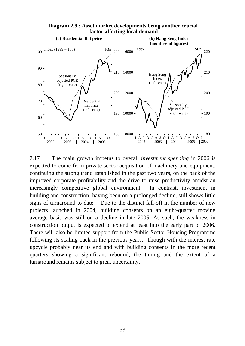

**Diagram 2.9 : Asset market developments being another crucial factor affecting local demand**

2.17 The main growth impetus to overall *investment spending* in 2006 is expected to come from private sector acquisition of machinery and equipment, continuing the strong trend established in the past two years, on the back of the improved corporate profitability and the drive to raise productivity amidst an increasingly competitive global environment. In contrast, investment in building and construction, having been on a prolonged decline, still shows little signs of turnaround to date. Due to the distinct fall-off in the number of new projects launched in 2004, building consents on an eight-quarter moving average basis was still on a decline in late 2005. As such, the weakness in construction output is expected to extend at least into the early part of 2006. There will also be limited support from the Public Sector Housing Programme following its scaling back in the previous years. Though with the interest rate upcycle probably near its end and with building consents in the more recent quarters showing a significant rebound, the timing and the extent of a turnaround remains subject to great uncertainty.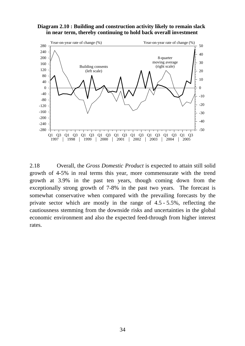#### **Diagram 2.10 : Building and construction activity likely to remain slack in near term, thereby continuing to hold back overall investment**



2.18 Overall, the *Gross Domestic Product* is expected to attain still solid growth of 4-5% in real terms this year, more commensurate with the trend growth at 3.9% in the past ten years, though coming down from the exceptionally strong growth of 7-8% in the past two years. The forecast is somewhat conservative when compared with the prevailing forecasts by the private sector which are mostly in the range of 4.5 - 5.5%, reflecting the cautiousness stemming from the downside risks and uncertainties in the global economic environment and also the expected feed-through from higher interest rates.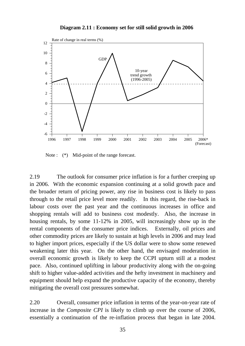

**Diagram 2.11 : Economy set for still solid growth in 2006**

Note :  $(*)$  Mid-point of the range forecast.

2.19 The outlook for consumer price inflation is for a further creeping up in 2006. With the economic expansion continuing at a solid growth pace and the broader return of pricing power, any rise in business cost is likely to pass through to the retail price level more readily. In this regard, the rise-back in labour costs over the past year and the continuous increases in office and shopping rentals will add to business cost modestly. Also, the increase in housing rentals, by some 11-12% in 2005, will increasingly show up in the rental components of the consumer price indices. Externally, oil prices and other commodity prices are likely to sustain at high levels in 2006 and may lead to higher import prices, especially if the US dollar were to show some renewed weakening later this year. On the other hand, the envisaged moderation in overall economic growth is likely to keep the CCPI upturn still at a modest pace. Also, continued uplifting in labour productivity along with the on-going shift to higher value-added activities and the hefty investment in machinery and equipment should help expand the productive capacity of the economy, thereby mitigating the overall cost pressures somewhat.

2.20 Overall, consumer price inflation in terms of the year-on-year rate of increase in the *Composite CPI* is likely to climb up over the course of 2006, essentially a continuation of the re-inflation process that began in late 2004.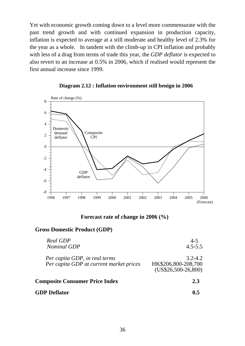Yet with economic growth coming down to a level more commensurate with the past trend growth and with continued expansion in production capacity, inflation is expected to average at a still moderate and healthy level of 2.3% for the year as a whole. In tandem with the climb-up in CPI inflation and probably with less of a drag from terms of trade this year, the *GDP deflator* is expected to also revert to an increase at 0.5% in 2006, which if realised would represent the first annual increase since 1999.



#### **Diagram 2.12 : Inflation environment still benign in 2006**

**Forecast rate of change in 2006 (%)** 

#### **Gross Domestic Product (GDP)**

| Per capita GDP, in real terms           | $3.2 - 4.2$                 |
|-----------------------------------------|-----------------------------|
| Per capita GDP at current market prices | HK\$206,800-208,700         |
| <b>Composite Consumer Price Index</b>   | $(US$26,500-26,800)$<br>2.3 |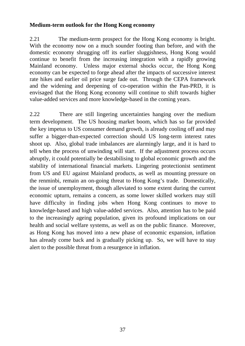### **Medium-term outlook for the Hong Kong economy**

2.21 The medium-term prospect for the Hong Kong economy is bright. With the economy now on a much sounder footing than before, and with the domestic economy shrugging off its earlier sluggishness, Hong Kong would continue to benefit from the increasing integration with a rapidly growing Mainland economy. Unless major external shocks occur, the Hong Kong economy can be expected to forge ahead after the impacts of successive interest rate hikes and earlier oil price surge fade out. Through the CEPA framework and the widening and deepening of co-operation within the Pan-PRD, it is envisaged that the Hong Kong economy will continue to shift towards higher value-added services and more knowledge-based in the coming years.

2.22 There are still lingering uncertainties hanging over the medium term development. The US housing market boom, which has so far provided the key impetus to US consumer demand growth, is already cooling off and may suffer a bigger-than-expected correction should US long-term interest rates shoot up. Also, global trade imbalances are alarmingly large, and it is hard to tell when the process of unwinding will start. If the adjustment process occurs abruptly, it could potentially be destabilising to global economic growth and the stability of international financial markets. Lingering protectionist sentiment from US and EU against Mainland products, as well as mounting pressure on the renminbi, remain an on-going threat to Hong Kong's trade. Domestically, the issue of unemployment, though alleviated to some extent during the current economic upturn, remains a concern, as some lower skilled workers may still have difficulty in finding jobs when Hong Kong continues to move to knowledge-based and high value-added services. Also, attention has to be paid to the increasingly ageing population, given its profound implications on our health and social welfare systems, as well as on the public finance. Moreover, as Hong Kong has moved into a new phase of economic expansion, inflation has already come back and is gradually picking up. So, we will have to stay alert to the possible threat from a resurgence in inflation.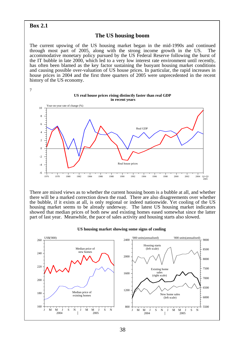#### **Box 2.1**

#### **The US housing boom**

The current upswing of the US housing market began in the mid-1990s and continued through most part of 2005, along with the strong income growth in the US. The accommodative monetary policy pursued by the US Federal Reserve following the burst of the IT bubble in late 2000, which led to a very low interest rate environment until recently, has often been blamed as the key factor sustaining the buoyant housing market conditions and causing possible over-valuation of US house prices. In particular, the rapid increases in house prices in 2004 and the first three quarters of 2005 were unprecedented in the recent history of the US economy.



There are mixed views as to whether the current housing boom is a bubble at all, and whether there will be a marked correction down the road. There are also disagreements over whether the bubble, if it exists at all, is only regional or indeed nationwide. Yet cooling of the US housing market seems to be already underway. The latest US housing market indicators showed that median prices of both new and existing homes eased somewhat since the latter part of last year. Meanwhile, the pace of sales activity and housing starts also slowed.



#### **US housing market showing some signs of cooling**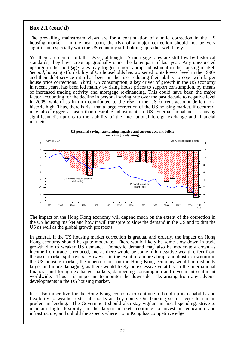# **Box 2.1 (cont'd)**

The prevailing mainstream views are for a continuation of a mild correction in the US housing market. In the near term, the risk of a major correction should not be very significant, especially with the US economy still holding up rather well lately.

Yet there are certain pitfalls. *First*, although US mortgage rates are still low by historical standards, they have crept up gradually since the latter part of last year. Any unexpected upsurge in the mortgage rates may trigger a more abrupt adjustment in the housing market. *Second*, housing affordability of US households has worsened to its lowest level in the 1990s and their debt service ratio has been on the rise, reducing their ability to cope with larger house price corrections. *Third*, US consumption, a key driver of growth in the US economy in recent years, has been led mainly by rising house prices to support consumption, by means of increased trading activity and mortgage re-financing. This could have been the major factor accounting for the decline in personal saving rate over the past decade to negative level in 2005, which has in turn contributed to the rise in the US current account deficit to a historic high. Thus, there is risk that a large correction of the US housing market, if occurred, may also trigger a faster-than-desirable adjustment in US external imbalances, causing significant disruptions to the stability of the international foreign exchange and financial markets.



The impact on the Hong Kong economy will depend much on the extent of the correction in the US housing market and how it will transpire to slow the demand in the US and to dim the US as well as the global growth prospects.

In general, if the US housing market correction is gradual and orderly, the impact on Hong Kong economy should be quite moderate. There would likely be some slow-down in trade growth due to weaker US demand. Domestic demand may also be moderately down as income from trade is reduced, and as there would be some mild negative wealth effect from the asset market spill-overs. However, in the event of a more abrupt and drastic downturn in the US housing market, the repercussions on the Hong Kong economy would be distinctly larger and more damaging, as there would likely be excessive volatility in the international financial and foreign exchange markets, dampening consumption and investment sentiment worldwide. Thus it is important to monitor the downside risks arising from any adverse developments in the US housing market.

It is also imperative for the Hong Kong economy to continue to build up its capability and flexibility to weather external shocks as they come. Our banking sector needs to remain prudent in lending. The Government should also stay vigilant in fiscal spending, strive to maintain high flexibility in the labour market, continue to invest in education and infrastructure, and uphold the aspects where Hong Kong has competitive edge.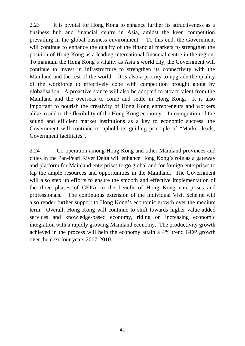2.23 It is pivotal for Hong Kong to enhance further its attractiveness as a business hub and financial centre in Asia, amidst the keen competition prevailing in the global business environment. To this end, the Government will continue to enhance the quality of the financial markets to strengthen the position of Hong Kong as a leading international financial centre in the region. To maintain the Hong Kong's vitality as Asia's world city, the Government will continue to invest in infrastructure to strengthen its connectivity with the Mainland and the rest of the world. It is also a priority to upgrade the quality of the workforce to effectively cope with competition brought about by globalisation. A proactive stance will also be adopted to attract talent from the Mainland and the overseas to come and settle in Hong Kong. It is also important to nourish the creativity of Hong Kong entrepreneurs and workers alike to add to the flexibility of the Hong Kong economy. In recognition of the sound and efficient market institutions as a key to economic success, the Government will continue to uphold its guiding principle of "Market leads, Government facilitates".

2.24 Co-operation among Hong Kong and other Mainland provinces and cities in the Pan-Pearl River Delta will enhance Hong Kong's role as a gateway and platform for Mainland enterprises to go global and for foreign enterprises to tap the ample resources and opportunities in the Mainland. The Government will also step up efforts to ensure the smooth and effective implementation of the three phases of CEPA to the benefit of Hong Kong enterprises and professionals. The continuous extension of the Individual Visit Scheme will also render further support to Hong Kong's economic growth over the medium term. Overall, Hong Kong will continue to shift towards higher value-added services and knowledge-based economy, riding on increasing economic integration with a rapidly growing Mainland economy. The productivity growth achieved in the process will help the economy attain a 4% trend GDP growth over the next four years 2007-2010.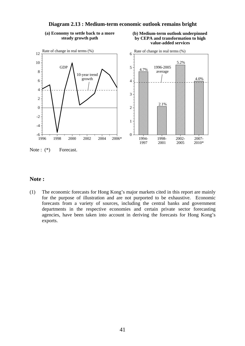

**Diagram 2.13 : Medium-term economic outlook remains bright**

**(a) Economy to settle back to a more steady growth path**

# **(b) Medium-term outlook underpinned by CEPA and transformation to high**

Note :  $(*)$  Forecast.

### **Note :**

(1) The economic forecasts for Hong Kong's major markets cited in this report are mainly for the purpose of illustration and are not purported to be exhaustive. Economic forecasts from a variety of sources, including the central banks and government departments in the respective economies and certain private sector forecasting agencies, have been taken into account in deriving the forecasts for Hong Kong's exports.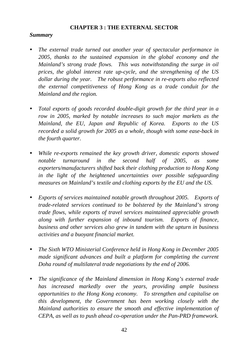### **CHAPTER 3 : THE EXTERNAL SECTOR**

### *Summary*

- *The external trade turned out another year of spectacular performance in 2005, thanks to the sustained expansion in the global economy and the Mainland's strong trade flows. This was notwithstanding the surge in oil prices, the global interest rate up-cycle, and the strengthening of the US dollar during the year. The robust performance in re-exports also reflected the external competitiveness of Hong Kong as a trade conduit for the Mainland and the region.*
- *Total exports of goods recorded double-digit growth for the third year in a row in 2005, marked by notable increases to such major markets as the Mainland, the EU, Japan and Republic of Korea. Exports to the US recorded a solid growth for 2005 as a whole, though with some ease-back in the fourth quarter.*
- *While re-exports remained the key growth driver, domestic exports showed notable turnaround in the second half of 2005, as some exporters/manufacturers shifted back their clothing production to Hong Kong in the light of the heightened uncertainties over possible safeguarding measures on Mainland's textile and clothing exports by the EU and the US.*
- y *Exports of services maintained notable growth throughout 2005. Exports of trade-related services continued to be bolstered by the Mainland's strong trade flows, while exports of travel services maintained appreciable growth along with further expansion of inbound tourism. Exports of finance, business and other services also grew in tandem with the upturn in business activities and a buoyant financial market.*
- *The Sixth WTO Ministerial Conference held in Hong Kong in December 2005 made significant advances and built a platform for completing the current Doha round of multilateral trade negotiations by the end of 2006.*
- *The significance of the Mainland dimension in Hong Kong's external trade has increased markedly over the years, providing ample business opportunities to the Hong Kong economy. To strengthen and capitalise on this development, the Government has been working closely with the Mainland authorities to ensure the smooth and effective implementation of CEPA, as well as to push ahead co-operation under the Pan-PRD framework.*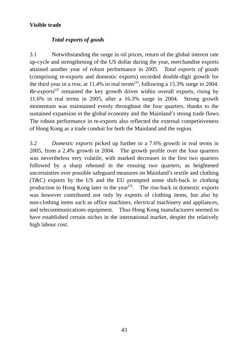# **Visible trade**

# *Total exports of goods*

3.1 Notwithstanding the surge in oil prices, return of the global interest rate up-cycle and strengthening of the US dollar during the year, merchandise exports attained another year of robust performance in 2005. *Total exports of goods*  (comprising re-exports and domestic exports) recorded double-digit growth for the third year in a row, at  $11.4\%$  in real terms<sup>(1)</sup>, following a 15.3% surge in 2004.  $Re-exports<sup>(2)</sup>$  remained the key growth driver within overall exports, rising by 11.6% in real terms in 2005, after a 16.3% surge in 2004. Strong growth momentum was maintained evenly throughout the four quarters, thanks to the sustained expansion in the global economy and the Mainland's strong trade flows. The robust performance in re-exports also reflected the external competitiveness of Hong Kong as a trade conduit for both the Mainland and the region.

3.2 *Domestic exports* picked up further to a 7.6% growth in real terms in 2005, from a 2.4% growth in 2004. The growth profile over the four quarters was nevertheless very volatile, with marked decreases in the first two quarters followed by a sharp rebound in the ensuing two quarters, as heightened uncertainties over possible safeguard measures on Mainland's textile and clothing (T&C) exports by the US and the EU prompted some shift-back in clothing production to Hong Kong later in the year<sup>(3)</sup>. The rise-back in domestic exports was however contributed not only by exports of clothing items, but also by non-clothing items such as office machines, electrical machinery and appliances, and telecommunications equipment. Thus Hong Kong manufacturers seemed to have established certain niches in the international market, despite the relatively high labour cost.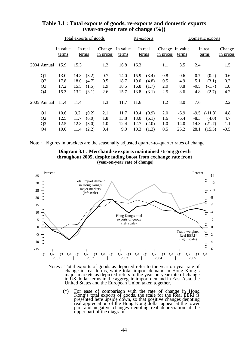|                | Total exports of goods |                   |      |                  |                     | Re-exports        |      |                  |                              | Domestic exports |        |                  |                     |
|----------------|------------------------|-------------------|------|------------------|---------------------|-------------------|------|------------------|------------------------------|------------------|--------|------------------|---------------------|
|                |                        | In value<br>terms |      | In real<br>terms | Change<br>in prices | In value<br>terms |      | In real<br>terms | Change In value<br>in prices | terms            |        | In real<br>terms | Change<br>in prices |
| 2004 Annual    |                        | 15.9              | 15.3 |                  | 1.2                 | 16.8              | 16.3 |                  | 1.1                          | 3.5              | 2.4    |                  | 1.5                 |
| Q <sub>1</sub> |                        | 13.0              | 14.8 | (3.2)            | $-0.7$              | 14.0              | 15.9 | (3.4)            | $-0.8$                       | $-0.6$           | 0.7    | (0.2)            | $-0.6$              |
| Q <sub>2</sub> |                        | 17.8              | 18.0 | (4.7)            | 0.5                 | 18.7              | 19.0 | (4.8)            | 0.5                          | 4.9              | 5.1    | (3.1)            | 0.2                 |
| Q <sub>3</sub> |                        | 17.2              | 15.5 | (1.5)            | 1.9                 | 18.5              | 16.8 | (1.7)            | 2.0                          | 0.8              | $-0.5$ | $(-1.7)$         | 1.8                 |
| Q4             |                        | 15.3              | 13.2 | (3.1)            | 2.6                 | 15.7              | 13.8 | (3.1)            | 2.5                          | 8.6              | 4.8    | (2.7)            | 4.2                 |
| $2005$ Annual  |                        | 11.4              | 11.4 |                  | 1.3                 | 11.7              | 11.6 |                  | 1.2                          | 8.0              | 7.6    |                  | 2.2                 |
| Q1             |                        | 10.6              | 9.2  | (0.2)            | 2.1                 | 11.7              | 10.4 | (0.9)            | 2.0                          | $-6.9$           | $-9.5$ | $(-11.3)$        | 4.8                 |
| Q <sub>2</sub> |                        | 12.5              | 11.7 | (6.0)            | 1.8                 | 13.8              | 13.0 | (6.1)            | 1.6                          | $-6.4$           | $-8.3$ | (4.0)            | 4.7                 |
| Q <sub>3</sub> |                        | 12.5              | 12.8 | (3.0)            | 1.0                 | 12.4              | 12.7 | (2.0)            | 1.0                          | 14.0             | 14.3   | (21.7)           | 1.1                 |
| Q4             |                        | 10.0              | 11.4 | (2.2)            | 0.4                 | 9.0               | 10.3 | (1.3)            | 0.5                          | 25.2             | 28.1   | (15.3)           | $-0.5$              |

### **Table 3.1 : Total exports of goods, re-exports and domestic exports (year-on-year rate of change (%))**

Note : Figures in brackets are the seasonally adjusted quarter-to-quarter rates of change.





Notes : Total exports of goods as depicted refer to the year-on-year rate of change in real terms, while total import demand in Hong Kong's major markets as depicted refers to the year-on-year rate of change in US dollar t United States and the European Union taken together.

 (\*) For ease of comparison with the rate of change in Hong Kong's total exports of goods, the scale for the Real EERI is presented here upside down, so that positive changes denoting real appreciation of the Hong Kong dollar appear at the lower part and negative changes denoting real depreciation at the upper part of the diagram.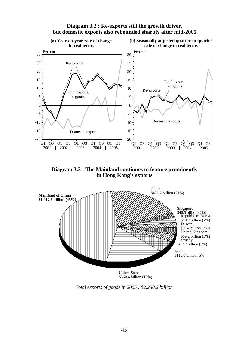

#### **Diagram 3.2 : Re-exports still the growth driver, but domestic exports also rebounded sharply after mid-2005**

**Diagram 3.3 : The Mainland continues to feature prominently in Hong Kong's exports**



*Total exports of goods in 2005 : \$2,250.2 billion*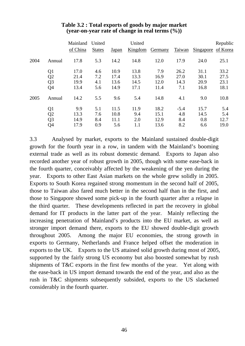|      |                | Mainland<br>of China | United<br><b>States</b> | Japan | United<br>Kingdom | Germany | Taiwan | <b>Singapore</b> | Republic<br>of Korea |
|------|----------------|----------------------|-------------------------|-------|-------------------|---------|--------|------------------|----------------------|
| 2004 | Annual         | 17.8                 | 5.3                     | 14.2  | 14.8              | 12.0    | 17.9   | 24.0             | 25.1                 |
|      | Q <sub>1</sub> | 17.0                 | 4.6                     | 10.9  | 13.8              | 7.9     | 26.2   | 31.1             | 33.2                 |
|      | Q2             | 21.4                 | 7.2                     | 17.4  | 13.3              | 16.9    | 27.0   | 30.1             | 27.5                 |
|      | Q <sub>3</sub> | 19.9                 | 4.1                     | 13.6  | 14.5              | 12.0    | 14.3   | 20.9             | 23.1                 |
|      | Q4             | 13.4                 | 5.6                     | 14.9  | 17.1              | 11.4    | 7.1    | 16.8             | 18.1                 |
| 2005 | Annual         | 14.2                 | 5.5                     | 9.6   | 5.4               | 14.8    | 4.1    | 9.0              | 10.8                 |
|      | Q1             | 9.9                  | 5.1                     | 11.5  | 11.9              | 18.2    | $-5.4$ | 15.7             | 5.4                  |
|      | Q <sub>2</sub> | 13.3                 | 7.6                     | 10.8  | 9.4               | 15.1    | 4.8    | 14.5             | 5.4                  |
|      | Q <sub>3</sub> | 14.9                 | 8.4                     | 11.1  | 2.0               | 12.9    | 8.4    | 0.8              | 12.7                 |
|      | Q4             | 17.9                 | 0.9                     | 5.6   | 1.1               | 13.6    | 8.2    | 6.6              | 19.0                 |

### **Table 3.2 : Total exports of goods by major market (year-on-year rate of change in real terms (%))**

3.3 Analysed by market, exports to the Mainland sustained double-digit growth for the fourth year in a row, in tandem with the Mainland's booming external trade as well as its robust domestic demand. Exports to Japan also recorded another year of robust growth in 2005, though with some ease-back in the fourth quarter, conceivably affected by the weakening of the yen during the year. Exports to other East Asian markets on the whole grew solidly in 2005. Exports to South Korea regained strong momentum in the second half of 2005, those to Taiwan also fared much better in the second half than in the first, and those to Singapore showed some pick-up in the fourth quarter after a relapse in the third quarter. These developments reflected in part the recovery in global demand for IT products in the latter part of the year. Mainly reflecting the increasing penetration of Mainland's products into the EU market, as well as stronger import demand there, exports to the EU showed double-digit growth throughout 2005. Among the major EU economies, the strong growth in exports to Germany, Netherlands and France helped offset the moderation in exports to the UK. Exports to the US attained solid growth during most of 2005, supported by the fairly strong US economy but also boosted somewhat by rush shipments of T&C exports in the first few months of the year. Yet along with the ease-back in US import demand towards the end of the year, and also as the rush in T&C shipments subsequently subsided, exports to the US slackened considerably in the fourth quarter.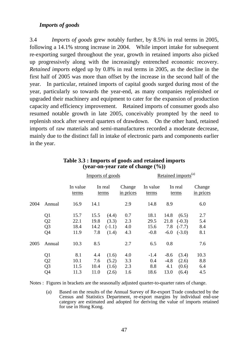#### *Imports of goods*

3.4 *Imports of goods* grew notably further, by 8.5% in real terms in 2005, following a 14.1% strong increase in 2004. While import intake for subsequent re-exporting surged throughout the year, growth in retained imports also picked up progressively along with the increasingly entrenched economic recovery. *Retained imports* edged up by 0.8% in real terms in 2005, as the decline in the first half of 2005 was more than offset by the increase in the second half of the year. In particular, retained imports of capital goods surged during most of the year, particularly so towards the year-end, as many companies replenished or upgraded their machinery and equipment to cater for the expansion of production capacity and efficiency improvement. Retained imports of consumer goods also resumed notable growth in late 2005, conceivably prompted by the need to replenish stock after several quarters of drawdown. On the other hand, retained imports of raw materials and semi-manufactures recorded a moderate decrease, mainly due to the distinct fall in intake of electronic parts and components earlier in the year.

|      |                |                   | Imports of goods |                  |                     |                   |        | Retained imports <sup>(a)</sup> |                     |  |  |
|------|----------------|-------------------|------------------|------------------|---------------------|-------------------|--------|---------------------------------|---------------------|--|--|
|      |                | In value<br>terms |                  | In real<br>terms | Change<br>in prices | In value<br>terms |        | In real<br>terms                | Change<br>in prices |  |  |
| 2004 | Annual         | 16.9              | 14.1             |                  | 2.9                 | 14.8              | 8.9    |                                 | 6.0                 |  |  |
|      | Q <sub>1</sub> | 15.7              | 15.5             | (4.4)            | 0.7                 | 18.1              | 14.8   | (6.5)                           | 2.7                 |  |  |
|      | Q2             | 22.1              | 19.8             | (3.3)            | 2.3                 | 29.5              | 21.8   | $(-0.3)$                        | 5.4                 |  |  |
|      | Q <sub>3</sub> | 18.4              | 14.2             | $(-1.1)$         | 4.0                 | 15.6              | 7.8    | $(-7.7)$                        | 8.4                 |  |  |
|      | Q <sub>4</sub> | 11.9              | 7.8              | (1.4)            | 4.3                 | $-0.8$            | $-6.0$ | $(-3.0)$                        | 8.1                 |  |  |
| 2005 | Annual         | 10.3              | 8.5              |                  | 2.7                 | 6.5               | 0.8    |                                 | 7.6                 |  |  |
|      | Q <sub>1</sub> | 8.1               | 4.4              | (1.6)            | 4.0                 | $-1.4$            | $-8.6$ | (3.4)                           | 10.3                |  |  |
|      | Q2             | 10.1              | 7.6              | (5.2)            | 3.3                 | 0.4               | $-4.8$ | (2.6)                           | 8.8                 |  |  |
|      | Q <sub>3</sub> | 11.5              | 10.4             | (1.6)            | 2.3                 | 8.8               | 4.1    | (0.6)                           | 6.4                 |  |  |
|      | Q <sub>4</sub> | 11.3              | 11.0             | (2.6)            | 1.6                 | 18.6              | 13.0   | (6.4)                           | 4.5                 |  |  |

#### **Table 3.3 : Imports of goods and retained imports (year-on-year rate of change (%))**

Notes : Figures in brackets are the seasonally adjusted quarter-to-quarter rates of change.

 (a) Based on the results of the Annual Survey of Re-export Trade conducted by the Census and Statistics Department, re-export margins by individual end-use category are estimated and adopted for deriving the value of imports retained for use in Hong Kong.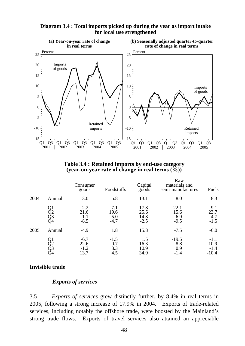

### **Diagram 3.4 : Total imports picked up during the year as import intake for local use strengthened**

**Table 3.4 : Retained imports by end-use category (year-on-year rate of change in real terms (%))** 

|      |                      | Consumer<br>goods                   | Foodstuffs                   | Capital<br>$\overline{goods}$  | Raw<br>materials and<br>semi-manufactures | <b>Fuels</b>                           |
|------|----------------------|-------------------------------------|------------------------------|--------------------------------|-------------------------------------------|----------------------------------------|
| 2004 | Annual               | 3.0                                 | 5.8                          | 13.1                           | 8.0                                       | 8.3                                    |
|      | Q1<br>Q2<br>Q3<br>Q4 | 2.2<br>21.6<br>$-1.1$<br>$-8.5$     | 7.1<br>19.6<br>5.0<br>$-4.7$ | 17.8<br>25.6<br>14.8<br>$-2.5$ | 22.1<br>15.6<br>6.9<br>$-9.5$             | 9.1<br>23.7<br>4.7<br>$-1.5$           |
| 2005 | Annual               | $-4.9$                              | 1.8                          | 15.8                           | $-7.5$                                    | $-6.0$                                 |
|      | Q1<br>Q2<br>Q3<br>Q4 | $-6.7$<br>$-22.6$<br>$-1.2$<br>13.7 | $-1.5$<br>0.7<br>3.3<br>4.5  | 1.5<br>16.3<br>10.9<br>34.9    | $-19.5$<br>$-8.8$<br>0.9<br>$-1.4$        | $-1.1$<br>$-10.9$<br>$-1.4$<br>$-10.4$ |

# **Invisible trade**

# *Exports of services*

3.5 *Exports of services* grew distinctly further, by 8.4% in real terms in 2005, following a strong increase of 17.9% in 2004. Exports of trade-related services, including notably the offshore trade, were boosted by the Mainland's strong trade flows. Exports of travel services also attained an appreciable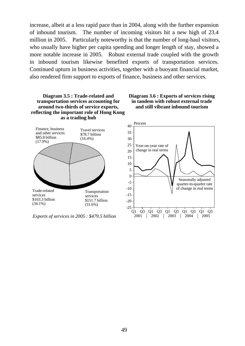increase, albeit at a less rapid pace than in 2004, along with the further expansion of inbound tourism. The number of incoming visitors hit a new high of 23.4 million in 2005. Particularly noteworthy is that the number of long-haul visitors, who usually have higher per capita spending and longer length of stay, showed a more notable increase in 2005. Robust external trade coupled with the growth in inbound tourism likewise benefited exports of transportation services. Continued upturn in business activities, together with a buoyant financial market, also rendered firm support to exports of finance, business and other services.



*Exports of services in 2005 : \$479.5 billion*

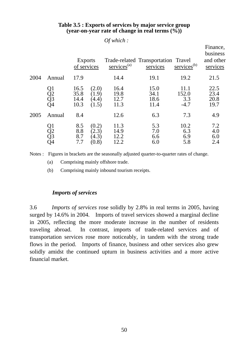|      |                      | <b>Exports</b><br>of services |                                  | $s$ ervices <sup>(a)</sup>   | Trade-related Transportation Travel<br>services | $s$ ervices <sup>(b)</sup>     | Finance,<br>business<br>and other<br>services |
|------|----------------------|-------------------------------|----------------------------------|------------------------------|-------------------------------------------------|--------------------------------|-----------------------------------------------|
| 2004 | Annual               | 17.9                          |                                  | 14.4                         | 19.1                                            | 19.2                           | 21.5                                          |
|      | Q1<br>Q2<br>Q3<br>Q4 | 16.5<br>35.8<br>14.4<br>10.3  | (2.0)<br>(1.9)<br>(4.4)<br>(1.5) | 16.4<br>19.8<br>12.7<br>11.3 | 15.0<br>34.1<br>18.6<br>11.4                    | 11.1<br>152.0<br>3.3<br>$-4.7$ | 22.5<br>23.4<br>20.8<br>19.7                  |
| 2005 | Annual               | 8.4                           |                                  | 12.6                         | 6.3                                             | 7.3                            | 4.9                                           |
|      | Q1<br>Q2<br>Q3<br>Q4 | 8.5<br>8.8<br>8.7<br>7.7      | (0.2)<br>(2.3)<br>(4.3)<br>(0.8) | 11.3<br>14.9<br>12.2<br>12.2 | 5.3<br>7.0<br>6.6<br>6.0                        | 10.2<br>6.3<br>6.9<br>5.8      | 7.2<br>4.0<br>6.0<br>2.4                      |

#### **Table 3.5 : Exports of services by major service group (year-on-year rate of change in real terms (%))**

*Of which :*

Notes : Figures in brackets are the seasonally adjusted quarter-to-quarter rates of change.

(a) Comprising mainly offshore trade.

(b) Comprising mainly inbound tourism receipts.

### *Imports of services*

3.6 *Imports of services* rose solidly by 2.8% in real terms in 2005, having surged by 14.6% in 2004. Imports of travel services showed a marginal decline in 2005, reflecting the more moderate increase in the number of residents traveling abroad. In contrast, imports of trade-related services and of transportation services rose more noticeably, in tandem with the strong trade flows in the period. Imports of finance, business and other services also grew solidly amidst the continued upturn in business activities and a more active financial market.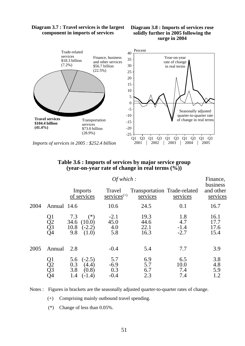

#### **Diagram 3.7 : Travel services is the largest component in imports of services**



### **Table 3.6 : Imports of services by major service group (year-on-year rate of change in real terms (%))**

|      |                      |                                                                    | Finance,                       |                                          |                                |                                   |
|------|----------------------|--------------------------------------------------------------------|--------------------------------|------------------------------------------|--------------------------------|-----------------------------------|
|      |                      | Imports<br>of services                                             | Travel<br>$s$ ervices $(+)$    | Transportation Trade-related<br>services | services                       | business<br>and other<br>services |
| 2004 | Annual 14.6          |                                                                    | 10.6                           | 24.5                                     | 0.1                            | 16.7                              |
|      | Q1<br>Q2<br>Q3<br>Q4 | $(*)$<br>7.3<br>34.6 $(10.0)$<br>10.8<br>$(-2.2)$<br>9.8<br>(1.0)  | $-2.1$<br>45.0<br>4.0<br>5.8   | 19.3<br>44.6<br>22.1<br>16.3             | 1.8<br>4.7<br>$-1.4$<br>$-2.7$ | 16.1<br>17.7<br>17.6<br>15.4      |
| 2005 | Annual               | 2.8                                                                | $-0.4$                         | 5.4                                      | 7.7                            | 3.9                               |
|      | Q1<br>Q2<br>Q3<br>Q4 | $(-2.5)$<br>5.6<br>0.3<br>(4.4)<br>3.8<br>(0.8)<br>1.4<br>$(-1.4)$ | 5.7<br>$-6.9$<br>0.3<br>$-0.4$ | 6.9<br>5.7<br>6.7<br>2.3                 | 6.5<br>10.0<br>7.4<br>7.4      | 3.8<br>4.8<br>5.9<br>1.2          |

Notes : Figures in brackets are the seasonally adjusted quarter-to-quarter rates of change.

(+) Comprising mainly outbound travel spending.

(\*) Change of less than 0.05%.

*Imports of services in 2005 : \$252.4 billion*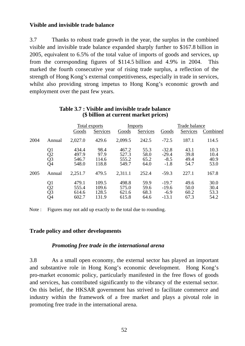### **Visible and invisible trade balance**

3.7 Thanks to robust trade growth in the year, the surplus in the combined visible and invisible trade balance expanded sharply further to \$167.8 billion in 2005, equivalent to 6.5% of the total value of imports of goods and services, up from the corresponding figures of \$114.5 billion and 4.9% in 2004. This marked the fourth consecutive year of rising trade surplus, a reflection of the strength of Hong Kong's external competitiveness, especially in trade in services, whilst also providing strong impetus to Hong Kong's economic growth and employment over the past few years.

|      |                      |                                  | Total exports                    |                                  | <b>Imports</b>               | Trade balance                           |                              |                              |
|------|----------------------|----------------------------------|----------------------------------|----------------------------------|------------------------------|-----------------------------------------|------------------------------|------------------------------|
|      |                      | Goods                            | Services                         | Goods                            | <b>Services</b>              | Goods                                   | Services                     | Combined                     |
| 2004 | Annual               | 2,027.0                          | 429.6                            | 2,099.5                          | 242.5                        | $-72.5$                                 | 187.1                        | 114.5                        |
|      | Q1<br>Q2<br>Q3<br>Q4 | 434.4<br>497.9<br>546.7<br>548.0 | 98.4<br>97.9<br>114.6<br>118.8   | 467.2<br>527.3<br>555.2<br>549.7 | 55.3<br>58.0<br>65.2<br>64.0 | $-32.8$<br>$-29.4$<br>$-8.5$<br>$-1.8$  | 43.1<br>39.8<br>49.4<br>54.7 | 10.3<br>10.4<br>40.9<br>53.0 |
| 2005 | Annual               | 2,251.7                          | 479.5                            | 2,311.1                          | 252.4                        | $-59.3$                                 | 227.1                        | 167.8                        |
|      | Q1<br>Q2<br>Q3<br>Q4 | 479.1<br>555.4<br>614.6<br>602.7 | 109.5<br>109.6<br>128.5<br>131.9 | 498.8<br>575.0<br>621.6<br>615.8 | 59.9<br>59.6<br>68.3<br>64.6 | $-19.7$<br>$-19.6$<br>$-6.9$<br>$-13.1$ | 49.6<br>50.0<br>60.2<br>67.3 | 30.0<br>30.4<br>53.3<br>54.2 |

#### **Table 3.7 : Visible and invisible trade balance (\$ billion at current market prices)**

Note : Figures may not add up exactly to the total due to rounding.

#### **Trade policy and other developments**

#### *Promoting free trade in the international arena*

3.8 As a small open economy, the external sector has played an important and substantive role in Hong Kong's economic development. Hong Kong's pro-market economic policy, particularly manifested in the free flows of goods and services, has contributed significantly to the vibrancy of the external sector. On this belief, the HKSAR government has strived to facilitate commerce and industry within the framework of a free market and plays a pivotal role in promoting free trade in the international arena.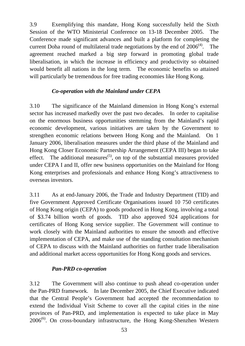3.9 Exemplifying this mandate, Hong Kong successfully held the Sixth Session of the WTO Ministerial Conference on 13-18 December 2005. The Conference made significant advances and built a platform for completing the current Doha round of multilateral trade negotiations by the end of  $2006<sup>(4)</sup>$ . The agreement reached marked a big step forward in promoting global trade liberalisation, in which the increase in efficiency and productivity so obtained would benefit all nations in the long term. The economic benefits so attained will particularly be tremendous for free trading economies like Hong Kong.

# *Co-operation with the Mainland under CEPA*

3.10 The significance of the Mainland dimension in Hong Kong's external sector has increased markedly over the past two decades. In order to capitalise on the enormous business opportunities stemming from the Mainland's rapid economic development, various initiatives are taken by the Government to strengthen economic relations between Hong Kong and the Mainland. On 1 January 2006, liberalisation measures under the third phase of the Mainland and Hong Kong Closer Economic Partnership Arrangement (CEPA III) began to take effect. The additional measures<sup>(5)</sup>, on top of the substantial measures provided under CEPA I and II, offer new business opportunities on the Mainland for Hong Kong enterprises and professionals and enhance Hong Kong's attractiveness to overseas investors.

3.11 As at end-January 2006, the Trade and Industry Department (TID) and five Government Approved Certificate Organisations issued 10 750 certificates of Hong Kong origin (CEPA) to goods produced in Hong Kong, involving a total of \$3.74 billion worth of goods. TID also approved 924 applications for certificates of Hong Kong service supplier. The Government will continue to work closely with the Mainland authorities to ensure the smooth and effective implementation of CEPA, and make use of the standing consultation mechanism of CEPA to discuss with the Mainland authorities on further trade liberalisation and additional market access opportunities for Hong Kong goods and services.

# *Pan-PRD co-operation*

3.12 The Government will also continue to push ahead co-operation under the Pan-PRD framework. In late December 2005, the Chief Executive indicated that the Central People's Government had accepted the recommendation to extend the Individual Visit Scheme to cover all the capital cities in the nine provinces of Pan-PRD, and implementation is expected to take place in May  $2006<sup>(6)</sup>$ . On cross-boundary infrastructure, the Hong Kong-Shenzhen Western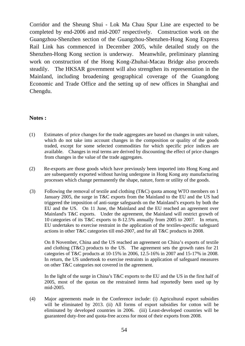Corridor and the Sheung Shui - Lok Ma Chau Spur Line are expected to be completed by end-2006 and mid-2007 respectively. Construction work on the Guangzhou-Shenzhen section of the Guangzhou-Shenzhen-Hong Kong Express Rail Link has commenced in December 2005, while detailed study on the Shenzhen-Hong Kong section is underway. Meanwhile, preliminary planning work on construction of the Hong Kong-Zhuhai-Macau Bridge also proceeds steadily. The HKSAR government will also strengthen its representation in the Mainland, including broadening geographical coverage of the Guangdong Economic and Trade Office and the setting up of new offices in Shanghai and Chengdu.

#### **Notes :**

- (1) Estimates of price changes for the trade aggregates are based on changes in unit values, which do not take into account changes in the composition or quality of the goods traded, except for some selected commodities for which specific price indices are available. Changes in real terms are derived by discounting the effect of price changes from changes in the value of the trade aggregates.
- (2) Re-exports are those goods which have previously been imported into Hong Kong and are subsequently exported without having undergone in Hong Kong any manufacturing processes which change permanently the shape, nature, form or utility of the goods.
- (3) Following the removal of textile and clothing (T&C) quota among WTO members on 1 January 2005, the surge in T&C exports from the Mainland to the EU and the US had triggered the imposition of anti-surge safeguards on the Mainland's exports by both the EU and the US. On 11 June, the Mainland and the EU reached an agreement over Mainland's T&C exports. Under the agreement, the Mainland will restrict growth of 10 categories of its T&C exports to 8-12.5% annually from 2005 to 2007. In return, EU undertakes to exercise restraint in the application of the textiles-specific safeguard actions in other T&C categories till end-2007, and for all T&C products in 2008.

On 8 November, China and the US reached an agreement on China's exports of textile and clothing (T&C) products to the US. The agreement sets the growth rates for 21 categories of T&C products at 10-15% in 2006, 12.5-16% in 2007 and 15-17% in 2008. In return, the US undertook to exercise restraints in application of safeguard measures on other T&C categories not covered in the agreement.

 In the light of the surge in China's T&C exports to the EU and the US in the first half of 2005, most of the quotas on the restrained items had reportedly been used up by mid-2005.

(4) Major agreements made in the Conference include: (i) Agricultural export subsidies will be eliminated by 2013. (ii) All forms of export subsidies for cotton will be eliminated by developed countries in 2006. (iii) Least-developed countries will be guaranteed duty-free and quota-free access for most of their exports from 2008.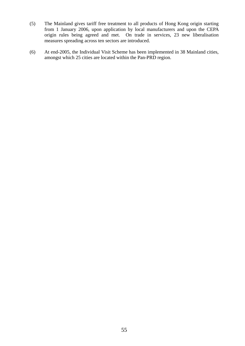- (5) The Mainland gives tariff free treatment to all products of Hong Kong origin starting from 1 January 2006, upon application by local manufacturers and upon the CEPA origin rules being agreed and met. On trade in services, 23 new liberalisation measures spreading across ten sectors are introduced.
- (6) At end-2005, the Individual Visit Scheme has been implemented in 38 Mainland cities, amongst which 25 cities are located within the Pan-PRD region.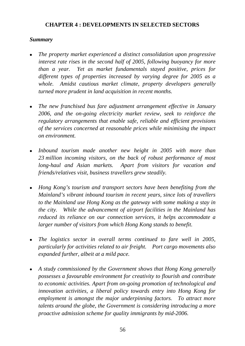# **CHAPTER 4 : DEVELOPMENTS IN SELECTED SECTORS**

### *Summary*

- <sup>z</sup>*The property market experienced a distinct consolidation upon progressive interest rate rises in the second half of 2005, following buoyancy for more than a year. Yet as market fundamentals stayed positive, prices for different types of properties increased by varying degree for 2005 as a whole. Amidst cautious market climate, property developers generally turned more prudent in land acquisition in recent months.*
- The new franchised bus fare adjustment arrangement effective in January *2006, and the on-going electricity market review, seek to reinforce the regulatory arrangements that enable safe, reliable and efficient provisions of the services concerned at reasonable prices while minimising the impact on environment.*
- Inbound tourism made another new height in 2005 with more than *23 million incoming visitors, on the back of robust performance of most long-haul and Asian markets. Apart from visitors for vacation and friends/relatives visit, business travellers grew steadily.*
- <sup>z</sup>*Hong Kong's tourism and transport sectors have been benefiting from the Mainland's vibrant inbound tourism in recent years, since lots of travellers to the Mainland use Hong Kong as the gateway with some making a stay in the city. While the advancement of airport facilities in the Mainland has reduced its reliance on our connection services, it helps accommodate a larger number of visitors from which Hong Kong stands to benefit.*
- The logistics sector in overall terms continued to fare well in 2005, *particularly for activities related to air freight. Port cargo movements also expanded further, albeit at a mild pace.*
- A study commissioned by the Government shows that Hong Kong generally *possesses a favourable environment for creativity to flourish and contribute to economic activities. Apart from on-going promotion of technological and innovation activities, a liberal policy towards entry into Hong Kong for employment is amongst the major underpinning factors. To attract more talents around the globe, the Government is considering introducing a more proactive admission scheme for quality immigrants by mid-2006.*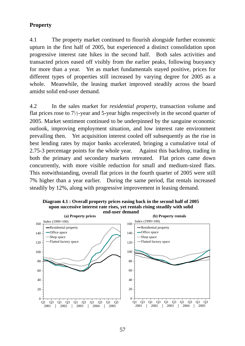# **Property**

4.1 The property market continued to flourish alongside further economic upturn in the first half of 2005, but experienced a distinct consolidation upon progressive interest rate hikes in the second half. Both sales activities and transacted prices eased off visibly from the earlier peaks, following buoyancy for more than a year. Yet as market fundamentals stayed positive, prices for different types of properties still increased by varying degree for 2005 as a whole. Meanwhile, the leasing market improved steadily across the board amidst solid end-user demand.

4.2 In the sales market for *residential property*, transaction volume and flat prices rose to  $7\frac{1}{2}$ -year and 5-year highs respectively in the second quarter of 2005. Market sentiment continued to be underpinned by the sanguine economic outlook, improving employment situation, and low interest rate environment prevailing then. Yet acquisition interest cooled off subsequently as the rise in best lending rates by major banks accelerated, bringing a cumulative total of 2.75-3 percentage points for the whole year. Against this backdrop, trading in both the primary and secondary markets retreated. Flat prices came down concurrently, with more visible reduction for small and medium-sized flats. This notwithstanding, overall flat prices in the fourth quarter of 2005 were still 7% higher than a year earlier. During the same period, flat rentals increased steadily by 12%, along with progressive improvement in leasing demand.



**Diagram 4.1 : Overall property prices easing back in the second half of 2005 upon successive interest rate rises, yet rentals rising steadily with solid**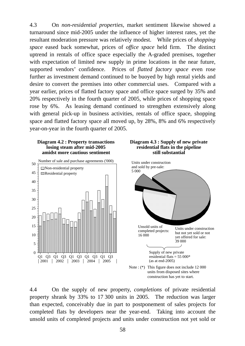4.3 On *non-residential properties,* market sentiment likewise showed a turnaround since mid-2005 under the influence of higher interest rates, yet the resultant moderation pressure was relatively modest. While prices of *shopping space* eased back somewhat, prices of *office space* held firm. The distinct uptrend in rentals of office space especially the A-graded premises, together with expectation of limited new supply in prime locations in the near future, supported vendors' confidence. Prices of *flatted factory space* even rose further as investment demand continued to be buoyed by high rental yields and desire to convert the premises into other commercial uses. Compared with a year earlier, prices of flatted factory space and office space surged by 35% and 20% respectively in the fourth quarter of 2005, while prices of shopping space rose by 6%. As leasing demand continued to strengthen extensively along with general pick-up in business activities, rentals of office space, shopping space and flatted factory space all moved up, by 28%, 8% and 6% respectively year-on-year in the fourth quarter of 2005.









4.4 On the supply of new property, *completions* of private residential property shrank by 33% to 17 300 units in 2005. The reduction was larger than expected, conceivably due in part to postponement of sales projects for completed flats by developers near the year-end. Taking into account the unsold units of completed projects and units under construction not yet sold or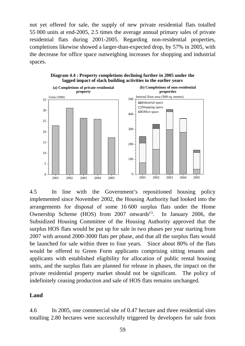not yet offered for sale, the supply of new private residential flats totalled 55 000 units at end-2005, 2.5 times the average annual primary sales of private residential flats during 2001-2005. Regarding non-residential properties, completions likewise showed a larger-than-expected drop, by 57% in 2005, with the decrease for office space outweighing increases for shopping and industrial spaces.



**Diagram 4.4 : Property completions declining further in 2005 under the lagged impact of slack building activities in the earlier years**

4.5 In line with the Government's repositioned housing policy implemented since November 2002, the Housing Authority had looked into the arrangements for disposal of some 16 600 surplus flats under the Home Ownership Scheme (HOS) from  $2007$  onwards<sup>(1)</sup>. In January 2006, the Subsidized Housing Committee of the Housing Authority approved that the surplus HOS flats would be put up for sale in two phases per year starting from 2007 with around 2000-3000 flats per phase, and that all the surplus flats would be launched for sale within three to four years. Since about 80% of the flats would be offered to Green Form applicants comprising sitting tenants and applicants with established eligibility for allocation of public rental housing units, and the surplus flats are planned for release in phases, the impact on the private residential property market should not be significant. The policy of indefinitely ceasing production and sale of HOS flats remains unchanged.

#### **Land**

4.6 In 2005, one commercial site of 0.47 hectare and three residential sites totalling 2.80 hectares were successfully triggered by developers for sale from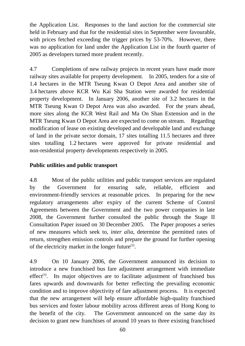the Application List. Responses to the land auction for the commercial site held in February and that for the residential sites in September were favourable, with prices fetched exceeding the trigger prices by 53-70%. However, there was no application for land under the Application List in the fourth quarter of 2005 as developers turned more prudent recently.

4.7 Completions of new railway projects in recent years have made more railway sites available for property development. In 2005, tenders for a site of 1.4 hectares in the MTR Tseung Kwan O Depot Area and another site of 3.4 hectares above KCR Wu Kai Sha Station were awarded for residential property development. In January 2006, another site of 3.2 hectares in the MTR Tseung Kwan O Depot Area was also awarded. For the years ahead, more sites along the KCR West Rail and Ma On Shan Extension and in the MTR Tseung Kwan O Depot Area are expected to come on stream. Regarding modification of lease on existing developed and developable land and exchange of land in the private sector domain, 17 sites totalling 11.5 hectares and three sites totalling 1.2 hectares were approved for private residential and non-residential property developments respectively in 2005.

# **Public utilities and public transport**

4.8 Most of the public utilities and public transport services are regulated by the Government for ensuring safe, reliable, efficient and environment-friendly services at reasonable prices. In preparing for the new regulatory arrangements after expiry of the current Scheme of Control Agreements between the Government and the two power companies in late 2008, the Government further consulted the public through the Stage II Consultation Paper issued on 30 December 2005. The Paper proposes a series of new measures which seek to, *inter alia*, determine the permitted rates of return, strengthen emission controls and prepare the ground for further opening of the electricity market in the longer future $(2)$ .

4.9 On 10 January 2006, the Government announced its decision to introduce a new franchised bus fare adjustment arrangement with immediate effect<sup>(3)</sup>. Its major objectives are to facilitate adjustment of franchised bus fares upwards and downwards for better reflecting the prevailing economic condition and to improve objectivity of fare adjustment process. It is expected that the new arrangement will help ensure affordable high-quality franchised bus services and foster labour mobility across different areas of Hong Kong to the benefit of the city. The Government announced on the same day its decision to grant new franchises of around 10 years to three existing franchised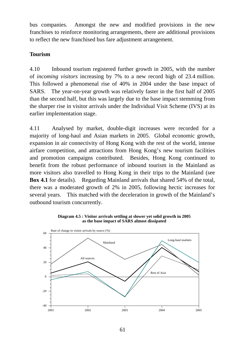bus companies. Amongst the new and modified provisions in the new franchises to reinforce monitoring arrangements, there are additional provisions to reflect the new franchised bus fare adjustment arrangement.

# **Tourism**

4.10 Inbound tourism registered further growth in 2005, with the number of *incoming visitors* increasing by 7% to a new record high of 23.4 million. This followed a phenomenal rise of 40% in 2004 under the base impact of SARS. The year-on-year growth was relatively faster in the first half of 2005 than the second half, but this was largely due to the base impact stemming from the sharper rise in visitor arrivals under the Individual Visit Scheme (IVS) at its earlier implementation stage.

4.11 Analysed by market, double-digit increases were recorded for a majority of long-haul and Asian markets in 2005. Global economic growth, expansion in air connectivity of Hong Kong with the rest of the world, intense airfare competition, and attractions from Hong Kong's new tourism facilities and promotion campaigns contributed. Besides, Hong Kong continued to benefit from the robust performance of inbound tourism in the Mainland as more visitors also travelled to Hong Kong in their trips to the Mainland (see **Box 4.1** for details). Regarding Mainland arrivals that shared 54% of the total, there was a moderated growth of 2% in 2005, following hectic increases for several years. This matched with the deceleration in growth of the Mainland's outbound tourism concurrently.



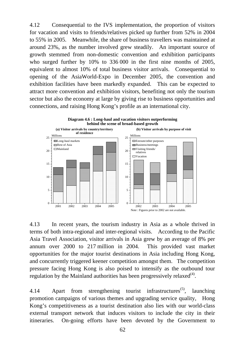4.12 Consequential to the IVS implementation, the proportion of visitors for vacation and visits to friends/relatives picked up further from 52% in 2004 to 55% in 2005. Meanwhile, the share of business travellers was maintained at around 23%, as the number involved grew steadily. An important source of growth stemmed from non-domestic convention and exhibition participants who surged further by 10% to 336 000 in the first nine months of 2005, equivalent to almost 10% of total business visitor arrivals. Consequential to opening of the AsiaWorld-Expo in December 2005, the convention and exhibition facilities have been markedly expanded. This can be expected to attract more convention and exhibition visitors, benefiting not only the tourism sector but also the economy at large by giving rise to business opportunities and connections, and raising Hong Kong's profile as an international city.



4.13 In recent years, the tourism industry in Asia as a whole thrived in terms of both intra-regional and inter-regional visits. According to the Pacific Asia Travel Association, visitor arrivals in Asia grew by an average of 8% per annum over 2000 to 217 million in 2004. This provided vast market opportunities for the major tourist destinations in Asia including Hong Kong, and concurrently triggered keener competition amongst them. The competition pressure facing Hong Kong is also poised to intensify as the outbound tour regulation by the Mainland authorities has been progressively relaxed $^{(4)}$ .

4.14 Apart from strengthening tourist infrastructures<sup>(5)</sup>. launching promotion campaigns of various themes and upgrading service quality, Hong Kong's competitiveness as a tourist destination also lies with our world-class external transport network that induces visitors to include the city in their itineraries. On-going efforts have been devoted by the Government to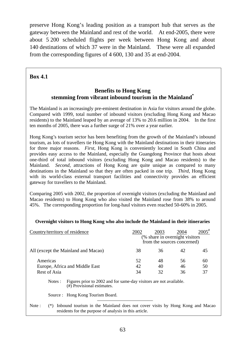preserve Hong Kong's leading position as a transport hub that serves as the gateway between the Mainland and rest of the world. At end-2005, there were about 5 200 scheduled flights per week between Hong Kong and about 140 destinations of which 37 were in the Mainland. These were all expanded from the corresponding figures of 4 600, 130 and 35 at end-2004.

### **Box 4.1**

### **Benefits to Hong Kong stemming from vibrant inbound tourism in the Mainland\***

The Mainland is an increasingly pre-eminent destination in Asia for visitors around the globe. Compared with 1999, total number of inbound visitors (excluding Hong Kong and Macao residents) to the Mainland leaped by an average of 13% to 20.6 million in 2004. In the first ten months of 2005, there was a further surge of 21% over a year earlier.

Hong Kong's tourism sector has been benefiting from the growth of the Mainland's inbound tourism, as lots of travellers tie Hong Kong with the Mainland destinations in their itineraries for three major reasons. *First*, Hong Kong is conveniently located in South China and provides easy access to the Mainland, especially the Guangdong Province that hosts about one-third of total inbound visitors (excluding Hong Kong and Macao residents) to the Mainland. *Second*, attractions of Hong Kong are quite unique as compared to many destinations in the Mainland so that they are often packed in one trip. *Third*, Hong Kong with its world-class external transport facilities and connectivity provides an efficient gateway for travellers to the Mainland.

Comparing 2005 with 2002, the proportion of overnight visitors (excluding the Mainland and Macao residents) to Hong Kong who also visited the Mainland rose from 38% to around 45%. The corresponding proportion for long-haul visitors even reached 50-60% in 2005.

#### **Overnight visitors to Hong Kong who also include the Mainland in their itineraries**

|                                                            |         | Country/territory of residence                                                                                                         | 2002           | 2003<br>(% share in overnight visitors)<br>from the sources concerned) | 2004           | $2005^{\text{*}}$ |
|------------------------------------------------------------|---------|----------------------------------------------------------------------------------------------------------------------------------------|----------------|------------------------------------------------------------------------|----------------|-------------------|
|                                                            |         | All (except the Mainland and Macao)                                                                                                    | 38             | 36                                                                     | 42             | 45                |
| Americas<br>Europe, Africa and Middle East<br>Rest of Asia |         | 52<br>42<br>34                                                                                                                         | 48<br>40<br>32 | 56<br>46<br>36                                                         | 60<br>50<br>37 |                   |
|                                                            | Notes : | Figures prior to 2002 and for same-day visitors are not available.<br>(#) Provisional estimates.                                       |                |                                                                        |                |                   |
|                                                            |         | Source : Hong Kong Tourism Board.                                                                                                      |                |                                                                        |                |                   |
| Note:                                                      |         | Inbound tourism in the Mainland does not cover visits by Hong Kong and Macao<br>residents for the purpose of analysis in this article. |                |                                                                        |                |                   |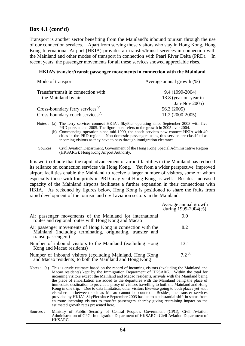### **Box 4.1 (cont'd)**

Transport is another sector benefiting from the Mainland's inbound tourism through the use of our connection services. Apart from serving those visitors who stay in Hong Kong, Hong Kong International Airport (HKIA) provides air transfer/transit services in connection with the Mainland and other modes of transport in connection with Pearl River Delta (PRD). In recent years, the passenger movements for all these services showed appreciable rises.

#### **HKIA's transfer/transit passenger movements in connection with the Mainland**

| Mode of transport                            | Average annual growth $(\%)$ |
|----------------------------------------------|------------------------------|
| Transfer/transit in connection with          | 9.4 (1999-2004)              |
| the Mainland by air                          | 13.8 (year-on-year in        |
|                                              | Jan-Nov $2005$ )             |
| Cross-boundary ferry services <sup>(a)</sup> | 56.3 (2005)                  |
| Cross-boundary coach services <sup>(b)</sup> | $11.2(2000-2005)$            |

Notes : (a) The ferry services connect HKIA's SkyPier operating since September 2003 with five PRD ports at end-2005. The figure here refers to the growth in 2005 over 2004.

 (b) Commencing operation since mid-1999, the coach services now connect HKIA with 40 cities in the PRD region. Non-domestic passengers using this service are classified as incoming visitors as they have to pass through immigration clearance.

It is worth of note that the rapid advancement of airport facilities in the Mainland has reduced its reliance on connection services via Hong Kong. Yet from a wider perspective, improved airport facilities enable the Mainland to receive a larger number of visitors, some of whom especially those with footprints in PRD may visit Hong Kong as well. Besides, increased capacity of the Mainland airports facilitates a further expansion in their connections with HKIA. As reckoned by figures below, Hong Kong is positioned to share the fruits from rapid development of the tourism and civil aviation sectors in the Mainland.

|                                                                                                                                               | Average annual growth<br>during 1999-2004(%) |
|-----------------------------------------------------------------------------------------------------------------------------------------------|----------------------------------------------|
| Air passenger movements of the Mainland for international<br>routes and regional routes with Hong Kong and Macao                              | 9.0                                          |
| Air passenger movements of Hong Kong in connection with the Mainland (including terminating, originating, transfer and<br>transit passengers) | 8.2                                          |
| Number of inbound visitors to the Mainland (excluding Hong<br>Kong and Macao residents)                                                       | 13.1                                         |
| Number of inbound visitors (excluding Mainland, Hong Kong<br>and Macao residents) to both the Mainland and Hong Kong                          | $7.2^{(a)}$                                  |

Notes : (a) This is crude estimate based on the record of incoming visitors (excluding the Mainland and Macao residents) kept by the Immigration Department of HKSARG. Within the total for incoming visitors except the Mainland and Macao residents, arrivals with the Mainland being the place of embarkation are added to the departures with the Mainland being the place of immediate destination to provide a proxy of visitors travelling to both the Mainland and Hong Kong in one trip. Due to data limitation, other visitors likewise going to both places yet with elsewhere in-between such as Macao cannot be counted. Besides, the transfer services provided by HKIA's SkyPier since September 2003 has led to a substantial shift in status from en route incoming visitors to transfer passengers, thereby giving restraining impact on the estimated growth rates presented here.

Sources : Ministry of Public Security of Central People's Government (CPG), Civil Aviation Administration of CPG; Immigration Department of HKSARG; Civil Aviation Department of HKSARG.

Sources : Civil Aviation Department, Government of the Hong Kong Special Administrative Region (HKSARG); Hong Kong Airport Authority.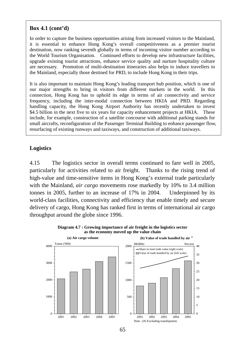# **Box 4.1 (cont'd)**

In order to capture the business opportunities arising from increased visitors to the Mainland, it is essential to enhance Hong Kong's overall competitiveness as a premier tourist destination, now ranking seventh globally in terms of incoming visitor number according to the World Tourism Organisation. Continued efforts to develop new infrastructure facilities, upgrade existing tourist attractions, enhance service quality and nurture hospitality culture are necessary. Promotion of multi-destination itineraries also helps to induce travellers to the Mainland, especially those destined for PRD, to include Hong Kong in their trips.

It is also important to maintain Hong Kong's leading transport hub position, which is one of our major strengths to bring in visitors from different markets in the world. In this connection, Hong Kong has to uphold its edge in terms of air connectivity and service frequency, including the inter-modal connection between HKIA and PRD. Regarding handling capacity, the Hong Kong Airport Authority has recently undertaken to invest \$4.5 billion in the next five to six years for capacity enhancement projects at HKIA. These include, for example, construction of a satellite concourse with additional parking stands for small aircrafts, reconfiguration of the Passenger Terminal Building to enhance passenger flow, resurfacing of existing runways and taxiways, and construction of additional taxiways.

# **Logistics**

4.15 The logistics sector in overall terms continued to fare well in 2005, particularly for activities related to air freight. Thanks to the rising trend of high-value and time-sensitive items in Hong Kong's external trade particularly with the Mainland, *air cargo* movements rose markedly by 10% to 3.4 million tonnes in 2005, further to an increase of 17% in 2004. Underpinned by its world-class facilities, connectivity and efficiency that enable timely and secure delivery of cargo, Hong Kong has ranked first in terms of international air cargo throughput around the globe since 1996.





65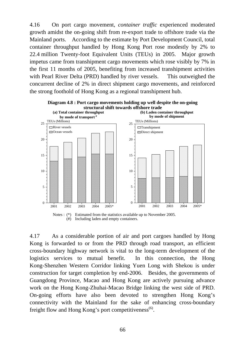4.16 On port cargo movement, *container traffic* experienced moderated growth amidst the on-going shift from re-export trade to offshore trade via the Mainland ports. According to the estimate by Port Development Council, total container throughput handled by Hong Kong Port rose modestly by 2% to 22.4 million Twenty-foot Equivalent Units (TEUs) in 2005. Major growth impetus came from transhipment cargo movements which rose visibly by 7% in the first 11 months of 2005, benefiting from increased transhipment activities with Pearl River Delta (PRD) handled by river vessels. This outweighed the concurrent decline of 2% in direct shipment cargo movements, and reinforced the strong foothold of Hong Kong as a regional transhipment hub.



(#) Including laden and empty containers.

4.17 As a considerable portion of air and port cargoes handled by Hong Kong is forwarded to or from the PRD through road transport, an efficient cross-boundary highway network is vital to the long-term development of the logistics services to mutual benefit. In this connection, the Hong Kong-Shenzhen Western Corridor linking Yuen Long with Shekou is under construction for target completion by end-2006. Besides, the governments of Guangdong Province, Macao and Hong Kong are actively pursuing advance work on the Hong Kong-Zhuhai-Macao Bridge linking the west side of PRD. On-going efforts have also been devoted to strengthen Hong Kong's connectivity with the Mainland for the sake of enhancing cross-boundary freight flow and Hong Kong's port competitiveness<sup>(6)</sup>.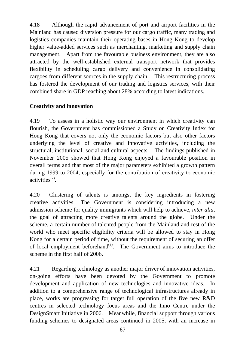4.18 Although the rapid advancement of port and airport facilities in the Mainland has caused diversion pressure for our cargo traffic, many trading and logistics companies maintain their operating bases in Hong Kong to develop higher value-added services such as merchanting, marketing and supply chain management. Apart from the favourable business environment, they are also attracted by the well-established external transport network that provides flexibility in scheduling cargo delivery and convenience in consolidating cargoes from different sources in the supply chain. This restructuring process has fostered the development of our trading and logistics services, with their combined share in GDP reaching about 28% according to latest indications.

# **Creativity and innovation**

4.19 To assess in a holistic way our environment in which creativity can flourish, the Government has commissioned a Study on Creativity Index for Hong Kong that covers not only the economic factors but also other factors underlying the level of creative and innovative activities, including the structural, institutional, social and cultural aspects. The findings published in November 2005 showed that Hong Kong enjoyed a favourable position in overall terms and that most of the major parameters exhibited a growth pattern during 1999 to 2004, especially for the contribution of creativity to economic activities(7).

4.20 Clustering of talents is amongst the key ingredients in fostering creative activities. The Government is considering introducing a new admission scheme for quality immigrants which will help to achieve, *inter alia*, the goal of attracting more creative talents around the globe. Under the scheme, a certain number of talented people from the Mainland and rest of the world who meet specific eligibility criteria will be allowed to stay in Hong Kong for a certain period of time, without the requirement of securing an offer of local employment beforehand<sup>(8)</sup>. The Government aims to introduce the scheme in the first half of 2006.

4.21 Regarding technology as another major driver of innovation activities, on-going efforts have been devoted by the Government to promote development and application of new technologies and innovative ideas. In addition to a comprehensive range of technological infrastructures already in place, works are progressing for target full operation of the five new R&D centres in selected technology focus areas and the Inno Centre under the DesignSmart Initiative in 2006. Meanwhile, financial support through various funding schemes to designated areas continued in 2005, with an increase in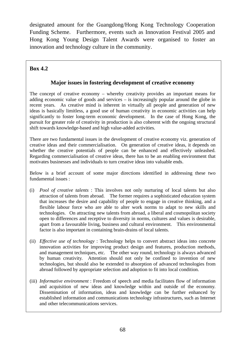designated amount for the Guangdong/Hong Kong Technology Cooperation Funding Scheme. Furthermore, events such as Innovation Festival 2005 and Hong Kong Young Design Talent Awards were organised to foster an innovation and technology culture in the community.

# **Box 4.2**

# **Major issues in fostering development of creative economy**

The concept of creative economy – whereby creativity provides an important means for adding economic value of goods and services – is increasingly popular around the globe in recent years. As creative mind is inherent in virtually all people and generation of new ideas is basically limitless, a good use of human creativity in economic activities can help significantly to foster long-term economic development. In the case of Hong Kong, the pursuit for greater role of creativity in production is also coherent with the ongoing structural shift towards knowledge-based and high value-added activities.

There are two fundamental issues in the development of creative economy viz. generation of creative ideas and their commercialisation. On generation of creative ideas, it depends on whether the creative potentials of people can be enhanced and effectively unleashed. Regarding commercialisation of creative ideas, there has to be an enabling environment that motivates businesses and individuals to turn creative ideas into valuable ends.

Below is a brief account of some major directions identified in addressing these two fundamental issues :

- (i) *Pool of creative talents* : This involves not only nurturing of local talents but also attraction of talents from abroad. The former requires a sophisticated education system that increases the desire and capability of people to engage in creative thinking, and a flexible labour force who are able to alter work norms to adapt to new skills and technologies. On attracting new talents from abroad, a liberal and cosmopolitan society open to differences and receptive to diversity in norms, cultures and values is desirable, apart from a favourable living, business and cultural environment. This environmental factor is also important in containing brain-drains of local talents.
- (ii) *Effective use of technology* : Technology helps to convert abstract ideas into concrete innovation activities for improving product design and features, production methods, and management techniques, etc. The other way round, technology is always advanced by human creativity. Attention should not only be confined to invention of new technologies, but should also be extended to absorption of advanced technologies from abroad followed by appropriate selection and adoption to fit into local condition.
- (iii) *Informative environment* : Freedom of speech and media facilitates flow of information and acquisition of new ideas and knowledge within and outside of the economy. Dissemination of information, ideas and knowledge can be further enhanced by established information and communications technology infrastructures, such as Internet and other telecommunications services.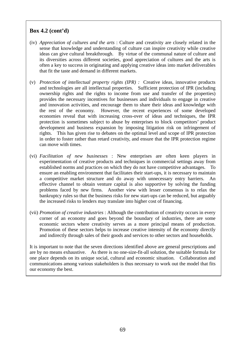# **Box 4.2 (cont'd)**

- (iv) *Appreciation of cultures and the arts* : Culture and creativity are closely related in the sense that knowledge and understanding of culture can inspire creativity while creative ideas can give cultural breakthrough. By virtue of the communal nature of culture and its diversities across different societies, good appreciation of cultures and the arts is often a key to success in originating and applying creative ideas into market deliverables that fit the taste and demand in different markets.
- (v) *Protection of intellectual property rights (IPR) :* Creative ideas, innovative products and technologies are all intellectual properties. Sufficient protection of IPR (including ownership rights and the rights to income from use and transfer of the properties) provides the necessary incentives for businesses and individuals to engage in creative and innovation activities, and encourage them to share their ideas and knowledge with the rest of the economy. However, the recent experiences of some developed economies reveal that with increasing cross-over of ideas and techniques, the IPR protection is sometimes subject to abuse by enterprises to block competitors' product development and business expansion by imposing litigation risk on infringement of rights. This has given rise to debates on the optimal level and scope of IPR protection in order to foster rather than retard creativity, and ensure that the IPR protection regime can move with times.
- (vi) *Facilitation of new businesses* : New enterprises are often keen players in experimentation of creative products and techniques in commercial settings away from established norms and practices on which they do not have competitive advantages. ensure an enabling environment that facilitates their start-ups, it is necessary to maintain a competitive market structure and do away with unnecessary entry barriers. An effective channel to obtain venture capital is also supportive by solving the funding problems faced by new firms. Another view with lesser consensus is to relax the bankruptcy rules so that the business risks for new start-ups can be reduced, but arguably the increased risks to lenders may translate into higher cost of financing.
- (vii) *Promotion of creative industries* : Although the contribution of creativity occurs in every corner of an economy and goes beyond the boundary of industries, there are some economic sectors where creativity serves as a more principal means of production. Promotion of these sectors helps to increase creative intensity of the economy directly and indirectly through sales of their goods and services to other sectors and households.

It is important to note that the seven directions identified above are general prescriptions and are by no means exhaustive. As there is no one-size-fit-all solution, the suitable formula for one place depends on its unique social, cultural and economic situation. Collaboration and communications among various stakeholders is thus necessary to work out the model that fits our economy the best.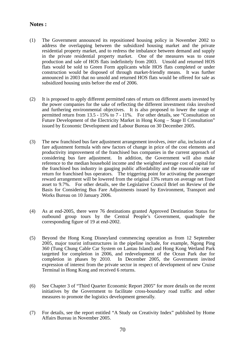#### **Notes :**

- (1) The Government announced its repositioned housing policy in November 2002 to address the overlapping between the subsidized housing market and the private residential property market, and to redress the imbalance between demand and supply in the private residential property market. One of the measures was to cease production and sale of HOS flats indefinitely from 2003. Unsold and returned HOS flats would be sold to Green Form applicants while HOS flats completed or under construction would be disposed of through market-friendly means. It was further announced in 2003 that no unsold and returned HOS flats would be offered for sale as subsidized housing units before the end of 2006.
- (2) It is proposed to apply different permitted rates of return on different assets invested by the power companies for the sake of reflecting the different investment risks involved and furthering environmental objectives. It is also proposed to lower the range of permitted return from 13.5 - 15% to 7 - 11%. For other details, see "Consultation on Future Development of the Electricity Market in Hong Kong – Stage II Consultation" issued by Economic Development and Labour Bureau on 30 December 2005.
- (3) The new franchised bus fare adjustment arrangement involves, *inter alia*, inclusion of a fare adjustment formula with new factors of change in price of the cost elements and productivity improvement of the franchised bus companies in the current approach of considering bus fare adjustment. In addition, the Government will also make reference to the median household income and the weighted average cost of capital for the franchised bus industry in gauging public affordability and the reasonable rate of return for franchised bus operators. The triggering point for activating the passenger reward arrangement will be lowered from the original 13% return on average net fixed asset to 9.7%. For other details, see the Legislative Council Brief on Review of the Basis for Considering Bus Fare Adjustments issued by Environment, Transport and Works Bureau on 10 January 2006.
- (4) As at end-2005, there were 76 destinations granted Approved Destination Status for outbound group tours by the Central People's Government, quadruple the corresponding figure of 19 at end-2002.
- (5) Beyond the Hong Kong Disneyland commencing operation as from 12 September 2005, major tourist infrastructures in the pipeline include, for example, Ngong Ping 360 (Tung Chung Cable Car System on Lantau Island) and Hong Kong Wetland Park targetted for completion in 2006, and redevelopment of the Ocean Park due for completion in phases by 2010. In December 2005, the Government invited expression of interest from the private sector in respect of development of new Cruise Terminal in Hong Kong and received 6 returns.
- (6) See Chapter 3 of "Third Quarter Economic Report 2005" for more details on the recent initiatives by the Government to facilitate cross-boundary road traffic and other measures to promote the logistics development generally.
- (7) For details, see the report entitled "A Study on Creativity Index" published by Home Affairs Bureau in November 2005.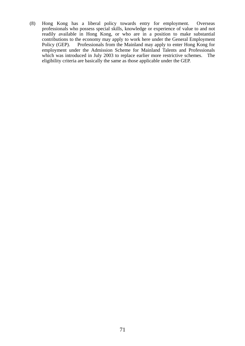(8) Hong Kong has a liberal policy towards entry for employment. Overseas professionals who possess special skills, knowledge or experience of value to and not readily available in Hong Kong, or who are in a position to make substantial contributions to the economy may apply to work here under the General Employment<br>Policy (GEP). Professionals from the Mainland may apply to enter Hong Kong for Professionals from the Mainland may apply to enter Hong Kong for employment under the Admission Scheme for Mainland Talents and Professionals which was introduced in July 2003 to replace earlier more restrictive schemes. The eligibility criteria are basically the same as those applicable under the GEP.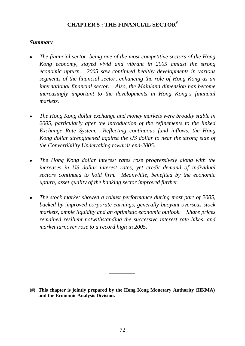# **CHAPTER 5 : THE FINANCIAL SECTOR#**

## *Summary*

- <sup>z</sup>*The financial sector, being one of the most competitive sectors of the Hong Kong economy, stayed vivid and vibrant in 2005 amidst the strong economic upturn. 2005 saw continued healthy developments in various segments of the financial sector, enhancing the role of Hong Kong as an international financial sector. Also, the Mainland dimension has become increasingly important to the developments in Hong Kong's financial markets.*
- <sup>z</sup>*The Hong Kong dollar exchange and money markets were broadly stable in 2005, particularly after the introduction of the refinements to the linked Exchange Rate System. Reflecting continuous fund inflows, the Hong Kong dollar strengthened against the US dollar to near the strong side of the Convertibility Undertaking towards end-2005.*
- *The Hong Kong dollar interest rates rose progressively along with the increases in US dollar interest rates, yet credit demand of individual sectors continued to hold firm. Meanwhile, benefited by the economic upturn, asset quality of the banking sector improved further.*
- *The stock market showed a robust performance during most part of 2005, backed by improved corporate earnings, generally buoyant overseas stock markets, ample liquidity and an optimistic economic outlook. Share prices remained resilient notwithstanding the successive interest rate hikes, and market turnover rose to a record high in 2005.*

**\_\_\_\_\_\_\_\_\_** 

**<sup>(#)</sup> This chapter is jointly prepared by the Hong Kong Monetary Authority (HKMA) and the Economic Analysis Division.**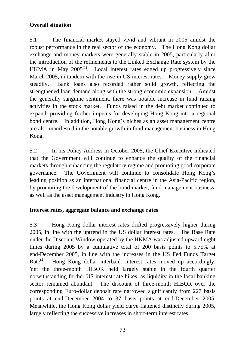# **Overall situation**

5.1 The financial market stayed vivid and vibrant in 2005 amidst the robust performance in the real sector of the economy. The Hong Kong dollar exchange and money markets were generally stable in 2005, particularly after the introduction of the refinements to the Linked Exchange Rate system by the HKMA in May  $2005^{(1)}$ . Local interest rates edged up progressively since March 2005, in tandem with the rise in US interest rates. Money supply grew steadily. Bank loans also recorded rather solid growth, reflecting the strengthened loan demand along with the strong economic expansion. Amidst the generally sanguine sentiment, there was notable increase in fund raising activities in the stock market. Funds raised in the debt market continued to expand, providing further impetus for developing Hong Kong into a regional bond centre. In addition, Hong Kong's niches as an asset management centre are also manifested in the notable growth in fund management business in Hong Kong.

5.2 In his Policy Address in October 2005, the Chief Executive indicated that the Government will continue to enhance the quality of the financial markets through enhancing the regulatory regime and promoting good corporate governance. The Government will continue to consolidate Hong Kong's leading position as an international financial centre in the Asia-Pacific region, by promoting the development of the bond market, fund management business, as well as the asset management industry in Hong Kong.

# **Interest rates, aggregate balance and exchange rates**

5.3 Hong Kong dollar interest rates drifted progressively higher during 2005, in line with the uptrend in the US dollar interest rates. The Base Rate under the Discount Window operated by the HKMA was adjusted upward eight times during 2005 by a cumulative total of 200 basis points to 5.75% at end-December 2005, in line with the increases in the US Fed Funds Target Rate<sup>(2)</sup>. Hong Kong dollar interbank interest rates moved up accordingly. Yet the three-month HIBOR held largely stable in the fourth quarter notwithstanding further US interest rate hikes, as liquidity in the local banking sector remained abundant. The discount of three-month HIBOR over the corresponding Euro-dollar deposit rate narrowed significantly from 227 basis points at end-December 2004 to 37 basis points at end-December 2005. Meanwhile, the Hong Kong dollar yield curve flattened distinctly during 2005, largely reflecting the successive increases in short-term interest rates.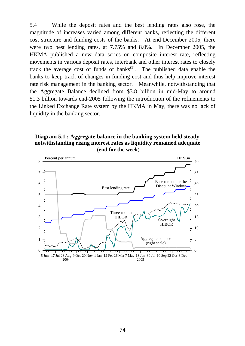5.4 While the deposit rates and the best lending rates also rose, the magnitude of increases varied among different banks, reflecting the different cost structure and funding costs of the banks. At end-December 2005, there were two best lending rates, at 7.75% and 8.0%. In December 2005, the HKMA published a new data series on composite interest rate, reflecting movements in various deposit rates, interbank and other interest rates to closely track the average cost of funds of banks<sup> $(3)$ </sup>. The published data enable the banks to keep track of changes in funding cost and thus help improve interest rate risk management in the banking sector. Meanwhile, notwithstanding that the Aggregate Balance declined from \$3.8 billion in mid-May to around \$1.3 billion towards end-2005 following the introduction of the refinements to the Linked Exchange Rate system by the HKMA in May, there was no lack of liquidity in the banking sector.

#### **Diagram 5.1 : Aggregate balance in the banking system held steady notwithstanding rising interest rates as liquidity remained adequate (end for the week)**

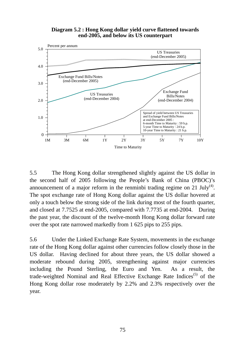#### **Diagram 5.2 : Hong Kong dollar yield curve flattened towards end-2005, and below its US counterpart**



5.5 The Hong Kong dollar strengthened slightly against the US dollar in the second half of 2005 following the People's Bank of China (PBOC)'s announcement of a major reform in the renminbi trading regime on 21 July<sup>(4)</sup>. The spot exchange rate of Hong Kong dollar against the US dollar hovered at only a touch below the strong side of the link during most of the fourth quarter, and closed at 7.7525 at end-2005, compared with 7.7735 at end-2004. During the past year, the discount of the twelve-month Hong Kong dollar forward rate over the spot rate narrowed markedly from 1 625 pips to 255 pips.

5.6 Under the Linked Exchange Rate System, movements in the exchange rate of the Hong Kong dollar against other currencies follow closely those in the US dollar. Having declined for about three years, the US dollar showed a moderate rebound during 2005, strengthening against major currencies including the Pound Sterling, the Euro and Yen. As a result, the trade-weighted Nominal and Real Effective Exchange Rate Indices<sup>(5)</sup> of the Hong Kong dollar rose moderately by 2.2% and 2.3% respectively over the year.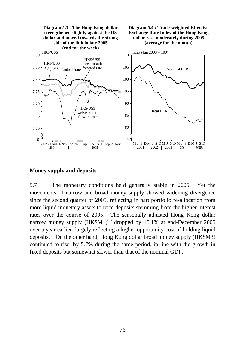

#### **Money supply and deposits**

5.7 The monetary conditions held generally stable in 2005. Yet the movements of narrow and broad money supply showed widening divergence since the second quarter of 2005, reflecting in part portfolio re-allocation from more liquid monetary assets to term deposits stemming from the higher interest rates over the course of 2005. The seasonally adjusted Hong Kong dollar narrow money supply  $(HK$M1)^{(6)}$  dropped by 15.1% at end-December 2005 over a year earlier, largely reflecting a higher opportunity cost of holding liquid deposits. On the other hand, Hong Kong dollar broad money supply (HK\$M3) continued to rise, by 5.7% during the same period, in line with the growth in fixed deposits but somewhat slower than that of the nominal GDP.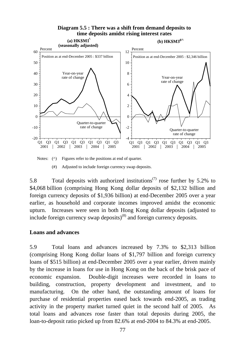

Notes: ( $\wedge$ ) Figures refer to the positions at end of quarter.

(#) Adjusted to include foreign currency swap deposits.

5.8 Total deposits with authorized institutions<sup> $(7)$ </sup> rose further by 5.2% to \$4,068 billion (comprising Hong Kong dollar deposits of \$2,132 billion and foreign currency deposits of \$1,936 billion) at end-December 2005 over a year earlier, as household and corporate incomes improved amidst the economic upturn. Increases were seen in both Hong Kong dollar deposits (adjusted to include foreign currency swap deposits)<sup>(8)</sup> and foreign currency deposits.

## **Loans and advances**

5.9 Total loans and advances increased by 7.3% to \$2,313 billion (comprising Hong Kong dollar loans of \$1,797 billion and foreign currency loans of \$515 billion) at end-December 2005 over a year earlier, driven mainly by the increase in loans for use in Hong Kong on the back of the brisk pace of economic expansion. Double-digit increases were recorded in loans to building, construction, property development and investment, and to manufacturing. On the other hand, the outstanding amount of loans for purchase of residential properties eased back towards end-2005, as trading activity in the property market turned quiet in the second half of 2005. As total loans and advances rose faster than total deposits during 2005, the loan-to-deposit ratio picked up from 82.6% at end-2004 to 84.3% at end-2005.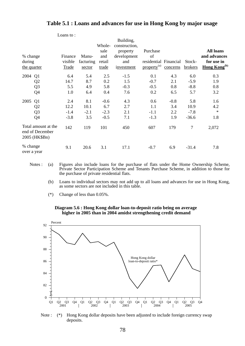|                         |                                                         |              |           |             | Building,               |                         |          |                |                                 |
|-------------------------|---------------------------------------------------------|--------------|-----------|-------------|-------------------------|-------------------------|----------|----------------|---------------------------------|
|                         |                                                         |              |           | Whole-      | construction,           |                         |          |                | <b>All loans</b>                |
| % change                |                                                         | Finance      | Manu-     | sale<br>and | property<br>development | Purchase<br>of          |          |                | and advances                    |
| during                  |                                                         | visible      | facturing | retail      | and                     | residential Financial   |          | Stock-         | for use in                      |
| the quarter             |                                                         | <b>Trade</b> | sector    | trade       | investment              | property <sup>(a)</sup> | concerns | brokers        | <b>Hong Kong</b> <sup>(b)</sup> |
| 2004                    | Q <sub>1</sub>                                          | 6.4          | 5.4       | 2.5         | $-1.5$                  | 0.1                     | 4.3      | 6.0            | 0.3                             |
|                         | Q <sub>2</sub>                                          | 14.7         | 8.7       | 0.2         | 1.5                     | $-0.7$                  | 2.1      | $-5.9$         | 1.9                             |
|                         | Q <sub>3</sub>                                          | 5.5          | 4.9       | 5.8         | $-0.3$                  | $-0.5$                  | 0.8      | $-8.8$         | 0.8                             |
|                         | Q4                                                      | 1.0          | 6.4       | 0.4         | 7.6                     | 0.2                     | 6.5      | 5.7            | 3.2                             |
| 2005                    | Q <sub>1</sub>                                          | 2.4          | 8.1       | $-0.6$      | 4.3                     | 0.6                     | $-0.8$   | 5.8            | 1.6                             |
|                         | Q <sub>2</sub>                                          | 12.2         | 10.1      | 6.7         | 2.7                     | 1.1                     | 3.4      | 10.9           | 4.2                             |
|                         | Q <sub>3</sub>                                          | $-1.4$       | $-2.1$    | $-2.3$      | 2.1                     | $-1.1$                  | 2.2      | $-7.8$         | $\ast$                          |
|                         | Q4                                                      | $-3.8$       | 3.5       | $-0.5$      | 7.1                     | $-1.3$                  | 1.9      | $-36.6$        | 1.8                             |
|                         | Total amount at the<br>end of December<br>2005 (HK\$Bn) | 142          | 119       | 101         | 450                     | 607                     | 179      | $\overline{7}$ | 2,072                           |
| % change<br>over a year |                                                         | 9.1          | 20.6      | 3.1         | 17.1                    | $-0.7$                  | 6.9      | $-31.4$        | 7.8                             |

### **Table 5.1 : Loans and advances for use in Hong Kong by major usage**

- Notes : (a) Figures also include loans for the purchase of flats under the Home Ownership Scheme, Private Sector Participation Scheme and Tenants Purchase Scheme, in addition to those for the purchase of private residential flats.
	- (b) Loans to individual sectors may not add up to all loans and advances for use in Hong Kong, as some sectors are not included in this table.
	- (\*) Change of less than 0.05%.

Loans to :





Note : (\*) Hong Kong dollar deposits have been adjusted to include foreign currency swap deposits.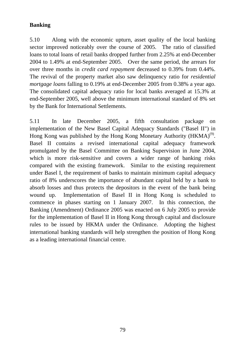# **Banking**

5.10 Along with the economic upturn, asset quality of the local banking sector improved noticeably over the course of 2005. The ratio of classified loans to total loans of retail banks dropped further from 2.25% at end-December 2004 to 1.49% at end-September 2005. Over the same period, the arrears for over three months in *credit card repayment* decreased to 0.39% from 0.44%. The revival of the property market also saw delinquency ratio for *residential mortgage loans* falling to 0.19% at end-December 2005 from 0.38% a year ago. The consolidated capital adequacy ratio for local banks averaged at 15.3% at end-September 2005, well above the minimum international standard of 8% set by the Bank for International Settlements.

5.11 In late December 2005, a fifth consultation package on implementation of the New Basel Capital Adequacy Standards ("Basel II") in Hong Kong was published by the Hong Kong Monetary Authority (HKMA)<sup>(9)</sup>. Basel II contains a revised international capital adequacy framework promulgated by the Basel Committee on Banking Supervision in June 2004, which is more risk-sensitive and covers a wider range of banking risks compared with the existing framework. Similar to the existing requirement under Basel I, the requirement of banks to maintain minimum capital adequacy ratio of 8% underscores the importance of abundant capital held by a bank to absorb losses and thus protects the depositors in the event of the bank being wound up. Implementation of Basel II in Hong Kong is scheduled to commence in phases starting on 1 January 2007. In this connection, the Banking (Amendment) Ordinance 2005 was enacted on 6 July 2005 to provide for the implementation of Basel II in Hong Kong through capital and disclosure rules to be issued by HKMA under the Ordinance. Adopting the highest international banking standards will help strengthen the position of Hong Kong as a leading international financial centre.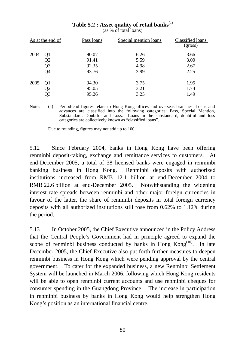|      | As at the end of | Pass loans | Special mention loans | Classified loans<br>(gross) |
|------|------------------|------------|-----------------------|-----------------------------|
| 2004 | Q1               | 90.07      | 6.26                  | 3.66                        |
|      | Q <sub>2</sub>   | 91.41      | 5.59                  | 3.00                        |
|      | Q <sub>3</sub>   | 92.35      | 4.98                  | 2.67                        |
|      | Q <sub>4</sub>   | 93.76      | 3.99                  | 2.25                        |
| 2005 | Q1               | 94.30      | 3.75                  | 1.95                        |
|      | Q <sub>2</sub>   | 95.05      | 3.21                  | 1.74                        |
|      | Q3               | 95.26      | 3.25                  | 1.49                        |

Table 5.2 : Asset quality of retail banks<sup>(a)</sup>

(as % of total loans)

Notes : (a) Period-end figures relate to Hong Kong offices and overseas branches. Loans and advances are classified into the following categories: Pass, Special Mention, Substandard, Doubtful and Loss. Loans in the substandard, doubtful and loss categories are collectively known as "classified loans".

Due to rounding, figures may not add up to 100.

5.12 Since February 2004, banks in Hong Kong have been offering renminbi deposit-taking, exchange and remittance services to customers. At end-December 2005, a total of 38 licensed banks were engaged in renminbi banking business in Hong Kong. Renminbi deposits with authorized institutions increased from RMB 12.1 billion at end-December 2004 to RMB 22.6 billion at end-December 2005. Notwithstanding the widening interest rate spreads between renminbi and other major foreign currencies in favour of the latter, the share of renminbi deposits in total foreign currency deposits with all authorized institutions still rose from 0.62% to 1.12% during the period.

5.13 In October 2005, the Chief Executive announced in the Policy Address that the Central People's Government had in principle agreed to expand the scope of renminbi business conducted by banks in Hong  $\text{Kong}^{(10)}$ . In late December 2005, the Chief Executive also put forth further measures to deepen renminbi business in Hong Kong which were pending approval by the central government. To cater for the expanded business, a new Renminbi Settlement System will be launched in March 2006, following which Hong Kong residents will be able to open renminbi current accounts and use renminbi cheques for consumer spending in the Guangdong Province. The increase in participation in renminbi business by banks in Hong Kong would help strengthen Hong Kong's position as an international financial centre.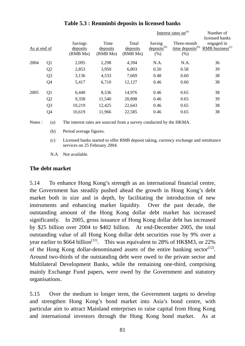|              |                |                                 |                              |                               | Interest rates on <sup>(a)</sup>          | Number of<br>licensed banks                           |                                             |
|--------------|----------------|---------------------------------|------------------------------|-------------------------------|-------------------------------------------|-------------------------------------------------------|---------------------------------------------|
| As at end of |                | Savings<br>deposits<br>(RMB Mn) | Time<br>deposits<br>(RMB Mn) | Total<br>deposits<br>(RMB Mn) | Saving<br>$\text{deposits}^{(b)}$<br>(% ) | Three-month<br>$time$ deposits <sup>(b)</sup><br>(% ) | engaged in<br>$RMB$ business <sup>(c)</sup> |
| 2004         | Q1             | 2,095                           | 2,298                        | 4,394                         | N.A.                                      | N.A.                                                  | 36                                          |
|              | Q <sub>2</sub> | 2,853                           | 3,950                        | 6,803                         | 0.50                                      | 0.58                                                  | 39                                          |
|              | Q <sub>3</sub> | 3,136                           | 4,533                        | 7,669                         | 0.48                                      | 0.60                                                  | 38                                          |
|              | Q4             | 5,417                           | 6,710                        | 12,127                        | 0.46                                      | 0.60                                                  | 38                                          |
| 2005         | Q1             | 6,440                           | 8,536                        | 14,976                        | 0.46                                      | 0.65                                                  | 38                                          |
|              | Q <sub>2</sub> | 9,358                           | 11,540                       | 20,898                        | 0.46                                      | 0.65                                                  | 39                                          |
|              | Q <sub>3</sub> | 10,219                          | 12,425                       | 22,643                        | 0.46                                      | 0.65                                                  | 38                                          |
|              | Q4             | 10,619                          | 11,966                       | 22,585                        | 0.46                                      | 0.65                                                  | 38                                          |
|              |                |                                 |                              |                               |                                           |                                                       |                                             |

# **Table 5.3 : Renminbi deposits in licensed banks**

Notes : (a) The interest rates are sourced from a survey conducted by the HKMA.

- (b) Period average figures.
- (c) Licensed banks started to offer RMB deposit taking, currency exchange and remittance services on 25 February 2004.
- N.A Not available.

### **The debt market**

5.14 To enhance Hong Kong's strength as an international financial centre, the Government has steadily pushed ahead the growth in Hong Kong's debt market both in size and in depth, by facilitating the introduction of new instruments and enhancing market liquidity. Over the past decade, the outstanding amount of the Hong Kong dollar debt market has increased significantly. In 2005, gross issuance of Hong Kong dollar debt has increased by \$25 billion over 2004 to \$402 billion. At end-December 2005, the total outstanding value of all Hong Kong dollar debt securities rose by 9% over a year earlier to  $$664$  billion<sup>(11)</sup>. This was equivalent to 28% of HK\$M3, or 22% of the Hong Kong dollar-denominated assets of the entire banking sector<sup>(12)</sup>. Around two-thirds of the outstanding debt were owed to the private sector and Multilateral Development Banks, while the remaining one-third, comprising mainly Exchange Fund papers, were owed by the Government and statutory organisations.

5.15 Over the medium to longer term, the Government targets to develop and strengthen Hong Kong's bond market into Asia's bond centre, with particular aim to attract Mainland enterprises to raise capital from Hong Kong and international investors through the Hong Kong bond market. As at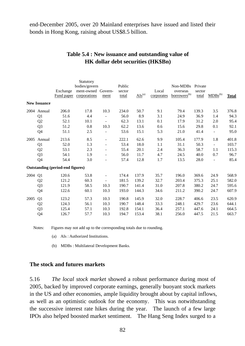end-December 2005, over 20 Mainland enterprises have issued and listed their bonds in Hong Kong, raising about US\$8.5 billion.

|                     |                |                                         | Statutory          |                          |        |             |            |                          |         |                          |              |
|---------------------|----------------|-----------------------------------------|--------------------|--------------------------|--------|-------------|------------|--------------------------|---------|--------------------------|--------------|
|                     |                |                                         | bodies/govern      |                          | Public |             |            | Non-MDBs                 | Private |                          |              |
|                     |                | Exchange                                | ment-owned Govern- |                          | sector |             | Local      | overseas                 | sector  |                          |              |
|                     |                | Fund paper                              | corporations       | ment                     | total  | $AIs^{(a)}$ | corporates | borrowers <sup>(b)</sup> | total   | $MDBs^{(b)}$             | <b>Total</b> |
| <b>New Issuance</b> |                |                                         |                    |                          |        |             |            |                          |         |                          |              |
|                     | 2004 Annual    | 206.0                                   | 17.8               | 10.3                     | 234.0  | 50.7        | 9.1        | 79.4                     | 139.3   | 3.5                      | 376.8        |
|                     | Q1             | 51.6                                    | 4.4                |                          | 56.0   | 8.9         | 3.1        | 24.9                     | 36.9    | 1.4                      | 94.3         |
|                     | Q2             | 52.1                                    | 10.1               |                          | 62.3   | 13.1        | 0.1        | 17.9                     | 31.2    | 2.0                      | 95.4         |
|                     | Q <sub>3</sub> | 51.2                                    | 0.8                | 10.3                     | 62.2   | 13.6        | 0.6        | 15.6                     | 29.8    | 0.1                      | 92.1         |
|                     | Q <sub>4</sub> | 51.1                                    | 2.5                |                          | 53.6   | 15.1        | 5.3        | 21.0                     | 41.4    | $\overline{\phantom{a}}$ | 95.0         |
| 2005                | Annual         | 213.6                                   | 8.5                | $\overline{\phantom{m}}$ | 222.1  | 62.6        | 9.9        | 105.4                    | 177.9   | 1.8                      | 401.8        |
|                     | Q <sub>1</sub> | 52.0                                    | 1.3                | $\overline{\phantom{a}}$ | 53.4   | 18.0        | 1.1        | 31.1                     | 50.3    | $\blacksquare$           | 103.7        |
|                     | Q2             | 53.1                                    | 2.3                | $\overline{\phantom{a}}$ | 55.4   | 20.1        | 2.4        | 36.3                     | 58.7    | 1.1                      | 115.3        |
|                     | Q <sub>3</sub> | 54.1                                    | 1.9                | $\overline{\phantom{a}}$ | 56.0   | 11.7        | 4.7        | 24.5                     | 40.0    | 0.7                      | 96.7         |
|                     | Q4             | 54.4                                    | 3.0                |                          | 57.4   | 12.8        | 1.7        | 13.5                     | 28.0    | $\blacksquare$           | 85.4         |
|                     |                | <b>Outstanding (period-end figures)</b> |                    |                          |        |             |            |                          |         |                          |              |
| 2004                | Q <sub>1</sub> | 120.6                                   | 53.8               | $\overline{\phantom{a}}$ | 174.4  | 137.9       | 35.7       | 196.0                    | 369.6   | 24.9                     | 568.9        |
|                     | Q2             | 121.2                                   | 60.3               | $\overline{\phantom{a}}$ | 181.5  | 139.2       | 32.7       | 203.4                    | 375.3   | 25.1                     | 582.0        |
|                     | Q <sub>3</sub> | 121.9                                   | 58.5               | 10.3                     | 190.7  | 141.4       | 31.0       | 207.8                    | 380.2   | 24.7                     | 595.6        |
|                     | Q4             | 122.6                                   | 60.1               | 10.3                     | 193.0  | 144.3       | 34.6       | 211.2                    | 390.2   | 24.7                     | 607.9        |
| 2005                | Q1             | 123.2                                   | 57.3               | 10.3                     | 190.8  | 145.9       | 32.0       | 228.7                    | 406.6   | 23.5                     | 620.9        |
|                     | Q <sub>2</sub> | 124.3                                   | 56.1               | 10.3                     | 190.7  | 148.4       | 33.3       | 248.1                    | 429.7   | 23.6                     | 644.1        |
|                     | Q <sub>3</sub> | 125.4                                   | 57.1               | 10.3                     | 192.8  | 154.1       | 36.4       | 257.1                    | 447.6   | 24.1                     | 664.5        |
|                     | Q4             | 126.7                                   | 57.7               | 10.3                     | 194.7  | 153.4       | 38.1       | 256.0                    | 447.5   | 21.5                     | 663.7        |

# **Table 5.4 : New issuance and outstanding value of HK dollar debt securities (HK\$Bn)**

Notes: Figures may not add up to the corresponding totals due to rounding.

(a) AIs : Authorized Institutions.

(b) MDBs : Multilateral Development Banks.

### **The stock and futures markets**

5.16 *The local stock market* showed a robust performance during most of 2005, backed by improved corporate earnings, generally buoyant stock markets in the US and other economies, ample liquidity brought about by capital inflows, as well as an optimistic outlook for the economy. This was notwithstanding the successive interest rate hikes during the year. The launch of a few large IPOs also helped boosted market sentiment. The Hang Seng Index surged to a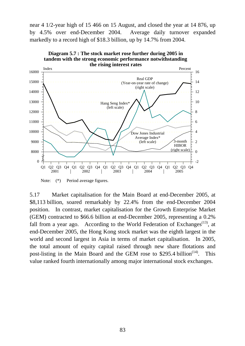near 4 1/2-year high of 15 466 on 15 August, and closed the year at 14 876, up by 4.5% over end-December 2004. Average daily turnover expanded markedly to a record high of \$18.3 billion, up by 14.7% from 2004.



**Diagram 5.7 : The stock market rose further during 2005 in tandem with the strong economic performance notwithstanding** 

Note: (\*) Period average figures.

5.17 Market capitalisation for the Main Board at end-December 2005, at \$8,113 billion, soared remarkably by 22.4% from the end-December 2004 position. In contrast, market capitalisation for the Growth Enterprise Market (GEM) contracted to \$66.6 billion at end-December 2005, representing a 0.2% fall from a year ago. According to the World Federation of Exchanges<sup> $(13)$ </sup>, at end-December 2005, the Hong Kong stock market was the eighth largest in the world and second largest in Asia in terms of market capitalisation. In 2005, the total amount of equity capital raised through new share flotations and post-listing in the Main Board and the GEM rose to  $$295.4$  billion<sup>(14)</sup>. This value ranked fourth internationally among major international stock exchanges.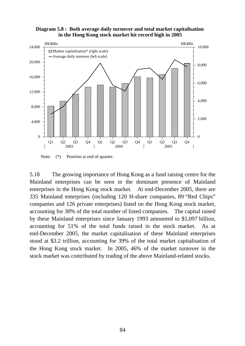



Note:  $(*)$  Position at end of quarter.

5.18 The growing importance of Hong Kong as a fund raising centre for the Mainland enterprises can be seen in the dominant presence of Mainland enterprises in the Hong Kong stock market. At end-December 2005, there are 335 Mainland enterprises (including 120 H-share companies, 89 "Red Chips" companies and 126 private enterprises) listed on the Hong Kong stock market, accounting for 30% of the total number of listed companies. The capital raised by these Mainland enterprises since January 1993 amounted to \$1,097 billion, accounting for 51% of the total funds raised in the stock market. As at end-December 2005, the market capitalisation of these Mainland enterprises stood at \$3.2 trillion, accounting for 39% of the total market capitalisation of the Hong Kong stock market. In 2005, 46% of the market turnover in the stock market was contributed by trading of the above Mainland-related stocks.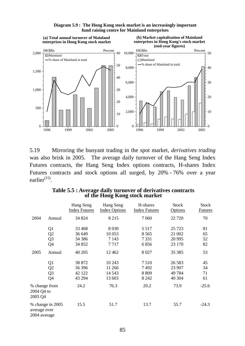

#### **Diagram 5.9 : The Hong Kong stock market is an increasingly important fund raising centre for Mainland enterprises**

5.19 Mirroring the buoyant trading in the spot market, *derivatives trading* was also brisk in 2005. The average daily turnover of the Hang Seng Index Futures contracts, the Hang Seng Index options contracts, H-shares Index Futures contracts and stock options all surged, by 20% - 76% over a year earlier<sup>(15)</sup>.

| Table 5.5 : Average daily turnover of derivatives contracts |  |
|-------------------------------------------------------------|--|
| of the Hong Kong stock market                               |  |

|                                        |                                                                                                        | Hang Seng<br><b>Index Futures</b>                                                          | Hang Seng<br><b>Index Options</b>                                                        | H-shares<br><b>Index Futures</b>                                                      | <b>Stock</b><br><b>Options</b>                                                              | <b>Stock</b><br><b>Futures</b>                     |
|----------------------------------------|--------------------------------------------------------------------------------------------------------|--------------------------------------------------------------------------------------------|------------------------------------------------------------------------------------------|---------------------------------------------------------------------------------------|---------------------------------------------------------------------------------------------|----------------------------------------------------|
| 2004                                   | Annual                                                                                                 | 34 824                                                                                     | 8 2 1 5                                                                                  | 7 0 6 0                                                                               | 22 7 20                                                                                     | 70                                                 |
| 2005                                   | Q1<br>Q2<br>Q <sub>3</sub><br>Q4<br>Annual<br>Q <sub>1</sub><br>Q2<br>Q <sub>3</sub><br>Q <sub>4</sub> | 33 4 68<br>36 649<br>34 38 6<br>34 852<br>40 20 5<br>38 872<br>36 39 6<br>42 122<br>43 294 | 8 0 3 0<br>10 053<br>7 1 4 3<br>7717<br>12 4 62<br>10 243<br>11 266<br>14 5 43<br>13 603 | 5 5 1 7<br>8 5 6 5<br>7 3 3 1<br>6856<br>8 0 27<br>7510<br>7492<br>8 8 0 9<br>8 2 4 2 | 25 7 23<br>21 002<br>20 9 95<br>23 170<br>35 385<br>26 5 8 3<br>23 907<br>49 7 84<br>40 304 | 81<br>65<br>52<br>82<br>53<br>45<br>34<br>71<br>61 |
| % change from<br>2004 Q4 to<br>2005 Q4 |                                                                                                        | 24.2                                                                                       | 76.3                                                                                     | 20.2                                                                                  | 73.9                                                                                        | $-25.6$                                            |
| average over<br>2004 average           | % change in 2005                                                                                       | 15.5                                                                                       | 51.7                                                                                     | 13.7                                                                                  | 55.7                                                                                        | $-24.3$                                            |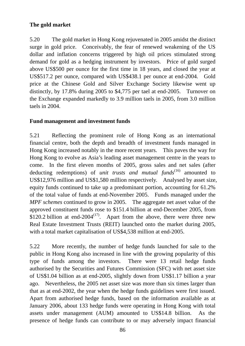# **The gold market**

5.20 The gold market in Hong Kong rejuvenated in 2005 amidst the distinct surge in gold price. Conceivably, the fear of renewed weakening of the US dollar and inflation concerns triggered by high oil prices stimulated strong demand for gold as a hedging instrument by investors. Price of gold surged above US\$500 per ounce for the first time in 18 years, and closed the year at US\$517.2 per ounce, compared with US\$438.1 per ounce at end-2004. Gold price at the Chinese Gold and Silver Exchange Society likewise went up distinctly, by 17.8% during 2005 to \$4,775 per tael at end-2005. Turnover on the Exchange expanded markedly to 3.9 million taels in 2005, from 3.0 million taels in 2004.

# **Fund management and investment funds**

5.21 Reflecting the prominent role of Hong Kong as an international financial centre, both the depth and breadth of investment funds managed in Hong Kong increased notably in the more recent years. This paves the way for Hong Kong to evolve as Asia's leading asset management centre in the years to come. In the first eleven months of 2005, gross sales and net sales (after deducting redemptions) of *unit trusts and mutual funds*<sup>(16)</sup> amounted to US\$12,976 million and US\$1,580 million respectively. Analysed by asset size, equity funds continued to take up a predominant portion, accounting for 61.2% of the total value of funds at end-November 2005. Funds managed under the *MPF schemes* continued to grow in 2005. The aggregate net asset value of the approved constituent funds rose to \$151.4 billion at end-December 2005, from \$120.2 billion at end-2004<sup>(17)</sup>. Apart from the above, there were three new Real Estate Investment Trusts (REIT) launched onto the market during 2005, with a total market capitalisation of US\$4,538 million at end-2005.

5.22 More recently, the number of hedge funds launched for sale to the public in Hong Kong also increased in line with the growing popularity of this type of funds among the investors. There were 13 retail hedge funds authorised by the Securities and Futures Commission (SFC) with net asset size of US\$1.04 billion as at end-2005, slightly down from US\$1.17 billion a year ago. Nevertheless, the 2005 net asset size was more than six times larger than that as at end-2002, the year when the hedge funds guidelines were first issued. Apart from authorised hedge funds, based on the information available as at January 2006, about 133 hedge funds were operating in Hong Kong with total assets under management (AUM) amounted to US\$14.8 billion. As the presence of hedge funds can contribute to or may adversely impact financial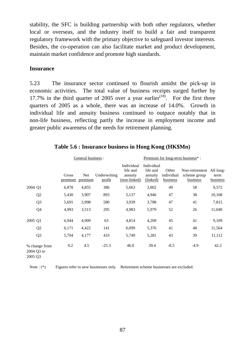stability, the SFC is building partnership with both other regulators, whether local or overseas, and the industry itself to build a fair and transparent regulatory framework with the primary objective to safeguard investor interests. Besides, the co-operation can also facilitate market and product development, maintain market confidence and promote high standards.

## **Insurance**

5.23 The insurance sector continued to flourish amidst the pick-up in economic activities. The total value of business receipts surged further by 17.7% in the third quarter of 2005 over a year earlier<sup>(18)</sup>. For the first three quarters of 2005 as a whole, there was an increase of 14.0%. Growth in individual life and annuity business continued to outpace notably that in non-life business, reflecting partly the increase in employment income and greater public awareness of the needs for retirement planning.

|                                        |                  | General business : |                        | Premium for long-term business*:                  |                                               |                                        |                                                      |                  |
|----------------------------------------|------------------|--------------------|------------------------|---------------------------------------------------|-----------------------------------------------|----------------------------------------|------------------------------------------------------|------------------|
|                                        | Gross<br>premium | Net<br>premium     | Underwriting<br>profit | Individual<br>life and<br>annuity<br>(non-linked) | Individual<br>life and<br>annuity<br>(linked) | Other<br>individual<br><b>business</b> | Non-retirement All long-<br>scheme group<br>business | term<br>business |
| 2004 Q1                                | 6,878            | 4,855              | 386                    | 5,663                                             | 3,802                                         | 49                                     | 58                                                   | 9,572            |
| Q <sub>2</sub>                         | 5,430            | 3,907              | 893                    | 5,137                                             | 4,946                                         | 47                                     | 38                                                   | 10,168           |
| Q <sub>3</sub>                         | 5,691            | 3,998              | 580                    | 3,939                                             | 3,788                                         | 47                                     | 41                                                   | 7,815            |
| Q <sub>4</sub>                         | 4,993            | 3,513              | 295                    | 4,983                                             | 5,979                                         | 52                                     | 26                                                   | 11,040           |
| 2005 Q1                                | 6,944            | 4,909              | 63                     | 4,814                                             | 4,209                                         | 45                                     | 41                                                   | 9,109            |
| Q <sub>2</sub>                         | 6,171            | 4,422              | 141                    | 6,099                                             | 5,376                                         | 41                                     | 48                                                   | 11,564           |
| Q <sub>3</sub>                         | 5,704            | 4,177              | 433                    | 5,749                                             | 5,281                                         | 43                                     | 39                                                   | 11,112           |
| % change from<br>2004 Q3 to<br>2005 Q3 | 0.2              | 4.5                | $-25.3$                | 46.0                                              | 39.4                                          | $-8.5$                                 | $-4.9$                                               | 42.2             |

## **Table 5.6 : Insurance business in Hong Kong (HK\$Mn)**

Note : (\*) Figures refer to new businesses only. Retirement scheme businesses are excluded.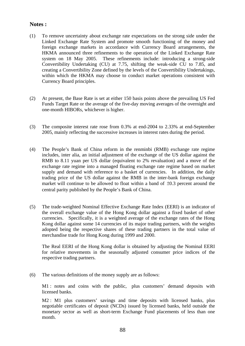### **Notes :**

- (1) To remove uncertainty about exchange rate expectations on the strong side under the Linked Exchange Rate System and promote smooth functioning of the money and foreign exchange markets in accordance with Currency Board arrangements, the HKMA announced three refinements to the operation of the Linked Exchange Rate system on 18 May 2005. These refinements include: introducing a strong-side Convertibility Undertaking (CU) at 7.75, shifting the weak-side CU to 7.85, and creating a Convertibility Zone defined by the levels of the Convertibility Undertakings, within which the HKMA may choose to conduct market operations consistent with Currency Board principles.
- (2) At present, the Base Rate is set at either 150 basis points above the prevailing US Fed Funds Target Rate or the average of the five-day moving averages of the overnight and one-month HIBORs, whichever is higher.
- (3) The composite interest rate rose from 0.3% at end-2004 to 2.33% at end-September 2005, mainly reflecting the successive increases in interest rates during the period.
- (4) The People's Bank of China reform in the renminbi (RMB) exchange rate regime includes, inter alia, an initial adjustment of the exchange of the US dollar against the RMB to 8.11 yuan per US dollar (equivalent to 2% revaluation) and a move of the exchange rate regime into a managed floating exchange rate regime based on market supply and demand with reference to a basket of currencies. In addition, the daily trading price of the US dollar against the RMB in the inter-bank foreign exchange market will continue to be allowed to float within a band of  $\pm 0.3$  percent around the central parity published by the People's Bank of China.
- (5) The trade-weighted Nominal Effective Exchange Rate Index (EERI) is an indicator of the overall exchange value of the Hong Kong dollar against a fixed basket of other currencies. Specifically, it is a weighted average of the exchange rates of the Hong Kong dollar against some 14 currencies of its major trading partners, with the weights adopted being the respective shares of these trading partners in the total value of merchandise trade for Hong Kong during 1999 and 2000.

 The Real EERI of the Hong Kong dollar is obtained by adjusting the Nominal EERI for relative movements in the seasonally adjusted consumer price indices of the respective trading partners.

(6) The various definitions of the money supply are as follows:

M1 : notes and coins with the public, plus customers' demand deposits with licensed banks.

M2 : M1 plus customers' savings and time deposits with licensed banks, plus negotiable certificates of deposit (NCDs) issued by licensed banks, held outside the monetary sector as well as short-term Exchange Fund placements of less than one month.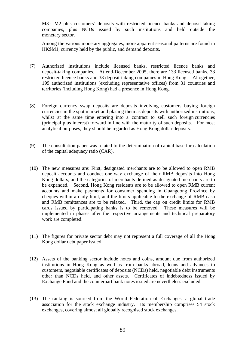M3 : M2 plus customers' deposits with restricted licence banks and deposit-taking companies, plus NCDs issued by such institutions and held outside the monetary sector.

 Among the various monetary aggregates, more apparent seasonal patterns are found in HK\$M1, currency held by the public, and demand deposits.

- (7) Authorized institutions include licensed banks, restricted licence banks and deposit-taking companies. At end-December 2005, there are 133 licensed banks, 33 restricted licence banks and 33 deposit-taking companies in Hong Kong. Altogether, 199 authorized institutions (excluding representative offices) from 31 countries and territories (including Hong Kong) had a presence in Hong Kong.
- (8) Foreign currency swap deposits are deposits involving customers buying foreign currencies in the spot market and placing them as deposits with authorized institutions, whilst at the same time entering into a contract to sell such foreign currencies (principal plus interest) forward in line with the maturity of such deposits. For most analytical purposes, they should be regarded as Hong Kong dollar deposits.
- (9) The consultation paper was related to the determination of capital base for calculation of the capital adequacy ratio (CAR).
- (10) The new measures are: First, designated merchants are to be allowed to open RMB deposit accounts and conduct one-way exchange of their RMB deposits into Hong Kong dollars, and the categories of merchants defined as designated merchants are to be expanded. Second, Hong Kong residents are to be allowed to open RMB current accounts and make payments for consumer spending in Guangdong Province by cheques within a daily limit, and the limits applicable to the exchange of RMB cash and RMB remittances are to be relaxed. Third, the cap on credit limits for RMB cards issued by participating banks is to be removed. These measures will be implemented in phases after the respective arrangements and technical preparatory work are completed.
- (11) The figures for private sector debt may not represent a full coverage of all the Hong Kong dollar debt paper issued.
- (12) Assets of the banking sector include notes and coins, amount due from authorized institutions in Hong Kong as well as from banks abroad, loans and advances to customers, negotiable certificates of deposits (NCDs) held, negotiable debt instruments other than NCDs held, and other assets. Certificates of indebtedness issued by Exchange Fund and the counterpart bank notes issued are nevertheless excluded.
- (13) The ranking is sourced from the World Federation of Exchanges, a global trade association for the stock exchange industry. Its membership comprises 54 stock exchanges, covering almost all globally recognised stock exchanges.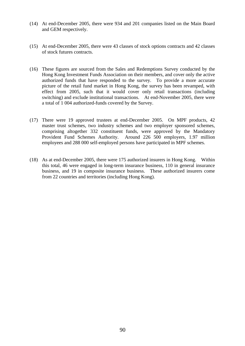- (14) At end-December 2005, there were 934 and 201 companies listed on the Main Board and GEM respectively.
- (15) At end-December 2005, there were 43 classes of stock options contracts and 42 classes of stock futures contracts.
- (16) These figures are sourced from the Sales and Redemptions Survey conducted by the Hong Kong Investment Funds Association on their members, and cover only the active authorized funds that have responded to the survey. To provide a more accurate picture of the retail fund market in Hong Kong, the survey has been revamped, with effect from 2005, such that it would cover only retail transactions (including switching) and exclude institutional transactions. At end-November 2005, there were a total of 1 004 authorized-funds covered by the Survey.
- (17) There were 19 approved trustees at end-December 2005. On MPF products, 42 master trust schemes, two industry schemes and two employer sponsored schemes, comprising altogether 332 constituent funds, were approved by the Mandatory Provident Fund Schemes Authority. Around 226 500 employers, 1.97 million employees and 288 000 self-employed persons have participated in MPF schemes.
- (18) As at end-December 2005, there were 175 authorized insurers in Hong Kong. Within this total, 46 were engaged in long-term insurance business, 110 in general insurance business, and 19 in composite insurance business. These authorized insurers come from 22 countries and territories (including Hong Kong).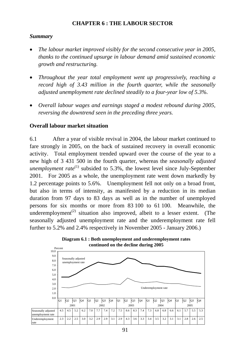# **CHAPTER 6 : THE LABOUR SECTOR**

# *Summary*

- *The labour market improved visibly for the second consecutive year in 2005, thanks to the continued upsurge in labour demand amid sustained economic growth and restructuring.*
- *Throughout the year total employment went up progressively, reaching a record high of 3.43 million in the fourth quarter, while the seasonally adjusted unemployment rate declined steadily to a four-year low of 5.3%.*
- *Overall labour wages and earnings staged a modest rebound during 2005, reversing the downtrend seen in the preceding three years.*

# **Overall labour market situation**

6.1 After a year of visible revival in 2004, the labour market continued to fare strongly in 2005, on the back of sustained recovery in overall economic activity. Total employment trended upward over the course of the year to a new high of 3 431 500 in the fourth quarter, whereas the *seasonally adjusted unemployment rate*<sup>(1)</sup> subsided to 5.3%, the lowest level since July-September 2001. For 2005 as a whole, the unemployment rate went down markedly by 1.2 percentage points to 5.6%. Unemployment fell not only on a broad front, but also in terms of intensity, as manifested by a reduction in its median duration from 97 days to 83 days as well as in the number of unemployed persons for six months or more from 83 100 to 61 100. Meanwhile, the underemployment<sup> $(2)$ </sup> situation also improved, albeit to a lesser extent. (The seasonally adjusted unemployment rate and the underemployment rate fell further to 5.2% and 2.4% respectively in November 2005 - January 2006.)



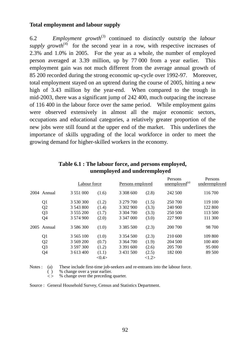### **Total employment and labour supply**

6.2 *Employment growth*(3) continued to distinctly outstrip the *labour supply growth*<sup>(4)</sup> for the second year in a row, with respective increases of 2.3% and 1.0% in 2005. For the year as a whole, the number of employed person averaged at 3.39 million, up by 77 000 from a year earlier. This employment gain was not much different from the average annual growth of 85 200 recorded during the strong economic up-cycle over 1992-97. Moreover, total employment stayed on an uptrend during the course of 2005, hitting a new high of 3.43 million by the year-end. When compared to the trough in mid-2003, there was a significant jump of 242 400, much outpacing the increase of 116 400 in the labour force over the same period. While employment gains were observed extensively in almost all the major economic sectors, occupations and educational categories, a relatively greater proportion of the new jobs were still found at the upper end of the market. This underlines the importance of skills upgrading of the local workforce in order to meet the growing demand for higher-skilled workers in the economy.

|      |                | Labour force  |       | Persons employed |       | $\mu$ unemployed <sup>(a)</sup> | underemployed |  |
|------|----------------|---------------|-------|------------------|-------|---------------------------------|---------------|--|
|      | 2004 Annual    | 3 551 000     | (1.6) | 3 308 600        | (2.8) | 242 500                         | 116 700       |  |
|      | Q <sub>1</sub> | 3 530 300     | (1.2) | 3 279 700        | (1.5) | 250 700                         | 119 100       |  |
|      | Q <sub>2</sub> | 3 543 800     | (1.4) | 3 302 900        | (3.3) | 240 900                         | 122 800       |  |
|      | Q <sub>3</sub> | 3 555 200     | (1.7) | 3 304 700        | (3.3) | 250 500                         | 113 500       |  |
|      | Q4             | 3 574 900     | (2.0) | 3 347 000        | (3.0) | 227 900                         | 111 300       |  |
| 2005 | Annual         | 3 586 300     | (1.0) | 3 3 8 5 5 0 0    | (2.3) | 200 700                         | 98 700        |  |
|      | Q <sub>1</sub> | 3 5 6 5 1 0 0 | (1.0) | 3 3 5 4 5 0 0    | (2.3) | 210 600                         | 109 800       |  |
|      | Q <sub>2</sub> | 3 569 200     | (0.7) | 3 3 64 7 00      | (1.9) | 204 500                         | 100 400       |  |
|      | Q <sub>3</sub> | 3 597 300     | (1.2) | 3 391 600        | (2.6) | 205 700                         | 95 000        |  |
|      | Q4             | 3 613 400     | (1.1) | 3 431 500        | (2.5) | 182 000                         | 89 500        |  |
|      |                |               | <0.4> |                  | <1.2> |                                 |               |  |

# **Table 6.1 : The labour force, and persons employed, unemployed and underemployed**

Persons

Persons

Notes : (a) These include first-time job-seekers and re-entrants into the labour force.

( ) % change over a year earlier.

 $\leq$  % change over the preceding quarter.

Source : General Household Survey, Census and Statistics Department.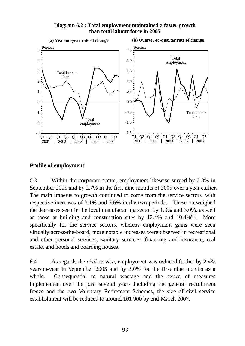

#### **Diagram 6.2 : Total employment maintained a faster growth than total labour force in 2005**

## **Profile of employment**

6.3 Within the corporate sector, employment likewise surged by 2.3% in September 2005 and by 2.7% in the first nine months of 2005 over a year earlier. The main impetus to growth continued to come from the service sectors, with respective increases of 3.1% and 3.6% in the two periods. These outweighed the decreases seen in the local manufacturing sector by 1.0% and 3.0%, as well as those at building and construction sites by  $12.4\%$  and  $10.4\%$ <sup>(5)</sup>. More specifically for the service sectors, whereas employment gains were seen virtually across-the-board, more notable increases were observed in recreational and other personal services, sanitary services, financing and insurance, real estate, and hotels and boarding houses.

6.4 As regards the *civil service*, employment was reduced further by 2.4% year-on-year in September 2005 and by 3.0% for the first nine months as a whole. Consequential to natural wastage and the series of measures implemented over the past several years including the general recruitment freeze and the two Voluntary Retirement Schemes, the size of civil service establishment will be reduced to around 161 900 by end-March 2007.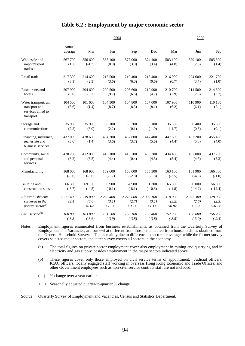#### **Table 6.2 : Employment by major economic sector**

|                                                                          |                     |                             | 2004                        | 2005                        |                                             |                             |                             |                                |
|--------------------------------------------------------------------------|---------------------|-----------------------------|-----------------------------|-----------------------------|---------------------------------------------|-----------------------------|-----------------------------|--------------------------------|
|                                                                          | Annual<br>average   | Mar                         | Jun                         | Sep                         | Dec                                         | Mar                         | Jun                         | <b>Sep</b>                     |
| Wholesale and<br>import/export<br>trades                                 | 567 700<br>(1.7)    | 556 600<br>$(-1.3)$         | 563 100<br>(0.9)            | 577 000<br>(3.8)            | 574 100<br>(3.4)                            | 583 100<br>(4.8)            | 579 100<br>(2.8)            | 585 300<br>(1.4)               |
| Retail trade                                                             | 217 300<br>(3.1)    | 214 600<br>(2.3)            | 216 500<br>(3.6)            | 219 400<br>(6.0)            | 218 400<br>(0.6)                            | 216 000<br>(0.7)            | 224 600<br>(3.7)            | 221 700<br>(1.0)               |
| Restaurants and<br>hotels                                                | 207 900<br>(6.0)    | 204 600<br>(3.2)            | 209 500<br>(9.7)            | 206 600<br>(6.6)            | 210 900<br>(4.7)                            | 210 700<br>(2.9)            | 214 500<br>(2.3)            | 214 300<br>(3.7)               |
| Water transport, air<br>transport and<br>services allied to<br>transport | 104 500<br>(6.6)    | 101 600<br>(1.4)            | 104 500<br>(8.7)            | 104 800<br>(8.5)            | 107 000<br>(8.1)                            | 107 900<br>(6.2)            | 110 900<br>(6.1)            | 110 100<br>(5.1)               |
| Storage and<br>communications                                            | 35 900<br>(2.2)     | 35 900<br>(8.0)             | 36 100<br>(2.2)             | 35 300<br>(0.1)             | 36 100<br>$(-1.0)$                          | 35 300<br>$(-1.7)$          | 36 400<br>(0.8)             | 35 300<br>(0.1)                |
| Financing, insurance,<br>real estate and<br>business services            | 437 000<br>(3.6)    | 428 600<br>(1.4)            | 434 200<br>(3.6)            | 437 800<br>(3.7)            | 447 400<br>(5.6)                            | 447 600<br>(4.4)            | 457 200<br>(5.3)            | 455 400<br>(4.0)               |
| Community, social<br>and personal<br>services                            | 420 200<br>(3.2)    | 412 000<br>(3.5)            | 418 100<br>(4.4)            | 415 700<br>(0.4)            | 435 200<br>(4.5)                            | 434 400<br>(5.4)            | 437 000<br>(4.5)            | 437 700<br>(5.3)               |
| Manufacturing                                                            | 168 000<br>$(-3.0)$ | 168 900<br>$(-5.6)$         | 169 600<br>$(-1.7)$         | 168 000<br>$(-2.8)$         | 165 300<br>$(-1.8)$                         | 163 100<br>$(-3.5)$         | 161 900<br>$(-4.5)$         | 166 300<br>$(-1.0)$            |
| Building and<br>construction sites                                       | 66 300<br>$(-5.7)$  | 69 100<br>$(-4.5)$          | 69 900<br>$(-0.1)$          | 64 900<br>$(-8.1)$          | 61 200<br>$(-10.3)$                         | 65 800<br>$(-4.8)$          | 60 000<br>$(-14.2)$         | 56 800<br>$(-12.4)$            |
| All establishments<br>surveyed in the<br>private sector $(a)$            | 2 271 400<br>(2.4)  | 2 239 000<br>(0.6)<br><0.6> | 2 268 400<br>(3.1)<br><1.0> | 2 276 000<br>(2.7)<br><0.2> | 2 302 100<br>(3.1)<br>$\langle l.l \rangle$ | 2 310 000<br>(3.2)<br><0.8> | 2 327 300<br>(2.6)<br><0.5> | 2 328 900<br>(2.3)<br>$< -0.1$ |
| Civil service <sup>(b)</sup>                                             | 160 800<br>$(-3.8)$ | 163 000<br>$(-3.6)$         | 161700<br>$(-3.9)$          | 160 100<br>$(-3.8)$         | 158 400<br>$(-3.8)$                         | 157300<br>$(-3.5)$          | 156 800<br>$(-3.0)$         | 156 200<br>$(-2.4)$            |

Notes : Employment figures enumerated from business establishments, as obtained from the Quarterly Survey of Employment and Vacancies, are somewhat different from those enumerated from households, as obtained from the General Household Survey. This is mainly due to difference in sectoral coverage: while the former survey covers selected major sectors, the latter survey covers all sectors in the economy.

 (a) The total figures on private sector employment cover also employment in mining and quarrying and in electricity and gas supply, besides employment in the major sectors indicated above.

 (b) These figures cover only those employed on civil service terms of appointment. Judicial officers, ICAC officers, locally engaged staff working in overseas Hong Kong Economic and Trade Offices, and other Government employees such as non-civil service contract staff are not included.

( ) % change over a year earlier.

< > Seasonally adjusted quarter-to-quarter % change.

Source : Quarterly Survey of Employment and Vacancies, Census and Statistics Department.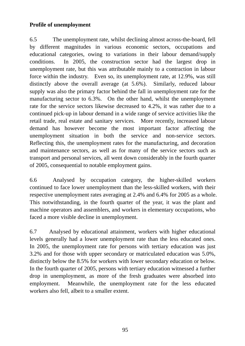# **Profile of unemployment**

6.5 The unemployment rate, whilst declining almost across-the-board, fell by different magnitudes in various economic sectors, occupations and educational categories, owing to variations in their labour demand/supply conditions. In 2005, the construction sector had the largest drop in unemployment rate, but this was attributable mainly to a contraction in labour force within the industry. Even so, its unemployment rate, at 12.9%, was still distinctly above the overall average (at 5.6%). Similarly, reduced labour supply was also the primary factor behind the fall in unemployment rate for the manufacturing sector to 6.3%. On the other hand, whilst the unemployment rate for the service sectors likewise decreased to 4.2%, it was rather due to a continued pick-up in labour demand in a wide range of service activities like the retail trade, real estate and sanitary services. More recently, increased labour demand has however become the most important factor affecting the unemployment situation in both the service and non-service sectors. Reflecting this, the unemployment rates for the manufacturing, and decoration and maintenance sectors, as well as for many of the service sectors such as transport and personal services, all went down considerably in the fourth quarter of 2005, consequential to notable employment gains.

6.6 Analysed by occupation category, the higher-skilled workers continued to face lower unemployment than the less-skilled workers, with their respective unemployment rates averaging at 2.4% and 6.4% for 2005 as a whole. This notwithstanding, in the fourth quarter of the year, it was the plant and machine operators and assemblers, and workers in elementary occupations, who faced a more visible decline in unemployment.

6.7 Analysed by educational attainment, workers with higher educational levels generally had a lower unemployment rate than the less educated ones. In 2005, the unemployment rate for persons with tertiary education was just 3.2% and for those with upper secondary or matriculated education was 5.0%, distinctly below the 8.5% for workers with lower secondary education or below. In the fourth quarter of 2005, persons with tertiary education witnessed a further drop in unemployment, as more of the fresh graduates were absorbed into employment. Meanwhile, the unemployment rate for the less educated workers also fell, albeit to a smaller extent.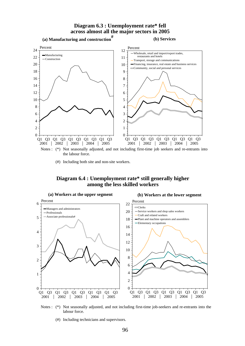#### **Diagram 6.3 : Unemployment rate\* fell across almost all the major sectors in 2005**



(#) Including both site and non-site workers.

#### **Diagram 6.4 : Unemployment rate\* still generally higher among the less skilled workers**





(#) Including technicians and supervisors.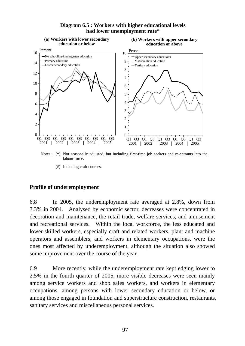

#### **Diagram 6.5 : Workers with higher educational levels had lower unemployment rate\***

Notes : (\*) Not seasonally adjusted, but including first-time job seekers and re-entrants into the labour force.

(#) Including craft courses.

## **Profile of underemployment**

6.8 In 2005, the underemployment rate averaged at 2.8%, down from 3.3% in 2004. Analysed by economic sector, decreases were concentrated in decoration and maintenance, the retail trade, welfare services, and amusement and recreational services. Within the local workforce, the less educated and lower-skilled workers, especially craft and related workers, plant and machine operators and assemblers, and workers in elementary occupations, were the ones most affected by underemployment, although the situation also showed some improvement over the course of the year.

6.9 More recently, while the underemployment rate kept edging lower to 2.5% in the fourth quarter of 2005, more visible decreases were seen mainly among service workers and shop sales workers, and workers in elementary occupations, among persons with lower secondary education or below, or among those engaged in foundation and superstructure construction, restaurants, sanitary services and miscellaneous personal services.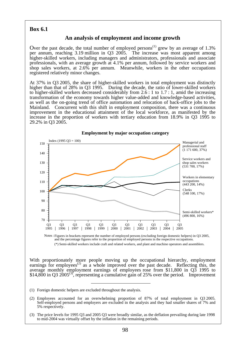#### **Box 6.1**

#### **An analysis of employment and income growth**

Over the past decade, the total number of employed persons<sup>(1)</sup> grew by an average of  $1.3\%$ per annum, reaching 3.19 million in Q3 2005. The increase was most apparent among higher-skilled workers, including managers and administrators, professionals and associate professionals, with an average growth at 4.1% per annum, followed by service workers and shop sales workers, at 2.6% per annum. Meanwhile, workers in the other occupations registered relatively minor changes.

At 37% in Q3 2005, the share of higher-skilled workers in total employment was distinctly higher than that of 28% in Q3 1995. During the decade, the ratio of lower-skilled workers to higher-skilled workers decreased considerably from 2.6 : 1 to 1.7 : 1, amid the increasing transformation of the economy towards higher value-added and knowledge-based activities, as well as the on-going trend of office automation and relocation of back-office jobs to the Mainland. Concurrent with this shift in employment composition, there was a continuous improvement in the educational attainment of the local workforce, as manifested by the increase in the proportion of workers with tertiary education from 18.9% in Q3 1995 to 29.2% in Q3 2005.



Notes : Figures in brackets represent the number of employed persons (excluding foreign domestic helpers) in Q3 2005, and the percentage figures refer to the proportion of employed persons in the respective occupations. (\*) Semi-skilled workers include craft and related workers, and plant and machine operators and assemblers.

With proportionately more people moving up the occupational hierarchy, employment earnings for employees<sup>(2)</sup> as a whole improved over the past decade. Reflecting this, the average monthly employment earnings of employees rose from \$11,800 in Q3 1995 to \$14,800 in Q3 2005<sup>(3)</sup>, representing a cumulative gain of 25% over the period. Improvement

- (1) Foreign domestic helpers are excluded throughout the analysis.
- (2) Employees accounted for an overwhelming proportion of 87% of total employment in Q3 2005. Self-employed persons and employers are excluded in the analysis and they had smaller shares of 7% and 5% respectively.
- (3) The price levels for 1995 Q3 and 2005 Q3 were broadly similar, as the deflation prevailing during late 1998 to mid-2004 was virtually offset by the inflation in the remaining periods.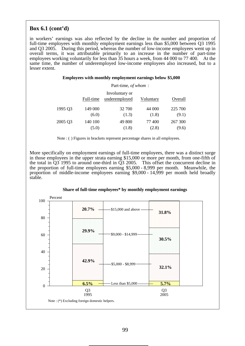### **Box 6.1 (cont'd)**

in workers' earnings was also reflected by the decline in the number and proportion of full-time employees with monthly employment earnings less than \$5,000 between Q3 1995 and Q3 2005. During this period, whereas the number of low-income employees went up in overall terms, it was attributable primarily to an increase in the number of part-time employees working voluntarily for less than 35 hours a week, from 44 000 to 77 400. At the same time, the number of underemployed low-income employees also increased, but to a lesser extent.

#### **Employees with monthly employment earnings below \$5,000**

|         | Part-time, of whom: |                                 |           |         |  |  |  |  |  |
|---------|---------------------|---------------------------------|-----------|---------|--|--|--|--|--|
|         | Full-time           | Involuntary or<br>underemployed | Voluntary | Overall |  |  |  |  |  |
| 1995 Q3 | 149 000             | 32 700                          | 44 000    | 225 700 |  |  |  |  |  |
|         | (6.0)               | (1.3)                           | (1.8)     | (9.1)   |  |  |  |  |  |
| 2005 Q3 | 140 100             | 49 800                          | 77400     | 267 300 |  |  |  |  |  |
|         | (5.0)               | (1.8)                           | (2.8)     | (9.6)   |  |  |  |  |  |

Note : () Figures in brackets represent percentage shares in all employees.

More specifically on employment earnings of full-time employees, there was a distinct surge in those employees in the upper strata earning \$15,000 or more per month, from one-fifth of the total in  $\overline{Q}3$  1995 to around one-third in  $\overline{Q}3$  2005. This offset the concurrent decline in the proportion of full-time employees earning \$5,000 - 8,999 per month. Meanwhile, the proportion of middle-income employees earning \$9,000 - 14,999 per month held broadly stable.



#### **Share of full-time employees\* by monthly employment earnings**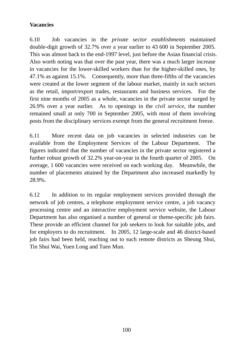# **Vacancies**

6.10 Job vacancies in the *private sector establishments* maintained double-digit growth of 32.7% over a year earlier to 43 600 in September 2005. This was almost back to the end-1997 level, just before the Asian financial crisis. Also worth noting was that over the past year, there was a much larger increase in vacancies for the lower-skilled workers than for the higher-skilled ones, by 47.1% as against 15.1%. Consequently, more than three-fifths of the vacancies were created at the lower segment of the labour market, mainly in such sectors as the retail, import/export trades, restaurants and business services. For the first nine months of 2005 as a whole, vacancies in the private sector surged by 26.9% over a year earlier. As to openings in the *civil service*, the number remained small at only 700 in September 2005, with most of them involving posts from the disciplinary services exempt from the general recruitment freeze.

6.11 More recent data on job vacancies in selected industries can be available from the Employment Services of the Labour Department. The figures indicated that the number of vacancies in the private sector registered a further robust growth of 32.2% year-on-year in the fourth quarter of 2005. On average, 1 600 vacancies were received on each working day. Meanwhile, the number of placements attained by the Department also increased markedly by 28.9%.

6.12 In addition to its regular employment services provided through the network of job centres, a telephone employment service centre, a job vacancy processing centre and an interactive employment service website, the Labour Department has also organised a number of general or theme-specific job fairs. These provide an efficient channel for job seekers to look for suitable jobs, and for employers to do recruitment. In 2005, 12 large-scale and 46 district-based job fairs had been held, reaching out to such remote districts as Sheung Shui, Tin Shui Wai, Yuen Long and Tuen Mun.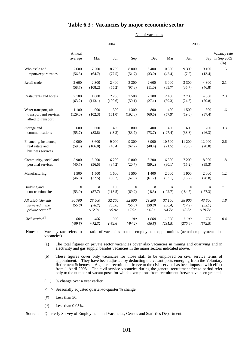#### **Table 6.3 : Vacancies by major economic sector**

No. of vacancies

|                                                                        |                         | 2004                       |                           |                           |                           |                           | 2005                      |                            |                                     |  |  |
|------------------------------------------------------------------------|-------------------------|----------------------------|---------------------------|---------------------------|---------------------------|---------------------------|---------------------------|----------------------------|-------------------------------------|--|--|
|                                                                        | Annual<br>average       | Mar                        | Jun                       | <u>Sep</u>                | Dec                       | Mar                       | Jun                       | Sep                        | Vacancy rate<br>in Sep 2005<br>(% ) |  |  |
| Wholesale and<br>import/export trades                                  | 7600<br>(56.5)          | 7 200<br>(64.7)            | 8700<br>(77.5)            | 8 0 0 0<br>(51.7)         | 6400<br>(33.0)            | 10 300<br>(42.4)          | 9 300<br>(7.2)            | 9 100<br>(13.4)            | 1.5                                 |  |  |
| Retail trade                                                           | 2 600<br>(58.7)         | 2 300<br>(108.2)           | 2 400<br>(55.2)           | 3 3 0 0<br>(97.3)         | 2 600<br>(11.0)           | 3 0 0 0<br>(33.7)         | 3 300<br>(35.7)           | 4 800<br>(46.8)            | 2.1                                 |  |  |
| Restaurants and hotels                                                 | 2 100<br>(63.2)         | 1800<br>(113.1)            | 2 2 0 0<br>(100.6)        | 2 500<br>(50.1)           | 2 100<br>(27.1)           | 2 400<br>(39.3)           | 2 700<br>(24.3)           | 4 300<br>(70.8)            | 2.0                                 |  |  |
| Water transport, air<br>transport and services<br>allied to transport  | 1 100<br>(129.0)        | 900<br>(102.3)             | 1 300<br>(161.0)          | 1 300<br>(192.8)          | 800<br>(60.6)             | 1 400<br>(57.9)           | 1 500<br>(19.0)           | 1800<br>(37.4)             | 1.6                                 |  |  |
| Storage and<br>communications                                          | 600<br>(55.7)           | 600<br>(83.8)              | 400<br>$(-3.3)$           | 800<br>(83.7)             | 400<br>(73.7)             | 400<br>$(-27.4)$          | 600<br>(38.8)             | 1 200<br>(46.3)            | 3.3                                 |  |  |
| Financing, insurance,<br>real estate and<br>business services          | 9 0 0 0<br>(59.6)       | 8 600<br>(106.0)           | 9 0 0 0<br>(45.4)         | 9 300<br>(62.2)           | 8 9 0 0<br>(40.4)         | 10 500<br>(21.5)          | 11 200<br>(23.8)          | 12 000<br>(28.8)           | 2.6                                 |  |  |
| Community, social and<br>personal services                             | 5 900<br>(40.7)         | 5 200<br>(56.5)            | 6 200<br>(34.2)           | 5 800<br>(20.7)           | 6 200<br>(59.2)           | 6 800<br>(30.1)           | 7 200<br>(15.2)           | 8 000<br>(39.3)            | 1.8                                 |  |  |
| Manufacturing                                                          | 1500<br>(46.9)          | 1500<br>(37.5)             | 1 600<br>(30.2)           | 1500<br>(67.0)            | 1 400<br>(61.7)           | 2 000<br>(33.1)           | 1 900<br>(16.2)           | 2 000<br>(28.8)            | 1.2                                 |  |  |
| Building and<br>construction sites                                     | $^{\#}$<br>(53.9)       | $^{\#}$<br>(57.7)          | 100<br>(118.5)            | #<br>(69.2)               | #<br>$(-8.3)$             | #<br>$(-92.7)$            | $\#$<br>$(-84.7)$         | #<br>$(-77.3)$             | $\ast$                              |  |  |
| All establishments<br>surveyed in the<br>private sector <sup>(a)</sup> | <i>30 700</i><br>(55.8) | 28 400<br>(78.7)<br><12.9> | 32 200<br>(55.0)<br><9.9> | 32 800<br>(55.3)<br><7.9> | 29 200<br>(39.8)<br><4.8> | 37 100<br>(30.4)<br><4.7> | 38 000<br>(17.9)<br><0.2> | 43 600<br>(32.7)<br><19.7> | 1.8                                 |  |  |
| Civil service $^{(b)}$                                                 | 600<br>$(-59.8)$        | 400<br>$(-72.3)$           | 300<br>$(-82.6)$          | 100<br>$(-94.2)$          | 1600<br>(36.8)            | 1500<br>(231.5)           | 1 100<br>(270.4)          | 700<br>(672.5)             | 0.4                                 |  |  |

Notes : Vacancy rate refers to the ratio of vacancies to total employment opportunities (actual employment plus vacancies).

(a) The total figures on private sector vacancies cover also vacancies in mining and quarrying and in electricity and gas supply, besides vacancies in the major sectors indicated above.

(b) These figures cover only vacancies for those staff to be employed on civil service terms of appointment. They have been adjusted by deducting the vacant posts emerging from the Voluntary Retirement Schemes. A general recruitment freeze to the civil service has been imposed with effect from 1 April 2003. The civil service vacancies during the general recruitment freeze period refer only to the number of vacant posts for which exemptions from recruitment freeze have been granted.

( ) % change over a year earlier.

< > Seasonally adjusted quarter-to-quarter % change.

- $(\#)$  Less than 50.
- $(*)$  Less than 0.05%.

Source : Quarterly Survey of Employment and Vacancies, Census and Statistics Department.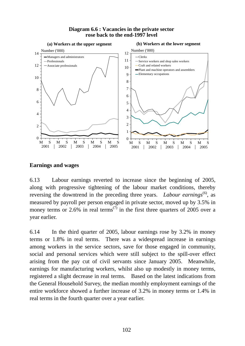#### **Diagram 6.6 : Vacancies in the private sector rose back to the end-1997 level**



### **Earnings and wages**

6.13 Labour earnings reverted to increase since the beginning of 2005, along with progressive tightening of the labour market conditions, thereby reversing the downtrend in the preceding three years. *Labour earnings*<sup>(6)</sup>, as measured by payroll per person engaged in private sector, moved up by 3.5% in money terms or 2.6% in real terms<sup>(7)</sup> in the first three quarters of 2005 over a year earlier.

6.14 In the third quarter of 2005, labour earnings rose by 3.2% in money terms or 1.8% in real terms. There was a widespread increase in earnings among workers in the service sectors, save for those engaged in community, social and personal services which were still subject to the spill-over effect arising from the pay cut of civil servants since January 2005. Meanwhile, earnings for manufacturing workers, whilst also up modestly in money terms, registered a slight decrease in real terms. Based on the latest indications from the General Household Survey, the median monthly employment earnings of the entire workforce showed a further increase of 3.2% in money terms or 1.4% in real terms in the fourth quarter over a year earlier.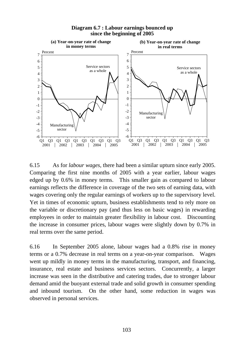

**Diagram 6.7 : Labour earnings bounced up since the beginning of 2005**

6.15 As for *labour wages,* there had been a similar upturn since early 2005. Comparing the first nine months of 2005 with a year earlier, labour wages edged up by 0.6% in money terms. This smaller gain as compared to labour earnings reflects the difference in coverage of the two sets of earning data, with wages covering only the regular earnings of workers up to the supervisory level. Yet in times of economic upturn, business establishments tend to rely more on the variable or discretionary pay (and thus less on basic wages) in rewarding employees in order to maintain greater flexibility in labour cost. Discounting the increase in consumer prices, labour wages were slightly down by 0.7% in real terms over the same period.

6.16 In September 2005 alone, labour wages had a 0.8% rise in money terms or a 0.7% decrease in real terms on a year-on-year comparison. Wages went up mildly in money terms in the manufacturing, transport, and financing, insurance, real estate and business services sectors. Concurrently, a larger increase was seen in the distributive and catering trades, due to stronger labour demand amid the buoyant external trade and solid growth in consumer spending and inbound tourism. On the other hand, some reduction in wages was observed in personal services.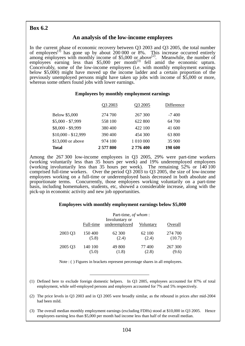# **Box 6.2**

## **An analysis of the low-income employees**

In the current phase of economic recovery between Q3 2003 and Q3 2005, the total number of employees<sup>(1)</sup> has gone up by about 200 000 or 8%. This increase occurred entirely among employees with monthly income of \$5,000 or above<sup>(2)</sup>. Meanwhile, the number of employees earning less than  $$5,000$  per month<sup>(3)</sup> fell amid the economic upturn. Conceivably, some of the low-income employees (i.e. with monthly employment earnings below \$5,000) might have moved up the income ladder and a certain proportion of the previously unemployed persons might have taken up jobs with income of \$5,000 or more, whereas some others found jobs with lower earnings.

#### **Employees by monthly employment earnings**

| <b>Total</b>         | 2 577 800 | 2776400   | 198 600    |
|----------------------|-----------|-----------|------------|
| \$13,000 or above    | 974 100   | 1 010 000 | 35 900     |
| $$10,000 - $12,999$  | 390 400   | 454 300   | 63 800     |
| \$8,000 - \$9,999    | 380 400   | 422 100   | 41 600     |
| $$5,000 - $7,999$    | 558 100   | 622 800   | 64 700     |
| <b>Below \$5,000</b> | 274 700   | 267 300   | $-7400$    |
|                      | Q3 2003   | Q3 2005   | Difference |

Among the 267 300 low-income employees in Q3 2005, 29% were part-time workers (working voluntarily less than 35 hours per week) and 19% underemployed employees (working involuntarily less than 35 hours per week). The remaining 52% or 140 100 comprised full-time workers. Over the period Q3 2003 to Q3 2005, the size of low-income employees working on a full-time or underemployed basis decreased in both absolute and proportionate terms. Concurrently, those employees working voluntarily on a part-time basis, including homemakers, students, etc, showed a considerable increase, along with the pick-up in economic activity and new job opportunities.

#### **Employees with monthly employment earnings below \$5,000**

|         | Full-time | Part-time, of whom:<br>Involuntary or<br>underemployed | Voluntary | Overall |
|---------|-----------|--------------------------------------------------------|-----------|---------|
| 2003 Q3 | 150 400   | 62 300                                                 | 62 100    | 274 700 |
|         | (5.8)     | (2.4)                                                  | (2.4)     | (10.7)  |
| 2005 Q3 | 140 100   | 49 800                                                 | 77400     | 267 300 |
|         | (5.0)     | (1.8)                                                  | (2.8)     | (9.6)   |

Note : ( ) Figures in brackets represent percentage shares in all employees.

- (1) Defined here to exclude foreign domestic helpers. In Q3 2005, employees accounted for 87% of total employment, while self-employed persons and employers accounted for 7% and 5% respectively.
- (2) The price levels in Q3 2003 and in Q3 2005 were broadly similar, as the rebound in prices after mid-2004 had been mild.
- (3) The overall median monthly employment earnings (excluding FDHs) stood at \$10,000 in Q3 2005. Hence employees earning less than \$5,000 per month had income less than half of the overall median.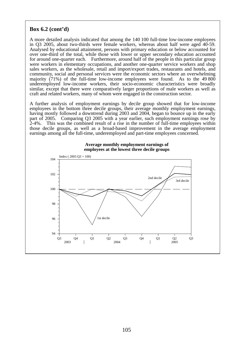## **Box 6.2 (cont'd)**

A more detailed analysis indicated that among the 140 100 full-time low-income employees in Q3 2005, about two-thirds were female workers, whereas about half were aged 40-59. Analysed by educational attainment, persons with primary education or below accounted for over one-third of the total, while those with lower or upper secondary education accounted for around one-quarter each. Furthermore, around half of the people in this particular group were workers in elementary occupations, and another one-quarter service workers and shop sales workers, as the wholesale, retail and import/export trades, restaurants and hotels, and community, social and personal services were the economic sectors where an overwhelming majority (71%) of the full-time low-income employees were found. As to the 49 800 underemployed low-income workers, their socio-economic characteristics were broadly similar, except that there were comparatively larger proportions of male workers as well as craft and related workers, many of whom were engaged in the construction sector.

A further analysis of employment earnings by decile group showed that for low-income employees in the bottom three decile groups, their average monthly employment earnings, having mostly followed a downtrend during 2003 and 2004, began to bounce up in the early part of 2005. Comparing Q3 2005 with a year earlier, such employment earnings rose by 2-4%. This was the combined result of a rise in the number of full-time employees within those decile groups, as well as a broad-based improvement in the average employment earnings among all the full-time, underemployed and part-time employees concerned.



**Average monthly employment earnings of employees at the lowest three decile groups**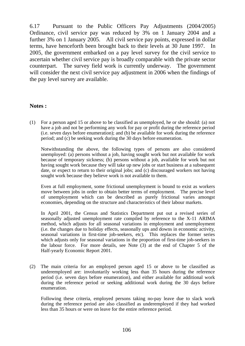6.17 Pursuant to the Public Officers Pay Adjustments (2004/2005) Ordinance, civil service pay was reduced by 3% on 1 January 2004 and a further 3% on 1 January 2005. All civil service pay points, expressed in dollar terms, have henceforth been brought back to their levels at 30 June 1997. In 2005, the government embarked on a pay level survey for the civil service to ascertain whether civil service pay is broadly comparable with the private sector counterpart. The survey field work is currently underway. The government will consider the next civil service pay adjustment in 2006 when the findings of the pay level survey are available.

### **Notes :**

(1) For a person aged 15 or above to be classified as unemployed, he or she should: (a) not have a job and not be performing any work for pay or profit during the reference period (i.e. seven days before enumeration); and (b) be available for work during the reference period; and (c) be seeking work during the 30 days before enumeration.

 Notwithstanding the above, the following types of persons are also considered unemployed: (a) persons without a job, having sought work but not available for work because of temporary sickness; (b) persons without a job, available for work but not having sought work because they will take up new jobs or start business at a subsequent date, or expect to return to their original jobs; and (c) discouraged workers not having sought work because they believe work is not available to them.

 Even at full employment, some frictional unemployment is bound to exist as workers move between jobs in order to obtain better terms of employment. The precise level of unemployment which can be described as purely frictional varies amongst economies, depending on the structure and characteristics of their labour markets.

 In April 2001, the Census and Statistics Department put out a revised series of seasonally adjusted unemployment rate compiled by reference to the X-11 ARIMA method, which adjusts for all seasonal variations in employment and unemployment (i.e. the changes due to holiday effects, seasonally ups and downs in economic activity, seasonal variations in first-time job-seekers, etc). This replaces the former series which adjusts only for seasonal variations in the proportion of first-time job-seekers in the labour force. For more details, see Note (3) at the end of Chapter 5 of the Half-yearly Economic Report 2001.

(2) The main criteria for an employed person aged 15 or above to be classified as underemployed are: involuntarily working less than 35 hours during the reference period (i.e. seven days before enumeration), and either available for additional work during the reference period or seeking additional work during the 30 days before enumeration.

 Following these criteria, employed persons taking no-pay leave due to slack work during the reference period are also classified as underemployed if they had worked less than 35 hours or were on leave for the entire reference period.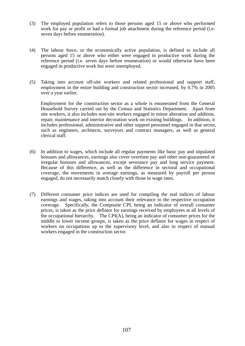- (3) The employed population refers to those persons aged 15 or above who performed work for pay or profit or had a formal job attachment during the reference period (i.e. seven days before enumeration).
- (4) The labour force, or the economically active population, is defined to include all persons aged 15 or above who either were engaged in productive work during the reference period (i.e. seven days before enumeration) or would otherwise have been engaged in productive work but were unemployed.
- (5) Taking into account off-site workers and related professional and support staff, employment in the entire building and construction sector increased, by 0.7% in 2005 over a year earlier.

 Employment for the construction sector as a whole is enumerated from the General Household Survey carried out by the Census and Statistics Department. Apart from site workers, it also includes non-site workers engaged in minor alteration and addition, repair, maintenance and interior decoration work on existing buildings. In addition, it includes professional, administrative and other support personnel engaged in that sector, such as engineers, architects, surveyors and contract managers, as well as general clerical staff.

- (6) In addition to wages, which include all regular payments like basic pay and stipulated bonuses and allowances, earnings also cover overtime pay and other non-guaranteed or irregular bonuses and allowances, except severance pay and long service payment. Because of this difference, as well as the difference in sectoral and occupational coverage, the movements in average earnings, as measured by payroll per person engaged, do not necessarily match closely with those in wage rates.
- (7) Different consumer price indices are used for compiling the real indices of labour earnings and wages, taking into account their relevance to the respective occupation coverage. Specifically, the Composite CPI, being an indicator of overall consumer prices, is taken as the price deflator for earnings received by employees at all levels of the occupational hierarchy. The CPI(A), being an indicator of consumer prices for the middle to lower income groups, is taken as the price deflator for wages in respect of workers on occupations up to the supervisory level, and also in respect of manual workers engaged in the construction sector.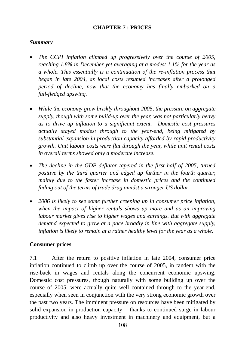# **CHAPTER 7 : PRICES**

## *Summary*

- *The CCPI inflation climbed up progressively over the course of 2005, reaching 1.8% in December yet averaging at a modest 1.1% for the year as a whole. This essentially is a continuation of the re-inflation process that began in late 2004, as local costs resumed increases after a prolonged period of decline, now that the economy has finally embarked on a full-fledged upswing.*
- *While the economy grew briskly throughout 2005, the pressure on aggregate supply, though with some build-up over the year, was not particularly heavy as to drive up inflation to a significant extent. Domestic cost pressures actually stayed modest through to the year-end, being mitigated by substantial expansion in production capacity afforded by rapid productivity growth. Unit labour costs were flat through the year, while unit rental costs in overall terms showed only a moderate increase.*
- *The decline in the GDP deflator tapered in the first half of 2005, turned positive by the third quarter and edged up further in the fourth quarter, mainly due to the faster increase in domestic prices and the continued fading out of the terms of trade drag amidst a stronger US dollar.*
- *2006 is likely to see some further creeping up in consumer price inflation, when the impact of higher rentals shows up more and as an improving labour market gives rise to higher wages and earnings. But with aggregate demand expected to grow at a pace broadly in line with aggregate supply, inflation is likely to remain at a rather healthy level for the year as a whole.*

## **Consumer prices**

7.1 After the return to positive inflation in late 2004, consumer price inflation continued to climb up over the course of 2005, in tandem with the rise-back in wages and rentals along the concurrent economic upswing. Domestic cost pressures, though naturally with some building up over the course of 2005, were actually quite well contained through to the year-end, especially when seen in conjunction with the very strong economic growth over the past two years. The imminent pressure on resources have been mitigated by solid expansion in production capacity – thanks to continued surge in labour productivity and also heavy investment in machinery and equipment, but a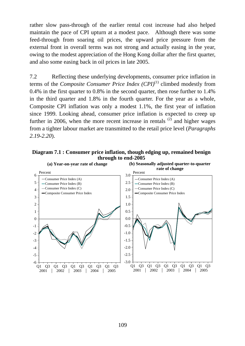rather slow pass-through of the earlier rental cost increase had also helped maintain the pace of CPI upturn at a modest pace. Although there was some feed-through from soaring oil prices, the upward price pressure from the external front in overall terms was not strong and actually easing in the year, owing to the modest appreciation of the Hong Kong dollar after the first quarter, and also some easing back in oil prices in late 2005.

7.2 Reflecting these underlying developments, consumer price inflation in terms of the *Composite Consumer Price Index (CPI)*<sup>(1)</sup> climbed modestly from 0.4% in the first quarter to 0.8% in the second quarter, then rose further to 1.4% in the third quarter and 1.8% in the fourth quarter. For the year as a whole, Composite CPI inflation was only a modest 1.1%, the first year of inflation since 1999. Looking ahead, consumer price inflation is expected to creep up further in 2006, when the more recent increase in rentals  $^{(2)}$  and higher wages from a tighter labour market are transmitted to the retail price level (*Paragraphs 2.19-2.20*).



**Diagram 7.1 : Consumer price inflation, though edging up, remained benign through to end-2005**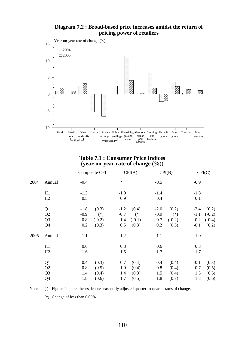



#### **Table 7.1 : Consumer Price Indices (year-on-year rate of change (%))**

|      |                |        | Composite CPI |        | CPI(A)   |        | CPI(B)   |        | CPI(C)   |
|------|----------------|--------|---------------|--------|----------|--------|----------|--------|----------|
| 2004 | Annual         | $-0.4$ |               | $\ast$ |          | $-0.5$ |          | $-0.9$ |          |
|      | H1             | $-1.3$ |               | $-1.0$ |          | $-1.4$ |          | $-1.8$ |          |
|      | H2             | 0.5    |               | 0.9    |          | 0.4    |          | 0.1    |          |
|      | Q <sub>1</sub> | $-1.8$ | (0.3)         | $-1.2$ | (0.4)    | $-2.0$ | (0.2)    | $-2.4$ | (0.2)    |
|      | Q2             | $-0.9$ | $(*)$         | $-0.7$ | $(*)$    | $-0.9$ | $(*)$    | $-1.1$ | $(-0.2)$ |
|      | Q <sub>3</sub> | 0.8    | $(-0.2)$      | 1.4    | $(-0.1)$ | 0.7    | $(-0.2)$ | 0.2    | $(-0.4)$ |
|      | Q <sub>4</sub> | 0.2    | (0.3)         | 0.5    | (0.3)    | 0.2    | (0.3)    | $-0.1$ | (0.2)    |
| 2005 | Annual         | 1.1    |               | 1.2    |          | 1.1    |          | 1.0    |          |
|      | H1             | 0.6    |               | 0.8    |          | 0.6    |          | 0.3    |          |
|      | H2             | 1.6    |               | 1.5    |          | 1.7    |          | 1.7    |          |
|      | Q <sub>1</sub> | 0.4    | (0.3)         | 0.7    | (0.4)    | 0.4    | (0.4)    | $-0.1$ | (0.3)    |
|      | Q2             | 0.8    | (0.5)         | 1.0    | (0.4)    | 0.8    | (0.4)    | 0.7    | (0.5)    |
|      | Q <sub>3</sub> | 1.4    | (0.4)         | 1.4    | (0.3)    | 1.5    | (0.4)    | 1.5    | (0.5)    |
|      | Q4             | 1.8    | (0.6)         | 1.7    | (0.5)    | 1.8    | (0.7)    | 1.8    | (0.6)    |

Notes : ( ) Figures in parentheses denote seasonally adjusted quarter-to-quarter rates of change.

(\*) Change of less than 0.05%.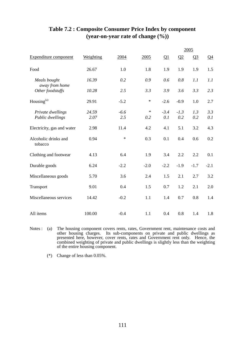|                                 |           |        |        |          |        | 2005           |        |
|---------------------------------|-----------|--------|--------|----------|--------|----------------|--------|
| Expenditure component           | Weighting | 2004   | 2005   | $\Omega$ | Q2     | Q <sub>3</sub> | $Q_4$  |
| Food                            | 26.67     | 1.0    | 1.8    | 1.9      | 1.9    | 1.9            | 1.5    |
| Meals bought<br>away from home  | 16.39     | 0.2    | 0.9    | 0.6      | 0.8    | 1.1            | 1.1    |
| Other foodstuffs                | 10.28     | 2.5    | 3.3    | 3.9      | 3.6    | 3.3            | 2.3    |
| Housing <sup>(a)</sup>          | 29.91     | $-5.2$ | $\ast$ | $-2.6$   | $-0.9$ | 1.0            | 2.7    |
| Private dwellings               | 24.59     | $-6.6$ | $\ast$ | $-3.4$   | $-1.3$ | 1.3            | 3.3    |
| Public dwellings                | 2.07      | 2.5    | 0.2    | 0.1      | 0.2    | 0.2            | 0.1    |
| Electricity, gas and water      | 2.98      | 11.4   | 4.2    | 4.1      | 5.1    | 3.2            | 4.3    |
| Alcoholic drinks and<br>tobacco | 0.94      | $\ast$ | 0.3    | 0.1      | 0.4    | 0.6            | 0.2    |
| Clothing and footwear           | 4.13      | 6.4    | 1.9    | 3.4      | 2.2    | 2.2            | 0.1    |
| Durable goods                   | 6.24      | $-2.2$ | $-2.0$ | $-2.2$   | $-1.9$ | $-1.7$         | $-2.1$ |
| Miscellaneous goods             | 5.70      | 3.6    | 2.4    | 1.5      | 2.1    | 2.7            | 3.2    |
| Transport                       | 9.01      | 0.4    | 1.5    | 0.7      | 1.2    | 2.1            | 2.0    |
| Miscellaneous services          | 14.42     | $-0.2$ | 1.1    | 1.4      | 0.7    | 0.8            | 1.4    |
| All items                       | 100.00    | $-0.4$ | 1.1    | 0.4      | 0.8    | 1.4            | 1.8    |

# **Table 7.2 : Composite Consumer Price Index by component (year-on-year rate of change (%))**

Notes : (a) The housing component covers rents, rates, Government rent, maintenance costs and other housing charges. Its sub-components on private and public dwellings as presented here, however, cover rents, rates and Government rent only. Hence, the combined weighting of private and public dwellings is slightly less than the weighting of the entire housing component.

(\*) Change of less than 0.05%.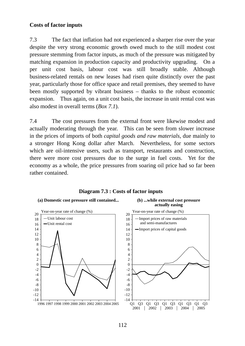## **Costs of factor inputs**

7.3 The fact that inflation had not experienced a sharper rise over the year despite the very strong economic growth owed much to the still modest cost pressure stemming from factor inputs, as much of the pressure was mitigated by matching expansion in production capacity and productivity upgrading. On a per unit cost basis, labour cost was still broadly stable. Although business-related rentals on new leases had risen quite distinctly over the past year, particularly those for office space and retail premises, they seemed to have been mostly supported by vibrant business – thanks to the robust economic expansion. Thus again, on a unit cost basis, the increase in unit rental cost was also modest in overall terms (*Box 7.1*).

7.4 The cost pressures from the external front were likewise modest and actually moderating through the year. This can be seen from slower increase in the prices of imports of both *capital goods and raw materials,* due mainly to a stronger Hong Kong dollar after March. Nevertheless, for some sectors which are oil-intensive users, such as transport, restaurants and construction, there were more cost pressures due to the surge in fuel costs. Yet for the economy as a whole, the price pressures from soaring oil price had so far been rather contained.



### **Diagram 7.3 : Costs of factor inputs**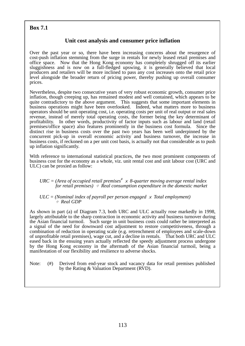# **Box 7.1**

# **Unit cost analysis and consumer price inflation**

Over the past year or so, there have been increasing concerns about the resurgence of cost-push inflation stemming from the surge in rentals for newly leased retail premises and office space. Now that the Hong Kong economy has completely shrugged off its earlier sluggishness and is now on a full-fledged upswing, it is generally believed that local producers and retailers will be more inclined to pass any cost increases onto the retail price level alongside the broader return of pricing power, thereby pushing up overall consumer prices.

Nevertheless, despite two consecutive years of very robust economic growth, consumer price inflation, though creeping up, has remained modest and well contained, which appears to be quite contradictory to the above argument. This suggests that some important elements in business operations might have been overlooked. Indeed, what matters more to business operators should be unit operating cost, i.e. operating costs per unit of real output or real sales revenue, instead of merely total operating costs, the former being the key determinant of profitability. In other words, productivity of factor inputs such as labour and land (retail premises/office space) also features prominently in the business cost formula. Since the distinct rise in business costs over the past two years has been well underpinned by the concurrent pick-up in overall economic activity and business turnover, the increase in business costs, if reckoned on a per unit cost basis, is actually not that considerable as to push up inflation significantly.

With reference to international statistical practices, the two most prominent components of business cost for the economy as a whole, viz. unit rental cost and unit labour cost (URC and ULC) can be proxied as follow:

#### *URC* = (Area of occupied retail premises<sup>#</sup>  $\times$  8-quarter moving average rental index *for retail premises)* ÷ *Real consumption expenditure in the domestic market*

#### $ULC = (Nominal index of pavroll per person engaged × Total employment)$ <sup>÷</sup> *Real GDP*

As shown in part (a) of Diagram 7.3, both URC and ULC actually rose markedly in 1998, largely attributable to the sharp contraction in economic activity and business turnover during the Asian financial turmoil. Such surge in unit business costs could rather be interpreted as a signal of the need for downward cost adjustment to restore competitiveness, through a combination of reduction in operating scale (e.g. retrenchment of employees and scale-down of unprofitable retail premises), wage cut, and a decline in rentals. That both URC and ULC eased back in the ensuing years actually reflected the speedy adjustment process undergone by the Hong Kong economy in the aftermath of the Asian financial turmoil, being a manifestation of our flexibility and resilience to adverse shocks.

Note: (#) Derived from end-year stock and vacancy data for retail premises published by the Rating & Valuation Department (RVD).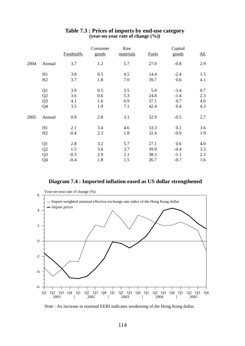|      |                |            | Consumer | Raw       |              | Capital |                            |
|------|----------------|------------|----------|-----------|--------------|---------|----------------------------|
|      |                | Foodstuffs | goods    | materials | <b>Fuels</b> | goods   | $\underline{\mathrm{All}}$ |
| 2004 | Annual         | 3.7        | 1.2      | 5.7       | 27.0         | $-0.8$  | 2.9                        |
|      | H1             | 3.8        | 0.5      | 4.5       | 14.4         | $-2.4$  | 1.5                        |
|      | H2             | 3.7        | 1.8      | 7.0       | 39.7         | 0.6     | 4.1                        |
|      | Q1             | 3.9        | 0.5      | 3.5       | 5.0          | $-3.4$  | 0.7                        |
|      | Q <sub>2</sub> | 3.6        | 0.6      | 5.3       | 24.8         | $-1.4$  | 2.3                        |
|      | Q <sub>3</sub> | 4.1        | 1.6      | 6.9       | 37.1         | 0.7     | 4.0                        |
|      | Q4             | 3.5        | 1.9      | 7.1       | 42.4         | 0.4     | 4.3                        |
| 2005 | Annual         | 0.9        | 2.8      | 3.1       | 32.9         | $-0.5$  | 2.7                        |
|      | H1             | 2.1        | 3.4      | 4.6       | 33.3         | 0.1     | 3.6                        |
|      | H2             | $-0.4$     | 2.3      | 1.8       | 32.4         | $-0.9$  | 1.9                        |
|      | Q1             | 2.8        | 3.2      | 5.7       | 27.1         | 0.6     | 4.0                        |
|      | Q <sub>2</sub> | 1.5        | 3.6      | 3.7       | 39.9         | $-0.4$  | 3.3                        |
|      | Q <sub>3</sub> | $-0.3$     | 2.9      | 2.1       | 38.3         | $-1.1$  | 2.3                        |
|      | Q4             | $-0.4$     | 1.8      | 1.5       | 26.7         | $-0.7$  | 1.6                        |

#### **Table 7.3 : Prices of imports by end-use category (year-on-year rate of change (%))**

#### **Diagram 7.4 : Imported inflation eased as US dollar strengthened**



Note : An increase in nominal EERI indicates weakening of the Hong Kong dollar.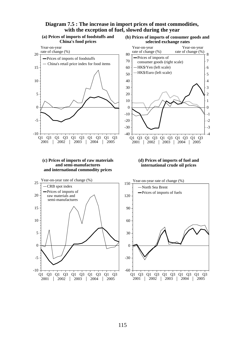#### **Diagram 7.5 : The increase in import prices of most commodities, with the exception of fuel, slowed during the year**

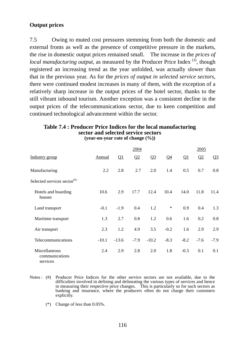# **Output prices**

7.5 Owing to muted cost pressures stemming from both the domestic and external fronts as well as the presence of competitive pressure in the markets, the rise in domestic output prices remained small. The increase in the *prices of local manufacturing output*, as measured by the Producer Price Index<sup>(3)</sup>, though registered an increasing trend as the year unfolded, was actually slower than that in the previous year. As for the *prices of output in selected service sectors*, there were continued modest increases in many of them, with the exception of a relatively sharp increase in the output prices of the hotel sector, thanks to the still vibrant inbound tourism. Another exception was a consistent decline in the output prices of the telecommunications sector, due to keen competition and continued technological advancement within the sector.

# **Table 7.4 : Producer Price Indices for the local manufacturing sector and selected service sectors**

**(year-on-year rate of change (%))** 

|                                             |         |          | 2004   |         |        |          | 2005   |         |
|---------------------------------------------|---------|----------|--------|---------|--------|----------|--------|---------|
| Industry group                              | Annual  | $\Omega$ | Q2     | $Q_3$   | $Q_4$  | $\Omega$ | Q2     | $Q_2^2$ |
| Manufacturing                               | 2.2     | 2.8      | 2.7    | 2.0     | 1.4    | 0.5      | 0.7    | 0.8     |
| Selected services sector <sup>(#)</sup>     |         |          |        |         |        |          |        |         |
| Hotels and boarding<br>houses               | 10.6    | 2.9      | 17.7   | 12.4    | 10.4   | 14.0     | 11.8   | 11.4    |
| Land transport                              | $-0.1$  | $-1.9$   | 0.4    | 1.2     | $\ast$ | 0.9      | 0.4    | 1.3     |
| Maritime transport                          | 1.3     | 2.7      | 0.8    | 1.2     | 0.6    | 1.6      | 0.2    | 0.8     |
| Air transport                               | 2.3     | 1.2      | 4.9    | 3.5     | $-0.2$ | 1.6      | 2.9    | 2.9     |
| Telecommunications                          | $-10.1$ | $-13.6$  | $-7.9$ | $-10.2$ | $-8.3$ | $-8.2$   | $-7.6$ | $-7.9$  |
| Miscellaneous<br>communications<br>services | 2.4     | 2.9      | 2.8    | 2.0     | 1.8    | $-0.3$   | 0.1    | 0.1     |

- Notes : (#) Producer Price Indices for the other service sectors are not available, due to the difficulties involved in defining and delineating the various types of services and hence in measuring their respective price changes. This is particularly so for such sectors as banking and insurance, where the producers often do not charge their customers explicitly.
	- (\*) Change of less than 0.05%.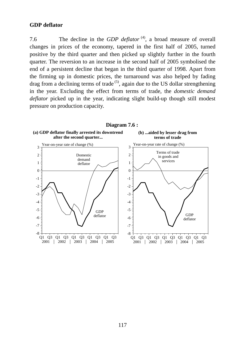## **GDP deflator**

7.6 The decline in the *GDP deflator*<sup>(4)</sup>, a broad measure of overall changes in prices of the economy, tapered in the first half of 2005, turned positive by the third quarter and then picked up slightly further in the fourth quarter. The reversion to an increase in the second half of 2005 symbolised the end of a persistent decline that began in the third quarter of 1998. Apart from the firming up in domestic prices, the turnaround was also helped by fading drag from a declining terms of trade<sup> $(5)$ </sup>, again due to the US dollar strengthening in the year. Excluding the effect from terms of trade, the *domestic demand deflator* picked up in the year, indicating slight build-up though still modest pressure on production capacity.

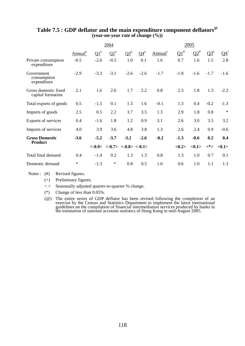|                                           | 2004                |            |            | 2005                                                                                        |           |                     |                 |            |        |                                           |
|-------------------------------------------|---------------------|------------|------------|---------------------------------------------------------------------------------------------|-----------|---------------------|-----------------|------------|--------|-------------------------------------------|
|                                           | Annual <sup>#</sup> | $\Omega^*$ | $\Omega^*$ | $\Omega^*$                                                                                  | $Q4^{\#}$ | Annual <sup>+</sup> | $\Omega^{1}$    | $\Omega^*$ | $Q3^*$ | $Q4$ <sup>+</sup>                         |
| Private consumption<br>expenditure        | $-0.5$              | $-2.6$     | $-0.5$     | 1.0                                                                                         | 0.1       | 1.6                 | 0.7             | 1.6        | 1.5    | 2.8                                       |
| Government<br>consumption<br>expenditure  | $-2.9$              | $-3.3$     | $-3.1$     | $-2.6$                                                                                      | $-2.6$    | $-1.7$              | $-1.8$          | $-1.6$     | $-1.7$ | $-1.6$                                    |
| Gross domestic fixed<br>capital formation | 2.1                 | 1.6        | 2.6        | 1.7                                                                                         | 2.2       | 0.8                 | 2.3             | 1.8        | 1.3    | $-2.2$                                    |
| Total exports of goods                    | 0.5                 | $-1.5$     | 0.1        | 1.3                                                                                         | 1.6       | $-0.1$              | 1.3             | 0.4        | $-0.2$ | $-1.3$                                    |
| Imports of goods                          | 2.5                 | 0.5        | 2.2        | 3.7                                                                                         | 3.5       | 1.3                 | 2.9             | 1.8        | 0.8    | $\ast$                                    |
| Exports of services                       | 0.4                 | $-1.6$     | 1.8        | 1.2                                                                                         | 0.9       | 3.1                 | 2.6             | 3.0        | 3.3    | 3.2                                       |
| Imports of services                       | 4.0                 | 3.9        | 3.6        | 4.8                                                                                         | 3.8       | 1.3                 | 2.6             | 2.4        | 0.9    | $-0.6$                                    |
| <b>Gross Domestic</b>                     | $-3.6$              | $-5.2$     | $-3.7$     | $-3.2$                                                                                      | $-2.6$    | $-0.2$              | $-1.3$          | $-0.6$     | 0.2    | 0.4                                       |
| <b>Product</b>                            |                     |            |            | $\langle -0.9 \rangle$ $\langle -0.7 \rangle$ $\langle -0.8 \rangle$ $\langle -0.1 \rangle$ |           |                     | $<\!\!0.2\!\!>$ | <0.1>      |        | $\langle * \rangle$ $\langle 0.1 \rangle$ |
| Total final demand                        | 0.4                 | $-1.4$     | 0.2        | 1.3                                                                                         | 1.3       | 0.8                 | 1.3             | 1.0        | 0.7    | 0.1                                       |
| Domestic demand                           | $\ast$              | $-1.3$     | $\ast$     | 0.8                                                                                         | 0.5       | 1.0                 | 0.6             | 1.0        | 1.1    | 1.3                                       |

## **Table 7.5 : GDP deflator and the main expenditure component deflators@ (year-on-year rate of change (%))**

Notes : (#) Revised figures.

(+) Preliminary figures.

< > Seasonally adjusted quarter-to-quarter % change.

(\*) Change of less than 0.05%.

 (@) The entire series of GDP deflator has been revised following the completion of an exercise by the Census and Statistics Department to implement the latest international guidelines on the compilation of financial intermediation services produced by banks in the estimation of national accounts statistics of Hong Kong in mid-August 2005.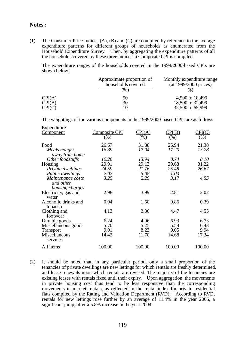#### **Notes :**

(1) The Consumer Price Indices (A), (B) and (C) are compiled by reference to the average expenditure patterns for different groups of households as enumerated from the Household Expenditure Survey. Then, by aggregating the expenditure patterns of all the households covered by these three indices, a Composite CPI is compiled.

 The expenditure ranges of the households covered in the 1999/2000-based CPIs are shown below:

|        | Approximate proportion of<br>households covered | Monthly expenditure range<br>(at 1999/2000 prices) |
|--------|-------------------------------------------------|----------------------------------------------------|
|        | $(\%)$                                          |                                                    |
| CPI(A) | 50                                              | 4,500 to 18,499                                    |
| CPI(B) | 30                                              | 18,500 to 32,499                                   |
| CPI(C) | 10                                              | 32,500 to 65,999                                   |

The weightings of the various components in the 1999/2000-based CPIs are as follows:

| Expenditure          |               |                               |        |        |
|----------------------|---------------|-------------------------------|--------|--------|
| <u>Component</u>     | Composite CPI | $\mathrm{CPI}(\underline{A})$ | CPI(B) | CPI(C) |
|                      | $(\%)$        | (% )                          | (%)    | (% )   |
| Food                 | 26.67         | 31.88                         | 25.94  | 21.38  |
| Meals bought         | 16.39         | 17.94                         | 17.20  | 13.28  |
| away from home       |               |                               |        |        |
| Other foodstuffs     | 10.28         | 13.94                         | 8.74   | 8.10   |
| Housing              | 29.91         | 29.13                         | 29.68  | 31.22  |
| Private dwellings    | 24.59         | 21.76                         | 25.48  | 26.67  |
| Public dwellings     | 2.07          | 5.08                          | 1.03   |        |
| Maintenance costs    | 3.25          | 2.29                          | 3.17   | 4.55   |
| and other            |               |                               |        |        |
| housing charges      |               |                               |        |        |
| Electricity, gas and | 2.98          | 3.99                          | 2.81   | 2.02   |
| water                |               |                               |        |        |
| Alcoholic drinks and | 0.94          | 1.50                          | 0.86   | 0.39   |
| tobacco              |               |                               |        |        |
| Clothing and         | 4.13          | 3.36                          | 4.47   | 4.55   |
| footwear             |               |                               |        |        |
| Durable goods        | 6.24          | 4.96                          | 6.93   | 6.73   |
| Miscellaneous goods  | 5.70          | 5.25                          | 5.58   | 6.43   |
| <b>Transport</b>     | 9.01          | 8.23                          | 9.05   | 9.94   |
| Miscellaneous        | 14.42         | 11.70                         | 14.68  | 17.34  |
| services             |               |                               |        |        |
| All items            | 100.00        | 100.00                        | 100.00 | 100.00 |
|                      |               |                               |        |        |

(2) It should be noted that, in any particular period, only a small proportion of the tenancies of private dwellings are new lettings for which rentals are freshly determined, and lease renewals upon which rentals are revised. The majority of the tenancies are existing leases with rentals fixed until their expiry. Upon aggregation, the movements in private housing cost thus tend to be less responsive than the corresponding movements in market rentals, as reflected in the rental index for private residential flats compiled by the Rating and Valuation Department (RVD). According to RVD, rentals for new lettings rose further by an average of 11.4% in the year 2005, a significant jump, after a 5.8% increase in the year 2004.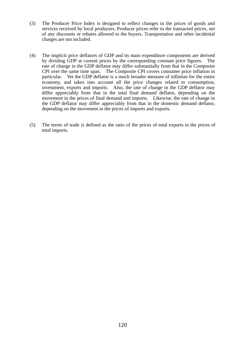- (3) The Producer Price Index is designed to reflect changes in the prices of goods and services received by local producers. Producer prices refer to the transacted prices, net of any discounts or rebates allowed to the buyers. Transportation and other incidental charges are not included.
- (4) The implicit price deflators of GDP and its main expenditure components are derived by dividing GDP at current prices by the corresponding constant price figures. The rate of change in the GDP deflator may differ substantially from that in the Composite CPI over the same time span. The Composite CPI covers consumer price inflation in particular. Yet the GDP deflator is a much broader measure of inflation for the entire economy, and takes into account all the price changes related to consumption, investment, exports and imports. Also, the rate of change in the GDP deflator may differ appreciably from that in the total final demand deflator, depending on the movement in the prices of final demand and imports. Likewise, the rate of change in the GDP deflator may differ appreciably from that in the domestic demand deflator, depending on the movement in the prices of imports and exports.
- (5) The terms of trade is defined as the ratio of the prices of total exports to the prices of total imports.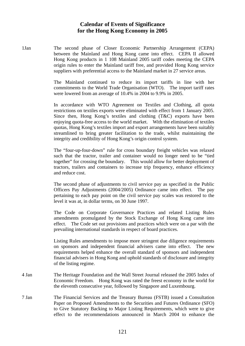## **Calendar of Events of Significance for the Hong Kong Economy in 2005**

1Jan The second phase of Closer Economic Partnership Arrangement (CEPA) between the Mainland and Hong Kong came into effect. CEPA II allowed Hong Kong products in 1 108 Mainland 2005 tariff codes meeting the CEPA origin rules to enter the Mainland tariff free, and provided Hong Kong service suppliers with preferential access to the Mainland market in 27 service areas.

> The Mainland continued to reduce its import tariffs in line with her commitments to the World Trade Organisation (WTO). The import tariff rates were lowered from an average of 10.4% in 2004 to 9.9% in 2005.

> In accordance with WTO Agreement on Textiles and Clothing, all quota restrictions on textiles exports were eliminated with effect from 1 January 2005. Since then, Hong Kong's textiles and clothing (T&C) exports have been enjoying quota-free access to the world market. With the elimination of textiles quotas, Hong Kong's textiles import and export arrangements have been suitably streamlined to bring greater facilitation to the trade, whilst maintaining the integrity and credibility of Hong Kong's origin control system.

> The "four-up-four-down" rule for cross boundary freight vehicles was relaxed such that the tractor, trailer and container would no longer need to be "tied together" for crossing the boundary. This would allow for better deployment of tractors, trailers and containers to increase trip frequency, enhance efficiency and reduce cost.

> The second phase of adjustments to civil service pay as specified in the Public Officers Pay Adjustments (2004/2005) Ordinance came into effect. The pay pertaining to each pay point on the civil service pay scales was restored to the level it was at, in dollar terms, on 30 June 1997.

> The Code on Corporate Governance Practices and related Listing Rules amendments promulgated by the Stock Exchange of Hong Kong came into effect. The Code set out provisions and practices which were on a par with the prevailing international standards in respect of board practices.

> Listing Rules amendments to impose more stringent due diligence requirements on sponsors and independent financial advisers came into effect. The new requirements helped enhance the overall standard of sponsors and independent financial advisers in Hong Kong and uphold standards of disclosure and integrity of the listing regime.

- 4 Jan The Heritage Foundation and the Wall Street Journal released the 2005 Index of Economic Freedom. Hong Kong was rated the freest economy in the world for the eleventh consecutive year, followed by Singapore and Luxembourg.
- 7 Jan The Financial Services and the Treasury Bureau (FSTB) issued a Consultation Paper on Proposed Amendments to the Securities and Futures Ordinance (SFO) to Give Statutory Backing to Major Listing Requirements, which were to give effect to the recommendations announced in March 2004 to enhance the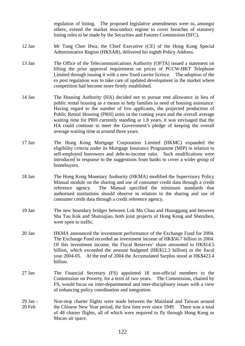regulation of listing. The proposed legislative amendments were to, amongst others, extend the market misconduct regime to cover breaches of statutory listing rules to be made by the Securities and Futures Commission (SFC).

- 12 Jan Mr Tung Chee Hwa, the Chief Executive (CE) of the Hong Kong Special Administrative Region (HKSAR), delivered his eighth Policy Address.
- 13 Jan The Office of the Telecommunications Authority (OFTA) issued a statement on lifting the prior approval requirement on prices of PCCW-HKT Telephone Limited through issuing it with a new fixed carrier licence. The adoption of the *ex post* regulation was to take care of updated development in the market where competition had become more firmly established.
- 14 Jan The Housing Authority (HA) decided not to pursue rent allowance in lieu of public rental housing as a means to help families in need of housing assistance. Having regard to the number of live applicants, the projected production of Public Rental Housing (PRH) units in the coming years and the overall average waiting time for PRH currently standing at 1.8 years, it was envisaged that the HA could continue to meet the Government's pledge of keeping the overall average waiting time at around three years.
- 17 Jan The Hong Kong Mortgage Corporation Limited (HKMC) expanded the eligibility criteria under its Mortgage Insurance Programme (MIP) in relation to self-employed borrowers and debt-to-income ratio. Such modifications were introduced in response to the suggestions from banks to cover a wider group of homebuyers.
- 18 Jan The Hong Kong Monetary Authority (HKMA) modified the Supervisory Policy Manual module on the sharing and use of consumer credit data through a credit reference agency. The Manual specified the minimum standards that authorised institutions should observe in relation to the sharing and use of consumer credit data through a credit reference agency.
- 19 Jan The new boundary bridges between Lok Ma Chau and Huanggang and between Sha Tau Kok and Shatoujiao, both joint projects of Hong Kong and Shenzhen, were open to traffic.
- 20 Jan HKMA announced the investment performance of the Exchange Fund for 2004. The Exchange Fund recorded an investment income of HK\$56.7 billion in 2004. Of this investment income, the Fiscal Reserves' share amounted to HK\$14.5 billion, which exceeded the amount budgeted (HK\$12.3 billion) in the fiscal year 2004-05. At the end of 2004 the Accumulated Surplus stood at HK\$423.4 billion.
- 27 Jan The Financial Secretary (FS) appointed 18 non-official members to the Commission on Poverty, for a term of two years. The Commission, chaired by FS, would focus on inter-departmental and inter-disciplinary issues with a view of enhancing policy coordination and integration.
- 29 Jan 20 Feb Non-stop charter flights were made between the Mainland and Taiwan around the Chinese New Year period, the first time ever since 1949. There was a total of 48 charter flights, all of which were required to fly through Hong Kong or Macao air space.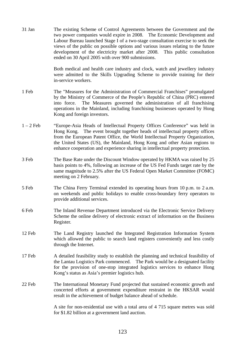31 Jan The existing Scheme of Control Agreements between the Government and the two power companies would expire in 2008. The Economic Development and Labour Bureau launched Stage I of a two-stage consultation exercise to seek the views of the public on possible options and various issues relating to the future development of the electricity market after 2008. This public consultation ended on 30 April 2005 with over 900 submissions.

> Both medical and health care industry and clock, watch and jewellery industry were admitted to the Skills Upgrading Scheme to provide training for their in-service workers.

- 1 Feb The "Measures for the Administration of Commercial Franchises" promulgated by the Ministry of Commerce of the People's Republic of China (PRC) entered into force. The Measures governed the administration of all franchising operations in the Mainland, including franchising businesses operated by Hong Kong and foreign investors.
- 1 2 Feb "Europe-Asia Heads of Intellectual Property Offices Conference" was held in Hong Kong. The event brought together heads of intellectual property offices from the European Patent Office, the World Intellectual Property Organization, the United States (US), the Mainland, Hong Kong and other Asian regions to enhance cooperation and experience sharing in intellectual property protection.
- 3 Feb The Base Rate under the Discount Window operated by HKMA was raised by 25 basis points to 4%, following an increase of the US Fed Funds target rate by the same magnitude to 2.5% after the US Federal Open Market Committee (FOMC) meeting on 2 February.
- 5 Feb The China Ferry Terminal extended its operating hours from 10 p.m. to 2 a.m. on weekends and public holidays to enable cross-boundary ferry operators to provide additional services.
- 6 Feb The Inland Revenue Department introduced via the Electronic Service Delivery Scheme the online delivery of electronic extract of information on the Business Register.
- 12 Feb The Land Registry launched the Integrated Registration Information System which allowed the public to search land registers conveniently and less costly through the Internet.
- 17 Feb A detailed feasibility study to establish the planning and technical feasibility of the Lantau Logistics Park commenced. The Park would be a designated facility for the provision of one-stop integrated logistics services to enhance Hong Kong's status as Asia's premier logistics hub.
- 22 Feb The International Monetary Fund projected that sustained economic growth and concerted efforts at government expenditure restraint in the HKSAR would result in the achievement of budget balance ahead of schedule.

 A site for non-residential use with a total area of 4 715 square metres was sold for \$1.82 billion at a government land auction.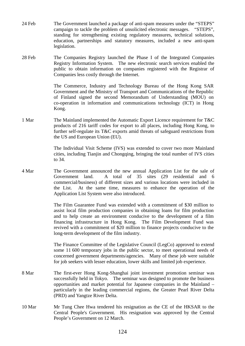- 24 Feb The Government launched a package of anti-spam measures under the "STEPS" campaign to tackle the problem of unsolicited electronic messages. "STEPS", standing for strengthening existing regulatory measures, technical solutions, education, partnerships and statutory measures, included a new anti-spam legislation.
- 28 Feb The Companies Registry launched the Phase I of the Integrated Companies Registry Information System. The new electronic search services enabled the public to obtain information on companies registered with the Registrar of Companies less costly through the Internet.

 The Commerce, Industry and Technology Bureau of the Hong Kong SAR Government and the Ministry of Transport and Communications of the Republic of Finland signed the second Memorandum of Understanding (MOU) on co-operation in information and communications technology (ICT) in Hong Kong.

1 Mar The Mainland implemented the Automatic Export Licence requirement for T&C products of 216 tariff codes for export to all places, including Hong Kong, to further self-regulate its T&C exports amid threats of safeguard restrictions from the US and European Union (EU).

> The Individual Visit Scheme (IVS) was extended to cover two more Mainland cities, including Tianjin and Chongqing, bringing the total number of IVS cities to 34.

4 Mar The Government announced the new annual Application List for the sale of Government land. A total of 35 sites (29 residential and 6 commercial/business) of different sizes and various locations were included in the List. At the same time, measures to enhance the operation of the Application List System were also introduced.

> The Film Guarantee Fund was extended with a commitment of \$30 million to assist local film production companies in obtaining loans for film production and to help create an environment conducive to the development of a film financing infrastructure in Hong Kong. The Film Development Fund was revived with a commitment of \$20 million to finance projects conducive to the long-term development of the film industry.

> The Finance Committee of the Legislative Council (LegCo) approved to extend some 11 600 temporary jobs in the public sector, to meet operational needs of concerned government departments/agencies. Many of these job were suitable for job seekers with lesser education, lower skills and limited job experience.

- 8 Mar The first-ever Hong Kong-Shanghai joint investment promotion seminar was successfully held in Tokyo. The seminar was designed to promote the business opportunities and market potential for Japanese companies in the Mainland – particularly in the leading commercial regions, the Greater Pearl River Delta (PRD) and Yangtze River Delta.
- 10 Mar Mr Tung Chee Hwa tendered his resignation as the CE of the HKSAR to the Central People's Government. His resignation was approved by the Central People's Government on 12 March.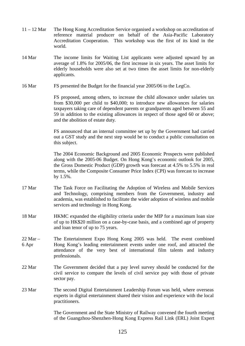- 11 12 Mar The Hong Kong Accreditation Service organised a workshop on accreditation of reference material producer on behalf of the Asia-Pacific Laboratory Accreditation Cooperation. This workshop was the first of its kind in the world.
- 14 Mar The income limits for Waiting List applicants were adjusted upward by an average of 1.8% for 2005/06, the first increase in six years. The asset limits for elderly households were also set at two times the asset limits for non-elderly applicants.
- 16 Mar FS presented the Budget for the financial year 2005/06 to the LegCo.

FS proposed, among others, to increase the child allowance under salaries tax from \$30,000 per child to \$40,000; to introduce new allowances for salaries taxpayers taking care of dependent parents or grandparents aged between 55 and 59 in addition to the existing allowances in respect of those aged 60 or above; and the abolition of estate duty.

FS announced that an internal committee set up by the Government had carried out a GST study and the next step would be to conduct a public consultation on this subject.

 The 2004 Economic Background and 2005 Economic Prospects were published along with the 2005-06 Budget. On Hong Kong's economic outlook for 2005, the Gross Domestic Product (GDP) growth was forecast at 4.5% to 5.5% in real terms, while the Composite Consumer Price Index (CPI) was forecast to increase by 1.5%.

- 17 Mar The Task Force on Facilitating the Adoption of Wireless and Mobile Services and Technology, comprising members from the Government, industry and academia, was established to facilitate the wider adoption of wireless and mobile services and technology in Hong Kong.
- 18 Mar HKMC expanded the eligibility criteria under the MIP for a maximum loan size of up to HK\$20 million on a case-by-case basis, and a combined age of property and loan tenor of up to 75 years.
- 22 Mar 6 Apr The Entertainment Expo Hong Kong 2005 was held. The event combined Hong Kong's leading entertainment events under one roof, and attracted the attendance of the very best of international film talents and industry professionals.
- 22 Mar The Government decided that a pay level survey should be conducted for the civil service to compare the levels of civil service pay with those of private sector pay.
- 23 Mar The second Digital Entertainment Leadership Forum was held, where overseas experts in digital entertainment shared their vision and experience with the local practitioners.

 The Government and the State Ministry of Railway convened the fourth meeting of the Guangzhou-Shenzhen-Hong Kong Express Rail Link (ERL) Joint Expert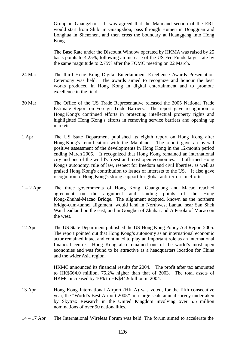Group in Guangzhou. It was agreed that the Mainland section of the ERL would start from Shibi in Guangzhou, pass through Humen in Dongguan and Longhua in Shenzhen, and then cross the boundary at Huanggang into Hong Kong.

 The Base Rate under the Discount Window operated by HKMA was raised by 25 basis points to 4.25%, following an increase of the US Fed Funds target rate by the same magnitude to 2.75% after the FOMC meeting on 22 March.

- 24 Mar The third Hong Kong Digital Entertainment Excellence Awards Presentation Ceremony was held. The awards aimed to recognize and honour the best works produced in Hong Kong in digital entertainment and to promote excellence in the field.
- 30 Mar The Office of the US Trade Representative released the 2005 National Trade Estimate Report on Foreign Trade Barriers. The report gave recognition to Hong Kong's continued efforts in protecting intellectual property rights and highlighted Hong Kong's efforts in removing service barriers and opening up markets.
- 1 Apr The US State Department published its eighth report on Hong Kong after Hong Kong's reunification with the Mainland. The report gave an overall positive assessment of the developments in Hong Kong in the 12-month period ending March 2005. It recognized that Hong Kong remained an international city and one of the world's freest and most open economies. It affirmed Hong Kong's autonomy, rule of law, respect for freedom and civil liberties, as well as praised Hong Kong's contribution to issues of interests to the US. It also gave recognition to Hong Kong's strong support for global anti-terrorism efforts.
- 1 2 Apr The three governments of Hong Kong, Guangdong and Macao reached agreement on the alignment and landing points of the Hong Kong-Zhuhai-Macao Bridge. The alignment adopted, known as the northern bridge-cum-tunnel alignment, would land in Northwest Lantau near San Shek Wan headland on the east, and in Gongbei of Zhuhai and A Pérola of Macao on the west.
- 12 Apr The US State Department published the US-Hong Kong Policy Act Report 2005. The report pointed out that Hong Kong's autonomy as an international economic actor remained intact and continued to play an important role as an international financial centre. Hong Kong also remained one of the world's most open economies and was found to be attractive as a headquarters location for China and the wider Asia region.

 HKMC announced its financial results for 2004. The profit after tax amounted to HK\$664.0 million, 75.2% higher than that of 2003. The total assets of HKMC increased by 10% to HK\$44.9 billion in 2004.

- 13 Apr Hong Kong International Airport (HKIA) was voted, for the fifth consecutive year, the "World's Best Airport 2005" in a large scale annual survey undertaken by Skytrax Research in the United Kingdom involving over 5.5 million nominations of over 90 nationalities.
- 14 17 Apr The International Wireless Forum was held. The forum aimed to accelerate the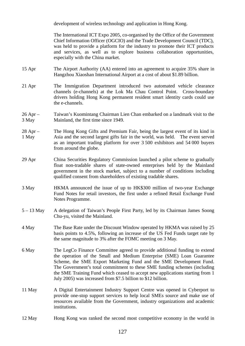development of wireless technology and application in Hong Kong.

 The International ICT Expo 2005, co-organised by the Office of the Government Chief Information Officer (OGCIO) and the Trade Development Council (TDC), was held to provide a platform for the industry to promote their ICT products and services, as well as to explore business collaboration opportunities, especially with the China market.

- 15 Apr The Airport Authority (AA) entered into an agreement to acquire 35% share in Hangzhou Xiaoshan International Airport at a cost of about \$1.89 billion.
- 21 Apr The Immigration Department introduced two automated vehicle clearance channels (e-channels) at the Lok Ma Chau Control Point. Cross-boundary drivers holding Hong Kong permanent resident smart identity cards could use the e-channels.
- 26 Apr 3 May Taiwan's Kuomintang Chairman Lien Chan embarked on a landmark visit to the Mainland, the first time since 1949.
- 28 Apr 1 May The Hong Kong Gifts and Premium Fair, being the largest event of its kind in Asia and the second largest gifts fair in the world, was held. The event served as an important trading platform for over 3 500 exhibitors and 54 000 buyers from around the globe.
- 29 Apr China Securities Regulatory Commission launched a pilot scheme to gradually float non-tradable shares of state-owned enterprises held by the Mainland government in the stock market, subject to a number of conditions including qualified consent from shareholders of existing tradable shares.
- 3 May HKMA announced the issue of up to HK\$300 million of two-year Exchange Fund Notes for retail investors, the first under a refined Retail Exchange Fund Notes Programme.
- 5 13 May A delegation of Taiwan's People First Party, led by its Chairman James Soong Chu-yu, visited the Mainland.
- 4 May The Base Rate under the Discount Window operated by HKMA was raised by 25 basis points to 4.5%, following an increase of the US Fed Funds target rate by the same magnitude to 3% after the FOMC meeting on 3 May.
- 6 May The LegCo Finance Committee agreed to provide additional funding to extend the operation of the Small and Medium Enterprise (SME) Loan Guarantee Scheme, the SME Export Marketing Fund and the SME Development Fund. The Government's total commitment to these SME funding schemes (including the SME Training Fund which ceased to accept new applications starting from 1 July 2005) was increased from \$7.5 billion to \$12 billion.
- 11 May A Digital Entertainment Industry Support Centre was opened in Cyberport to provide one-stop support services to help local SMEs source and make use of resources available from the Government, industry organizations and academic institutions.
- 12 May Hong Kong was ranked the second most competitive economy in the world in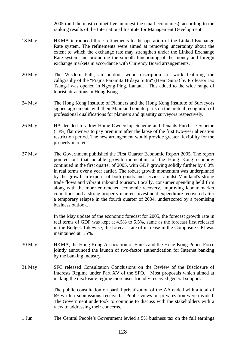2005 (and the most competitive amongst the small economies), according to the ranking results of the International Institute for Management Development.

- 18 May HKMA introduced three refinements to the operation of the Linked Exchange Rate system. The refinements were aimed at removing uncertainty about the extent to which the exchange rate may strengthen under the Linked Exchange Rate system and promoting the smooth functioning of the money and foreign exchange markets in accordance with Currency Board arrangements.
- 20 May The Wisdom Path, an outdoor wood inscription art work featuring the calligraphy of the "Prajna Paramita Hrdaya Sutra" (Heart Sutra) by Professor Jao Tsung-I was opened in Ngong Ping, Lantau. This added to the wide range of tourist attractions in Hong Kong.
- 24 May The Hong Kong Institute of Planners and the Hong Kong Institute of Surveyors signed agreements with their Mainland counterparts on the mutual recognition of professional qualifications for planners and quantity surveyors respectively.
- 26 May HA decided to allow Home Ownership Scheme and Tenants Purchase Scheme (TPS) flat owners to pay premium after the lapse of the first two-year alienation restriction period. The new arrangement would provide greater flexibility for the property market.
- 27 May The Government published the First Quarter Economic Report 2005. The report pointed out that notable growth momentum of the Hong Kong economy continued in the first quarter of 2005, with GDP growing solidly further by 6.0% in real terms over a year earlier. The robust growth momentum was underpinned by the growth in exports of both goods and services amidst Mainland's strong trade flows and vibrant inbound tourism. Locally, consumer spending held firm along with the more entrenched economic recovery, improving labour market conditions and a strong property market. Investment expenditure recovered after a temporary relapse in the fourth quarter of 2004, underscored by a promising business outlook.

In the May update of the economic forecast for 2005, the forecast growth rate in real terms of GDP was kept at 4.5% to 5.5%, same as the forecast first released in the Budget. Likewise, the forecast rate of increase in the Composite CPI was maintained at 1.5%.

- 30 May HKMA, the Hong Kong Association of Banks and the Hong Kong Police Force jointly announced the launch of two-factor authentication for Internet banking by the banking industry.
- 31 May SFC released Consultation Conclusions on the Review of the Disclosure of Interests Regime under Part XV of the SFO. Most proposals which aimed at making the disclosure regime more user-friendly received general support.

 The public consultation on partial privatization of the AA ended with a total of 69 written submissions received. Public views on privatization were divided. The Government undertook to continue to discuss with the stakeholders with a view to addressing their concerns.

1 Jun The Central People's Government levied a 5% business tax on the full earnings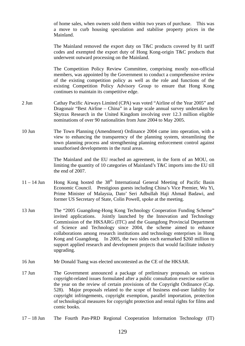of home sales, when owners sold them within two years of purchase. This was a move to curb housing speculation and stabilise property prices in the Mainland.

 The Mainland removed the export duty on T&C products covered by 81 tariff codes and exempted the export duty of Hong Kong-origin T&C products that underwent outward processing on the Mainland.

 The Competition Policy Review Committee, comprising mostly non-official members, was appointed by the Government to conduct a comprehensive review of the existing competition policy as well as the role and functions of the existing Competition Policy Advisory Group to ensure that Hong Kong continues to maintain its competitive edge.

- 2 Jun Cathay Pacific Airways Limited (CPA) was voted "Airline of the Year 2005" and Dragonair "Best Airline – China" in a large scale annual survey undertaken by Skytrax Research in the United Kingdom involving over 12.3 million eligible nominations of over 90 nationalities from June 2004 to May 2005.
- 10 Jun The Town Planning (Amendment) Ordinance 2004 came into operation, with a view to enhancing the transparency of the planning system, streamlining the town planning process and strengthening planning enforcement control against unauthorised developments in the rural areas.

 The Mainland and the EU reached an agreement, in the form of an MOU, on limiting the quantity of 10 categories of Mainland's T&C imports into the EU till the end of 2007.

- $11 14$  Jun Hong Kong hosted the  $38<sup>th</sup>$  International General Meeting of Pacific Basin Economic Council. Prestigious guests including China's Vice Premier, Wu Yi, Prime Minister of Malaysia, Dato' Seri Adbullah Haji Ahmad Badawi, and former US Secretary of State, Colin Powell, spoke at the meeting.
- 13 Jun The "2005 Guangdong-Hong Kong Technology Cooperation Funding Scheme" invited applications. Jointly launched by the Innovation and Technology Commission of the HKSARG (ITC) and the Guangdong Provincial Department of Science and Technology since 2004, the scheme aimed to enhance collaborations among research institutions and technology enterprises in Hong Kong and Guangdong. In 2005, the two sides each earmarked \$260 million to support applied research and development projects that would facilitate industry upgrading.
- 16 Jun Mr Donald Tsang was elected uncontested as the CE of the HKSAR.
- 17 Jun The Government announced a package of preliminary proposals on various copyright-related issues formulated after a public consultation exercise earlier in the year on the review of certain provisions of the Copyright Ordinance (Cap. 528). Major proposals related to the scope of business end-user liability for copyright infringements, copyright exemption, parallel importation, protection of technological measures for copyright protection and rental rights for films and comic books.
- 17 18 Jun The Fourth Pan-PRD Regional Cooperation Information Technology (IT)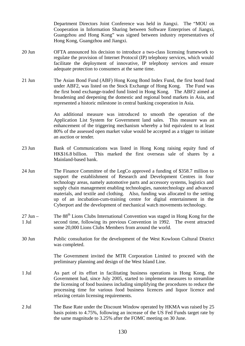Department Directors Joint Conference was held in Jiangxi. The "MOU on Cooperation in Information Sharing between Software Enterprises of Jiangxi, Guangzhou and Hong Kong" was signed between industry representatives of Hong Kong, Guangzhou and Jiangxi.

- 20 Jun OFTA announced his decision to introduce a two-class licensing framework to regulate the provision of Internet Protocol (IP) telephony services, which would facilitate the deployment of innovative, IP telephony services and ensure adequate protection to consumers at the same time.
- 21 Jun The Asian Bond Fund (ABF) Hong Kong Bond Index Fund, the first bond fund under ABF2, was listed on the Stock Exchange of Hong Kong. The Fund was the first bond exchange-traded fund listed in Hong Kong. The ABF2 aimed at broadening and deepening the domestic and regional bond markets in Asia, and represented a historic milestone in central banking cooperation in Asia.

 An additional measure was introduced to smooth the operation of the Application List System for Government land sales. This measure was an enhancement of the triggering mechanism whereby a bid equivalent to at least 80% of the assessed open market value would be accepted as a trigger to initiate an auction or tender.

- 23 Jun Bank of Communications was listed in Hong Kong raising equity fund of HK\$16.8 billion. This marked the first overseas sale of shares by a Mainland-based bank.
- 24 Jun The Finance Committee of the LegCo approved a funding of \$358.7 million to support the establishment of Research and Development Centres in four technology areas, namely automotive parts and accessory systems, logistics and supply chain management enabling technologies, nanotechnology and advanced materials, and textile and clothing. Also, funding was allocated to the setting up of an incubation-cum-training centre for digital entertainment in the Cyberport and the development of mechanical watch movements technology.
- $27$  Jun  $-$ 1 Jul The 88th Lions Clubs International Convention was staged in Hong Kong for the second time, following its previous Convention in 1992. The event attracted some 20,000 Lions Clubs Members from around the world.
- 30 Jun Public consultation for the development of the West Kowloon Cultural District was completed.

 The Government invited the MTR Corporation Limited to proceed with the preliminary planning and design of the West Island Line.

- 1 Jul As part of its effort in facilitating business operations in Hong Kong, the Government had, since July 2005, started to implement measures to streamline the licensing of food business including simplifying the procedures to reduce the processing time for various food business licences and liquor licence and relaxing certain licensing requirements.
- 2 Jul The Base Rate under the Discount Window operated by HKMA was raised by 25 basis points to 4.75%, following an increase of the US Fed Funds target rate by the same magnitude to 3.25% after the FOMC meeting on 30 June.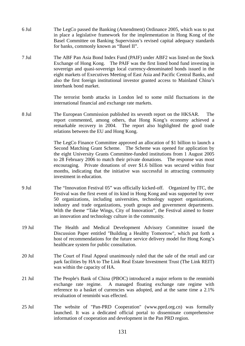- 6 Jul The LegCo passed the Banking (Amendment) Ordinance 2005, which was to put in place a legislative framework for the implementation in Hong Kong of the Basel Committee on Banking Supervision's revised capital adequacy standards for banks, commonly known as "Basel II".
- 7 Jul The ABF Pan Asia Bond Index Fund (PAIF) under ABF2 was listed on the Stock Exchange of Hong Kong. The PAIF was the first listed bond fund investing in sovereign and quasi-sovereign local currency-denominated bonds issued in the eight markets of Executives Meeting of East Asia and Pacific Central Banks, and also the first foreign institutional investor granted access to Mainland China's interbank bond market.

 The terrorist bomb attacks in London led to some mild fluctuations in the international financial and exchange rate markets.

8 Jul The European Commission published its seventh report on the HKSAR. The report commented, among others, that Hong Kong's economy achieved a remarkable recovery in 2004. The report also highlighted the good trade relations between the EU and Hong Kong.

> The LegCo Finance Committee approved an allocation of \$1 billion to launch a Second Matching Grant Scheme. The Scheme was opened for application by the eight University Grants Committee-funded institutions from 1 August 2005 to 28 February 2006 to match their private donations. The response was most encouraging. Private donations of over \$1.6 billion was secured within four months, indicating that the initiative was successful in attracting community investment in education.

- 9 Jul The "Innovation Festival 05" was officially kicked-off. Organized by ITC, the Festival was the first event of its kind in Hong Kong and was supported by over 50 organizations, including universities, technology support organizations, industry and trade organizations, youth groups and government departments. With the theme "Take Wings, City of Innovation", the Festival aimed to foster an innovation and technology culture in the community.
- 19 Jul The Health and Medical Development Advisory Committee issued the Discussion Paper entitled "Building a Healthy Tomorrow", which put forth a host of recommendations for the future service delivery model for Hong Kong's healthcare system for public consultation.
- 20 Jul The Court of Final Appeal unanimously ruled that the sale of the retail and car park facilities by HA to The Link Real Estate Investment Trust (The Link REIT) was within the capacity of HA.
- 21 Jul The People's Bank of China (PBOC) introduced a major reform to the renminbi exchange rate regime. A managed floating exchange rate regime with reference to a basket of currencies was adopted, and at the same time a 2.1% revaluation of renminbi was effected.
- 25 Jul The website of "Pan-PRD Cooperation" (www.pprd.org.cn) was formally launched. It was a dedicated official portal to disseminate comprehensive information of cooperation and development in the Pan PRD region.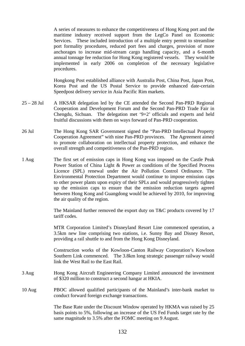A series of measures to enhance the competitiveness of Hong Kong port and the maritime industry received support from the LegCo Panel on Economic Services. These included introduction of a multiple entry permit to streamline port formality procedures, reduced port fees and charges, provision of more anchorages to increase mid-stream cargo handling capacity, and a 6-month annual tonnage fee reduction for Hong Kong registered vessels. They would be implemented in early 2006 on completion of the necessary legislative procedures.

 Hongkong Post established alliance with Australia Post, China Post, Japan Post, Korea Post and the US Postal Service to provide enhanced date-certain Speedpost delivery service in Asia Pacific Rim markets.

- 25 28 Jul A HKSAR delegation led by the CE attended the Second Pan-PRD Regional Cooperation and Development Forum and the Second Pan-PRD Trade Fair in Chengdu, Sichuan. The delegation met '9+2' officials and experts and held fruitful discussions with them on ways forward of Pan-PRD cooperation.
- 26 Jul The Hong Kong SAR Government signed the "Pan-PRD Intellectual Property Cooperation Agreement" with nine Pan-PRD provinces. The Agreement aimed to promote collaboration on intellectual property protection, and enhance the overall strength and competitiveness of the Pan-PRD region.
- 1 Aug The first set of emission caps in Hong Kong was imposed on the Castle Peak Power Station of China Light & Power as conditions of the Specified Process Licence (SPL) renewal under the Air Pollution Control Ordinance. The Environmental Protection Department would continue to impose emission caps to other power plants upon expiry of their SPLs and would progressively tighten up the emission caps to ensure that the emission reduction targets agreed between Hong Kong and Guangdong would be achieved by 2010, for improving the air quality of the region.

 The Mainland further removed the export duty on T&C products covered by 17 tariff codes.

 MTR Corporation Limited's Disneyland Resort Line commenced operation, a 3.5km new line comprising two stations, i.e. Sunny Bay and Disney Resort, providing a rail shuttle to and from the Hong Kong Disneyland.

 Construction works of the Kowloon-Canton Railway Corporation's Kowloon Southern Link commenced. The 3.8km long strategic passenger railway would link the West Rail to the East Rail.

- 3 Aug Hong Kong Aircraft Engineering Company Limited announced the investment of \$320 million to construct a second hangar at HKIA.
- 10 Aug PBOC allowed qualified participants of the Mainland's inter-bank market to conduct forward foreign exchange transactions.

 The Base Rate under the Discount Window operated by HKMA was raised by 25 basis points to 5%, following an increase of the US Fed Funds target rate by the same magnitude to 3.5% after the FOMC meeting on 9 August.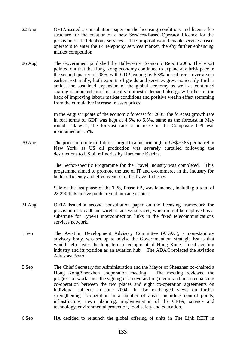- 22 Aug OFTA issued a consultation paper on the licensing conditions and licence fee structure for the creation of a new Services-Based Operator Licence for the provision of IP Telephony services. The proposal would enable services-based operators to enter the IP Telephony services market, thereby further enhancing market competition.
- 26 Aug The Government published the Half-yearly Economic Report 2005. The report pointed out that the Hong Kong economy continued to expand at a brisk pace in the second quarter of 2005, with GDP leaping by 6.8% in real terms over a year earlier. Externally, both exports of goods and services grew noticeably further amidst the sustained expansion of the global economy as well as continued soaring of inbound tourism. Locally, domestic demand also grew further on the back of improving labour market conditions and positive wealth effect stemming from the cumulative increase in asset prices.

In the August update of the economic forecast for 2005, the forecast growth rate in real terms of GDP was kept at 4.5% to 5.5%, same as the forecast in May round. Likewise, the forecast rate of increase in the Composite CPI was maintained at 1.5%.

30 Aug The prices of crude oil futures surged to a historic high of US\$70.85 per barrel in New York, as US oil production was severely curtailed following the destructions to US oil refineries by Hurricane Katrina.

> The Sector-specific Programme for the Travel Industry was completed. This programme aimed to promote the use of IT and e-commerce in the industry for better efficiency and effectiveness in the Travel Industry*.*

> Sale of the last phase of the TPS, Phase 6B, was launched, including a total of 23 290 flats in five public rental housing estates.

- 31 Aug OFTA issued a second consultation paper on the licensing framework for provision of broadband wireless access services, which might be deployed as a substitute for Type-II interconnection links in the fixed telecommunications services network.
- 1 Sep The Aviation Development Advisory Committee (ADAC), a non-statutory advisory body, was set up to advise the Government on strategic issues that would help foster the long term development of Hong Kong's local aviation industry and its position as an aviation hub. The ADAC replaced the Aviation Advisory Board.
- 5 Sep The Chief Secretary for Administration and the Mayor of Shenzhen co-chaired a Hong Kong/Shenzhen cooperation meeting. The meeting reviewed the progress of work since the signing of an overarching memorandum on enhancing co-operation between the two places and eight co-operation agreements on individual subjects in June 2004. It also exchanged views on further strengthening co-operation in a number of areas, including control points, infrastructure, town planning, implementation of the CEPA, science and technology, environmental protection, food safety and education.
- 6 Sep HA decided to relaunch the global offering of units in The Link REIT in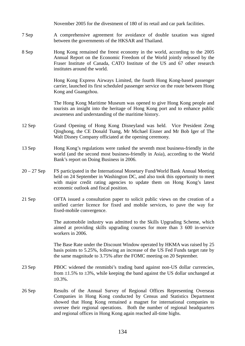|               | November 2005 for the divestment of 180 of its retail and car park facilities.                                                                                                                                                                                                                                                                                             |
|---------------|----------------------------------------------------------------------------------------------------------------------------------------------------------------------------------------------------------------------------------------------------------------------------------------------------------------------------------------------------------------------------|
| 7 Sep         | A comprehensive agreement for avoidance of double taxation was signed<br>between the governments of the HKSAR and Thailand.                                                                                                                                                                                                                                                |
| 8 Sep         | Hong Kong remained the freest economy in the world, according to the 2005<br>Annual Report on the Economic Freedom of the World jointly released by the<br>Fraser Institute of Canada, CATO Institute of the US and 67 other research<br>institutes around the world.                                                                                                      |
|               | Hong Kong Express Airways Limited, the fourth Hong Kong-based passenger<br>carrier, launched its first scheduled passenger service on the route between Hong<br>Kong and Guangzhou.                                                                                                                                                                                        |
|               | The Hong Kong Maritime Museum was opened to give Hong Kong people and<br>tourists an insight into the heritage of Hong Kong port and to enhance public<br>awareness and understanding of the maritime history.                                                                                                                                                             |
| 12 Sep        | Grand Opening of Hong Kong Disneyland was held. Vice President Zeng<br>Qinghong, the CE Donald Tsang, Mr Michael Eisner and Mr Bob Iger of The<br>Walt Disney Company officiated at the opening ceremony.                                                                                                                                                                  |
| 13 Sep        | Hong Kong's regulations were ranked the seventh most business-friendly in the<br>world (and the second most business-friendly in Asia), according to the World<br>Bank's report on Doing Business in 2006.                                                                                                                                                                 |
| $20 - 27$ Sep | FS participated in the International Monetary Fund/World Bank Annual Meeting<br>held on 24 September in Washington DC, and also took this opportunity to meet<br>with major credit rating agencies to update them on Hong Kong's latest<br>economic outlook and fiscal position.                                                                                           |
| 21 Sep        | OFTA issued a consultation paper to solicit public views on the creation of a<br>unified carrier licence for fixed and mobile services, to pave the way for<br>fixed-mobile convergence.                                                                                                                                                                                   |
|               | The automobile industry was admitted to the Skills Upgrading Scheme, which<br>aimed at providing skills upgrading courses for more than 3 600 in-service<br>workers in 2006.                                                                                                                                                                                               |
|               | The Base Rate under the Discount Window operated by HKMA was raised by 25<br>basis points to 5.25%, following an increase of the US Fed Funds target rate by<br>the same magnitude to 3.75% after the FOMC meeting on 20 September.                                                                                                                                        |
| 23 Sep        | PBOC widened the renminbi's trading band against non-US dollar currencies,<br>from $\pm 1.5\%$ to $\pm 3\%$ , while keeping the band against the US dollar unchanged at<br>$\pm 0.3\%$ .                                                                                                                                                                                   |
| 26 Sep        | Results of the Annual Survey of Regional Offices Representing Overseas<br>Companies in Hong Kong conducted by Census and Statistics Department<br>showed that Hong Kong remained a magnet for international companies to<br>oversee their regional operations. Both the number of regional headquarters<br>and regional offices in Hong Kong again reached all-time highs. |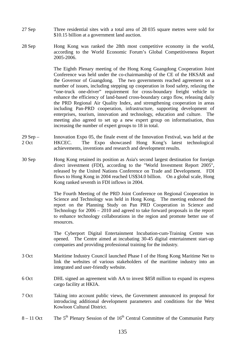- 27 Sep Three residential sites with a total area of 28 035 square metres were sold for \$10.15 billion at a government land auction.
- 28 Sep Hong Kong was ranked the 28th most competitive economy in the world, according to the World Economic Forum's Global Competitiveness Report 2005-2006.

 The Eighth Plenary meeting of the Hong Kong Guangdong Cooperation Joint Conference was held under the co-chairmanship of the CE of the HKSAR and the Governor of Guangdong. The two governments reached agreement on a number of issues, including stepping up cooperation in food safety, relaxing the "one-truck one-driver" requirement for cross-boundary freight vehicle to enhance the efficiency of land-based cross-boundary cargo flow, releasing daily the PRD Regional Air Quality Index, and strengthening cooperation in areas including Pan-PRD cooperation, infrastructure, supporting development of enterprises, tourism, innovation and technology, education and culture. The meeting also agreed to set up a new expert group on informatisation, thus increasing the number of expert groups to 18 in total.

- 29 Sep 2 Oct Innovation Expo 05, the finale event of the Innovation Festival, was held at the HKCEC. The Expo showcased Hong Kong's latest technological achievements, inventions and research and development results.
- 30 Sep Hong Kong retained its position as Asia's second largest destination for foreign direct investment (FDI), according to the "World Investment Report 2005", released by the United Nations Conference on Trade and Development. FDI flows to Hong Kong in 2004 reached US\$34.0 billion. On a global scale, Hong Kong ranked seventh in FDI inflows in 2004.

 The Fourth Meeting of the PRD Joint Conference on Regional Cooperation in Science and Technology was held in Hong Kong. The meeting endorsed the report on the Planning Study on Pan PRD Cooperation in Science and Technology for 2006 – 2010 and agreed to take forward proposals in the report to enhance technology collaborations in the region and promote better use of resources.

 The Cyberport Digital Entertainment Incubation-cum-Training Centre was opened. The Centre aimed at incubating 30-45 digital entertainment start-up companies and providing professional training for the industry.

- 3 Oct Maritime Industry Council launched Phase I of the Hong Kong Maritime Net to link the websites of various stakeholders of the maritime industry into an integrated and user-friendly website.
- 6 Oct DHL signed an agreement with AA to invest \$858 million to expand its express cargo facility at HKIA.
- 7 Oct Taking into account public views, the Government announced its proposal for introducing additional development parameters and conditions for the West Kowloon Cultural District.
- $8 11$  Oct The 5<sup>th</sup> Plenary Session of the 16<sup>th</sup> Central Committee of the Communist Party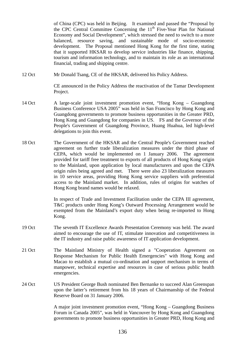of China (CPC) was held in Beijing. It examined and passed the "Proposal by the CPC Central Committee Concerning the  $11<sup>th</sup>$  Five-Year Plan for National Economy and Social Development", which stressed the need to switch to a more balanced, resource saving, and sustainable mode of socio-economic development. The Proposal mentioned Hong Kong for the first time, stating that it supported HKSAR to develop service industries like finance, shipping, tourism and information technology, and to maintain its role as an international financial, trading and shipping centre.

12 Oct Mr Donald Tsang, CE of the HKSAR, delivered his Policy Address.

 CE announced in the Policy Address the reactivation of the Tamar Development Project.

- 14 Oct A large-scale joint investment promotion event, "Hong Kong Guangdong Business Conference USA 2005" was held in San Francisco by Hong Kong and Guangdong governments to promote business opportunities in the Greater PRD, Hong Kong and Guangdong for companies in US. FS and the Governor of the People's Government of Guangdong Province, Huang Huahua, led high-level delegations to join this event.
- 18 Oct The Government of the HKSAR and the Central People's Government reached agreement on further trade liberalization measures under the third phase of CEPA, which would be implemented on 1 January 2006. The agreement provided for tariff free treatment to exports of all products of Hong Kong origin to the Mainland, upon application by local manufacturers and upon the CEPA origin rules being agreed and met. There were also 23 liberalization measures in 10 service areas, providing Hong Kong service suppliers with preferential access to the Mainland market. In addition, rules of origins for watches of Hong Kong brand names would be relaxed.

 In respect of Trade and Investment Facilitation under the CEPA III agreement, T&C products under Hong Kong's Outward Processing Arrangement would be exempted from the Mainland's export duty when being re-imported to Hong Kong.

- 19 Oct The seventh IT Excellence Awards Presentation Ceremony was held. The award aimed to encourage the use of IT, stimulate innovation and competitiveness in the IT industry and raise public awareness of IT application development.
- 21 Oct The Mainland Ministry of Health signed a "Cooperation Agreement on Response Mechanism for Public Health Emergencies" with Hong Kong and Macao to establish a mutual co-ordination and support mechanism in terms of manpower, technical expertise and resources in case of serious public health emergencies.
- 24 Oct US President George Bush nominated Ben Bernanke to succeed Alan Greenspan upon the latter's retirement from his 18 years of Chairmanship of the Federal Reserve Board on 31 January 2006.

 A major joint investment promotion event, "Hong Kong – Guangdong Business Forum in Canada 2005", was held in Vancouver by Hong Kong and Guangdong governments to promote business opportunities in Greater PRD, Hong Kong and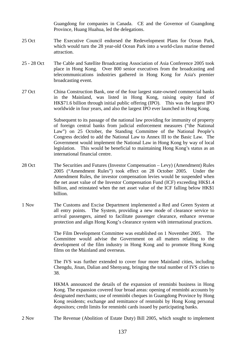Guangdong for companies in Canada. CE and the Governor of Guangdong Province, Huang Huahua, led the delegations.

- 25 Oct The Executive Council endorsed the Redevelopment Plans for Ocean Park, which would turn the 28 year-old Ocean Park into a world-class marine themed attraction.
- 25 28 Oct The Cable and Satellite Broadcasting Association of Asia Conference 2005 took place in Hong Kong. Over 800 senior executives from the broadcasting and telecommunications industries gathered in Hong Kong for Asia's premier broadcasting event.
- 27 Oct China Construction Bank, one of the four largest state-owned commercial banks in the Mainland, was listed in Hong Kong, raising equity fund of HK\$71.6 billion through initial public offering (IPO). This was the largest IPO worldwide in four years, and also the largest IPO ever launched in Hong Kong.

 Subsequent to its passage of the national law providing for immunity of property of foreign central banks from judicial enforcement measures ("the National Law") on 25 October, the Standing Committee of the National People's Congress decided to add the National Law to Annex III to the Basic Law. The Government would implement the National Law in Hong Kong by way of local legislation. This would be beneficial to maintaining Hong Kong's status as an international financial centre.

- 28 Oct The Securities and Futures (Investor Compensation Levy) (Amendment) Rules 2005 ("Amendment Rules") took effect on 28 October 2005. Under the Amendment Rules, the investor compensation levies would be suspended when the net asset value of the Investor Compensation Fund (ICF) exceeding HK\$1.4 billion, and reinstated when the net asset value of the ICF falling below HK\$1 billion.
- 1 Nov The Customs and Excise Department implemented a Red and Green System at all entry points. The System, providing a new mode of clearance service to arrival passengers, aimed to facilitate passenger clearance, enhance revenue protection and align Hong Kong's clearance system with international practices.

 The Film Development Committee was established on 1 November 2005. The Committee would advise the Government on all matters relating to the development of the film industry in Hong Kong and to promote Hong Kong films on the Mainland and overseas.

 The IVS was further extended to cover four more Mainland cities, including Chengdu, Jinan, Dalian and Shenyang, bringing the total number of IVS cities to 38.

 HKMA announced the details of the expansion of renminbi business in Hong Kong. The expansion covered four broad areas: opening of renminbi accounts by designated merchants; use of renminbi cheques in Guangdong Province by Hong Kong residents; exchange and remittance of renminbi by Hong Kong personal depositors; credit limits for renminbi cards issued by participating banks.

2 Nov The Revenue (Abolition of Estate Duty) Bill 2005, which sought to implement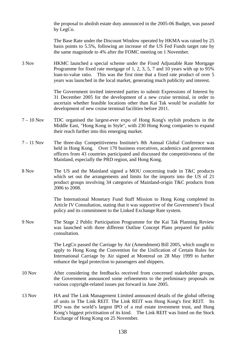the proposal to abolish estate duty announced in the 2005-06 Budget, was passed by LegCo.

 The Base Rate under the Discount Window operated by HKMA was raised by 25 basis points to 5.5%, following an increase of the US Fed Funds target rate by the same magnitude to 4% after the FOMC meeting on 1 November.

3 Nov HKMC launched a special scheme under the Fixed Adjustable Rate Mortgage Programme for fixed rate mortgage of 1, 2, 3, 5, 7 and 10 years with up to 95% loan-to-value ratio. This was the first time that a fixed rate product of over 5 years was launched in the local market, generating much publicity and interest.

> The Government invited interested parties to submit Expressions of Interest by 31 December 2005 for the development of a new cruise terminal, in order to ascertain whether feasible locations other than Kai Tak would be available for development of new cruise terminal facilities before 2011.

- 7 10 Nov TDC organised the largest-ever expo of Hong Kong's stylish products in the Middle East, "Hong Kong in Style", with 230 Hong Kong companies to expand their reach further into this emerging market.
- 7 11 Nov The three-day Competitiveness Institute's 8th Annual Global Conference was held in Hong Kong. Over 170 business executives, academics and government officers from 43 countries participated and discussed the competitiveness of the Mainland, especially the PRD region, and Hong Kong.
- 8 Nov The US and the Mainland signed a MOU concerning trade in T&C products which set out the arrangements and limits for the imports into the US of 21 product groups involving 34 categories of Mainland-origin T&C products from 2006 to 2008.

 The International Monetary Fund Staff Mission to Hong Kong completed its Article IV Consultation, stating that it was supportive of the Government's fiscal policy and its commitment to the Linked Exchange Rate system.

9 Nov The Stage 2 Public Participation Programme for the Kai Tak Planning Review was launched with three different Outline Concept Plans prepared for public consultation.

> The LegCo passed the Carriage by Air (Amendment) Bill 2005, which sought to apply to Hong Kong the Convention for the Unification of Certain Rules for International Carriage by Air signed at Montreal on 28 May 1999 to further enhance the legal protection to passengers and shippers.

- 10 Nov After considering the feedbacks received from concerned stakeholder groups, the Government announced some refinements to the preliminary proposals on various copyright-related issues put forward in June 2005.
- 13 Nov HA and The Link Management Limited announced details of the global offering of units in The Link REIT. The Link REIT was Hong Kong's first REIT. Its IPO was the world's largest IPO of a real estate investment trust, and Hong Kong's biggest privitisation of its kind. The Link REIT was listed on the Stock Exchange of Hong Kong on 25 November.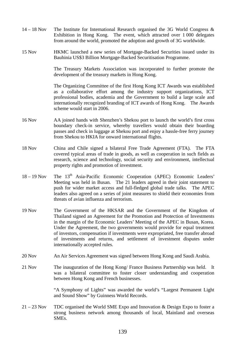- 14 18 Nov The Institute for International Research organised the 3G World Congress & Exhibition in Hong Kong. The event, which attracted over 1 000 delegates from around the world, promoted the adoption and growth of 3G worldwide.
- 15 Nov HKMC launched a new series of Mortgage-Backed Securities issued under its Bauhinia US\$3 Billion Mortgage-Backed Securitisation Programme.

The Treasury Markets Association was incorporated to further promote the development of the treasury markets in Hong Kong.

 The Organizing Committee of the first Hong Kong ICT Awards was established as a collaborative effort among the industry support organizations, ICT professional bodies, academia and the Government to build a large scale and internationally recognized branding of ICT awards of Hong Kong. The Awards scheme would start in 2006.

- 16 Nov AA joined hands with Shenzhen's Shekou port to launch the world's first cross boundary check-in service, whereby travellers would obtain their boarding passes and check in luggage at Shekou port and enjoy a hassle-free ferry journey from Shekou to HKIA for onward international flights.
- 18 Nov China and Chile signed a bilateral Free Trade Agreement (FTA). The FTA covered typical areas of trade in goods, as well as cooperation in such fields as research, science and technology, social security and environment, intellectual property rights and promotion of investment.
- $18 19$  Nov The  $13<sup>th</sup>$  Asia-Pacific Economic Cooperation (APEC) Economic Leaders' Meeting was held in Busan. The 21 leaders agreed in their joint statement to push for wider market access and full-fledged global trade talks. The APEC leaders also agreed on a series of joint measures to shield their economies from threats of avian influenza and terrorism.
- 19 Nov The Government of the HKSAR and the Government of the Kingdom of Thailand signed an Agreement for the Promotion and Protection of Investments in the margin of the Economic Leaders' Meeting of the APEC in Busan, Korea. Under the Agreement, the two governments would provide for equal treatment of investors, compensation if investments were expropriated, free transfer abroad of investments and returns, and settlement of investment disputes under internationally accepted rules.
- 20 Nov An Air Services Agreement was signed between Hong Kong and Saudi Arabia.
- 21 Nov The inauguration of the Hong Kong/ France Business Partnership was held. It was a bilateral committee to foster closer understanding and cooperation between Hong Kong and French businesses.

 "A Symphony of Lights" was awarded the world's "Largest Permanent Light and Sound Show" by Guinness World Records.

21 – 23 Nov TDC organised the World SME Expo and Innovation & Design Expo to foster a strong business network among thousands of local, Mainland and overseas SMEs.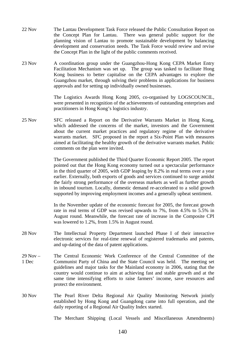- 22 Nov The Lantau Development Task Force released the Public Consultation Report on the Concept Plan for Lantau. There was general public support for the planning vision of Lantau to promote sustainable development by balancing development and conservation needs. The Task Force would review and revise the Concept Plan in the light of the public comments received.
- 23 Nov A coordination group under the Guangzhou-Hong Kong CEPA Market Entry Facilitation Mechanism was set up. The group was tasked to facilitate Hong Kong business to better capitalise on the CEPA advantages to explore the Guangzhou market, through solving their problems in applications for business approvals and for setting up individually owned businesses.

 The Logistics Awards Hong Kong 2005, co-organised by LOGSCOUNCIL, were presented in recognition of the achievements of outstanding enterprises and practitioners in Hong Kong's logistics industry.

25 Nov SFC released a Report on the Derivative Warrants Market in Hong Kong, which addressed the concerns of the market, investors and the Government about the current market practices and regulatory regime of the derivative warrants market. SFC proposed in the report a Six-Point Plan with measures aimed at facilitating the healthy growth of the derivative warrants market. Public comments on the plan were invited.

> The Government published the Third Quarter Economic Report 2005. The report pointed out that the Hong Kong economy turned out a spectacular performance in the third quarter of 2005, with GDP leaping by 8.2% in real terms over a year earlier. Externally, both exports of goods and services continued to surge amidst the fairly strong performance of the overseas markets as well as further growth in inbound tourism. Locally, domestic demand re-accelerated to a solid growth supported by improving employment incomes and a generally upbeat sentiment.

> In the November update of the economic forecast for 2005, the forecast growth rate in real terms of GDP was revised upwards to 7%, from 4.5% to 5.5% in August round. Meanwhile, the forecast rate of increase in the Composite CPI was lowered to 1.2%, from 1.5% in August round.

- 28 Nov The Intellectual Property Department launched Phase I of their interactive electronic services for real-time renewal of registered trademarks and patents, and up-dating of the data of patent applications.
- 29 Nov 1 Dec The Central Economic Work Conference of the Central Committee of the Communist Party of China and the State Council was held. The meeting set guidelines and major tasks for the Mainland economy in 2006, stating that the country would continue to aim at achieving fast and stable growth and at the same time intensifying efforts to raise farmers' income, save resources and protect the environment.
- 30 Nov The Pearl River Delta Regional Air Quality Monitoring Network jointly established by Hong Kong and Guangdong came into full operation, and the daily reporting of a Regional Air Quality Index started.

The Merchant Shipping (Local Vessels and Miscellaneous Amendments)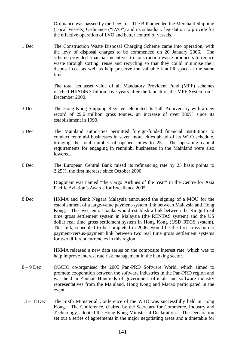Ordinance was passed by the LegCo. The Bill amended the Merchant Shipping (Local Vessels) Ordinance ("LVO") and its subsidiary legislation to provide for the effective operation of LVO and better control of vessels.

1 Dec The Construction Waste Disposal Charging Scheme came into operation, with the levy of disposal charges to be commenced on 20 January 2006. The scheme provided financial incentives to construction waste producers to reduce waste through sorting, reuse and recycling so that they could minimise their disposal cost as well as help preserve the valuable landfill space at the same time.

> The total net asset value of all Mandatory Provident Fund (MPF) schemes reached HK\$146.3 billion, five years after the launch of the MPF System on 1 December 2000.

- 3 Dec The Hong Kong Shipping Register celebrated its 15th Anniversary with a new record of 29.6 million gross tonnes, an increase of over 380% since its establishment in 1990.
- 5 Dec The Mainland authorities permitted foreign-funded financial institutions to conduct renminbi businesses in seven more cities ahead of its WTO schedule, bringing the total number of opened cities to 25. The operating capital requirements for engaging in renminbi businesses in the Mainland were also lowered.
- 6 Dec The European Central Bank raised its refinancing rate by 25 basis points to 2.25%, the first increase since October 2000.

 Dragonair was named "the Cargo Airlines of the Year" in the Centre for Asia Pacific Aviation's Awards for Excellence 2005.

8 Dec HKMA and Bank Negara Malaysia announced the signing of a MOU for the establishment of a large-value payment-system link between Malaysia and Hong Kong. The two central banks would establish a link between the Ringgit real time gross settlement system in Malaysia (the RENTAS system) and the US dollar real time gross settlement system in Hong Kong (USD RTGS system). This link, scheduled to be completed in 2006, would be the first cross-border payment-versus-payment link between two real time gross settlement systems for two different currencies in this region.

> HKMA released a new data series on the composite interest rate, which was to help improve interest rate risk management in the banking sector.

- 8 9 Dec OGCIO co-organised the 2005 Pan-PRD Software World, which aimed to promote cooperation between the software industries in the Pan-PRD region and was held in Zhuhai. Hundreds of government officials and software industry representatives from the Mainland, Hong Kong and Macao participated in the event.
- 13 18 Dec The Sixth Ministerial Conference of the WTO was successfully held in Hong Kong. The Conference, chaired by the Secretary for Commerce, Industry and Technology, adopted the Hong Kong Ministerial Declaration. The Declaration set out a series of agreements in the major negotiating areas and a timetable for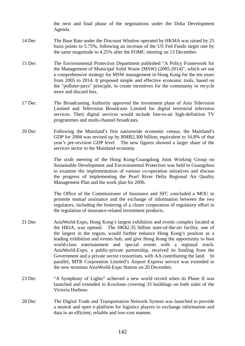the next and final phase of the negotiations under the Doha Development Agenda.

- 14 Dec The Base Rate under the Discount Window operated by HKMA was raised by 25 basis points to 5.75%, following an increase of the US Fed Funds target rate by the same magnitude to 4.25% after the FOMC meeting on 13 December.
- 15 Dec The Environmental Protection Department published "A Policy Framework for the Management of Municipal Solid Waste (MSW) (2005-2014)", which set out a comprehensive strategy for MSW management in Hong Kong for the ten years from 2005 to 2014. It proposed simple and effective economic tools, based on the "polluter-pays" principle, to create incentives for the community to recycle more and discard less.
- 17 Dec The Broadcasting Authority approved the investment plans of Asia Television Limited and Television Broadcasts Limited for digital terrestrial television services. Their digital services would include free-to-air high-definition TV programmes and multi-channel broadcasts.
- 20 Dec Following the Mainland's first nationwide economic census, the Mainland's GDP for 2004 was revised up by RMB2,300 billion, equivalent to 16.8% of that year's pre-revision GDP level. The new figures showed a larger share of the services sector in the Mainland economy.

 The sixth meeting of the Hong Kong-Guangdong Joint Working Group on Sustainable Development and Environmental Protection was held in Guangzhou to examine the implementation of various co-operation initiatives and discuss the progress of implementing the Pearl River Delta Regional Air Quality Management Plan and the work plan for 2006.

 The Office of the Commissioner of Insurance and SFC concluded a MOU to promote mutual assistance and the exchange of information between the two regulators, including the fostering of a closer cooperation of regulatory effort in the regulation of insurance-related investment products.

- 21 Dec AsiaWorld-Expo, Hong Kong's largest exhibition and events complex located at the HKIA, was opened. The HK\$2.35 billion state-of-the-art facility, one of the largest in the region, would further enhance Hong Kong's position as a leading exhibition and events hub, and give Hong Kong the opportunity to host world-class entertainment and special events with a regional reach. AsiaWorld-Expo, a public-private partnership, received its funding from the Government and a private sector consortium, with AA contributing the land. In parallel, MTR Corporation Limited's Airport Express service was extended to the new terminus AsiaWorld-Expo Station on 20 December.
- 23 Dec "A Symphony of Lights" achieved a new world record when its Phase II was launched and extended to Kowloon covering 33 buildings on both sides of the Victoria Harbour.
- 28 Dec The Digital Trade and Transportation Network System was launched to provide a neutral and open e-platform for logistics players to exchange information and data in an efficient, reliable and low-cost manner.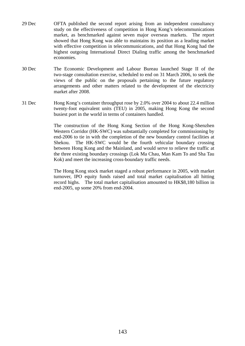- 29 Dec OFTA published the second report arising from an independent consultancy study on the effectiveness of competition in Hong Kong's telecommunications market, as benchmarked against seven major overseas markets. The report showed that Hong Kong was able to maintains its position as a leading market with effective competition in telecommunications, and that Hong Kong had the highest outgoing International Direct Dialing traffic among the benchmarked economies.
- 30 Dec The Economic Development and Labour Bureau launched Stage II of the two-stage consultation exercise, scheduled to end on 31 March 2006, to seek the views of the public on the proposals pertaining to the future regulatory arrangements and other matters related to the development of the electricity market after 2008.
- 31 Dec Hong Kong's container throughput rose by 2.0% over 2004 to about 22.4 million twenty-foot equivalent units (TEU) in 2005, making Hong Kong the second busiest port in the world in terms of containers handled.

 The construction of the Hong Kong Section of the Hong Kong-Shenzhen Western Corridor (HK-SWC) was substantially completed for commissioning by end-2006 to tie in with the completion of the new boundary control facilities at Shekou. The HK-SWC would be the fourth vehicular boundary crossing between Hong Kong and the Mainland, and would serve to relieve the traffic at the three existing boundary crossings (Lok Ma Chau, Man Kam To and Sha Tau Kok) and meet the increasing cross-boundary traffic needs.

 The Hong Kong stock market staged a robust performance in 2005, with market turnover, IPO equity funds raised and total market capitalisation all hitting record highs. The total market capitalisation amounted to HK\$8,180 billion in end-2005, up some 20% from end-2004.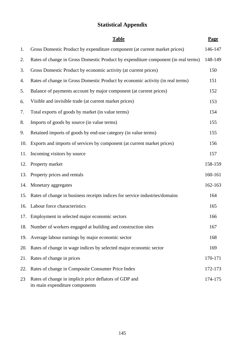# **Statistical Appendix**

|     | <b>Table</b>                                                                              | Page    |
|-----|-------------------------------------------------------------------------------------------|---------|
| 1.  | Gross Domestic Product by expenditure component (at current market prices)                | 146-147 |
| 2.  | Rates of change in Gross Domestic Product by expenditure component (in real terms)        | 148-149 |
| 3.  | Gross Domestic Product by economic activity (at current prices)                           | 150     |
| 4.  | Rates of change in Gross Domestic Product by economic activity (in real terms)            | 151     |
| 5.  | Balance of payments account by major component (at current prices)                        | 152     |
| 6.  | Visible and invisible trade (at current market prices)                                    | 153     |
| 7.  | Total exports of goods by market (in value terms)                                         | 154     |
| 8.  | Imports of goods by source (in value terms)                                               | 155     |
| 9.  | Retained imports of goods by end-use category (in value terms)                            | 155     |
| 10. | Exports and imports of services by component (at current market prices)                   | 156     |
| 11. | Incoming visitors by source                                                               | 157     |
|     | 12. Property market                                                                       | 158-159 |
| 13. | Property prices and rentals                                                               | 160-161 |
|     | 14. Monetary aggregates                                                                   | 162-163 |
| 15. | Rates of change in business receipts indices for service industries/domains               | 164     |
|     | 16. Labour force characteristics                                                          | 165     |
|     | 17. Employment in selected major economic sectors                                         | 166     |
|     | 18. Number of workers engaged at building and construction sites                          | 167     |
| 19. | Average labour earnings by major economic sector                                          | 168     |
| 20. | Rates of change in wage indices by selected major economic sector                         | 169     |
| 21. | Rates of change in prices                                                                 | 170-171 |
| 22. | Rates of change in Composite Consumer Price Index                                         | 172-173 |
| 23  | Rates of change in implicit price deflators of GDP and<br>its main expenditure components | 174-175 |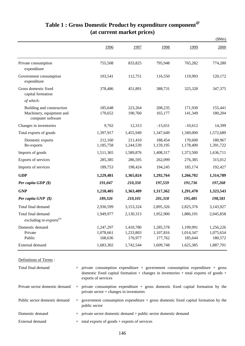|                                                                            |                                   |                                   |                                   |                                   | \$Mn)                             |
|----------------------------------------------------------------------------|-----------------------------------|-----------------------------------|-----------------------------------|-----------------------------------|-----------------------------------|
|                                                                            | 1996                              | 1997                              | 1998                              | 1999                              | 2000                              |
| Private consumption<br>expenditure                                         | 755,508                           | 833,825                           | 795,948                           | 765,282                           | 774,280                           |
| Government consumption<br>expenditure                                      | 103,541                           | 112,751                           | 116,550                           | 119,993                           | 120,172                           |
| Gross domestic fixed<br>capital formation                                  | 378,486                           | 451,891                           | 388,731                           | 325,328                           | 347,375                           |
| of which:                                                                  |                                   |                                   |                                   |                                   |                                   |
| Building and construction<br>Machinery, equipment and<br>computer software | 185,648<br>170,652                | 223,264<br>190,760                | 208,235<br>165,177                | 171,930<br>141,349                | 155,441<br>180,204                |
| Changes in inventories                                                     | 9,762                             | 12,313                            | $-15,651$                         | $-10,612$                         | 14,399                            |
| Total exports of goods                                                     | 1,397,917                         | 1,455,949                         | 1,347,649                         | 1,349,000                         | 1,572,689                         |
| Domestic exports<br>Re-exports                                             | 212,160<br>1,185,758              | 211,410<br>1,244,539              | 188,454<br>1,159,195              | 170,600<br>1,178,400              | 180,967<br>1,391,722              |
| Imports of goods                                                           | 1,511,365                         | 1,589,876                         | 1,408,317                         | 1,373,500                         | 1,636,711                         |
| Exports of services                                                        | 285,385                           | 286,595                           | 262,099                           | 276,385                           | 315,012                           |
| Imports of services                                                        | 189,753                           | 198,424                           | 194,245                           | 185,174                           | 192,427                           |
| <b>GDP</b>                                                                 | 1,229,481                         | 1,365,024                         | 1,292,764                         | 1,266,702                         | 1,314,789                         |
| Per capita GDP (\$)                                                        | 191,047                           | 210,350                           | 197,559                           | 191,736                           | 197,268                           |
| <b>GNP</b>                                                                 | 1,218,405                         | 1,363,409                         | 1,317,362                         | 1,291,470                         | 1,323,543                         |
| Per capita GNP (\$)                                                        | 189,326                           | 210,101                           | 201,318                           | 195,485                           | 198,581                           |
| Total final demand                                                         | 2,930,599                         | 3,153,324                         | 2,895,326                         | 2,825,376                         | 3,143,927                         |
| Total final demand<br>excluding re-exports <sup>(a)</sup>                  | 1,949,977                         | 2,130,313                         | 1,952,900                         | 1,886,191                         | 2,045,858                         |
| Domestic demand<br>Private<br>Public                                       | 1,247,297<br>1,078,661<br>168,636 | 1,410,780<br>1,233,803<br>176,977 | 1,285,578<br>1,107,816<br>177,762 | 1,199,991<br>1,014,347<br>185,644 | 1,256,226<br>1,075,654<br>180,572 |
| External demand                                                            | 1,683,302                         | 1,742,544                         | 1,609,748                         | 1,625,385                         | 1,887,701                         |

### **Table 1 : Gross Domestic Product by expenditure component@ (at current market prices)**

Definitions of Terms : = private consumption expenditure + government consumption expenditure + gross = = government consumption expenditure + gross domestic fixed capital formation by the Domestic demand External demand  $=$  total exports of goods + exports of services Total final demand Private sector domestic demand Public sector domestic demand domestic fixed capital formation + changes in inventories + total exports of goods + exports of services private consumption expenditure + gross domestic fixed capital formation by the private sector + changes in inventories public sector  $=$  private sector domestic demand + public sector domestic demand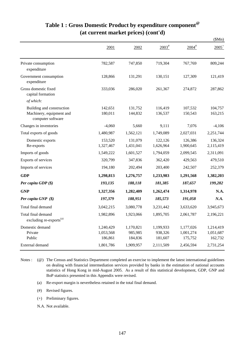|                                                                            |                                   |                                 |                                 |                                   | \$Mn)                             |
|----------------------------------------------------------------------------|-----------------------------------|---------------------------------|---------------------------------|-----------------------------------|-----------------------------------|
|                                                                            | 2001                              | 2002                            | $2003$ <sup>#</sup>             | $2004$ <sup>#</sup>               | $2005^+$                          |
| Private consumption<br>expenditure                                         | 782,587                           | 747,850                         | 719,304                         | 767,769                           | 809,244                           |
| Government consumption<br>expenditure                                      | 128,866                           | 131,291                         | 130,151                         | 127,309                           | 121,419                           |
| Gross domestic fixed<br>capital formation                                  | 333,036                           | 286,020                         | 261,367                         | 274,872                           | 287,862                           |
| of which:                                                                  |                                   |                                 |                                 |                                   |                                   |
| Building and construction<br>Machinery, equipment and<br>computer software | 142,651<br>180,011                | 131,752<br>144,832              | 116,419<br>136,537              | 107,532<br>150,543                | 104,757<br>163,215                |
| Changes in inventories                                                     | $-4,060$                          | 5,660                           | 9,111                           | 7,076                             | $-4,106$                          |
| Total exports of goods                                                     | 1,480,987                         | 1,562,121                       | 1,749,089                       | 2,027,031                         | 2,251,744                         |
| Domestic exports<br>Re-exports                                             | 153,520<br>1,327,467              | 131,079<br>1,431,041            | 122,126<br>1,626,964            | 126,386<br>1,900,645              | 136,324<br>2,115,419              |
| Imports of goods                                                           | 1,549,222                         | 1,601,527                       | 1,794,059                       | 2,099,545                         | 2,311,091                         |
| Exports of services                                                        | 320,799                           | 347,836                         | 362,420                         | 429,563                           | 479,510                           |
| Imports of services                                                        | 194,180                           | 202,494                         | 203,400                         | 242,507                           | 252,379                           |
| <b>GDP</b>                                                                 | 1,298,813                         | 1,276,757                       | 1,233,983                       | 1,291,568                         | 1,382,203                         |
| Per capita GDP $(\$)$                                                      | 193,135                           | 188,118                         | 181,385                         | 187,657                           | 199,282                           |
| <b>GNP</b>                                                                 | 1,327,356                         | 1,282,409                       | 1,262,474                       | 1,314,978                         | N.A.                              |
| Per capita GNP (\$)                                                        | 197,379                           | 188,951                         | 185,573                         | 191,058                           | N.A.                              |
| Total final demand                                                         | 3,042,215                         | 3,080,778                       | 3,231,442                       | 3,633,620                         | 3,945,673                         |
| Total final demand<br>excluding re-exports <sup>(a)</sup>                  | 1,982,896                         | 1,923,066                       | 1,895,705                       | 2,061,787                         | 2,196,221                         |
| Domestic demand<br>Private<br>Public                                       | 1,240,429<br>1,053,568<br>186,861 | 1,170,821<br>985,985<br>184,836 | 1,199,933<br>938,326<br>181,607 | 1,177,026<br>1,001,274<br>175,752 | 1,214,419<br>1,051,687<br>162,732 |
| External demand                                                            | 1,801,786                         | 1,909,957                       | 2,111,509                       | 2,456,594                         | 2,731,254                         |

# **Table 1 : Gross Domestic Product by expenditure component@ (at current market prices) (cont'd)**

Notes : (@) The Census and Statistics Department completed an exercise to implement the latest international guidelines on dealing with financial intermediation services provided by banks in the estimation of national accounts statistics of Hong Kong in mid-August 2005. As a result of this statistical development, GDP, GNP and BoP statistics presented in this Appendix were revised.

- (a) Re-export margin is nevertheless retained in the total final demand.
- (#) Revised figures.
- (+) Preliminary figures.
- N.A. Not available.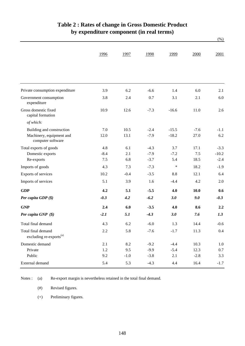|                                                           | 1996    | 1997   | 1998   | 1999    | 2000   | 2001    |
|-----------------------------------------------------------|---------|--------|--------|---------|--------|---------|
|                                                           |         |        |        |         |        |         |
| Private consumption expenditure                           | 3.9     | 6.2    | $-6.6$ | 1.4     | 6.0    | 2.1     |
| Government consumption<br>expenditure                     | 3.8     | 2.4    | 0.7    | 3.1     | 2.1    | $6.0\,$ |
| Gross domestic fixed<br>capital formation                 | 10.9    | 12.6   | $-7.3$ | $-16.6$ | 11.0   | 2.6     |
| of which:                                                 |         |        |        |         |        |         |
| Building and construction                                 | 7.0     | 10.5   | $-2.4$ | $-15.5$ | $-7.6$ | $-1.1$  |
| Machinery, equipment and<br>computer software             | 12.0    | 13.1   | $-7.9$ | $-18.2$ | 27.0   | 6.2     |
| Total exports of goods                                    | 4.8     | 6.1    | $-4.3$ | 3.7     | 17.1   | $-3.3$  |
| Domestic exports                                          | $-8.4$  | 2.1    | $-7.9$ | $-7.2$  | 7.5    | $-10.2$ |
| Re-exports                                                | 7.5     | 6.8    | $-3.7$ | 5.4     | 18.5   | $-2.4$  |
| Imports of goods                                          | 4.3     | 7.3    | $-7.3$ | $\ast$  | 18.2   | $-1.9$  |
| Exports of services                                       | 10.2    | $-0.4$ | $-3.5$ | 8.8     | 12.1   | 6.4     |
| Imports of services                                       | 5.1     | 3.9    | 1.6    | $-4.4$  | 4.2    | 2.0     |
| <b>GDP</b>                                                | 4.2     | 5.1    | $-5.5$ | 4.0     | 10.0   | 0.6     |
| Per capita $GDP$ $(\$)$                                   | $-0.3$  | 4.2    | $-6.2$ | 3.0     | 9.0    | $-0.3$  |
| <b>GNP</b>                                                | 2.4     | 6.0    | $-3.5$ | 4.0     | 8.6    | 2.2     |
| Per capita GNP (\$)                                       | $-2.1$  | 5.1    | $-4.3$ | 3.0     | 7.6    | 1.3     |
| Total final demand                                        | 4.3     | 6.2    | $-6.0$ | 1.3     | 14.4   | $-0.6$  |
| Total final demand<br>excluding re-exports <sup>(a)</sup> | $2.2\,$ | 5.8    | $-7.6$ | $-1.7$  | 11.3   | 0.4     |
| Domestic demand                                           | 2.1     | 8.2    | $-9.2$ | $-4.4$  | 10.3   | 1.0     |
| Private                                                   | $1.2\,$ | 9.5    | $-9.9$ | $-5.4$  | 12.3   | 0.7     |
| Public                                                    | 9.2     | $-1.0$ | $-3.8$ | 2.1     | $-2.8$ | 3.3     |
| External demand                                           | 5.4     | 5.3    | $-4.3$ | 4.4     | 16.4   | $-1.7$  |

## **Table 2 : Rates of change in Gross Domestic Product by expenditure component (in real terms)**

 $(%)$ 

(a) Re-export margin is nevertheless retained in the total final demand. Notes :

> (#) Revised figures.

(+) Preliminary figures.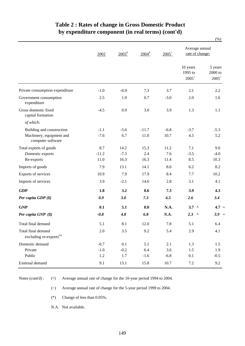### **Table 2 : Rates of change in Gross Domestic Product by expenditure component (in real terms) (cont'd)**

|                                                           |                                                                                                                                                                             |                     |                     |          |                                   | $(\% )$                          |
|-----------------------------------------------------------|-----------------------------------------------------------------------------------------------------------------------------------------------------------------------------|---------------------|---------------------|----------|-----------------------------------|----------------------------------|
|                                                           | 2002<br>$-1.0$<br>2.5<br>$-4.5$<br>$-1.1$<br>$-7.6$<br>8.7<br>$-11.2$<br>11.0<br>7.9<br>10.9<br>3.9<br>1.8<br>0.9<br>0.1<br>$-0.8$<br>5.1<br>2.0<br>$-0.7$<br>$-1.0$<br>1.2 | $2003$ <sup>#</sup> | $2004$ <sup>#</sup> | $2005^+$ | Average annual<br>rate of change: |                                  |
|                                                           |                                                                                                                                                                             |                     |                     |          | 10 years<br>1995 to<br>$2005^+$   | 5 years<br>$2000$ to<br>$2005^+$ |
| Private consumption expenditure                           |                                                                                                                                                                             | $-0.9$              | 7.3                 | 3.7      | 2.1                               | 2.2                              |
| Government consumption<br>expenditure                     |                                                                                                                                                                             | 1.9                 | 0.7                 | $-3.0$   | 2.0                               | 1.6                              |
| Gross domestic fixed<br>capital formation                 |                                                                                                                                                                             | 0.9                 | 3.0                 | 3.9      | 1.3                               | 1.1                              |
| of which:                                                 |                                                                                                                                                                             |                     |                     |          |                                   |                                  |
| Building and construction                                 |                                                                                                                                                                             | $-5.6$              | $-11.7$             | $-6.8$   | $-3.7$                            | $-5.3$                           |
| Machinery, equipment and<br>computer software             |                                                                                                                                                                             | 6.7                 | 11.0                | 10.7     | 4.5                               | 5.2                              |
| Total exports of goods                                    |                                                                                                                                                                             | 14.2                | 15.3                | 11.2     | 7.1                               | 9.0                              |
| Domestic exports                                          |                                                                                                                                                                             | $-7.3$              | 2.4                 | 7.6      | $-3.5$                            | $-4.0$                           |
| Re-exports                                                |                                                                                                                                                                             | 16.3                | 16.3                | 11.4     | 8.5                               | 10.3                             |
| Imports of goods                                          |                                                                                                                                                                             | 13.1                | 14.1                | 8.6      | 6.2                               | 8.2                              |
| Exports of services                                       |                                                                                                                                                                             | 7.9                 | 17.9                | 8.4      | 7.7                               | 10.2                             |
| Imports of services                                       |                                                                                                                                                                             | $-2.1$              | 14.6                | 2.8      | 3.1                               | 4.1                              |
| <b>GDP</b>                                                |                                                                                                                                                                             | 3.2                 | 8.6                 | 7.3      | 3.9                               | 4.3                              |
| Per capita GDP (\$)                                       |                                                                                                                                                                             | 3.0                 | 7.3                 | 6.5      | 2.6                               | 3.4                              |
| <b>GNP</b>                                                |                                                                                                                                                                             | 5.1                 | 8.0                 | N.A.     | $3.7^{\circ}$                     | $4.7 \sim$                       |
| Per capita GNP (\$)                                       |                                                                                                                                                                             | 4.8                 | 6.8                 | N.A.     | 2.3<br>$\Lambda$                  | $3.9 -$                          |
| Total final demand                                        |                                                                                                                                                                             | 8.1                 | 12.0                | 7.8      | 5.1                               | 6.4                              |
| Total final demand<br>excluding re-exports <sup>(a)</sup> |                                                                                                                                                                             | 3.5                 | 9.2                 | 5.4      | 2.9                               | 4.1                              |
| Domestic demand                                           |                                                                                                                                                                             | 0.1                 | 5.1                 | 2.1      | 1.3                               | 1.5                              |
| Private                                                   |                                                                                                                                                                             | $-0.2$              | 6.4                 | 3.6      | 1.5                               | 1.9                              |
| Public                                                    |                                                                                                                                                                             | 1.7                 | $-1.6$              | $-6.8$   | 0.1                               | $-0.5$                           |
| External demand                                           | 9.1                                                                                                                                                                         | 13.1                | 15.8                | $10.7\,$ | $7.2\,$                           | 9.2                              |

Notes (cont'd) :

(^) Average annual rate of change for the 10-year period 1994 to 2004.

(~) Average annual rate of change for the 5-year period 1999 to 2004.

(\*) Change of less than 0.05%.

N.A. Not available.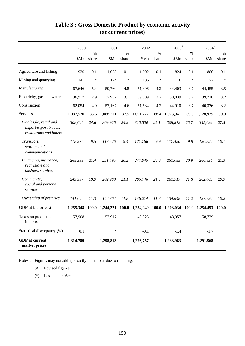|                                                                          | 2000      |               | 2001      |               | 2002      |               | $2003^*$        |                        | $2004$ <sup>#</sup> |                        |
|--------------------------------------------------------------------------|-----------|---------------|-----------|---------------|-----------|---------------|-----------------|------------------------|---------------------|------------------------|
|                                                                          | \$Mn      | $\%$<br>share | \$Mn      | $\%$<br>share | \$Mn      | $\%$<br>share | \$Mn            | $\frac{0}{0}$<br>share | \$Mn                | $\frac{0}{0}$<br>share |
| Agriculture and fishing                                                  | 920       | 0.1           | 1,003     | 0.1           | 1,002     | 0.1           | 824             | 0.1                    | 886                 | 0.1                    |
| Mining and quarrying                                                     | 241       | $\ast$        | 174       | $\ast$        | 136       | $\ast$        | 116             | $\ast$                 | 72                  | $\ast$                 |
| Manufacturing                                                            | 67,646    | 5.4           | 59,760    | 4.8           | 51,396    | 4.2           | 44,403          | 3.7                    | 44,455              | 3.5                    |
| Electricity, gas and water                                               | 36,917    | 2.9           | 37,957    | 3.1           | 39,609    | 3.2           | 38,839          | 3.2                    | 39,726              | 3.2                    |
| Construction                                                             | 62,054    | 4.9           | 57,167    | 4.6           | 51,534    | 4.2           | 44,910          | 3.7                    | 40,376              | 3.2                    |
| <b>Services</b>                                                          | 1,087,570 | 86.6          | 1,088,211 | 87.5          | 1,091,272 | 88.4          | 1,073,941       | 89.3                   | 1,128,939           | 90.0                   |
| Wholesale, retail and<br>import/export trades,<br>restaurants and hotels | 308,600   | 24.6          | 309,926   | 24.9          | 310,500   | 25.1          | 308,872         | 25.7                   | 345,092             | 27.5                   |
| Transport,<br>storage and<br>communications                              | 118,974   | 9.5           | 117,526   | 9.4           | 121,766   | 9.9           | 117,420         | 9.8                    | 126,820             | 10.1                   |
| Financing, insurance,<br>real estate and<br>business services            | 268,399   | 21.4          | 251,495   | 20.2          | 247,045   | 20.0          | 251,085         | 20.9                   | 266,834             | 21.3                   |
| Community,<br>social and personal<br>services                            | 249,997   | 19.9          | 262,960   | 21.1          | 265,746   | 21.5          | 261,917         | 21.8                   | 262,403             | 20.9                   |
| Ownership of premises                                                    | 141,600   | 11.3          | 146,304   | 11.8          | 146,214   | 11.8          | 134,648         | 11.2                   | 127,790             | 10.2                   |
| <b>GDP</b> at factor cost                                                | 1,255,348 | 100.0         | 1,244,271 | 100.0         | 1,234,949 |               | 100.0 1,203,034 |                        | 100.0 1,254,453     | 100.0                  |
| Taxes on production and<br>imports                                       | 57,908    |               | 53,917    |               | 43,325    |               | 48,057          |                        | 58,729              |                        |
| Statistical discrepancy (%)                                              | 0.1       |               | $\ast$    |               | $-0.1$    |               | $-1.4$          |                        | $-1.7$              |                        |
| <b>GDP</b> at current<br>market prices                                   | 1,314,789 |               | 1,298,813 |               | 1,276,757 |               | 1,233,983       |                        | 1,291,568           |                        |

# **Table 3 : Gross Domestic Product by economic activity (at current prices)**

Notes : Figures may not add up exactly to the total due to rounding.

(#) Revised figures.

(\*) Less than 0.05%.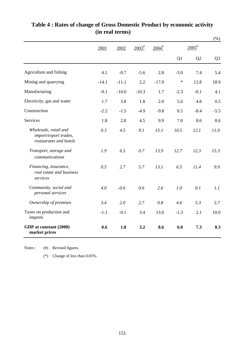|                                                                          |         |         |                   |                     |        |                   | $(\%)$         |
|--------------------------------------------------------------------------|---------|---------|-------------------|---------------------|--------|-------------------|----------------|
|                                                                          | 2001    | 2002    | $2003^{\text{*}}$ | $2004$ <sup>#</sup> |        | $2005^{\text{*}}$ |                |
|                                                                          |         |         |                   |                     | Q1     | Q2                | Q <sub>3</sub> |
| Agriculture and fishing                                                  | 4.1     | $-0.7$  | $-5.6$            | 2.8                 | $-3.0$ | 7.4               | 5.4            |
| Mining and quarrying                                                     | $-14.1$ | $-11.1$ | 2.2               | $-17.0$             | $\ast$ | 12.8              | 18.9           |
| Manufacturing                                                            | $-9.1$  | $-10.0$ | $-10.3$           | 1.7                 | $-2.3$ | $-0.1$            | 4.1            |
| Electricity, gas and water                                               | 1.7     | 3.8     | 1.8               | 2.0                 | 5.0    | 4.8               | 0.5            |
| Construction                                                             | $-2.2$  | $-1.5$  | $-4.9$            | $-9.8$              | 0.5    | $-8.4$            | $-5.5$         |
| <b>Services</b>                                                          | 1.8     | 2.8     | 4.5               | 9.9                 | 7.0    | 8.6               | 8.6            |
| Wholesale, retail and<br>import/export trades,<br>restaurants and hotels | 0.3     | 4.5     | 9.1               | 15.1                | 10.5   | 12.1              | 11.0           |
| Transport, storage and<br>communications                                 | 1.9     | 6.5     | 0.7               | 13.9                | 12.7   | 12.3              | 15.3           |
| Financing, insurance,<br>real estate and business<br>services            | 0.5     | 2.7     | 5.7               | 13.1                | 6.5    | 11.4              | 9.9            |
| Community, social and<br>personal services                               | 4.0     | $-0.6$  | 0.6               | 2.6                 | 1.0    | 0.1               | 1.1            |
| Ownership of premises                                                    | 3.4     | 2.0     | 2.7               | 0.8                 | 4.6    | 5.3               | 5.7            |
| Taxes on production and<br>imports                                       | $-1.1$  | $-0.1$  | 3.4               | 13.0                | $-1.3$ | 2.1               | 10.0           |
| GDP at constant (2000)<br>market prices                                  | 0.6     | 1.8     | 3.2               | 8.6                 | 6.0    | 7.3               | 8.3            |

## **(in real terms) Table 4 : Rates of change of Gross Domestic Product by economic activity**

(#) Revised figures. Notes :

(\*) Change of less than 0.05%.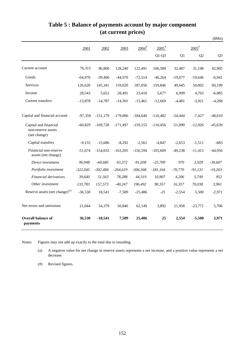|                                                             |            |            |            |                     |                     |           |                | \$Mn)          |
|-------------------------------------------------------------|------------|------------|------------|---------------------|---------------------|-----------|----------------|----------------|
|                                                             | 2001       | 2002       | 2003       | $2004$ <sup>#</sup> | $2005$ <sup>#</sup> |           | $2005^*$       |                |
|                                                             |            |            |            |                     | $Q1-Q3$             | Q1        | Q <sub>2</sub> | Q <sub>3</sub> |
| Current account                                             | 76,315     | 96,800     | 128,240    | 122,491             | 106,589             | 32,487    | 31,198         | 42,905         |
| Goods                                                       | $-64,970$  | $-39,406$  | $-44,970$  | $-72,514$           | $-46,264$           | $-19,677$ | $-19,646$      | $-6,941$       |
| Services                                                    | 126,620    | 145,341    | 159,020    | 187,056             | 159,846             | 49,645    | 50,002         | 60,199         |
| Income                                                      | 28,543     | 5,652      | 28,491     | 23,410              | 5,677               | 6,999     | 4,763          | $-6,085$       |
| Current transfers                                           | $-13,878$  | $-14,787$  | $-14,301$  | $-15,461$           | $-12,669$           | $-4,481$  | $-3,921$       | $-4,268$       |
| Capital and financial account                               | $-97,359$  | $-151,179$ | $-179,086$ | $-184,640$          | $-110,482$          | $-54,444$ | $-7,427$       | $-48,610$      |
| Capital and financial<br>non-reserve assets<br>(net change) | $-60,829$  | $-169,720$ | $-171,497$ | $-159, 155$         | $-110,456$          | $-51,890$ | $-12,926$      | $-45,639$      |
| Capital transfers                                           | $-9,155$   | $-15,686$  | $-8,292$   | $-2,561$            | $-4,847$            | $-2,653$  | $-1,511$       | $-683$         |
| Financial non-reserve<br>assets (net change)                | $-51,674$  | $-154,033$ | $-163,205$ | $-156,594$          | $-105,609$          | $-49,238$ | $-11,415$      | $-44,956$      |
| Direct investment                                           | 96,948     | $-60,685$  | 63,372     | $-91,038$           | $-25,709$           | 970       | 3,928          | $-30,607$      |
| Portfolio investment                                        | $-322,045$ | $-302,484$ | $-264,619$ | $-306,368$          | $-181,164$          | $-70,770$ | $-91,131$      | $-19,263$      |
| Financial derivatives                                       | 39,640     | 51,563     | 78,288     | 44,319              | 10,907              | 4,206     | 5,749          | 952            |
| Other investment                                            | 133,783    | 157,573    | $-40,247$  | 196,492             | 90,357              | 16,357    | 70,038         | 3,961          |
| Reserve assets (net change) <sup>(a)</sup>                  | $-36,530$  | 18,541     | $-7,589$   | $-25,486$           | $-25$               | $-2,554$  | 5,500          | $-2,971$       |
| Net errors and omissions                                    | 21,044     | 54,379     | 50,846     | 62,149              | 3,892               | 21,958    | $-23,771$      | 5,706          |
| Overall balance of<br>payments                              | 36,530     | $-18,541$  | 7,589      | 25,486              | 25                  | 2,554     | $-5,500$       | 2,971          |

### **Table 5 : Balance of payments account by major component (at current prices)**

Notes: Figures may not add up exactly to the total due to rounding.

(a) A negative value for net change in reserve assets represents a net increase, and a positive value represents a net decrease.

(#) Revised figures.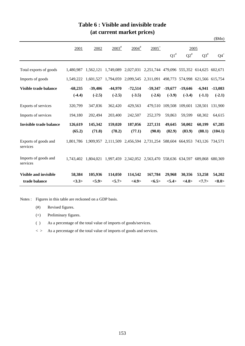|                                  |           |                     |                                                                                   |                                                               |           |           |           |                                         | \$Mn)           |
|----------------------------------|-----------|---------------------|-----------------------------------------------------------------------------------|---------------------------------------------------------------|-----------|-----------|-----------|-----------------------------------------|-----------------|
|                                  | 2001      | 2002                | $2003^{\frac{4}{3}}$                                                              | $2004$ <sup>#</sup>                                           | $2005^+$  |           |           | 2005                                    |                 |
|                                  |           |                     |                                                                                   |                                                               |           | $Q1^*$    | $Q2^{\#}$ | $Q3^{\#}$                               | $Q4^+$          |
| Total exports of goods           | 1.480.987 | 1,562,121           | 1,749,089 2,027,031 2,251,744 479,096 555,352 614,625 602,671                     |                                                               |           |           |           |                                         |                 |
| Imports of goods                 |           |                     | 1,549,222 1,601,527 1,794,059 2,099,545 2,311,091 498,773 574,998 621,566 615,754 |                                                               |           |           |           |                                         |                 |
| Visible trade balance            | $-68,235$ | $-39,406$           | $-44,970$                                                                         | $-72,514$                                                     | $-59,347$ | $-19,677$ | $-19,646$ | $-6,941$                                | $-13,083$       |
|                                  | $(-4.4)$  | $(-2.5)$            | $(-2.5)$                                                                          | $(-3.5)$                                                      | $(-2.6)$  | $(-3.9)$  | $(-3.4)$  | $(-1.1)$                                | $(-2.1)$        |
| Exports of services              | 320,799   | 347,836             | 362,420                                                                           | 429,563                                                       |           |           |           | 479,510 109,508 109,601 128,501 131,900 |                 |
| Imports of services              | 194,180   | 202,494             | 203,400                                                                           | 242,507                                                       | 252,379   | 59,863    | 59,599    | 68,302                                  | 64,615          |
| <b>Invisible trade balance</b>   | 126,619   | 145,342             | 159,020                                                                           | 187,056                                                       | 227,131   | 49,645    | 50,002    | 60,199                                  | 67,285          |
|                                  | (65.2)    | (71.8)              | (78.2)                                                                            | (77.1)                                                        | (90.0)    | (82.9)    | (83.9)    | (88.1)                                  | (104.1)         |
| Exports of goods and<br>services |           | 1,801,786 1,909,957 |                                                                                   | 2,111,509 2,456,594 2,731,254 588,604 664,953 743,126 734,571 |           |           |           |                                         |                 |
| Imports of goods and<br>services |           |                     | 1,743,402 1,804,021 1,997,459 2,342,052 2,563,470 558,636 634,597 689,868 680,369 |                                                               |           |           |           |                                         |                 |
| <b>Visible and invisible</b>     | 58,384    | 105,936             | 114,050                                                                           | 114,542                                                       | 167,784   | 29,968    | 30,356    | 53,258                                  | 54,202          |
| trade balance                    | <3.3>     | <5.9>               | < 5.7>                                                                            | <4.9>                                                         | <6.5>     | <5.4>     | <4.8>     | <7.7>                                   | $<\!\!8.0\!\!>$ |

### **Table 6 : Visible and invisible trade (at current market prices)**

Notes : Figures in this table are reckoned on a GDP basis.

- (#) Revised figures.
- (+) Preliminary figures.
- ( ) As a percentage of the total value of imports of goods/services.
- $\langle \rangle$  As a percentage of the total value of imports of goods and services.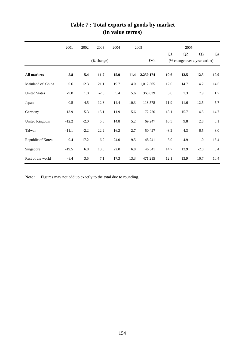|                       | 2001    | 2002    | 2003       | 2004 |      | <u>2005</u> |        | 2005 |                                |                |
|-----------------------|---------|---------|------------|------|------|-------------|--------|------|--------------------------------|----------------|
|                       |         |         |            |      |      |             |        | Q2   | Q <sub>3</sub>                 | Q <sub>4</sub> |
|                       |         |         | (% change) |      |      | \$Mn        |        |      | (% change over a year earlier) |                |
| <b>All markets</b>    | $-5.8$  | 5.4     | 11.7       | 15.9 | 11.4 | 2,250,174   | 10.6   | 12.5 | 12.5                           | 10.0           |
| Mainland of China     | 0.6     | 12.3    | 21.1       | 19.7 | 14.0 | 1,012,565   | 12.0   | 14.7 | 14.2                           | 14.5           |
| <b>United States</b>  | $-9.8$  | $1.0\,$ | $-2.6$     | 5.4  | 5.6  | 360,639     | 5.6    | 7.3  | 7.9                            | 1.7            |
| Japan                 | 0.5     | $-4.5$  | 12.3       | 14.4 | 10.3 | 118,578     | 11.9   | 11.6 | 12.5                           | 5.7            |
| Germany               | $-13.9$ | $-5.3$  | 15.1       | 11.9 | 15.6 | 72,720      | 18.1   | 15.7 | 14.5                           | 14.7           |
| <b>United Kingdom</b> | $-12.2$ | $-2.0$  | 5.8        | 14.8 | 5.2  | 69,247      | 10.5   | 9.8  | 2.8                            | 0.1            |
| Taiwan                | $-11.1$ | $-2.2$  | 22.2       | 16.2 | 2.7  | 50,427      | $-3.2$ | 4.3  | 6.5                            | 3.0            |
| Republic of Korea     | $-9.4$  | 17.2    | 16.9       | 24.0 | 9.5  | 48,241      | 5.0    | 4.9  | 11.0                           | 16.4           |
| Singapore             | $-19.5$ | 6.8     | 13.0       | 22.0 | 6.8  | 46,541      | 14.7   | 12.9 | $-2.0$                         | 3.4            |
| Rest of the world     | $-8.4$  | 3.5     | 7.1        | 17.3 | 13.3 | 471,215     | 12.1   | 13.9 | 16.7                           | 10.4           |

## **Table 7 : Total exports of goods by market (in value terms)**

Note : Figures may not add up exactly to the total due to rounding.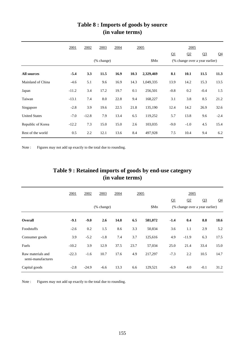|                      | 2001    | 2002       | 2003 | 2004 |      | 2005      |                                | 2005           |                |                |
|----------------------|---------|------------|------|------|------|-----------|--------------------------------|----------------|----------------|----------------|
|                      |         |            |      |      |      |           | Q1                             | Q <sub>2</sub> | Q <sub>3</sub> | Q <sub>4</sub> |
|                      |         | (% change) |      |      | \$Mn |           | (% change over a year earlier) |                |                |                |
| <b>All sources</b>   | $-5.4$  | 3.3        | 11.5 | 16.9 | 10.3 | 2,329,469 | 8.1                            | 10.1           | 11.5           | 11.3           |
| Mainland of China    | $-4.6$  | 5.1        | 9.6  | 16.9 | 14.3 | 1,049,335 | 13.9                           | 14.2           | 15.3           | 13.5           |
| Japan                | $-11.2$ | 3.4        | 17.2 | 19.7 | 0.1  | 256,501   | $-0.8$                         | 0.2            | $-0.4$         | 1.5            |
| Taiwan               | $-13.1$ | 7.4        | 8.0  | 22.8 | 9.4  | 168,227   | 3.1                            | 3.8            | 8.5            | 21.2           |
| Singapore            | $-2.8$  | 3.9        | 19.6 | 22.5 | 21.8 | 135,190   | 12.4                           | 14.2           | 26.9           | 32.6           |
| <b>United States</b> | $-7.0$  | $-12.8$    | 7.9  | 13.4 | 6.5  | 119,252   | 5.7                            | 13.8           | 9.6            | $-2.4$         |
| Republic of Korea    | $-12.2$ | 7.3        | 15.0 | 15.0 | 2.6  | 103,035   | $-9.0$                         | $-1.0$         | 4.5            | 15.4           |
| Rest of the world    | 0.5     | 2.2        | 12.1 | 13.6 | 8.4  | 497,928   | 7.5                            | 10.4           | 9.4            | 6.2            |

### **(in value terms) Table 8 : Imports of goods by source**

Note : Figures may not add up exactly to the total due to rounding.

## **(in value terms) Table 9 : Retained imports of goods by end-use category**

|                                        | 2001    | 2002    | 2003                        | 2004 | 2005 |         |        | 2005                           |                |                |
|----------------------------------------|---------|---------|-----------------------------|------|------|---------|--------|--------------------------------|----------------|----------------|
|                                        |         |         |                             |      |      |         | Q1     | Q2                             | Q <sub>3</sub> | Q <sub>4</sub> |
|                                        |         |         | $(% \mathbf{A})$ (% change) |      |      | \$Mn    |        | (% change over a year earlier) |                |                |
| Overall                                | $-9.1$  | $-9.0$  | 2.6                         | 14.8 | 6.5  | 581,072 | $-1.4$ | 0.4                            | 8.8            | 18.6           |
| Foodstuffs                             | $-2.6$  | 0.2     | 1.5                         | 8.6  | 3.3  | 50,834  | 3.6    | 1.1                            | 2.9            | 5.2            |
| Consumer goods                         | 3.9     | $-5.2$  | $-1.8$                      | 7.4  | 3.7  | 125,616 | 4.9    | $-11.9$                        | 6.3            | 17.5           |
| Fuels                                  | $-10.2$ | 3.9     | 12.9                        | 37.5 | 23.7 | 57,034  | 25.0   | 21.4                           | 33.4           | 15.0           |
| Raw materials and<br>semi-manufactures | $-22.3$ | $-1.6$  | 10.7                        | 17.6 | 4.9  | 217,297 | $-7.3$ | 2.2                            | 10.5           | 14.7           |
| Capital goods                          | $-2.8$  | $-24.9$ | $-6.6$                      | 13.3 | 6.6  | 129,521 | $-6.9$ | 4.0                            | $-0.1$         | 31.2           |

Note : Figures may not add up exactly to the total due to rounding.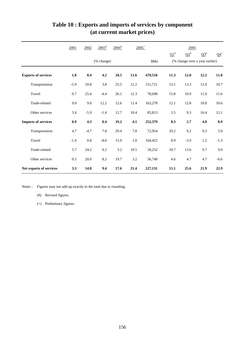|                            | 2001   | 2002    | $2003^{#}$ | $2004$ <sup>#</sup> |         | $2005^+$ |            | 2005       |                                |        |
|----------------------------|--------|---------|------------|---------------------|---------|----------|------------|------------|--------------------------------|--------|
|                            |        |         |            |                     |         |          | $\Omega^*$ | $\Omega^*$ | $\Omega^*$                     | $Q4^+$ |
|                            |        |         | (% change) |                     |         | \$Mn     |            |            | (% change over a year earlier) |        |
| <b>Exports of services</b> | 1.8    | 8.4     | 4.2        | 18.5                | 11.6    | 479,510  | 11.3       | 12.0       | 12.2                           | 11.0   |
| Transportation             | $-5.9$ | 10.8    | 3.8        | 25.5                | 12.2    | 151,721  | 13.1       | 13.3       | 12.0                           | 10.7   |
| Travel                     | 0.7    | 25.4    | $-4.4$     | 26.1                | 12.3    | 78,698   | 15.8       | 10.9       | 11.0                           | 11.6   |
| Trade-related              | 9.0    | 9.0     | 12.2       | 12.6                | 11.4    | 163,278  | 12.1       | 12.8       | 10.8                           | 10.6   |
| Other services             | 3.4    | $-5.9$  | $-1.4$     | 12.7                | 10.4    | 85,813   | 3.5        | 9.3        | 16.4                           | 12.1   |
| <b>Imports of services</b> | 0.9    | 4.3     | 0.4        | 19.2                | 4.1     | 252,379  | 8.3        | 2.7        | 4.8                            | 0.9    |
| Transportation             | 4.7    | $-4.7$  | 7.8        | 29.4                | 7.8     | 72,954   | 10.2       | 9.2        | 9.3                            | 3.0    |
| Travel                     | $-1.4$ | $0.8\,$ | $-8.0$     | 15.9                | $1.0\,$ | 104,425  | 8.9        | $-3.9$     | 1.2                            | $-1.3$ |
| Trade-related              | 5.7    | 24.2    | 9.2        | 3.2                 | 10.5    | 18,252   | 10.7       | 13.6       | 9.7                            | 9.0    |
| Other services             | 0.5    | 20.0    | 8.2        | 19.7                | 3.2     | 56,748   | 4.6        | 4.7        | 4.7                            | $-0.6$ |
| Net exports of services    | 3.3    | 14.8    | 9.4        | 17.6                | 21.4    | 227,131  | 15.1       | 25.6       | 21.9                           | 22.9   |

# **Table 10 : Exports and imports of services by component (at current market prices)**

Notes : Figures may not add up exactly to the total due to rounding.

- (#) Revised figures.
- (+) Preliminary figures.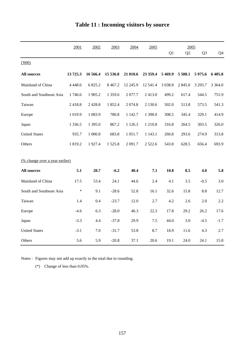|                                       | 2001        | 2002        | 2003        | 2004       | 2005       |          | 2005           |                |            |
|---------------------------------------|-------------|-------------|-------------|------------|------------|----------|----------------|----------------|------------|
|                                       |             |             |             |            |            | Q1       | Q <sub>2</sub> | Q <sub>3</sub> | Q4         |
| (000)                                 |             |             |             |            |            |          |                |                |            |
| <b>All sources</b>                    | 13725.3     | 16 566.4    | 15 536.8    | 21 810.6   | 23 359.4   | 5469.9   | 5 508.1        | 5975.6         | 6 4 0 5.8  |
| Mainland of China                     | 4 4 4 8 . 6 | 6 825.2     | 8 4 6 7.2   | 12 245.9   | 12 541.4   | 3 0 38.8 | 2 845.0        | 3 2 9 3 .7     | 3 3 6 4 .0 |
| South and Southeast Asia              | 1746.6      | 1 905.2     | 1 3 5 9 . 6 | 2 077.7    | 2413.0     | 499.2    | 617.4          | 544.5          | 751.9      |
| Taiwan                                | 2418.8      | 2 4 2 8 .8  | 1 852.4     | 2 0 74.8   | 2 130.6    | 502.0    | 513.8          | 573.5          | 541.3      |
| Europe                                | 1 0 1 9.9   | 1 0 8 3 . 9 | 780.8       | 1 1 4 2.7  | 1 3 9 8 .0 | 308.5    | 345.4          | 329.1          | 414.9      |
| Japan                                 | 1 3 3 6 .5  | 1 3 9 5 .0  | 867.2       | 1 1 2 6 .3 | 1 210.8    | 316.8    | 264.5          | 303.5          | 326.0      |
| <b>United States</b>                  | 935.7       | 1 000.8     | 683.8       | 1 0 5 1 .7 | 1 1 4 3 .1 | 260.8    | 293.6          | 274.9          | 313.8      |
| Others                                | 1819.2      | 1927.4      | 1 5 2 5 .8  | 2 0 9 1.7  | 2 5 2 2.6  | 543.8    | 628.5          | 656.4          | 693.9      |
|                                       |             |             |             |            |            |          |                |                |            |
| <u>(% change over a year earlier)</u> |             |             |             |            |            |          |                |                |            |
| <b>All sources</b>                    | 5.1         | 20.7        | $-6.2$      | 40.4       | 7.1        | 10.8     | 8.5            | 4.0            | 5.8        |
| Mainland of China                     | 17.5        | 53.4        | 24.1        | 44.6       | 2.4        | 4.1      | 3.5            | $-0.5$         | 3.0        |
| South and Southeast Asia              | $\ast$      | 9.1         | $-28.6$     | 52.8       | 16.1       | 32.6     | 15.8           | 8.8            | 12.7       |
| Taiwan                                | 1.4         | 0.4         | $-23.7$     | 12.0       | 2.7        | 4.2      | 2.6            | 2.0            | 2.2        |
| Europe                                | $-4.6$      | 6.3         | $-28.0$     | 46.3       | 22.3       | 17.8     | 29.2           | 26.2           | 17.6       |
| Japan                                 | $-3.3$      | 4.4         | $-37.8$     | 29.9       | $7.5$      | 44.0     | 3.0            | $-4.5$         | $-1.7$     |
| <b>United States</b>                  | $-3.1$      | 7.0         | $-31.7$     | 53.8       | 8.7        | 18.9     | 11.6           | 4.3            | 2.7        |
| Others                                | 5.6         | 5.9         | $-20.8$     | 37.1       | 20.6       | 19.1     | 24.0           | 24.1           | 15.8       |

# **Table 11 : Incoming visitors by source**

Notes : Figures may not add up exactly to the total due to rounding.

(\*) Change of less than 0.05%.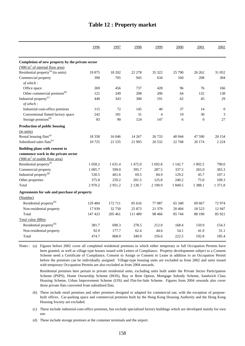|                                                    | 1996      | 1997    | 1998       | 1999           | 2000       | 2001      | 2002             |
|----------------------------------------------------|-----------|---------|------------|----------------|------------|-----------|------------------|
|                                                    |           |         |            |                |            |           |                  |
| Completion of new property by the private sector   |           |         |            |                |            |           |                  |
| $(000 \text{ m}^2 \text{ of internal floor area})$ |           |         |            |                |            |           |                  |
| Residential property <sup>(a)</sup> (in units)     | 19875     | 18 20 2 | 22 278     | 35 322         | 25 790     | 26 26 2   | 31 052           |
| Commercial property                                | 390       | 705     | 945        | 634            | 160        | 208       | 304              |
| of which:                                          |           |         |            |                |            |           |                  |
| Office space                                       | 269       | 456     | 737        | 428            | 96         | 76        | 166              |
| Other commercial premises <sup>(b)</sup>           | 121       | 249     | 208        | 206            | 64         | 132       | 138              |
| Industrial property <sup>(c)</sup>                 | 440       | 343     | 300        | 191            | 62         | 45        | 29               |
| of which:                                          |           |         |            |                |            |           |                  |
| Industrial-cum-office premises                     | 115       | 72      | 145        | 40             | 37         | 14        | $\boldsymbol{0}$ |
| Conventional flatted factory space                 | 242       | 181     | 31         | $\overline{4}$ | 19         | 30        | $\mathfrak{Z}$   |
| Storage premises <sup>(d)</sup>                    | 83        | 90      | 124        | 147            | 6          | $\theta$  | 27               |
| <b>Production of public housing</b>                |           |         |            |                |            |           |                  |
| (in units)                                         |           |         |            |                |            |           |                  |
| Rental housing flats <sup>(e)</sup>                | 18 3 5 8  | 16 04 6 | 14 267     | 26 7 33        | 40 944     | 47 590    | 20 154           |
| Subsidized sales flats <sup>(e)</sup>              | 10725     | 21 5 35 | 21 9 93    | 26 5 32        | 22 768     | 26 174    | 2 2 2 4          |
| Building plans with consent to                     |           |         |            |                |            |           |                  |
| commence work in the private sector                |           |         |            |                |            |           |                  |
| ('000 m <sup>2</sup> of usable floor area)         |           |         |            |                |            |           |                  |
| Residential property <sup>(f)</sup>                | 1 0 5 8.2 | 1 631.4 | 1472.0     | 1692.8         | 1 1 4 2 .7 | 1 0 0 2.5 | 790.0            |
| Commercial property                                | 1 0 0 5.7 | 599.0   | 395.7      | 287.5          | 337.5      | 265.0     | 365.3            |
| Industrial property <sup>(g)</sup>                 | 530.5     | 461.6   | 69.5       | 84.9           | 129.2      | 45.7      | 107.1            |
| Other properties                                   | 375.8     | 259.2   | 201.5      | 125.8          | 240.2      | 75.0      | 109.3            |
| Total                                              | 2970.2    | 2951.2  | 2 1 3 8 .7 | 2 190.9        | 1 849.5    | 1 3 8 8.1 | 1 371.8          |
| Agreements for sale and purchase of property       |           |         |            |                |            |           |                  |
| (Number)                                           |           |         |            |                |            |           |                  |
| Residential property <sup>(h)</sup>                | 129 484   | 172 711 | 85 616     | 77 087         | 65 340     | 69 667    | 72974            |
| Non-residential property                           | 17939     | 32 750  | 25 873     | 21 379         | 20 404     | 18 5 23   | 12 947           |
| Total                                              | 147 423   | 205 461 | 111 489    | 98 4 66        | 85 744     | 88 190    | 85 921           |
| Total value (\$Bn)                                 |           |         |            |                |            |           |                  |
| Residential property <sup>(h)</sup>                | 381.7     | 690.3   | 278.5      | 212.0          | 168.4      | 150.9     | 154.3            |
| Non-residential property                           | 92.9      | 177.7   | 62.4       | 44.6           | 54.1       | 41.9      | 31.1             |
| Total                                              | 474.7     | 868.0   | 340.9      | 256.6          | 222.5      | 192.8     | 185.4            |
|                                                    |           |         |            |                |            |           |                  |

#### **Table 12 : Property market**

Notes : (a) Figures before 2002 cover all completed residential premises to which either temporary or full Occupation Permits have been granted, as well as village type houses issued with Letters of Compliance. Property developments subject to a Consent Scheme need a Certificate of Compliance, Consent to Assign or Consent to Lease in addition to an Occupation Permit before the premises can be individually assigned. Village-type housing units are excluded as from 2002 and units issued with temporary Occupation Permits are also excluded as from 2004 onwards.

Residential premises here pertain to private residential units, excluding units built under the Private Sector Participation Scheme (PSPS), Home Ownership Scheme (HOS), Buy or Rent Option, Mortgage Subsidy Scheme, Sandwich Class Housing Scheme, Urban Improvement Scheme (UIS) and Flat-for-Sale Scheme. Figures from 2004 onwards also cover those private flats converted from subsidised flats.

- (b) These include retail premises and other premises designed or adapted for commercial use, with the exception of purposebuilt offices. Car-parking space and commercial premises built by the Hong Kong Housing Authority and the Hong Kong Housing Society are excluded.
- (c) These include industrial-cum-office premises, but exclude specialised factory buildings which are developed mainly for own use.

(d) These include storage premises at the container terminals and the airport.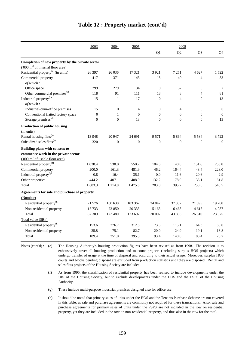|                                                    | 2003           | 2004             | 2005           |                  | 2005           |                  |                  |
|----------------------------------------------------|----------------|------------------|----------------|------------------|----------------|------------------|------------------|
|                                                    |                |                  |                | Q1               | Q2             | Q <sub>3</sub>   | Q4               |
| Completion of new property by the private sector   |                |                  |                |                  |                |                  |                  |
| $(000 \text{ m}^2 \text{ of internal floor area})$ |                |                  |                |                  |                |                  |                  |
| Residential property <sup>(a)</sup> (in units)     | 26 397         | 26 0 36          | 17 321         | 3 9 21           | 7 2 5 1        | 4 627            | 1522             |
| Commercial property<br>of which:                   | 417            | 371              | 145            | 18               | 40             | $\overline{4}$   | 83               |
| Office space                                       | 299            | 279              | 34             | $\theta$         | 32             | $\theta$         | $\overline{2}$   |
| Other commercial premises <sup>(b)</sup>           | 118            | 91               | 111            | 18               | 8              | 4                | 81               |
| Industrial property <sup>(c)</sup><br>of which:    | 15             | $\mathbf{1}$     | 17             | $\boldsymbol{0}$ | $\overline{4}$ | $\Omega$         | 13               |
| Industrial-cum-office premises                     | 15             | $\boldsymbol{0}$ | $\overline{4}$ | $\mathbf{0}$     | $\overline{4}$ | $\boldsymbol{0}$ | $\boldsymbol{0}$ |
| Conventional flatted factory space                 | $\theta$       | 1                | $\theta$       | $\mathbf{0}$     | $\mathbf{0}$   | $\theta$         | $\theta$         |
| Storage premises <sup>(d)</sup>                    | $\overline{0}$ | $\overline{0}$   | 13             | $\mathbf{0}$     | $\mathbf{0}$   | $\overline{0}$   | 13               |
| Production of public housing                       |                |                  |                |                  |                |                  |                  |
| (in units)                                         |                |                  |                |                  |                |                  |                  |
| Rental housing flats <sup>(e)</sup>                | 13 948         | 20 947           | 24 691         | 9571             | 5 8 6 4        | 5 5 3 4          | 3 7 2 2          |
| Subsidized sales flats <sup>(e)</sup>              | 320            | $\overline{0}$   | $\theta$       | $\theta$         | $\overline{0}$ | $\theta$         | $\mathbf{0}$     |
| Building plans with consent to                     |                |                  |                |                  |                |                  |                  |
| commence work in the private sector                |                |                  |                |                  |                |                  |                  |
| $(000 \text{ m}^2 \text{ of usable floor area})$   |                |                  |                |                  |                |                  |                  |
| Residential property <sup>(f)</sup>                | 1 0 38.4       | 530.0            | 550.7          | 104.6            | 40.8           | 151.6            | 253.8            |
| Commercial property                                | 200.0          | 161.3            | 481.9          | 46.2             | 164.4          | 43.4             | 228.0            |
| Industrial property <sup>(g)</sup>                 | 0.8            | 16.4             | 35.1           | 0.0              | 11.6           | 20.6             | 2.9              |
| Other properties                                   | 444.2          | 407.1            | 408.0          | 132.2            | 178.9          | 35.1             | 61.8             |
| Total                                              | 1683.3         | 1 1 1 4 .8       | 1475.8         | 283.0            | 395.7          | 250.6            | 546.5            |
| Agreements for sale and purchase of property       |                |                  |                |                  |                |                  |                  |
| (Number)                                           |                |                  |                |                  |                |                  |                  |
| Residential property <sup>(h)</sup>                | 71 576         | 100 630          | 103 362        | 24 842           | 37 337         | 21895            | 19 28 8          |
| Non-residential property                           | 15 7 33        | 22 850           | 20 3 35        | 5 1 6 5          | 6468           | 4615             | 4 0 8 7          |
| Total                                              | 87 309         | 123 480          | 123 697        | 30 007           | 43 805         | 26 510           | 23 37 5          |
| Total value (\$Bn)                                 |                |                  |                |                  |                |                  |                  |
| Residential property <sup>(h)</sup>                | 153.6          | 276.7            | 312.8          | 73.5             | 115.1          | 64.3             | 60.0             |
| Non-residential property                           | 35.8           | 75.1             | 82.7           | 20.0             | 24.9           | 19.1             | 18.8             |
| Total                                              | 189.4          | 351.8            | 395.5          | 93.4             | 140.0          | 83.4             | 78.7             |

#### **Table 12 : Property market (cont'd)**

Notes (cont'd) : (e) The Housing Authority's housing production figures have been revised as from 1998. The revision is to exhaustively cover all housing production and to count projects (including surplus HOS projects) which undergo transfer of usage at the time of disposal and according to their actual usage. Moreover, surplus HOS courts and blocks pending disposal are excluded from production statistics until they are disposed. Rental and sales flats projects of the Housing Society are included.

- (f) As from 1995, the classification of residential property has been revised to include developments under the UIS of the Housing Society, but to exclude developments under the HOS and the PSPS of the Housing Authority.
- (g) These include multi-purpose industrial premises designed also for office use.

(h) It should be noted that primary sales of units under the HOS and the Tenants Purchase Scheme are not covered in this table, as sale and purchase agreements are commonly not required for these transactions. Also, sale and purchase agreements for primary sales of units under the PSPS are not included in the row on residential property, yet they are included in the row on non-residential property, and thus also in the row for the total.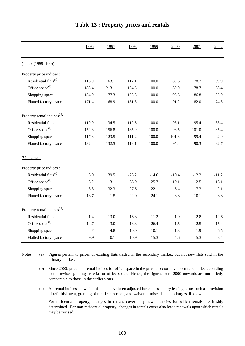|                                          | 1996    | 1997   | 1998    | 1999    | 2000    | 2001    | 2002    |
|------------------------------------------|---------|--------|---------|---------|---------|---------|---------|
| $(Index (1999=100))$                     |         |        |         |         |         |         |         |
| Property price indices :                 |         |        |         |         |         |         |         |
| Residential flats <sup>(a)</sup>         | 116.9   | 163.1  | 117.1   | 100.0   | 89.6    | 78.7    | 69.9    |
| Office space <sup>(b)</sup>              | 188.4   | 213.1  | 134.5   | 100.0   | 89.9    | 78.7    | 68.4    |
| Shopping space                           | 134.0   | 177.3  | 128.3   | 100.0   | 93.6    | 86.8    | 85.0    |
| Flatted factory space                    | 171.4   | 168.9  | 131.8   | 100.0   | 91.2    | 82.0    | 74.8    |
| Property rental indices <sup>(c)</sup> : |         |        |         |         |         |         |         |
| Residential flats                        | 119.0   | 134.5  | 112.6   | 100.0   | 98.1    | 95.4    | 83.4    |
| Office space <sup>(b)</sup>              | 152.3   | 156.8  | 135.9   | 100.0   | 98.5    | 101.0   | 85.4    |
| Shopping space                           | 117.8   | 123.5  | 111.2   | 100.0   | 101.3   | 99.4    | 92.9    |
| Flatted factory space                    | 132.4   | 132.5  | 118.1   | 100.0   | 95.4    | 90.3    | 82.7    |
| (% change)                               |         |        |         |         |         |         |         |
| Property price indices :                 |         |        |         |         |         |         |         |
| Residential flats <sup>(a)</sup>         | 8.9     | 39.5   | $-28.2$ | $-14.6$ | $-10.4$ | $-12.2$ | $-11.2$ |
| Office space <sup>(b)</sup>              | $-3.2$  | 13.1   | $-36.9$ | $-25.7$ | $-10.1$ | $-12.5$ | $-13.1$ |
| Shopping space                           | 3.3     | 32.3   | $-27.6$ | $-22.1$ | $-6.4$  | $-7.3$  | $-2.1$  |
| Flatted factory space                    | $-13.7$ | $-1.5$ | $-22.0$ | $-24.1$ | $-8.8$  | $-10.1$ | $-8.8$  |
| Property rental indices <sup>(c)</sup> : |         |        |         |         |         |         |         |
| Residential flats                        | $-1.4$  | 13.0   | $-16.3$ | $-11.2$ | $-1.9$  | $-2.8$  | $-12.6$ |
| Office space <sup>(b)</sup>              | $-14.7$ | 3.0    | $-13.3$ | $-26.4$ | $-1.5$  | 2.5     | $-15.4$ |
| Shopping space                           | $\ast$  | 4.8    | $-10.0$ | $-10.1$ | 1.3     | $-1.9$  | $-6.5$  |
| Flatted factory space                    | $-9.9$  | 0.1    | $-10.9$ | $-15.3$ | $-4.6$  | $-5.3$  | $-8.4$  |

#### **Table 13 : Property prices and rentals**

(a) Notes : (a) Figures pertain to prices of existing flats traded in the secondary market, but not new flats sold in the primary market.

(b) Since 2000, price and rental indices for office space in the private sector have been recompiled according to the revised grading criteria for office space. Hence, the figures from 2000 onwards are not strictly comparable to those in the earlier years.

(c) All rental indices shown in this table have been adjusted for concessionary leasing terms such as provision of refurbishment, granting of rent-free periods, and waiver of miscellaneous charges, if known.

For residential property, changes in rentals cover only new tenancies for which rentals are freshly determined. For non-residential property, changes in rentals cover also lease renewals upon which rentals may be revised.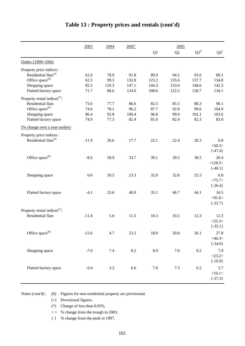|                                                                      | 2003    | 2004    | $2005^+$ |         | 2005  |        |             |
|----------------------------------------------------------------------|---------|---------|----------|---------|-------|--------|-------------|
|                                                                      |         |         |          | Q1      | Q2    | $Q3^*$ | $Q4^+$      |
| $(Index (1999=100))$                                                 |         |         |          |         |       |        |             |
| Property price indices :                                             |         |         |          |         |       |        |             |
| Residential flats <sup>(a)</sup>                                     | 61.6    | 78.0    | 91.8     | 89.9    | 94.5  | 93.6   | 89.1        |
| Office space <sup>(b)</sup>                                          | 62.5    | 99.3    | 132.8    | 123.2   | 135.6 | 137.7  | 134.8       |
| Shopping space                                                       | 85.5    | 119.3   | 147.1    | 144.3   | 153.0 | 148.6  | 142.3       |
| Flatted factory space                                                | 71.7    | 88.6    | 124.0    | 108.6   | 122.5 | 130.7  | 134.1       |
| Property rental indices <sup>(c)</sup> :                             |         |         |          |         |       |        |             |
| Residential flats                                                    | 73.6    | 77.7    | 86.6     | 82.5    | 85.5  | 88.3   | 90.1        |
| Office space <sup>(b)</sup>                                          | 74.6    | 78.1    | 96.2     | 87.7    | 92.8  | 99.6   | 104.9       |
| Shopping space                                                       | 86.4    | 92.8    | 100.4    | 96.8    | 99.0  | 102.1  | 103.6       |
| Flatted factory space                                                | 74.9    | 77.3    | 82.4     | 81.0    | 82.4  | 82.3   | 83.8        |
| (% change over a year earlier)                                       |         |         |          |         |       |        |             |
| Property price indices :                                             |         |         |          |         |       |        |             |
| Residential flats <sup>(a)</sup>                                     | $-11.9$ | 26.6    | 17.7     | 22.1    | 22.4  | 20.3   | 6.8         |
|                                                                      |         |         |          |         |       |        | $<$ 50.3>   |
|                                                                      |         |         |          |         |       |        | $\{-47.4\}$ |
| Office space <sup>(b)</sup>                                          | $-8.6$  | 58.9    | 33.7     | 39.1    | 39.5  | 38.5   | 20.4        |
|                                                                      |         |         |          |         |       |        | <128.5>     |
|                                                                      |         |         |          |         |       |        | $\{-40.1\}$ |
| Shopping space                                                       | 0.6     | 39.5    | 23.3     | 32.0    | 32.8  | 25.3   | 6.0         |
|                                                                      |         |         |          |         |       |        | <75.7>      |
|                                                                      |         |         |          |         |       |        | $\{-26.4\}$ |
| Flatted factory space                                                | $-4.1$  | 23.6    | 40.0     | 35.1    | 46.7  | 44.1   | 34.5        |
|                                                                      |         |         |          |         |       |        | $<$ 91.6>   |
|                                                                      |         |         |          |         |       |        | $\{-22.7\}$ |
|                                                                      |         |         |          |         |       |        |             |
| Property rental indices <sup>(c)</sup> :<br><b>Residential flats</b> |         |         |          |         |       |        |             |
|                                                                      | $-11.8$ | 5.6     | 11.5     | 10.3    | 10.5  | 12.3   | 12.3        |
|                                                                      |         |         |          |         |       |        | <25.3>      |
|                                                                      |         |         |          |         |       |        | $\{-35.1\}$ |
| Office space <sup>(b)</sup>                                          | $-12.6$ | 4.7     | 23.2     | 18.0    | 20.8  | 26.1   | 27.8        |
|                                                                      |         |         |          |         |       |        | $<$ 46.3>   |
|                                                                      |         |         |          |         |       |        | $\{-34.0\}$ |
| Shopping space                                                       | $-7.0$  | 7.4     | 8.2      | 8.9     | 7.6   | 8.2    | 7.9         |
|                                                                      |         |         |          |         |       |        | <23.2>      |
|                                                                      |         |         |          |         |       |        | ${-16.9}$   |
| Flatted factory space                                                | $-9.4$  | $3.2\,$ | 6.6      | $7.0\,$ | 7.3   | 6.2    | 5.7         |
|                                                                      |         |         |          |         |       |        | <16.1>      |
|                                                                      |         |         |          |         |       |        | $\{-37.3\}$ |
|                                                                      |         |         |          |         |       |        |             |

### **Table 13 : Property prices and rentals (cont'd)**

Notes (cont'd) : (#) Figures for non-residential property are provisional.

(+) Provisional figures.

(\*) Change of less than 0.05%.

 $\langle \rangle$  % change from the trough in 2003.

{ } % change from the peak in 1997.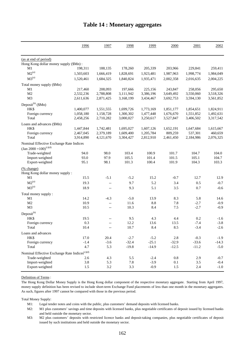|                                                              | 1996      | 1997                     | 1998      | 1999            | 2000      | 2001      | 2002      |
|--------------------------------------------------------------|-----------|--------------------------|-----------|-----------------|-----------|-----------|-----------|
| (as at end of period)                                        |           |                          |           |                 |           |           |           |
| Hong Kong dollar money supply (\$Mn):                        |           |                          |           |                 |           |           |           |
| M1                                                           | 198,311   | 188,135                  | 178,260   | 205,339         | 203,966   | 229,841   | 259,411   |
| $M2^{(a)}$                                                   | 1,503,603 | 1,666,419                | 1,828,691 | 1,923,481       | 1,987,963 | 1,998,774 | 1,984,049 |
| $M3^{(a)}$                                                   | 1,520,461 | 1,684,325                | 1,840,824 | 1,935,471       | 2,002,358 | 2,016,635 | 2,004,225 |
| Total money supply (\$Mn)                                    |           |                          |           |                 |           |           |           |
| M1                                                           | 217,460   | 208,093                  | 197,666   | 225,156         | 243,847   | 258,056   | 295,650   |
| M <sub>2</sub>                                               | 2,532,236 | 2,788,808                | 3,111,942 | 3,386,196       | 3,649,492 | 3,550,060 | 3,518,326 |
| M <sub>3</sub>                                               | 2,611,636 | 2,871,425                | 3,168,199 | 3,434,467       | 3,692,753 | 3,594,130 | 3,561,852 |
| Deposit <sup>(b)</sup> (\$Mn)                                |           |                          |           |                 |           |           |           |
| HK\$                                                         | 1,400,077 | 1,551,555                | 1,699,726 | 1,773,169       | 1,851,177 | 1,854,651 | 1,824,911 |
| Foreign currency                                             | 1,058,180 | 1,158,728                | 1,300,302 | 1,477,448       | 1,676,670 | 1,551,852 | 1,492,631 |
| Total                                                        | 2,458,256 | 2,710,282                | 3,000,027 | 3,250,617       | 3,527,847 | 3,406,502 | 3,317,542 |
| Loans and advances (\$Mn)                                    |           |                          |           |                 |           |           |           |
| HK\$                                                         | 1,447,844 | 1,742,481                | 1,695,027 | 1,607,126       | 1,652,191 | 1,647,684 | 1,615,667 |
| Foreign currency                                             | 2,467,045 | 2,379,189                | 1,609,400 | 1,205,784       | 809,259   | 537,301   | 460,659   |
| Total                                                        | 3,914,890 | 4,121,670                | 3,304,427 | 2,812,910       | 2,461,450 | 2,184,986 | 2,076,325 |
| Nominal Effective Exchange Rate Indices                      |           |                          |           |                 |           |           |           |
| $\left(\text{Jan } 2000 = 100\right)^{(c)(d)}$               |           |                          |           |                 |           |           |           |
| Trade-weighted                                               | 94.0      | 98.0                     | 103.4     | 100.9           | 101.7     | 104.7     | 104.0     |
| Import-weighted                                              | 93.0      | 97.9                     | 105.5     | 101.4           | 101.5     | 105.1     | 104.7     |
| Export-weighted                                              | 95.1      | 98.1                     | 101.3     | 100.4           | 101.9     | 104.3     | 103.3     |
| (% change)                                                   |           |                          |           |                 |           |           |           |
| Hong Kong dollar money supply:                               |           |                          |           |                 |           |           |           |
| M1                                                           | 15.5      | $-5.1$                   | $-5.2$    | 15.2            | $-0.7$    | 12.7      | 12.9      |
| $M2^{(a)}$                                                   | 19.3      | $\overline{\phantom{a}}$ | 9.7       | 5.2             | 3.4       | 0.5       | $-0.7$    |
| $M3^{(a)}$                                                   | 18.9      | $\overline{a}$           | 9.3       | 5.1             | 3.5       | 0.7       | $-0.6$    |
| Total money supply:                                          |           |                          |           |                 |           |           |           |
| M1                                                           | 14.2      | $-4.3$                   | $-5.0$    | 13.9            | 8.3       | 5.8       | 14.6      |
| M2                                                           | 10.9      | $\overline{\phantom{a}}$ | 11.6      | $\!\!\!\!\!8.8$ | 7.8       | $-2.7$    | $-0.9$    |
| M <sub>3</sub>                                               | 10.5      | $\overline{\phantom{a}}$ | 10.3      | 8.4             | $7.5$     | $-2.7$    | $-0.9$    |
| $Deposit^{(b)}$                                              |           |                          |           |                 |           |           |           |
| HK\$                                                         | 19.5      |                          | 9.5       | 4.3             | 4.4       | 0.2       | $-1.6$    |
| Foreign currency                                             | 0.3       | $-$                      | 12.2      | 13.6            | 13.5      | $-7.4$    | $-3.8$    |
| Total                                                        | 10.4      | $-\, -$                  | 10.7      | 8.4             | 8.5       | $-3.4$    | $-2.6$    |
| Loans and advances                                           |           |                          |           |                 |           |           |           |
| HK\$                                                         | 17.0      | 20.4                     | $-2.7$    | $-5.2$          | 2.8       | $-0.3$    | $-1.9$    |
| Foreign currency                                             | $-1.4$    | $-3.6$                   | $-32.4$   | $-25.1$         | $-32.9$   | $-33.6$   | $-14.3$   |
| Total                                                        | 4.7       | 5.3                      | $-19.8$   | $-14.9$         | $-12.5$   | $-11.2$   | $-5.0$    |
|                                                              |           |                          |           |                 |           |           |           |
| Nominal Effective Exchange Rate Indices ${}^{\text{(c)(d)}}$ |           |                          |           |                 |           |           |           |
| Trade-weighted                                               | 2.6       | 4.3                      | 5.5       | $-2.4$          | $\rm 0.8$ | 2.9       | $-0.7$    |
| Import-weighted                                              | 3.8       | 5.3                      | 7.8       | $-3.9$          | 0.1       | $3.5\,$   | $-0.4$    |
| Export-weighted                                              | 1.5       | $3.2\,$                  | 3.3       | $-0.9$          | 1.5       | $2.4\,$   | $-1.0$    |

#### **Table 14 : Monetary aggregates**

Definition of Terms :

The Hong Kong Dollar Money Supply is the Hong Kong dollar component of the respective monetary aggregate. Starting from April 1997, money supply definition has been revised to include short-term Exchange Fund placements of less than one month in the monetary aggregates. As such, figures after 1997 cannot be compared with those in the previous period.

Total Money Supply:

M1: Legal tender notes and coins with the public, plus customers' demand deposits with licensed banks.

M2: M1 plus customers' savings and time deposits with licensed banks, plus negotiable certificates of deposit issued by licensed banks and held outside the monetary sector.

M3: M2 plus customers' deposits with restricted licence banks and deposit-taking companies, plus negotiable certificates of deposit issued by such institutions and held outside the monetary sector.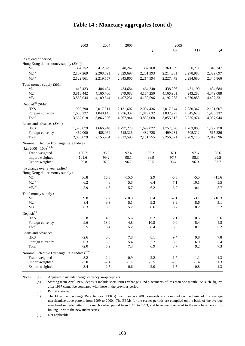|                                                           | 2003      | 2004      | 2005      |           | 2005       |                |                |
|-----------------------------------------------------------|-----------|-----------|-----------|-----------|------------|----------------|----------------|
|                                                           |           |           |           | Q1        | Q2         | Q <sub>3</sub> | Q <sub>4</sub> |
| (as at end of period)                                     |           |           |           |           |            |                |                |
| Hong Kong dollar money supply (\$Mn):                     |           |           |           |           |            |                |                |
| M1                                                        | 354,752   | 412,629   | 348,247   | 387,168   | 360,889    | 350,711        | 348,247        |
| $M2^{(a)}$                                                | 2,107,269 | 2,208,591 | 2,329,697 | 2,201,393 | 2,214,261  | 2,278,988      | 2,329,697      |
| $M3^{(a)}$                                                | 2,122,861 | 2,219,557 | 2,345,866 | 2,214,594 | 2,227,479  | 2,294,680      | 2,345,866      |
| Total money supply (\$Mn)                                 |           |           |           |           |            |                |                |
| M1                                                        | 413,423   | 484,494   | 434,684   | 464,340   | 438,286    | 431,190        | 434,684        |
| M2                                                        | 3,813,442 | 4,166,706 | 4,379,088 | 4,164,250 | 4,166,961  | 4,243,288      | 4,379,088      |
| M <sub>3</sub>                                            | 3,858,044 | 4,189,544 | 4,407,231 | 4,189,596 | 4,192,238  | 4,270,883      | 4,407,231      |
| Deposit <sup>(b)</sup> (\$Mn)                             |           |           |           |           |            |                |                |
| HK\$                                                      | 1,930,790 | 2,017,911 | 2,131,607 | 2,004,436 | 2,017,544  | 2,080,347      | 2,131,607      |
| Foreign currency                                          | 1,636,227 | 1,848,145 | 1,936,337 | 1,848,632 | 1,837,973  | 1,845,628      | 1,936,337      |
| Total                                                     | 3,567,018 | 3,866,056 | 4,067,944 | 3,853,068 | 3,855,517  | 3,925,974      | 4,067,944      |
| Loans and advances (\$Mn)                                 |           |           |           |           |            |                |                |
| HK\$                                                      | 1,573,079 | 1,666,740 | 1,797,270 | 1,699,027 | 1,757,390  | 1,763,803      | 1,797,270      |
| Foreign currency                                          | 462,000   | 488,964   | 515,326   | 482,728   | 499,281    | 505,312        | 515,326        |
| Total                                                     | 2,035,079 | 2,155,704 | 2,312,596 | 2,181,755 | 2,256,671  | 2,269,115      | 2,312,596      |
| Nominal Effective Exchange Rate Indices                   |           |           |           |           |            |                |                |
| $\left(\text{Jan } 2000 = 100\right)^{(c)(d)}$            |           |           |           |           |            |                |                |
| Trade-weighted                                            | 100.7     | 98.3      | 97.4      | 96.2      | 97.1       | 97.6           | 98.6           |
| Import-weighted                                           | 101.6     | 99.2      | 98.1      | 96.9      | 97.7       | 98.3           | 99.5           |
| Export-weighted                                           | 99.8      | 97.3      | 96.7      | 95.5      | 96.4       | 96.9           | 97.7           |
| (% change over a year earlier)                            |           |           |           |           |            |                |                |
| Hong Kong dollar money supply :                           |           |           |           |           |            |                |                |
| M1                                                        | 36.8      | 16.3      | $-15.6$   | 2.9       | $-6.3$     | $-5.5$         | $-15.6$        |
| $M2^{(a)}$                                                | 6.2       | 4.8       | 5.5       | 6.4       | 7.1        | 10.1           | 5.5            |
| $M3^{(a)}$                                                | 5.9       | 4.6       | 5.7       | 6.2       | 6.9        | 10.1           | 5.7            |
| Total money supply:                                       |           |           |           |           |            |                |                |
| M1                                                        | 39.8      | 17.2      | $-10.3$   | 6.4       | $-2.1$     | $-3.1$         | $-10.3$        |
| M <sub>2</sub>                                            | 8.4       | 9.3       | 5.1       | 9.2       | 8.9        | 8.6            | 5.1            |
| M <sub>3</sub>                                            | 8.3       | 8.6       | 5.2       | 8.6       | 8.2        | 8.2            | 5.2            |
| Deposit <sup>(b)</sup>                                    |           |           |           |           |            |                |                |
| HK\$                                                      | 5.8       | 4.5       | 5.6       | 6.2       | 7.1        | 10.6           | 5.6            |
| Foreign currency                                          | 9.6       | 13.0      | 4.8       | 10.8      | 9.0        | 5.4            | 4.8            |
| Total                                                     | 7.5       | 8.4       | 5.2       | 8.4       | $\ \, 8.0$ | $8.1\,$        | 5.2            |
| Loans and advances                                        |           |           |           |           |            |                |                |
| HK\$                                                      | $-2.6$    | $6.0\,$   | 7.8       | 8.1       | 9.4        | 9.8            | $7.8\,$        |
| Foreign currency                                          | 0.3       | 5.8       | 5.4       | 2.7       | 6.5        | 6.9            | 5.4            |
| Total                                                     | $-2.0$    | 5.9       | 7.3       | 6.9       | 8.7        | 9.2            | 7.3            |
| Nominal Effective Exchange Rate Indices <sup>(c)(d)</sup> |           |           |           |           |            |                |                |
| Trade-weighted                                            | $-3.2$    | $-2.4$    | $-0.9$    | $-2.2$    | $-1.7$     | $-1.1$         | 1.3            |
| Import-weighted                                           | $-3.0$    | $-2.4$    | $-1.1$    | $-2.5$    | $-2.0$     | $-1.4$         | 1.3            |
| Export-weighted                                           | $-3.4$    | $-2.5$    | $-0.6$    | $-2.0$    | $-1.5$     | $-0.8$         | 1.3            |
|                                                           |           |           |           |           |            |                |                |

#### **Table 14 : Monetary aggregates (cont'd)**

Notes : (a) Adjusted to include foreign currency swap deposits.

(b) Starting from April 1997, deposits include short-term Exchange Fund placements of less than one month. As such, figures after 1997 cannot be compared with those in the previous period.

(c) Period average.

(d) The Effective Exchange Rate Indices (EERIs) from January 2000 onwards are compiled on the basis of the average merchandise trade pattern from 1999 to 2000. The EERIs for the earlier periods are compiled on the basis of the average merchandise trade pattern in a much earlier period from 1991 to 1993, and have been re-scaled to the new base period for linking up with the new index series.

(--) Not applicable.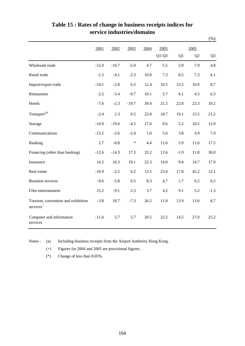|                                                             |         |         |         |      |                 |        |            | $(\%)$         |
|-------------------------------------------------------------|---------|---------|---------|------|-----------------|--------|------------|----------------|
|                                                             | 2001    | 2002    | 2003    | 2004 | 2005<br>$Q1-Q3$ | Q1     | 2005<br>Q2 | Q <sub>3</sub> |
| Wholesale trade                                             | $-12.0$ | $-10.7$ | $-5.0$  | 4.7  | 5.5             | 3.9    | 7.9        | 4.8            |
| Retail trade                                                | $-1.2$  | $-4.1$  | $-2.3$  | 10.8 | 7.3             | 8.5    | 7.3        | 6.1            |
| Import/export trade                                         | $-14.1$ | $-2.8$  | 6.5     | 12.4 | 10.5            | 13.5   | 10.0       | 8.7            |
| Restaurants                                                 | $-2.5$  | $-5.4$  | $-9.7$  | 10.1 | 5.7             | 6.1    | 4.5        | 6.3            |
| Hotels                                                      | $-7.6$  | $-2.3$  | $-19.7$ | 39.4 | 21.5            | 22.8   | 22.3       | 19.2           |
| $Transport^{(a)}$                                           | $-2.4$  | 2.3     | 0.5     | 22.8 | 18.7            | 19.1   | 15.5       | 21.2           |
| Storage                                                     | $-14.9$ | $-19.6$ | $-4.5$  | 17.0 | 9.6             | 5.2    | 10.5       | 12.9           |
| Communications                                              | $-13.2$ | $-2.6$  | $-2.4$  | 1.0  | 5.6             | 3.8    | 4.9        | 7.9            |
| Banking                                                     | 2.7     | $-0.8$  | $\ast$  | 4.4  | 11.6            | 5.9    | 11.6       | 17.5           |
| Financing (other than banking)                              | $-12.6$ | $-14.3$ | 17.3    | 33.2 | 12.6            | $-1.9$ | 11.8       | 30.0           |
| Insurance                                                   | 14.2    | 10.3    | 19.1    | 22.3 | 14.0            | 9.4    | 14.7       | 17.9           |
| Real estate                                                 | $-16.9$ | $-2.5$  | 6.2     | 13.5 | 23.0            | 17.8   | 42.2       | 12.1           |
| <b>Business services</b>                                    | $-9.6$  | $-5.8$  | 0.5     | 8.3  | 4.7             | 1.7    | 6.2        | 6.2            |
| Film entertainment                                          | 15.2    | $-9.1$  | 2.3     | 3.7  | 4.2             | 9.1    | 5.2        | $-1.3$         |
| Tourism, convention and exhibition<br>services <sup>+</sup> | $-3.8$  | 10.7    | $-7.3$  | 26.5 | 11.8            | 13.9   | 13.0       | 8.7            |
| Computer and information<br>services                        | $-11.6$ | 5.7     | 5.7     | 20.5 | 22.5            | 14.5   | 27.0       | 25.2           |

#### **Table 15 : Rates of change in business receipts indices for service industries/domains**

Notes : (a) Including business receipts from the Airport Authority Hong Kong.

(+) Figures for 2004 and 2005 are provisional figures.

(\*) Change of less than 0.05%.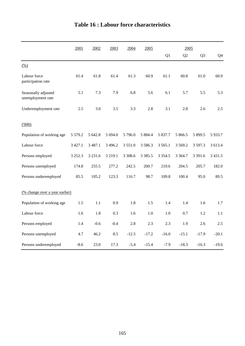|                                          | 2001        | 2002       | 2003        | 2004       | 2005        |             | 2005           |                |            |
|------------------------------------------|-------------|------------|-------------|------------|-------------|-------------|----------------|----------------|------------|
|                                          |             |            |             |            |             | Q1          | Q <sub>2</sub> | Q <sub>3</sub> | Q4         |
| (% )                                     |             |            |             |            |             |             |                |                |            |
| Labour force<br>participation rate       | 61.4        | 61.8       | 61.4        | 61.3       | 60.9        | 61.1        | 60.8           | 61.0           | 60.9       |
| Seasonally adjusted<br>unemployment rate | 5.1         | 7.3        | 7.9         | 6.8        | 5.6         | 6.1         | 5.7            | 5.5            | 5.3        |
| Underemployment rate                     | 2.5         | 3.0        | 3.5         | 3.3        | 2.8         | 3.1         | 2.8            | 2.6            | 2.5        |
| (000)                                    |             |            |             |            |             |             |                |                |            |
| Population of working age                | 5 5 7 9 . 2 | 5 642.8    | 5 694.0     | 5 796.0    | 5 8 8 4 . 4 | 5 837.7     | 5 866.5        | 5 899.5        | 5933.7     |
| Labour force                             | 3 4 2 7 .1  | 3 4 8 7 .1 | 3 4 9 6.2   | 3 5 5 1 .0 | 3 5 8 6 . 3 | 3 5 6 5 .1  | 3 5 6 9 . 2    | 3 597.3        | 3 613.4    |
| Persons employed                         | 3 2 5 2 . 3 | 3 2 3 1 .6 | 3 2 1 9 . 1 | 3 3 08.6   | 3 3 8 5 .5  | 3 3 5 4 . 5 | 3 3 6 4 .7     | 3 3 9 1.6      | 3 4 3 1 .5 |
| Persons unemployed                       | 174.8       | 255.5      | 277.2       | 242.5      | 200.7       | 210.6       | 204.5          | 205.7          | 182.0      |
| Persons underemployed                    | 85.5        | 105.2      | 123.3       | 116.7      | 98.7        | 109.8       | 100.4          | 95.0           | 89.5       |
| (% change over a year earlier)           |             |            |             |            |             |             |                |                |            |
| Population of working age                | 1.5         | 1.1        | 0.9         | 1.8        | 1.5         | 1.4         | 1.4            | 1.6            | 1.7        |
| Labour force                             | 1.6         | 1.8        | 0.3         | 1.6        | 1.0         | 1.0         | 0.7            | 1.2            | 1.1        |
| Persons employed                         | 1.4         | $-0.6$     | $-0.4$      | 2.8        | 2.3         | 2.3         | 1.9            | 2.6            | 2.5        |
| Persons unemployed                       | 4.7         | 46.2       | 8.5         | $-12.5$    | $-17.2$     | $-16.0$     | $-15.1$        | $-17.9$        | $-20.1$    |
| Persons underemployed                    | $-8.6$      | 23.0       | 17.3        | $-5.4$     | $-15.4$     | $-7.9$      | $-18.3$        | $-16.3$        | $-19.6$    |

# **Table 16 : Labour force characteristics**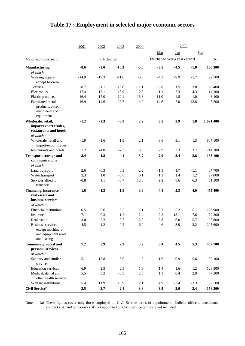|                                                                              | 2001    | 2002       | 2003    | 2004    |                                | 2005            |         |            |
|------------------------------------------------------------------------------|---------|------------|---------|---------|--------------------------------|-----------------|---------|------------|
|                                                                              |         |            |         |         | Mar                            | $_{\text{Jun}}$ |         | <b>Sep</b> |
| Major economic sector                                                        |         | (% change) |         |         | (% change over a year earlier) |                 |         | No.        |
| <b>Manufacturing</b>                                                         | $-8.6$  | $-9.0$     | $-10.3$ | $-3.0$  | $-3.5$                         | $-4.5$          | $-1.0$  | 166 300    |
| of which:                                                                    |         |            |         |         |                                |                 |         |            |
| Wearing apparel,                                                             | $-14.9$ | $-19.3$    | $-11.6$ | $-0.8$  | $-4.3$                         | $-9.9$          | $-1.7$  | 22 700     |
| except footwear                                                              |         |            |         |         |                                |                 |         |            |
| <b>Textiles</b>                                                              | $-8.7$  | $-1.1$     | $-16.8$ | $-11.1$ | $-3.8$                         | 1.5             | 3.8     | 20 400     |
| Electronics                                                                  | $-17.4$ | $-13.1$    | $-18.9$ | $-2.3$  | 1.1                            | $-7.3$          | $-4.3$  | 14 200     |
| Plastic products                                                             | $-16.4$ | $-17.0$    | $-19.1$ | $-16.8$ | $-11.0$                        | $-4.8$          | $-1.0$  | 3 100      |
| Fabricated metal                                                             | $-16.9$ | $-14.6$    | $-20.7$ | $-4.9$  | $-14.6$                        | $-7.0$          | $-12.8$ | 5 500      |
| products, except<br>machinery and                                            |         |            |         |         |                                |                 |         |            |
| equipment                                                                    |         |            |         |         |                                |                 |         |            |
| Wholesale, retail,<br>import/export trades,<br>restaurants and hotels        | $-1.2$  | $-2.3$     | $-3.0$  | 2.9     | 3.5                            | 2.9             | 1.8     | 1 021 400  |
| of which:                                                                    |         |            |         |         |                                |                 |         |            |
| Wholesale, retail and                                                        | $-1.9$  | $-1.6$     | $-1.9$  | 2.1     | 3.6                            | 3.1             | 1.3     | 807 100    |
| import/export trades                                                         |         |            |         |         |                                |                 |         |            |
| Restaurants and hotels                                                       | 1.2     | $-4.8$     | $-7.3$  | 6.0     | 2.9                            | 2.3             | 3.7     | 214 300    |
| Transport, storage and<br>communications                                     | 2.4     | $-1.8$     | $-4.4$  | 3.7     | 2.9                            | 3.4             | 2.8     | 183 100    |
| of which:                                                                    |         |            |         |         |                                |                 |         |            |
| Land transport                                                               | 2.6     | $-0.3$     | 0.5     | $-2.2$  | $-1.5$                         | $-1.7$          | $-1.1$  | 37 700     |
| Water transport                                                              | 3.3     | 1.0        | $-3.6$  | 0.1     | 1.3                            | 1.4             | 1.2     | 27 000     |
| Services allied to<br>transport                                              | $-0.8$  | 1.1        | $-3.7$  | 10.3    | 9.2                            | 8.6             | 6.3     | 61 300     |
| Financing, insurance,<br>real estate and<br>business services<br>of which:   | 1.6     | $-1.3$     | $-1.9$  | 3.6     | 4.4                            | 5.3             | 4.0     | 455 400    |
| Financial institutions                                                       | $-0.5$  | $-5.6$     | $-6.5$  | 1.1     | 3.7                            | 5.2             | 5.1     | 125 900    |
| Insurance                                                                    | 7.1     | 0.3        | 1.2     | 2.4     | 2.3                            | 13.1            | 7.6     | 29 300     |
| Real estate                                                                  | $-3.0$  | 5.2        | 0.7     | 2.2     | 5.8                            | 6.0             | 5.7     | 93 800     |
| Business services<br>except machinery<br>and equipment rental<br>and leasing | 4.5     | $-1.2$     | $-0.2$  | $6.0\,$ | 4.6                            | 3.9             | 2.2     | 205 600    |
| Community, social and                                                        | 7.2     | 5.9        | 2.9     | 3.2     | 5.4                            | 4.5             | 5.3     | 437 700    |
| personal services<br>of which:                                               |         |            |         |         |                                |                 |         |            |
| Sanitary and similar<br>services                                             | 5.1     | 13.8       | 6.0     | 1.5     | 1.6                            | 0.9             | 5.6     | 59 100     |
| <b>Education</b> services                                                    | 6.9     | $2.5\,$    | 2.9     | 1.8     | 1.4                            | 1.6             | 1.2     | 128 800    |
| Medical, dental and<br>other health services                                 | 5.5     | 3.2        | $-0.3$  | 2.5     | 1.3                            | 0.4             | 2.9     | 77 200     |
| Welfare institutions                                                         | 25.4    | 11.9       | 13.9    | 2.1     | 4.9                            | $-2.4$          | $-3.3$  | 52 500     |
| Civil Service <sup>(a)</sup>                                                 | $-3.5$  | $-3.7$     | $-2.4$  | $-3.8$  | $-3.5$                         | $-3.0$          | $-2.4$  | 156 200    |

# **Table 17 : Employment in selected major economic sectors**

Note : (a) These figures cover only those employed on Civil Service terms of appointment. Judicial officers, consultants, contract staff and temporary staff not appointed on Civil Service terms are not included.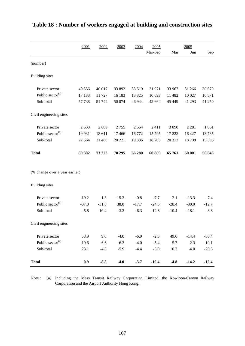|                                | 2001     | 2002    | 2003    | 2004    | 2005    |         | 2005    |         |
|--------------------------------|----------|---------|---------|---------|---------|---------|---------|---------|
|                                |          |         |         |         | Mar-Sep | Mar     | Jun     | Sep     |
| (number)                       |          |         |         |         |         |         |         |         |
| <b>Building</b> sites          |          |         |         |         |         |         |         |         |
| Private sector                 | 40 556   | 40 017  | 33 892  | 33 619  | 31 971  | 33 967  | 31 266  | 30 679  |
| Public sector <sup>(a)</sup>   | 17 183   | 11727   | 16 183  | 13 3 25 | 10 693  | 11 482  | 10 027  | 10 571  |
| Sub-total                      | 57 738   | 51 744  | 50 074  | 46 944  | 42 664  | 45 449  | 41 293  | 41 250  |
| Civil engineering sites        |          |         |         |         |         |         |         |         |
| Private sector                 | 2633     | 2869    | 2755    | 2 5 6 4 | 2411    | 3 0 9 0 | 2 2 8 1 | 1861    |
| Public sector <sup>(a)</sup>   | 19 9 31  | 18 611  | 17466   | 16772   | 15 795  | 17 222  | 16 427  | 13735   |
| Sub-total                      | 22 5 6 4 | 21 480  | 20 221  | 19 3 36 | 18 20 5 | 20 312  | 18708   | 15 5 96 |
| <b>Total</b>                   | 80 30 2  | 73 223  | 70 295  | 66 280  | 60 869  | 65 761  | 60 001  | 56 846  |
| (% change over a year earlier) |          |         |         |         |         |         |         |         |
| <b>Building</b> sites          |          |         |         |         |         |         |         |         |
| Private sector                 | 19.2     | $-1.3$  | $-15.3$ | $-0.8$  | $-7.7$  | $-2.1$  | $-13.3$ | $-7.4$  |
| Public sector <sup>(a)</sup>   | $-37.0$  | $-31.8$ | 38.0    | $-17.7$ | $-24.5$ | $-28.4$ | $-30.0$ | $-12.7$ |
| Sub-total                      | $-5.8$   | $-10.4$ | $-3.2$  | $-6.3$  | $-12.6$ | $-10.4$ | $-18.1$ | $-8.8$  |
| Civil engineering sites        |          |         |         |         |         |         |         |         |
| Private sector                 | 58.9     | 9.0     | $-4.0$  | $-6.9$  | $-2.3$  | 49.6    | $-14.4$ | $-30.4$ |
| Public sector <sup>(a)</sup>   | 19.6     | $-6.6$  | $-6.2$  | $-4.0$  | $-5.4$  | 5.7     | $-2.3$  | $-19.1$ |
| Sub-total                      | 23.1     | $-4.8$  | $-5.9$  | $-4.4$  | $-5.0$  | 10.7    | $-4.0$  | $-20.6$ |
| <b>Total</b>                   | 0.9      | $-8.8$  | $-4.0$  | $-5.7$  | $-10.4$ | $-4.8$  | $-14.2$ | $-12.4$ |

# **Table 18 : Number of workers engaged at building and construction sites**

Note : (a) Including the Mass Transit Railway Corporation Limited, the Kowloon-Canton Railway Corporation and the Airport Authority Hong Kong.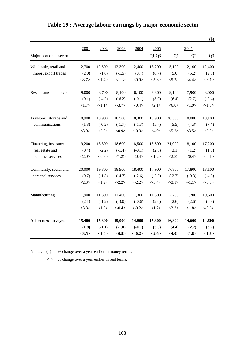|                        |        |          |           |            |           |                 |                | $(\$)$          |
|------------------------|--------|----------|-----------|------------|-----------|-----------------|----------------|-----------------|
|                        | 2001   | 2002     | 2003      | 2004       | 2005      |                 | 2005           |                 |
| Major economic sector  |        |          |           |            | $Q1-Q3$   | Q1              | Q <sub>2</sub> | Q <sub>3</sub>  |
| Wholesale, retail and  | 12,700 | 12,500   | 12,300    | 12,400     | 13,200    | 15,100          | 12,100         | 12,400          |
| import/export trades   | (2.0)  | $(-1.6)$ | $(-1.5)$  | (0.4)      | (6.7)     | (5.6)           | (5.2)          | (9.6)           |
|                        | <3.7>  | <1.4>    | <1.1>     | <0.9>      | 5.8>      | < 5.2 >         | <4.4>          | $<\!\!8.1\!\!>$ |
| Restaurants and hotels | 9,000  | 8,700    | 8,100     | 8,100      | 8,300     | 9,100           | 7,900          | 8,000           |
|                        | (0.1)  | $(-4.2)$ | $(-6.2)$  | $(-0.1)$   | (3.0)     | (6.4)           | (2.7)          | $(-0.4)$        |
|                        | <1.7>  | <1.1>    | $< -3.7>$ | <0.4>      | <2.1>     | $<\!\!6.0\!\!>$ | <1.9>          | $< -1.8>$       |
| Transport, storage and | 18,900 | 18,900   | 18,500    | 18,300     | 18,900    | 20,500          | 18,000         | 18,100          |
| communications         | (1.3)  | $(-0.2)$ | $(-1.7)$  | $(-1.3)$   | (5.7)     | (5.5)           | (4.3)          | (7.4)           |
|                        | <3.0>  | <2.9>    | <0.9>     | $< -0.9 >$ | <4.9>     | < 5.2 >         | <3.5>          | < 5.9>          |
| Financing, insurance,  | 19,200 | 18,800   | 18,600    | 18,500     | 18,800    | 21,000          | 18,100         | 17,200          |
| real estate and        | (0.4)  | $(-2.2)$ | $(-1.4)$  | $(-0.1)$   | (2.0)     | (3.1)           | (1.2)          | (1.5)           |
| business services      | <2.0>  | <0.8>    | <1.2>     | <0.4>      | <1.2>     | <2.8>           | <0.4>          | <0.1>           |
| Community, social and  | 20,000 | 19,800   | 18,900    | 18,400     | 17,900    | 17,800          | 17,800         | 18,100          |
| personal services      | (0.7)  | $(-1.3)$ | $(-4.7)$  | $(-2.6)$   | $(-2.6)$  | $(-2.7)$        | $(-0.3)$       | $(-4.5)$        |
|                        | <2.3>  | <1.9>    | $< -2.2>$ | $< -2.2>$  | $< -3.4>$ | $< -3.1>$       | <1.1>          | $< -5.8>$       |
| Manufacturing          | 11,900 | 11,800   | 11,400    | 11,300     | 11,500    | 12,700          | 11,200         | 10,600          |
|                        | (2.1)  | $(-1.2)$ | $(-3.0)$  | $(-0.6)$   | (2.0)     | (2.6)           | (2.6)          | (0.8)           |
|                        | <3.8>  | <1.9>    | $< -0.4>$ | $<-0.2>$   | <1.2>     | <2.3>           | <1.8>          | $< -0.6 >$      |
| All sectors surveyed   | 15,400 | 15,300   | 15,000    | 14,900     | 15,300    | 16,800          | 14,600         | 14,600          |
|                        | (1.8)  | $(-1.1)$ | $(-1.8)$  | $(-0.7)$   | (3.5)     | (4.4)           | (2.7)          | (3.2)           |
|                        | <3.5>  | <2.0>    | <0.8>     | $<-0.2>$   | <2.6>     | <4.0>           | <1.8>          | <1.8>           |

# **Table 19 : Average labour earnings by major economic sector**

Notes : ( ) % change over a year earlier in money terms.

< > % change over a year earlier in real terms.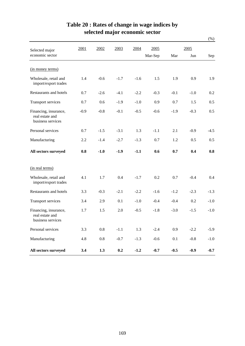|                                                               |        |         |        |        |         |        |        | $(\%)$ |
|---------------------------------------------------------------|--------|---------|--------|--------|---------|--------|--------|--------|
| Selected major                                                | 2001   | 2002    | 2003   | 2004   | 2005    |        | 2005   |        |
| economic sector                                               |        |         |        |        | Mar-Sep | Mar    | Jun    | Sep    |
| (in money terms)                                              |        |         |        |        |         |        |        |        |
| Wholesale, retail and<br>import/export trades                 | 1.4    | $-0.6$  | $-1.7$ | $-1.6$ | 1.5     | 1.9    | 0.9    | 1.9    |
| Restaurants and hotels                                        | 0.7    | $-2.6$  | $-4.1$ | $-2.2$ | $-0.3$  | $-0.1$ | $-1.0$ | 0.2    |
| Transport services                                            | 0.7    | 0.6     | $-1.9$ | $-1.0$ | 0.9     | 0.7    | 1.5    | 0.5    |
| Financing, insurance,<br>real estate and<br>business services | $-0.9$ | $-0.8$  | $-0.1$ | $-0.5$ | $-0.6$  | $-1.9$ | $-0.3$ | 0.5    |
| Personal services                                             | 0.7    | $-1.5$  | $-3.1$ | 1.3    | $-1.1$  | 2.1    | $-0.9$ | $-4.5$ |
| Manufacturing                                                 | 2.2    | $-1.4$  | $-2.7$ | $-1.3$ | 0.7     | 1.2    | 0.5    | 0.5    |
| All sectors surveyed                                          | 0.8    | $-1.0$  | $-1.9$ | $-1.1$ | 0.6     | 0.7    | 0.4    | 0.8    |
| (in real terms)                                               |        |         |        |        |         |        |        |        |
| Wholesale, retail and<br>import/export trades                 | 4.1    | 1.7     | 0.4    | $-1.7$ | 0.2     | 0.7    | $-0.4$ | 0.4    |
| Restaurants and hotels                                        | 3.3    | $-0.3$  | $-2.1$ | $-2.2$ | $-1.6$  | $-1.2$ | $-2.3$ | $-1.3$ |
| Transport services                                            | 3.4    | 2.9     | 0.1    | $-1.0$ | $-0.4$  | $-0.4$ | 0.2    | $-1.0$ |
| Financing, insurance,<br>real estate and<br>business services | 1.7    | 1.5     | 2.0    | $-0.5$ | $-1.8$  | $-3.0$ | $-1.5$ | $-1.0$ |
| Personal services                                             | 3.3    | $0.8\,$ | $-1.1$ | 1.3    | $-2.4$  | 0.9    | $-2.2$ | $-5.9$ |
| Manufacturing                                                 | 4.8    | $0.8\,$ | $-0.7$ | $-1.3$ | $-0.6$  | 0.1    | $-0.8$ | $-1.0$ |
| All sectors surveyed                                          | 3.4    | 1.3     | 0.2    | $-1.2$ | $-0.7$  | $-0.5$ | $-0.9$ | $-0.7$ |

# **Table 20 : Rates of change in wage indices by selected major economic sector**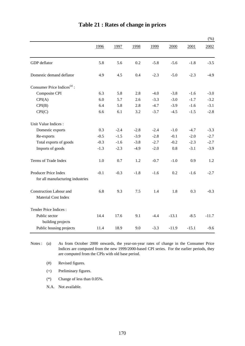|                                         |        |        |        |        |         |         | $(\%)$  |
|-----------------------------------------|--------|--------|--------|--------|---------|---------|---------|
|                                         | 1996   | 1997   | 1998   | 1999   | 2000    | 2001    | 2002    |
| GDP deflator                            | 5.8    | 5.6    | 0.2    | $-5.8$ | $-5.6$  | $-1.8$  | $-3.5$  |
| Domestic demand deflator                | 4.9    | 4.5    | 0.4    | $-2.3$ | $-5.0$  | $-2.3$  | $-4.9$  |
| Consumer Price Indices <sup>(a)</sup> : |        |        |        |        |         |         |         |
| Composite CPI                           | 6.3    | 5.8    | 2.8    | $-4.0$ | $-3.8$  | $-1.6$  | $-3.0$  |
| CPI(A)                                  | 6.0    | 5.7    | 2.6    | $-3.3$ | $-3.0$  | $-1.7$  | $-3.2$  |
| CPI(B)                                  | 6.4    | 5.8    | 2.8    | $-4.7$ | $-3.9$  | $-1.6$  | $-3.1$  |
| CPI(C)                                  | 6.6    | 6.1    | 3.2    | $-3.7$ | $-4.5$  | $-1.5$  | $-2.8$  |
| Unit Value Indices :                    |        |        |        |        |         |         |         |
| Domestic exports                        | 0.3    | $-2.4$ | $-2.8$ | $-2.4$ | $-1.0$  | $-4.7$  | $-3.3$  |
| Re-exports                              | $-0.5$ | $-1.5$ | $-3.9$ | $-2.8$ | $-0.1$  | $-2.0$  | $-2.7$  |
| Total exports of goods                  | $-0.3$ | $-1.6$ | $-3.8$ | $-2.7$ | $-0.2$  | $-2.3$  | $-2.7$  |
| Imports of goods                        | $-1.3$ | $-2.3$ | $-4.9$ | $-2.0$ | 0.8     | $-3.1$  | $-3.9$  |
| Terms of Trade Index                    | 1.0    | 0.7    | 1.2    | $-0.7$ | $-1.0$  | 0.9     | 1.2     |
| Producer Price Index                    | $-0.1$ | $-0.3$ | $-1.8$ | $-1.6$ | 0.2     | $-1.6$  | $-2.7$  |
| for all manufacturing industries        |        |        |        |        |         |         |         |
| <b>Construction Labour and</b>          | 6.8    | 9.3    | 7.5    | 1.4    | 1.8     | 0.3     | $-0.3$  |
| Material Cost Index                     |        |        |        |        |         |         |         |
| Tender Price Indices:                   |        |        |        |        |         |         |         |
| Public sector<br>building projects      | 14.4   | 17.6   | 9.1    | $-4.4$ | $-13.1$ | $-8.5$  | $-11.7$ |
| Public housing projects                 | 11.4   | 18.9   | 9.0    | $-3.3$ | $-11.9$ | $-15.1$ | $-9.6$  |

# **Table 21 : Rates of change in prices**

Notes :  $(a)$ As from October 2000 onwards, the year-on-year rates of change in the Consumer Price Indices are computed from the new 1999/2000-based CPI series. For the earlier periods, they are computed from the CPIs with old base period.

(#) Revised figures.

(+) Preliminary figures.

(\*) Change of less than 0.05%.

N.A. Not available.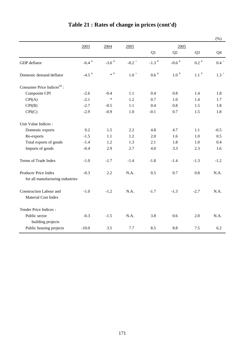|                                                |                     |                     |                     |                     |               |                    | (%)                |
|------------------------------------------------|---------------------|---------------------|---------------------|---------------------|---------------|--------------------|--------------------|
|                                                | 2003                | 2004                | 2005                |                     |               |                    |                    |
|                                                |                     |                     |                     | Q1                  | Q2            | Q <sub>3</sub>     | Q4                 |
| GDP deflator                                   | $-6.4$ <sup>#</sup> | $-3.6$ <sup>#</sup> | $-0.2$ <sup>+</sup> | $-1.3$ <sup>#</sup> | -0.6 $^\#$    | $0.2$ <sup>#</sup> | $0.4$ <sup>+</sup> |
| Domestic demand deflator                       | $-4.5$ <sup>#</sup> | $*$ #               | $1.0$ $^{\circ}$    | $0.6$ <sup>#</sup>  | $1.0$ $^{\#}$ | $1.1$ $^{\#}$      | $1.3$ <sup>+</sup> |
| Consumer Price Indices <sup>(a)</sup> :        |                     |                     |                     |                     |               |                    |                    |
| Composite CPI                                  | $-2.6$              | $-0.4$              | 1.1                 | 0.4                 | 0.8           | 1.4                | 1.8                |
| CPI(A)                                         | $-2.1$              | $\ast$              | 1.2                 | 0.7                 | 1.0           | 1.4                | 1.7                |
| CPI(B)                                         | $-2.7$              | $-0.5$              | 1.1                 | 0.4                 | 0.8           | 1.5                | 1.8                |
| CPI(C)                                         | $-2.9$              | $-0.9$              | 1.0                 | $-0.1$              | 0.7           | 1.5                | 1.8                |
| Unit Value Indices :                           |                     |                     |                     |                     |               |                    |                    |
| Domestic exports                               | 0.2                 | 1.5                 | 2.2                 | 4.8                 | 4.7           | 1.1                | $-0.5$             |
| Re-exports                                     | $-1.5$              | 1.1                 | 1.2                 | 2.0                 | 1.6           | 1.0                | 0.5                |
| Total exports of goods                         | $-1.4$              | 1.2                 | 1.3                 | 2.1                 | 1.8           | $1.0\,$            | 0.4                |
| Imports of goods                               | $-0.4$              | 2.9                 | 2.7                 | 4.0                 | 3.3           | 2.3                | 1.6                |
| Terms of Trade Index                           | $-1.0$              | $-1.7$              | $-1.4$              | $-1.8$              | $-1.4$        | $-1.3$             | $-1.2$             |
| Producer Price Index                           | $-0.3$              | 2.2                 | N.A.                | 0.5                 | 0.7           | 0.8                | N.A.               |
| for all manufacturing industries               |                     |                     |                     |                     |               |                    |                    |
| Construction Labour and<br>Material Cost Index | $-1.0$              | $-1.2$              | N.A.                | $-1.7$              | $-1.3$        | $-2.7$             | N.A.               |
| Tender Price Indices:                          |                     |                     |                     |                     |               |                    |                    |
| Public sector<br>building projects             | $-0.3$              | $-1.5$              | N.A.                | 3.8                 | 0.6           | 2.0                | N.A.               |
| Public housing projects                        | $-10.0$             | 3.5                 | $7.7\,$             | 8.5                 | 8.8           | 7.5                | 6.2                |

# **Table 21 : Rates of change in prices (cont'd)**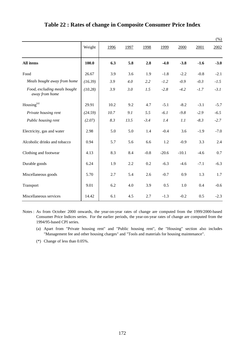|                                                |         |      |      |        |         |         |        | (% )   |
|------------------------------------------------|---------|------|------|--------|---------|---------|--------|--------|
|                                                | Weight  | 1996 | 1997 | 1998   | 1999    | 2000    | 2001   | 2002   |
| All items                                      | 100.0   | 6.3  | 5.8  | 2.8    | $-4.0$  | $-3.8$  | $-1.6$ | $-3.0$ |
| Food                                           | 26.67   | 3.9  | 3.6  | 1.9    | $-1.8$  | $-2.2$  | $-0.8$ | $-2.1$ |
| Meals bought away from home                    | (16.39) | 3.9  | 4.0  | 2.2    | $-1.2$  | $-0.9$  | $-0.3$ | $-1.5$ |
| Food, excluding meals bought<br>away from home | (10.28) | 3.9  | 3.0  | 1.5    | $-2.8$  | $-4.2$  | $-1.7$ | $-3.1$ |
| Housing <sup>(a)</sup>                         | 29.91   | 10.2 | 9.2  | 4.7    | $-5.1$  | $-8.2$  | $-3.1$ | $-5.7$ |
| Private housing rent                           | (24.59) | 10.7 | 9.1  | 5.5    | $-6.1$  | $-9.8$  | $-2.9$ | $-6.5$ |
| Public housing rent                            | (2.07)  | 8.3  | 13.5 | $-3.4$ | 1.4     | 1.1     | $-8.3$ | $-2.7$ |
| Electricity, gas and water                     | 2.98    | 5.0  | 5.0  | 1.4    | $-0.4$  | 3.6     | $-1.9$ | $-7.0$ |
| Alcoholic drinks and tobacco                   | 0.94    | 5.7  | 5.6  | 6.6    | 1.2     | $-0.9$  | 3.3    | 2.4    |
| Clothing and footwear                          | 4.13    | 8.3  | 8.4  | $-0.8$ | $-20.6$ | $-10.1$ | $-4.6$ | 0.7    |
| Durable goods                                  | 6.24    | 1.9  | 2.2  | 0.2    | $-6.3$  | $-4.6$  | $-7.1$ | $-6.3$ |
| Miscellaneous goods                            | 5.70    | 2.7  | 5.4  | 2.6    | $-0.7$  | 0.9     | 1.3    | 1.7    |
| Transport                                      | 9.01    | 6.2  | 4.0  | 3.9    | 0.5     | 1.0     | 0.4    | $-0.6$ |
| Miscellaneous services                         | 14.42   | 6.1  | 4.5  | 2.7    | $-1.3$  | $-0.2$  | 0.5    | $-2.3$ |

#### **Table 22 : Rates of change in Composite Consumer Price Index**

Notes : As from October 2000 onwards, the year-on-year rates of change are computed from the 1999/2000-based Consumer Price Indices series. For the earlier periods, the year-on-year rates of change are computed from the 1994/95-based CPI series.

- (a) Apart from "Private housing rent" and "Public housing rent", the "Housing" section also includes "Management fee and other housing charges" and "Tools and materials for housing maintenance".
- (\*) Change of less than 0.05%.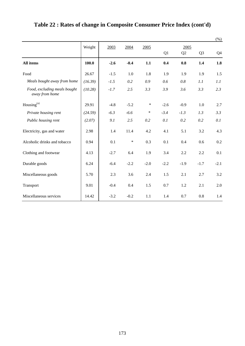|                                                |         |                      |        |        |        |                |                | $(\% )$ |
|------------------------------------------------|---------|----------------------|--------|--------|--------|----------------|----------------|---------|
|                                                | Weight  | 2003<br>2004<br>2005 |        |        | 2005   |                |                |         |
|                                                |         |                      |        |        | Q1     | Q <sub>2</sub> | Q <sub>3</sub> | Q4      |
| All items                                      | 100.0   | $-2.6$               | $-0.4$ | 1.1    | 0.4    | 0.8            | 1.4            | 1.8     |
| Food                                           | 26.67   | $-1.5$               | 1.0    | 1.8    | 1.9    | 1.9            | 1.9            | 1.5     |
| Meals bought away from home                    | (16.39) | $-1.5$               | 0.2    | 0.9    | 0.6    | 0.8            | 1.1            | 1.1     |
| Food, excluding meals bought<br>away from home | (10.28) | $-1.7$               | 2.5    | 3.3    | 3.9    | 3.6            | 3.3            | 2.3     |
| Housing <sup>(a)</sup>                         | 29.91   | $-4.8$               | $-5.2$ | $\ast$ | $-2.6$ | $-0.9$         | 1.0            | 2.7     |
| Private housing rent                           | (24.59) | $-6.3$               | $-6.6$ | $\ast$ | $-3.4$ | $-1.3$         | 1.3            | 3.3     |
| Public housing rent                            | (2.07)  | 9.1                  | 2.5    | 0.2    | 0.1    | 0.2            | 0.2            | 0.1     |
| Electricity, gas and water                     | 2.98    | 1.4                  | 11.4   | 4.2    | 4.1    | 5.1            | 3.2            | 4.3     |
| Alcoholic drinks and tobacco                   | 0.94    | 0.1                  | $\ast$ | 0.3    | 0.1    | 0.4            | 0.6            | 0.2     |
| Clothing and footwear                          | 4.13    | $-2.7$               | 6.4    | 1.9    | 3.4    | 2.2            | 2.2            | 0.1     |
| Durable goods                                  | 6.24    | $-6.4$               | $-2.2$ | $-2.0$ | $-2.2$ | $-1.9$         | $-1.7$         | $-2.1$  |
| Miscellaneous goods                            | 5.70    | 2.3                  | 3.6    | 2.4    | 1.5    | 2.1            | 2.7            | 3.2     |
| Transport                                      | 9.01    | $-0.4$               | 0.4    | 1.5    | 0.7    | 1.2            | 2.1            | 2.0     |
| Miscellaneous services                         | 14.42   | $-3.2$               | $-0.2$ | 1.1    | 1.4    | 0.7            | 0.8            | 1.4     |

# **Table 22 : Rates of change in Composite Consumer Price Index (cont'd)**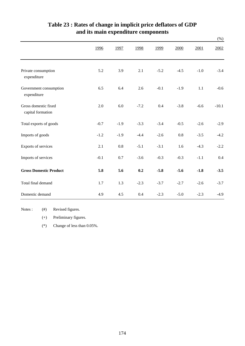|                                           |        |        |        |        |        |        | $(\%)$  |
|-------------------------------------------|--------|--------|--------|--------|--------|--------|---------|
|                                           | 1996   | 1997   | 1998   | 1999   | 2000   | 2001   | 2002    |
| Private consumption<br>expenditure        | 5.2    | 3.9    | 2.1    | $-5.2$ | $-4.5$ | $-1.0$ | $-3.4$  |
| Government consumption<br>expenditure     | 6.5    | 6.4    | 2.6    | $-0.1$ | $-1.9$ | 1.1    | $-0.6$  |
| Gross domestic fixed<br>capital formation | 2.0    | 6.0    | $-7.2$ | 0.4    | $-3.8$ | $-6.6$ | $-10.1$ |
| Total exports of goods                    | $-0.7$ | $-1.9$ | $-3.3$ | $-3.4$ | $-0.5$ | $-2.6$ | $-2.9$  |
| Imports of goods                          | $-1.2$ | $-1.9$ | $-4.4$ | $-2.6$ | 0.8    | $-3.5$ | $-4.2$  |
| Exports of services                       | 2.1    | 0.8    | $-5.1$ | $-3.1$ | 1.6    | $-4.3$ | $-2.2$  |
| Imports of services                       | $-0.1$ | 0.7    | $-3.6$ | $-0.3$ | $-0.3$ | $-1.1$ | 0.4     |
| <b>Gross Domestic Product</b>             | 5.8    | 5.6    | 0.2    | $-5.8$ | $-5.6$ | $-1.8$ | $-3.5$  |
| Total final demand                        | 1.7    | 1.3    | $-2.3$ | $-3.7$ | $-2.7$ | $-2.6$ | $-3.7$  |
| Domestic demand                           | 4.9    | 4.5    | 0.4    | $-2.3$ | $-5.0$ | $-2.3$ | $-4.9$  |

# **and its main expenditure components Table 23 : Rates of change in implicit price deflators of GDP**

Notes :  $(#)$ Revised figures.

(+) Preliminary figures.

(\*) Change of less than 0.05%.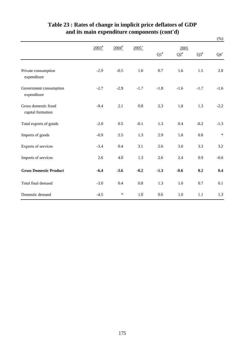|                                           |                                    |                     |          |           |           |           | $(\%)$ |  |  |
|-------------------------------------------|------------------------------------|---------------------|----------|-----------|-----------|-----------|--------|--|--|
|                                           | $2003^{\frac{\text{#}}{\text{}}}\$ | $2004$ <sup>#</sup> | $2005^+$ |           | 2005      |           |        |  |  |
|                                           |                                    |                     |          | $Q1^{\#}$ | $Q2^{\#}$ | $Q3^{\#}$ | $Q4^+$ |  |  |
| Private consumption<br>expenditure        | $-2.9$                             | $-0.5$              | 1.6      | 0.7       | 1.6       | 1.5       | 2.8    |  |  |
| Government consumption<br>expenditure     | $-2.7$                             | $-2.9$              | $-1.7$   | $-1.8$    | $-1.6$    | $-1.7$    | $-1.6$ |  |  |
| Gross domestic fixed<br>capital formation | $-9.4$                             | 2.1                 | 0.8      | 2.3       | 1.8       | 1.3       | $-2.2$ |  |  |
| Total exports of goods                    | $-2.0$                             | 0.5                 | $-0.1$   | 1.3       | 0.4       | $-0.2$    | $-1.3$ |  |  |
| Imports of goods                          | $-0.9$                             | 2.5                 | 1.3      | 2.9       | 1.8       | 0.8       | $\ast$ |  |  |
| Exports of services                       | $-3.4$                             | 0.4                 | 3.1      | 2.6       | 3.0       | 3.3       | 3.2    |  |  |
| Imports of services                       | 2.6                                | 4.0                 | 1.3      | 2.6       | 2.4       | 0.9       | $-0.6$ |  |  |
| <b>Gross Domestic Product</b>             | $-6.4$                             | $-3.6$              | $-0.2$   | $-1.3$    | $-0.6$    | 0.2       | 0.4    |  |  |
| Total final demand                        | $-3.0$                             | 0.4                 | 0.8      | 1.3       | 1.0       | 0.7       | 0.1    |  |  |
| Domestic demand                           | $-4.5$                             | $\ast$              | 1.0      | 0.6       | 1.0       | 1.1       | 1.3    |  |  |

# **Table 23 : Rates of change in implicit price deflators of GDP and its main expenditure components (cont'd)**